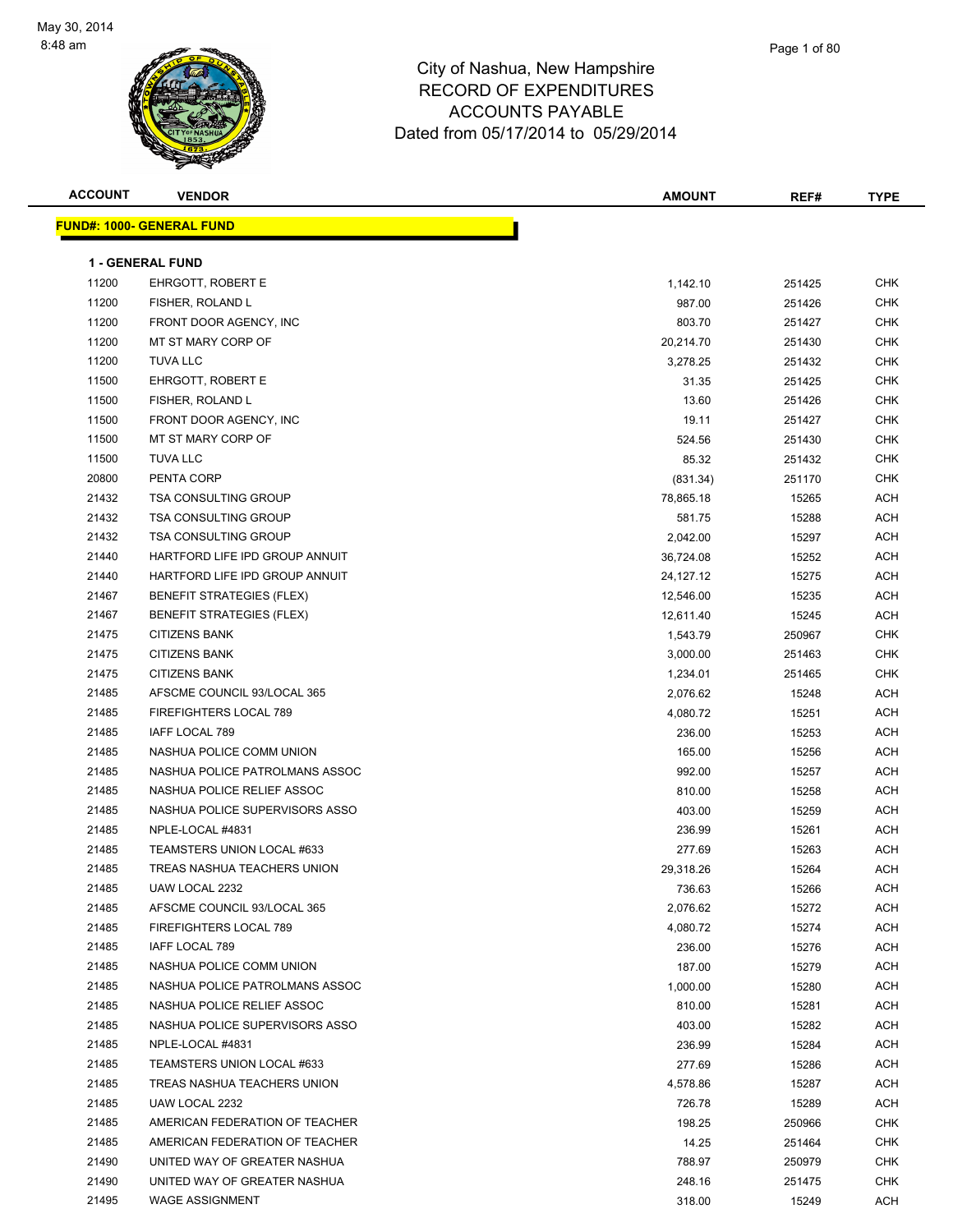

| Page 1 of 80 |
|--------------|
|              |

| <b>ACCOUNT</b> | <b>VENDOR</b>                    | <b>AMOUNT</b> | REF#   | <b>TYPE</b> |
|----------------|----------------------------------|---------------|--------|-------------|
|                | <b>FUND#: 1000- GENERAL FUND</b> |               |        |             |
|                |                                  |               |        |             |
|                | <b>1 - GENERAL FUND</b>          |               |        |             |
| 11200          | <b>EHRGOTT, ROBERT E</b>         | 1,142.10      | 251425 | <b>CHK</b>  |
| 11200          | FISHER, ROLAND L                 | 987.00        | 251426 | <b>CHK</b>  |
| 11200          | FRONT DOOR AGENCY, INC           | 803.70        | 251427 | <b>CHK</b>  |
| 11200          | MT ST MARY CORP OF               | 20,214.70     | 251430 | CHK         |
| 11200          | <b>TUVA LLC</b>                  | 3,278.25      | 251432 | CHK         |
| 11500          | <b>EHRGOTT, ROBERT E</b>         | 31.35         | 251425 | <b>CHK</b>  |
| 11500          | FISHER, ROLAND L                 | 13.60         | 251426 | <b>CHK</b>  |
| 11500          | FRONT DOOR AGENCY, INC           | 19.11         | 251427 | <b>CHK</b>  |
| 11500          | MT ST MARY CORP OF               | 524.56        | 251430 | CHK         |
| 11500          | <b>TUVA LLC</b>                  | 85.32         | 251432 | CHK         |
| 20800          | PENTA CORP                       | (831.34)      | 251170 | <b>CHK</b>  |
| 21432          | <b>TSA CONSULTING GROUP</b>      | 78,865.18     | 15265  | <b>ACH</b>  |
| 21432          | <b>TSA CONSULTING GROUP</b>      | 581.75        | 15288  | <b>ACH</b>  |
| 21432          | <b>TSA CONSULTING GROUP</b>      | 2,042.00      | 15297  | ACH         |
| 21440          | HARTFORD LIFE IPD GROUP ANNUIT   | 36,724.08     | 15252  | <b>ACH</b>  |
| 21440          | HARTFORD LIFE IPD GROUP ANNUIT   | 24,127.12     | 15275  | ACH         |
| 21467          | <b>BENEFIT STRATEGIES (FLEX)</b> | 12,546.00     | 15235  | <b>ACH</b>  |
| 21467          | <b>BENEFIT STRATEGIES (FLEX)</b> | 12,611.40     | 15245  | <b>ACH</b>  |
| 21475          | <b>CITIZENS BANK</b>             | 1,543.79      | 250967 | CHK         |
| 21475          | <b>CITIZENS BANK</b>             | 3,000.00      | 251463 | <b>CHK</b>  |
| 21475          | <b>CITIZENS BANK</b>             | 1,234.01      | 251465 | CHK         |
| 21485          | AFSCME COUNCIL 93/LOCAL 365      | 2,076.62      | 15248  | ACH         |
| 21485          | FIREFIGHTERS LOCAL 789           | 4,080.72      | 15251  | <b>ACH</b>  |
| 21485          | IAFF LOCAL 789                   | 236.00        | 15253  | <b>ACH</b>  |
| 21485          | NASHUA POLICE COMM UNION         | 165.00        | 15256  | ACH         |
| 21485          | NASHUA POLICE PATROLMANS ASSOC   | 992.00        | 15257  | <b>ACH</b>  |
| 21485          | NASHUA POLICE RELIEF ASSOC       | 810.00        | 15258  | <b>ACH</b>  |
| 21485          | NASHUA POLICE SUPERVISORS ASSO   | 403.00        | 15259  | <b>ACH</b>  |
| 21485          | NPLE-LOCAL #4831                 | 236.99        | 15261  | <b>ACH</b>  |
| 21485          | TEAMSTERS UNION LOCAL #633       | 277.69        | 15263  | <b>ACH</b>  |
| 21485          | TREAS NASHUA TEACHERS UNION      | 29,318.26     | 15264  | <b>ACH</b>  |
| 21485          | UAW LOCAL 2232                   | 736.63        | 15266  | <b>ACH</b>  |
| 21485          | AFSCME COUNCIL 93/LOCAL 365      | 2,076.62      | 15272  | ACH         |
| 21485          | FIREFIGHTERS LOCAL 789           | 4,080.72      | 15274  | <b>ACH</b>  |
| 21485          | IAFF LOCAL 789                   | 236.00        | 15276  | ACH         |
| 21485          | NASHUA POLICE COMM UNION         | 187.00        | 15279  | ACH         |
| 21485          | NASHUA POLICE PATROLMANS ASSOC   | 1,000.00      | 15280  | <b>ACH</b>  |
| 21485          | NASHUA POLICE RELIEF ASSOC       | 810.00        | 15281  | ACH         |
| 21485          | NASHUA POLICE SUPERVISORS ASSO   | 403.00        | 15282  | <b>ACH</b>  |
| 21485          | NPLE-LOCAL #4831                 | 236.99        | 15284  | <b>ACH</b>  |
| 21485          | TEAMSTERS UNION LOCAL #633       | 277.69        | 15286  | <b>ACH</b>  |
| 21485          | TREAS NASHUA TEACHERS UNION      | 4,578.86      | 15287  | <b>ACH</b>  |
| 21485          | UAW LOCAL 2232                   | 726.78        | 15289  | ACH         |
| 21485          | AMERICAN FEDERATION OF TEACHER   | 198.25        | 250966 | CHK         |
| 21485          | AMERICAN FEDERATION OF TEACHER   | 14.25         | 251464 | CHK         |
| 21490          | UNITED WAY OF GREATER NASHUA     | 788.97        | 250979 | CHK         |
| 21490          | UNITED WAY OF GREATER NASHUA     | 248.16        | 251475 | CHK         |
| 21495          | <b>WAGE ASSIGNMENT</b>           | 318.00        | 15249  | ACH         |
|                |                                  |               |        |             |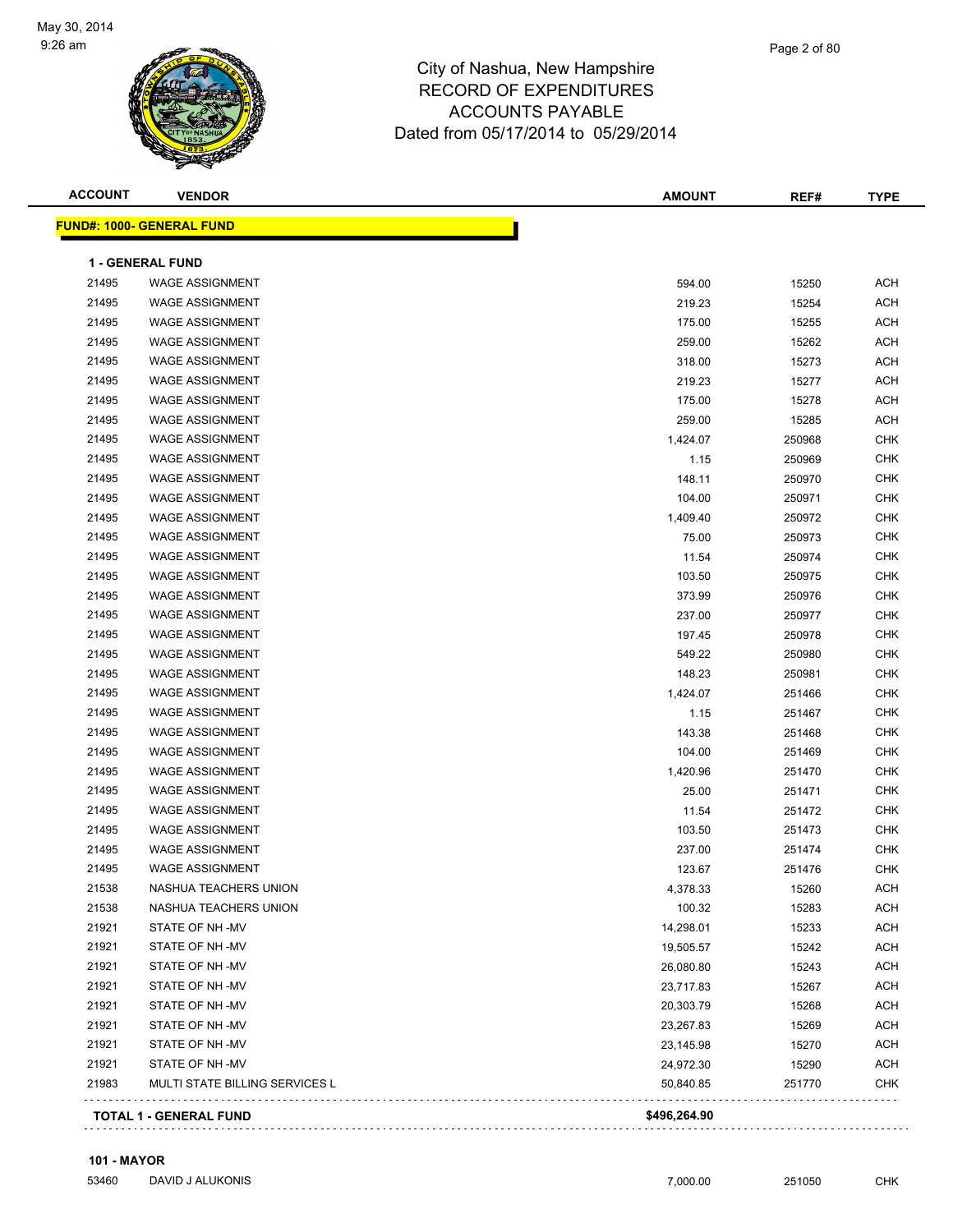

| <b>ACCOUNT</b> | <b>VENDOR</b>                     | <b>AMOUNT</b> | REF#   | <b>TYPE</b> |
|----------------|-----------------------------------|---------------|--------|-------------|
|                | <u> FUND#: 1000- GENERAL FUND</u> |               |        |             |
|                | <b>1 - GENERAL FUND</b>           |               |        |             |
| 21495          | <b>WAGE ASSIGNMENT</b>            | 594.00        | 15250  | <b>ACH</b>  |
| 21495          | <b>WAGE ASSIGNMENT</b>            | 219.23        | 15254  | <b>ACH</b>  |
| 21495          | <b>WAGE ASSIGNMENT</b>            | 175.00        | 15255  | <b>ACH</b>  |
| 21495          | <b>WAGE ASSIGNMENT</b>            | 259.00        | 15262  | <b>ACH</b>  |
| 21495          | <b>WAGE ASSIGNMENT</b>            | 318.00        | 15273  | <b>ACH</b>  |
| 21495          | <b>WAGE ASSIGNMENT</b>            | 219.23        | 15277  | <b>ACH</b>  |
| 21495          | <b>WAGE ASSIGNMENT</b>            | 175.00        | 15278  | <b>ACH</b>  |
| 21495          | <b>WAGE ASSIGNMENT</b>            | 259.00        | 15285  | <b>ACH</b>  |
| 21495          | <b>WAGE ASSIGNMENT</b>            | 1,424.07      | 250968 | <b>CHK</b>  |
| 21495          | <b>WAGE ASSIGNMENT</b>            | 1.15          | 250969 | <b>CHK</b>  |
| 21495          | <b>WAGE ASSIGNMENT</b>            | 148.11        | 250970 | CHK         |
| 21495          | <b>WAGE ASSIGNMENT</b>            | 104.00        | 250971 | <b>CHK</b>  |
| 21495          | <b>WAGE ASSIGNMENT</b>            | 1,409.40      | 250972 | <b>CHK</b>  |
| 21495          | <b>WAGE ASSIGNMENT</b>            | 75.00         | 250973 | <b>CHK</b>  |
| 21495          | <b>WAGE ASSIGNMENT</b>            | 11.54         | 250974 | <b>CHK</b>  |
| 21495          | <b>WAGE ASSIGNMENT</b>            | 103.50        | 250975 | <b>CHK</b>  |
| 21495          | <b>WAGE ASSIGNMENT</b>            | 373.99        | 250976 | <b>CHK</b>  |
| 21495          | <b>WAGE ASSIGNMENT</b>            | 237.00        | 250977 | <b>CHK</b>  |
| 21495          | <b>WAGE ASSIGNMENT</b>            | 197.45        | 250978 | <b>CHK</b>  |
| 21495          | <b>WAGE ASSIGNMENT</b>            | 549.22        | 250980 | <b>CHK</b>  |
| 21495          | <b>WAGE ASSIGNMENT</b>            | 148.23        | 250981 | <b>CHK</b>  |
| 21495          | <b>WAGE ASSIGNMENT</b>            | 1,424.07      | 251466 | <b>CHK</b>  |
| 21495          | <b>WAGE ASSIGNMENT</b>            | 1.15          | 251467 | <b>CHK</b>  |
| 21495          | <b>WAGE ASSIGNMENT</b>            | 143.38        | 251468 | <b>CHK</b>  |
| 21495          | <b>WAGE ASSIGNMENT</b>            | 104.00        | 251469 | <b>CHK</b>  |
| 21495          | <b>WAGE ASSIGNMENT</b>            | 1,420.96      | 251470 | <b>CHK</b>  |
| 21495          | <b>WAGE ASSIGNMENT</b>            | 25.00         | 251471 | <b>CHK</b>  |
| 21495          | <b>WAGE ASSIGNMENT</b>            | 11.54         | 251472 | <b>CHK</b>  |
| 21495          | <b>WAGE ASSIGNMENT</b>            | 103.50        | 251473 | <b>CHK</b>  |
| 21495          | <b>WAGE ASSIGNMENT</b>            | 237.00        | 251474 | <b>CHK</b>  |
| 21495          | <b>WAGE ASSIGNMENT</b>            | 123.67        | 251476 | <b>CHK</b>  |
| 21538          | NASHUA TEACHERS UNION             | 4,378.33      | 15260  | ACH         |
| 21538          | NASHUA TEACHERS UNION             | 100.32        | 15283  | ACH         |
| 21921          | STATE OF NH -MV                   | 14,298.01     | 15233  | ACH         |
| 21921          | STATE OF NH-MV                    | 19,505.57     | 15242  | <b>ACH</b>  |
| 21921          | STATE OF NH -MV                   | 26,080.80     | 15243  | <b>ACH</b>  |
| 21921          | STATE OF NH-MV                    | 23,717.83     | 15267  | <b>ACH</b>  |
| 21921          | STATE OF NH -MV                   | 20,303.79     | 15268  | <b>ACH</b>  |
| 21921          | STATE OF NH-MV                    | 23,267.83     | 15269  | <b>ACH</b>  |
| 21921          | STATE OF NH-MV                    | 23,145.98     | 15270  | <b>ACH</b>  |
| 21921          | STATE OF NH -MV                   | 24,972.30     | 15290  | ACH         |
| 21983          | MULTI STATE BILLING SERVICES L    | 50,840.85     | 251770 | CHK         |
|                | <b>TOTAL 1 - GENERAL FUND</b>     | \$496,264.90  |        |             |

#### **101 - MAYOR**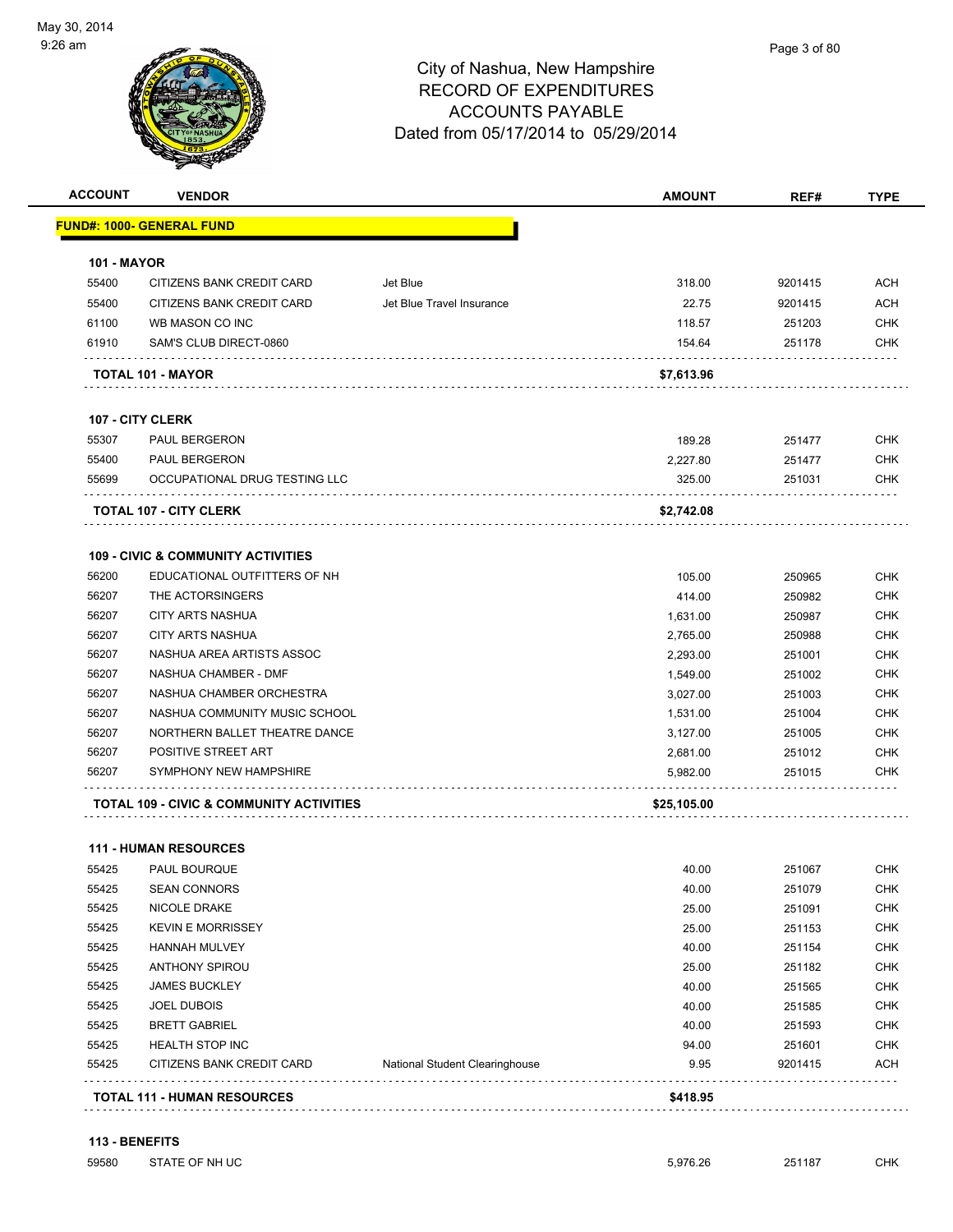

| <b>ACCOUNT</b>     | <b>VENDOR</b>                                 |                                       | <b>AMOUNT</b> | REF#    | <b>TYPE</b> |
|--------------------|-----------------------------------------------|---------------------------------------|---------------|---------|-------------|
|                    | <u> FUND#: 1000- GENERAL FUND</u>             |                                       |               |         |             |
| <b>101 - MAYOR</b> |                                               |                                       |               |         |             |
| 55400              | CITIZENS BANK CREDIT CARD                     | Jet Blue                              | 318.00        | 9201415 | <b>ACH</b>  |
| 55400              | CITIZENS BANK CREDIT CARD                     | Jet Blue Travel Insurance             | 22.75         | 9201415 | <b>ACH</b>  |
| 61100              | WB MASON CO INC                               |                                       | 118.57        | 251203  | <b>CHK</b>  |
| 61910              | SAM'S CLUB DIRECT-0860                        |                                       | 154.64        | 251178  | <b>CHK</b>  |
|                    | TOTAL 101 - MAYOR                             |                                       | \$7,613.96    |         |             |
|                    | 107 - CITY CLERK                              |                                       |               |         |             |
| 55307              | <b>PAUL BERGERON</b>                          |                                       | 189.28        | 251477  | <b>CHK</b>  |
| 55400              | PAUL BERGERON                                 |                                       | 2,227.80      | 251477  | <b>CHK</b>  |
| 55699              | OCCUPATIONAL DRUG TESTING LLC                 |                                       | 325.00        | 251031  | <b>CHK</b>  |
|                    | <b>TOTAL 107 - CITY CLERK</b>                 |                                       | \$2,742.08    |         |             |
|                    | <b>109 - CIVIC &amp; COMMUNITY ACTIVITIES</b> |                                       |               |         |             |
| 56200              | EDUCATIONAL OUTFITTERS OF NH                  |                                       | 105.00        | 250965  | <b>CHK</b>  |
| 56207              | THE ACTORSINGERS                              |                                       | 414.00        | 250982  | <b>CHK</b>  |
| 56207              | <b>CITY ARTS NASHUA</b>                       |                                       | 1,631.00      | 250987  | <b>CHK</b>  |
| 56207              | <b>CITY ARTS NASHUA</b>                       |                                       | 2,765.00      | 250988  | <b>CHK</b>  |
| 56207              | NASHUA AREA ARTISTS ASSOC                     |                                       | 2,293.00      | 251001  | <b>CHK</b>  |
| 56207              | NASHUA CHAMBER - DMF                          |                                       | 1,549.00      | 251002  | <b>CHK</b>  |
| 56207              | NASHUA CHAMBER ORCHESTRA                      |                                       | 3,027.00      | 251003  | <b>CHK</b>  |
| 56207              | NASHUA COMMUNITY MUSIC SCHOOL                 |                                       | 1,531.00      | 251004  | <b>CHK</b>  |
| 56207              | NORTHERN BALLET THEATRE DANCE                 |                                       | 3,127.00      | 251005  | <b>CHK</b>  |
| 56207              | POSITIVE STREET ART                           |                                       | 2,681.00      | 251012  | <b>CHK</b>  |
| 56207              | SYMPHONY NEW HAMPSHIRE                        |                                       | 5,982.00      | 251015  | <b>CHK</b>  |
|                    | TOTAL 109 - CIVIC & COMMUNITY ACTIVITIES      |                                       | \$25,105.00   |         |             |
|                    | <b>111 - HUMAN RESOURCES</b>                  |                                       |               |         |             |
| 55425              | PAUL BOURQUE                                  |                                       | 40.00         | 251067  | <b>CHK</b>  |
| 55425              | SEAN CONNORS                                  |                                       | 40.00         | 251079  | CHK         |
| 55425              | NICOLE DRAKE                                  |                                       | 25.00         | 251091  | CHK         |
| 55425              | <b>KEVIN E MORRISSEY</b>                      |                                       | 25.00         | 251153  | <b>CHK</b>  |
| 55425              | <b>HANNAH MULVEY</b>                          |                                       | 40.00         | 251154  | <b>CHK</b>  |
| 55425              | ANTHONY SPIROU                                |                                       | 25.00         | 251182  | <b>CHK</b>  |
| 55425              | <b>JAMES BUCKLEY</b>                          |                                       | 40.00         | 251565  | <b>CHK</b>  |
| 55425              | <b>JOEL DUBOIS</b>                            |                                       | 40.00         | 251585  | <b>CHK</b>  |
| 55425              | <b>BRETT GABRIEL</b>                          |                                       | 40.00         | 251593  | <b>CHK</b>  |
| 55425              | <b>HEALTH STOP INC</b>                        |                                       | 94.00         | 251601  | <b>CHK</b>  |
| 55425              | CITIZENS BANK CREDIT CARD                     | <b>National Student Clearinghouse</b> | 9.95          | 9201415 | <b>ACH</b>  |
|                    | <b>TOTAL 111 - HUMAN RESOURCES</b>            |                                       | \$418.95      |         |             |

|  |  | \$418.95 |  |
|--|--|----------|--|
|  |  |          |  |

### **113 - BENEFITS**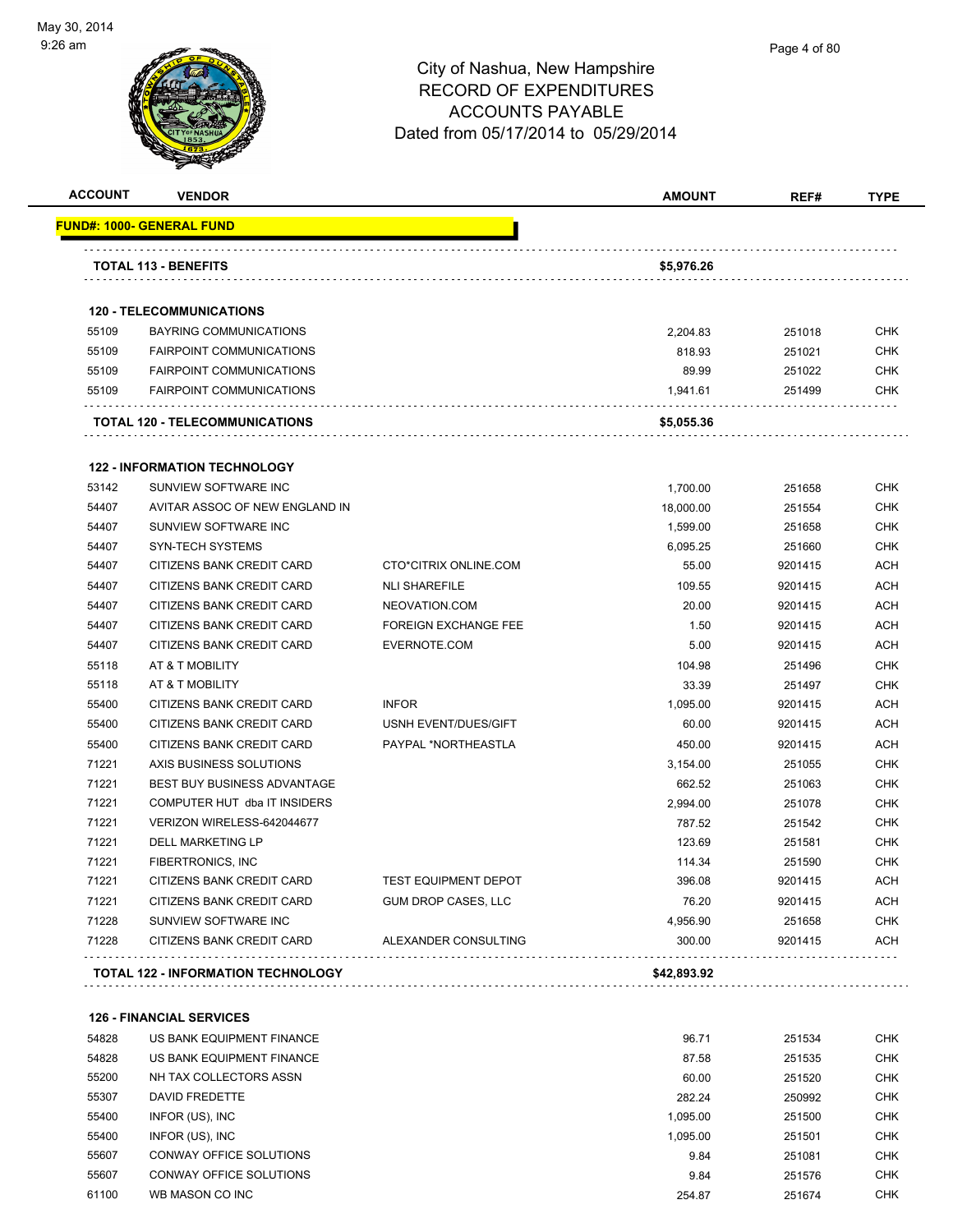

| <b>ACCOUNT</b> | <b>VENDOR</b>                             |                             | <b>AMOUNT</b> | REF#    | <b>TYPE</b> |
|----------------|-------------------------------------------|-----------------------------|---------------|---------|-------------|
|                | FUND#: 1000- GENERAL FUND                 |                             |               |         |             |
|                | <b>TOTAL 113 - BENEFITS</b>               |                             | \$5,976.26    |         |             |
|                |                                           |                             |               |         |             |
|                | <b>120 - TELECOMMUNICATIONS</b>           |                             |               |         |             |
| 55109          | <b>BAYRING COMMUNICATIONS</b>             |                             | 2,204.83      | 251018  | <b>CHK</b>  |
| 55109          | <b>FAIRPOINT COMMUNICATIONS</b>           |                             | 818.93        | 251021  | <b>CHK</b>  |
| 55109          | <b>FAIRPOINT COMMUNICATIONS</b>           |                             | 89.99         | 251022  | <b>CHK</b>  |
| 55109          | <b>FAIRPOINT COMMUNICATIONS</b>           |                             | 1,941.61      | 251499  | <b>CHK</b>  |
|                | TOTAL 120 - TELECOMMUNICATIONS            |                             | \$5,055.36    |         |             |
|                | <b>122 - INFORMATION TECHNOLOGY</b>       |                             |               |         |             |
| 53142          | SUNVIEW SOFTWARE INC                      |                             | 1,700.00      | 251658  | <b>CHK</b>  |
| 54407          | AVITAR ASSOC OF NEW ENGLAND IN            |                             | 18,000.00     | 251554  | <b>CHK</b>  |
| 54407          | SUNVIEW SOFTWARE INC                      |                             | 1,599.00      | 251658  | <b>CHK</b>  |
| 54407          | SYN-TECH SYSTEMS                          |                             | 6,095.25      | 251660  | <b>CHK</b>  |
| 54407          | CITIZENS BANK CREDIT CARD                 | CTO*CITRIX ONLINE.COM       | 55.00         | 9201415 | <b>ACH</b>  |
| 54407          | CITIZENS BANK CREDIT CARD                 | <b>NLI SHAREFILE</b>        | 109.55        | 9201415 | <b>ACH</b>  |
| 54407          | CITIZENS BANK CREDIT CARD                 | NEOVATION.COM               | 20.00         | 9201415 | <b>ACH</b>  |
| 54407          | CITIZENS BANK CREDIT CARD                 | <b>FOREIGN EXCHANGE FEE</b> | 1.50          | 9201415 | <b>ACH</b>  |
| 54407          | CITIZENS BANK CREDIT CARD                 | EVERNOTE.COM                | 5.00          | 9201415 | <b>ACH</b>  |
| 55118          | AT & T MOBILITY                           |                             | 104.98        | 251496  | <b>CHK</b>  |
| 55118          | AT & T MOBILITY                           |                             | 33.39         | 251497  | <b>CHK</b>  |
| 55400          | CITIZENS BANK CREDIT CARD                 | <b>INFOR</b>                | 1,095.00      | 9201415 | <b>ACH</b>  |
| 55400          | CITIZENS BANK CREDIT CARD                 | USNH EVENT/DUES/GIFT        | 60.00         | 9201415 | <b>ACH</b>  |
| 55400          | CITIZENS BANK CREDIT CARD                 | PAYPAL *NORTHEASTLA         | 450.00        | 9201415 | ACH         |
| 71221          | AXIS BUSINESS SOLUTIONS                   |                             | 3,154.00      | 251055  | <b>CHK</b>  |
| 71221          | <b>BEST BUY BUSINESS ADVANTAGE</b>        |                             | 662.52        | 251063  | <b>CHK</b>  |
| 71221          | COMPUTER HUT dba IT INSIDERS              |                             | 2,994.00      | 251078  | <b>CHK</b>  |
| 71221          | VERIZON WIRELESS-642044677                |                             | 787.52        | 251542  | <b>CHK</b>  |
| 71221          | DELL MARKETING LP                         |                             | 123.69        | 251581  | <b>CHK</b>  |
| 71221          | <b>FIBERTRONICS, INC</b>                  |                             | 114.34        | 251590  | <b>CHK</b>  |
| 71221          | CITIZENS BANK CREDIT CARD                 | <b>TEST EQUIPMENT DEPOT</b> | 396.08        | 9201415 | ACH         |
| 71221          | <b>CITIZENS BANK CREDIT CARD</b>          | <b>GUM DROP CASES, LLC</b>  | 76.20         | 9201415 | <b>ACH</b>  |
| 71228          | SUNVIEW SOFTWARE INC                      |                             | 4,956.90      | 251658  | <b>CHK</b>  |
| 71228          | CITIZENS BANK CREDIT CARD                 | ALEXANDER CONSULTING        | 300.00        | 9201415 | <b>ACH</b>  |
|                | <b>TOTAL 122 - INFORMATION TECHNOLOGY</b> |                             | \$42,893.92   |         |             |
|                |                                           |                             |               |         |             |

**126 - FINANCIAL SERVICES**

| 54828 | US BANK EQUIPMENT FINANCE      | 96.71    | 251534 | <b>CHK</b> |
|-------|--------------------------------|----------|--------|------------|
| 54828 | US BANK EQUIPMENT FINANCE      | 87.58    | 251535 | <b>CHK</b> |
| 55200 | NH TAX COLLECTORS ASSN         | 60.00    | 251520 | <b>CHK</b> |
| 55307 | DAVID FREDETTE                 | 282.24   | 250992 | <b>CHK</b> |
| 55400 | INFOR (US), INC                | 1.095.00 | 251500 | <b>CHK</b> |
| 55400 | INFOR (US), INC                | 1.095.00 | 251501 | <b>CHK</b> |
| 55607 | CONWAY OFFICE SOLUTIONS        | 9.84     | 251081 | <b>CHK</b> |
| 55607 | <b>CONWAY OFFICE SOLUTIONS</b> | 9.84     | 251576 | <b>CHK</b> |
| 61100 | WB MASON CO INC                | 254.87   | 251674 | <b>CHK</b> |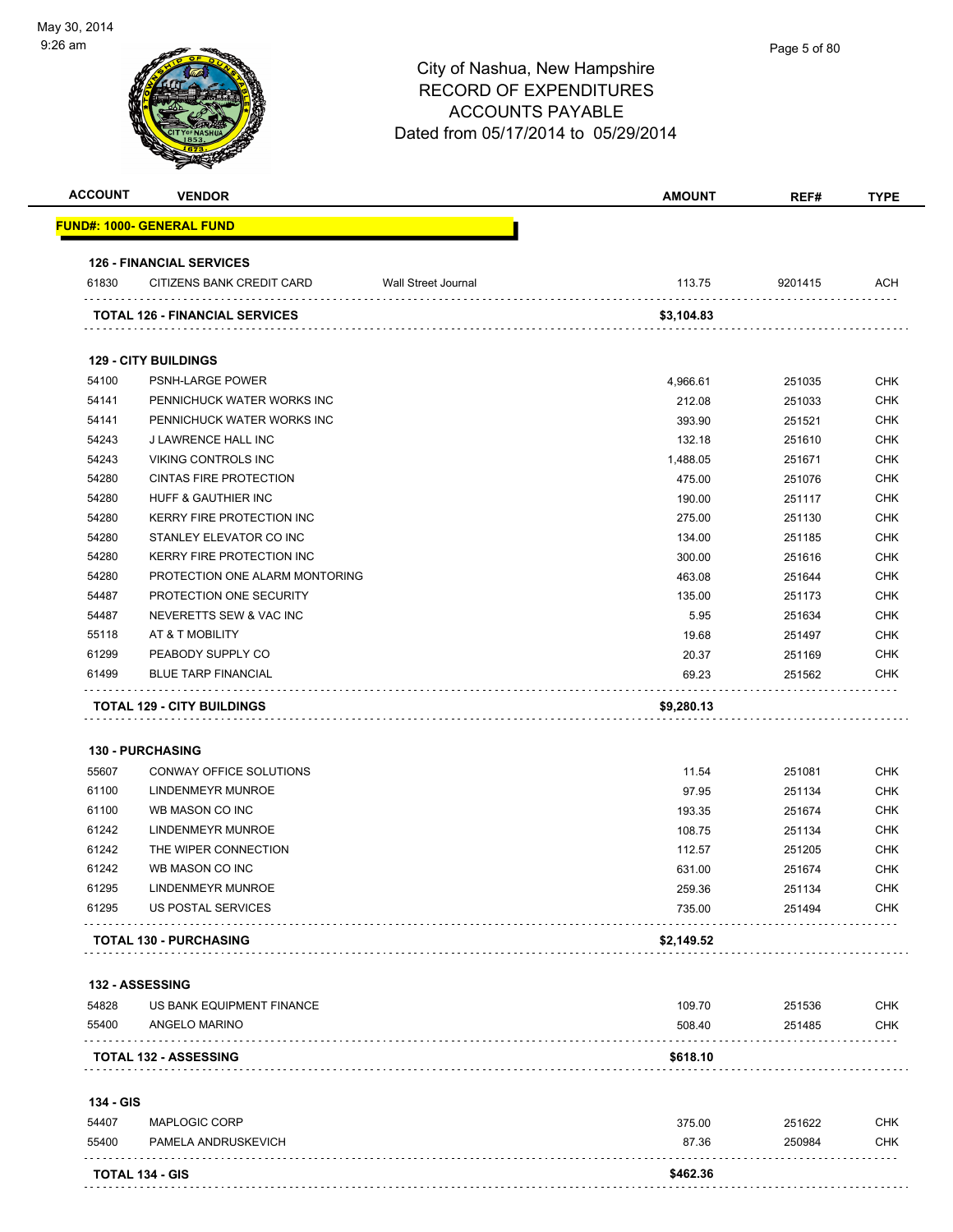| <b>ACCOUNT</b> | <b>VENDOR</b>                         |                     | <b>AMOUNT</b> | REF#    | <b>TYPE</b> |
|----------------|---------------------------------------|---------------------|---------------|---------|-------------|
|                | <u> FUND#: 1000- GENERAL FUND</u>     |                     |               |         |             |
|                | <b>126 - FINANCIAL SERVICES</b>       |                     |               |         |             |
| 61830          | CITIZENS BANK CREDIT CARD             | Wall Street Journal | 113.75        | 9201415 | ACH         |
|                | <b>TOTAL 126 - FINANCIAL SERVICES</b> |                     | \$3,104.83    |         |             |
|                | <b>129 - CITY BUILDINGS</b>           |                     |               |         |             |
| 54100          | <b>PSNH-LARGE POWER</b>               |                     | 4,966.61      | 251035  | <b>CHK</b>  |
| 54141          | PENNICHUCK WATER WORKS INC            |                     | 212.08        | 251033  | <b>CHK</b>  |
| 54141          | PENNICHUCK WATER WORKS INC            |                     | 393.90        | 251521  | <b>CHK</b>  |
| 54243          | J LAWRENCE HALL INC                   |                     | 132.18        | 251610  | <b>CHK</b>  |
| 54243          | VIKING CONTROLS INC                   |                     | 1,488.05      | 251671  | <b>CHK</b>  |
| 54280          | <b>CINTAS FIRE PROTECTION</b>         |                     | 475.00        | 251076  | <b>CHK</b>  |
| 54280          | HUFF & GAUTHIER INC                   |                     | 190.00        | 251117  | <b>CHK</b>  |
| 54280          | KERRY FIRE PROTECTION INC             |                     | 275.00        | 251130  | <b>CHK</b>  |
| 54280          | STANLEY ELEVATOR CO INC               |                     | 134.00        | 251185  | <b>CHK</b>  |
| 54280          | <b>KERRY FIRE PROTECTION INC</b>      |                     | 300.00        | 251616  | <b>CHK</b>  |
| 54280          | PROTECTION ONE ALARM MONTORING        |                     | 463.08        | 251644  | <b>CHK</b>  |
| 54487          | PROTECTION ONE SECURITY               |                     | 135.00        | 251173  | <b>CHK</b>  |
| 54487          | NEVERETTS SEW & VAC INC               |                     | 5.95          | 251634  | <b>CHK</b>  |
| 55118          | AT & T MOBILITY                       |                     | 19.68         | 251497  | <b>CHK</b>  |
| 61299          | PEABODY SUPPLY CO                     |                     | 20.37         | 251169  | <b>CHK</b>  |
| 61499          | <b>BLUE TARP FINANCIAL</b>            |                     | 69.23         | 251562  | CHK         |
|                | <b>130 - PURCHASING</b>               |                     |               |         |             |
| 55607          | CONWAY OFFICE SOLUTIONS               |                     | 11.54         | 251081  | <b>CHK</b>  |
| 61100          | <b>LINDENMEYR MUNROE</b>              |                     | 97.95         | 251134  | <b>CHK</b>  |
| 61100          | WB MASON CO INC                       |                     | 193.35        | 251674  | <b>CHK</b>  |
| 61242          | <b>LINDENMEYR MUNROE</b>              |                     | 108.75        | 251134  | <b>CHK</b>  |
| 61242          | THE WIPER CONNECTION                  |                     | 112.57        | 251205  | <b>CHK</b>  |
| 61242          | WB MASON CO INC                       |                     | 631.00        | 251674  | <b>CHK</b>  |
| 61295          | LINDENMEYR MUNROE                     |                     | 259.36        | 251134  | <b>CHK</b>  |
| 61295          | <b>US POSTAL SERVICES</b>             |                     | 735.00        | 251494  | <b>CHK</b>  |
|                | <b>TOTAL 130 - PURCHASING</b>         |                     | \$2,149.52    |         |             |
|                | 132 - ASSESSING                       |                     |               |         |             |
| 54828          | US BANK EQUIPMENT FINANCE             |                     | 109.70        | 251536  | <b>CHK</b>  |
| 55400          | ANGELO MARINO                         |                     |               |         | <b>CHK</b>  |
|                |                                       |                     | 508.40        | 251485  |             |
|                | <b>TOTAL 132 - ASSESSING</b>          |                     | \$618.10      |         |             |
| 134 - GIS      |                                       |                     |               |         |             |
| 54407          | MAPLOGIC CORP                         |                     | 375.00        | 251622  | <b>CHK</b>  |
| 55400          | PAMELA ANDRUSKEVICH                   |                     | 87.36         | 250984  | <b>CHK</b>  |
|                | TOTAL 134 - GIS                       |                     | \$462.36      |         |             |
|                |                                       |                     |               |         |             |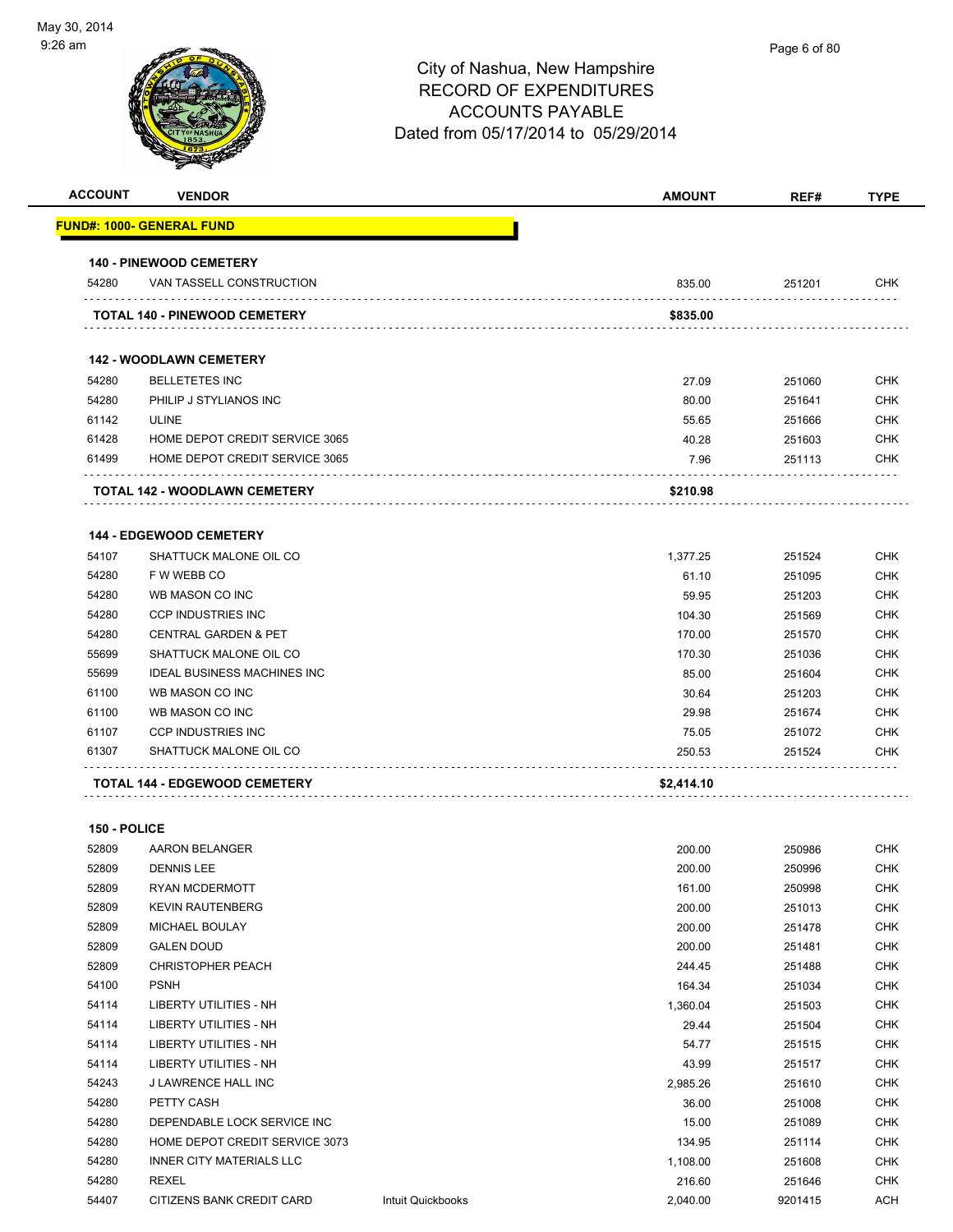| <b>ACCOUNT</b> | <b>VENDOR</b>                                   | AMOUNT     | REF#             | <b>TYPE</b> |
|----------------|-------------------------------------------------|------------|------------------|-------------|
|                | FUND#: 1000- GENERAL FUND                       |            |                  |             |
|                | <b>140 - PINEWOOD CEMETERY</b>                  |            |                  |             |
| 54280          | VAN TASSELL CONSTRUCTION                        | 835.00     | 251201           | <b>CHK</b>  |
|                | <b>TOTAL 140 - PINEWOOD CEMETERY</b>            | \$835.00   |                  |             |
|                | <b>142 - WOODLAWN CEMETERY</b>                  |            |                  |             |
|                |                                                 | 27.09      |                  | <b>CHK</b>  |
| 54280<br>54280 | <b>BELLETETES INC</b><br>PHILIP J STYLIANOS INC | 80.00      | 251060<br>251641 | <b>CHK</b>  |
| 61142          | <b>ULINE</b>                                    | 55.65      | 251666           | <b>CHK</b>  |
| 61428          | HOME DEPOT CREDIT SERVICE 3065                  | 40.28      | 251603           | <b>CHK</b>  |
| 61499          | HOME DEPOT CREDIT SERVICE 3065                  | 7.96       | 251113           | <b>CHK</b>  |
|                |                                                 |            |                  |             |
|                | TOTAL 142 - WOODLAWN CEMETERY                   | \$210.98   |                  |             |
|                | <b>144 - EDGEWOOD CEMETERY</b>                  |            |                  |             |
| 54107          | SHATTUCK MALONE OIL CO                          | 1,377.25   | 251524           | <b>CHK</b>  |
| 54280          | F W WEBB CO                                     | 61.10      | 251095           | <b>CHK</b>  |
| 54280          | WB MASON CO INC                                 | 59.95      | 251203           | <b>CHK</b>  |
| 54280          | <b>CCP INDUSTRIES INC</b>                       | 104.30     | 251569           | <b>CHK</b>  |
| 54280          | <b>CENTRAL GARDEN &amp; PET</b>                 | 170.00     | 251570           | <b>CHK</b>  |
| 55699          | SHATTUCK MALONE OIL CO                          | 170.30     | 251036           | <b>CHK</b>  |
| 55699          | <b>IDEAL BUSINESS MACHINES INC</b>              | 85.00      | 251604           | <b>CHK</b>  |
| 61100          | WB MASON CO INC                                 | 30.64      | 251203           | <b>CHK</b>  |
| 61100          | WB MASON CO INC                                 | 29.98      | 251674           | <b>CHK</b>  |
| 61107          | <b>CCP INDUSTRIES INC</b>                       | 75.05      | 251072           | <b>CHK</b>  |
| 61307          | SHATTUCK MALONE OIL CO                          | 250.53     | 251524           | <b>CHK</b>  |
|                | TOTAL 144 - EDGEWOOD CEMETERY                   | \$2,414.10 |                  |             |
| 150 - POLICE   |                                                 |            |                  |             |
| 52809          | AARON BELANGER                                  | 200.00     | 250986           | <b>CHK</b>  |
| 52809          | <b>DENNIS LEE</b>                               | 200.00     | 250996           | <b>CHK</b>  |
| 52809          | RYAN MCDERMOTT                                  | 161.00     | 250998           | <b>CHK</b>  |
| 52809          | <b>KEVIN RAUTENBERG</b>                         | 200.00     | 251013           | <b>CHK</b>  |
| 52809          | MICHAEL BOULAY                                  | 200.00     | 251478           | <b>CHK</b>  |
| 52809          | <b>GALEN DOUD</b>                               | 200.00     | 251481           | <b>CHK</b>  |
| 52809          | <b>CHRISTOPHER PEACH</b>                        | 244.45     | 251488           | <b>CHK</b>  |
| 54100          | <b>PSNH</b>                                     | 164.34     | 251034           | <b>CHK</b>  |
| 54114          | LIBERTY UTILITIES - NH                          | 1,360.04   | 251503           | CHK         |
| 54114          | LIBERTY UTILITIES - NH                          | 29.44      | 251504           | <b>CHK</b>  |
| 54114          | <b>LIBERTY UTILITIES - NH</b>                   | 54.77      | 251515           | <b>CHK</b>  |
| 54114          | LIBERTY UTILITIES - NH                          | 43.99      | 251517           | <b>CHK</b>  |
| 54243          | J LAWRENCE HALL INC                             | 2,985.26   | 251610           | <b>CHK</b>  |
| 54280          | PETTY CASH                                      | 36.00      | 251008           | CHK         |
| 54280          | DEPENDABLE LOCK SERVICE INC                     | 15.00      | 251089           | <b>CHK</b>  |
| 54280          | HOME DEPOT CREDIT SERVICE 3073                  | 134.95     | 251114           | <b>CHK</b>  |
| 54280          | INNER CITY MATERIALS LLC                        | 1,108.00   | 251608           | <b>CHK</b>  |

 REXEL 216.60 251646 CHK 54407 CITIZENS BANK CREDIT CARD Intuit Quickbooks 2,040.00 9201415 ACH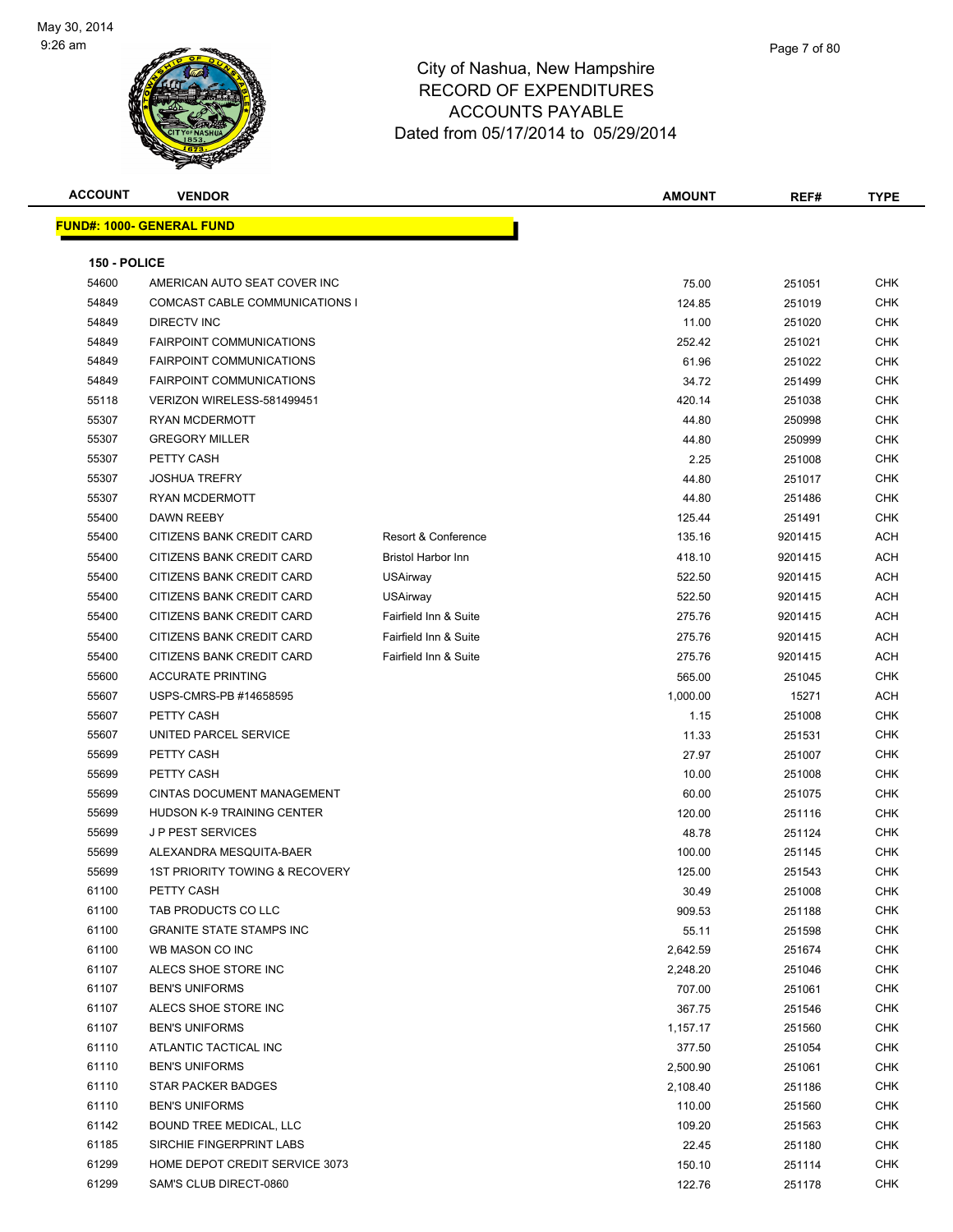

| <b>ACCOUNT</b> | <b>VENDOR</b>                                 |                           | <b>AMOUNT</b>        | REF#             | <b>TYPE</b> |
|----------------|-----------------------------------------------|---------------------------|----------------------|------------------|-------------|
|                | <b>FUND#: 1000- GENERAL FUND</b>              |                           |                      |                  |             |
|                |                                               |                           |                      |                  |             |
| 150 - POLICE   |                                               |                           |                      |                  |             |
| 54600          | AMERICAN AUTO SEAT COVER INC                  |                           | 75.00                | 251051           | CHK         |
| 54849          | COMCAST CABLE COMMUNICATIONS I                |                           | 124.85               | 251019           | CHK         |
| 54849          | <b>DIRECTV INC</b>                            |                           | 11.00                | 251020           | <b>CHK</b>  |
| 54849          | <b>FAIRPOINT COMMUNICATIONS</b>               |                           | 252.42               | 251021           | <b>CHK</b>  |
| 54849          | <b>FAIRPOINT COMMUNICATIONS</b>               |                           | 61.96                | 251022           | <b>CHK</b>  |
| 54849          | <b>FAIRPOINT COMMUNICATIONS</b>               |                           | 34.72                | 251499           | <b>CHK</b>  |
| 55118          | VERIZON WIRELESS-581499451                    |                           | 420.14               | 251038           | CHK         |
| 55307          | RYAN MCDERMOTT                                |                           | 44.80                | 250998           | <b>CHK</b>  |
| 55307          | <b>GREGORY MILLER</b>                         |                           | 44.80                | 250999           | CHK         |
| 55307          | PETTY CASH                                    |                           | 2.25                 | 251008           | CHK         |
| 55307          | <b>JOSHUA TREFRY</b>                          |                           | 44.80                | 251017           | CHK         |
| 55307          | <b>RYAN MCDERMOTT</b>                         |                           | 44.80                | 251486           | <b>CHK</b>  |
| 55400          | <b>DAWN REEBY</b>                             |                           | 125.44               | 251491           | <b>CHK</b>  |
| 55400          | CITIZENS BANK CREDIT CARD                     | Resort & Conference       | 135.16               | 9201415          | ACH         |
| 55400          | CITIZENS BANK CREDIT CARD                     | <b>Bristol Harbor Inn</b> | 418.10               | 9201415          | ACH         |
| 55400          | CITIZENS BANK CREDIT CARD                     | <b>USAirway</b>           | 522.50               | 9201415          | ACH         |
| 55400          | CITIZENS BANK CREDIT CARD                     | <b>USAirway</b>           | 522.50               | 9201415          | <b>ACH</b>  |
| 55400          | CITIZENS BANK CREDIT CARD                     | Fairfield Inn & Suite     | 275.76               | 9201415          | ACH         |
| 55400          | CITIZENS BANK CREDIT CARD                     | Fairfield Inn & Suite     | 275.76               | 9201415          | ACH         |
| 55400          | CITIZENS BANK CREDIT CARD                     | Fairfield Inn & Suite     | 275.76               | 9201415          | ACH         |
| 55600          | <b>ACCURATE PRINTING</b>                      |                           | 565.00               | 251045           | <b>CHK</b>  |
| 55607          | USPS-CMRS-PB #14658595                        |                           | 1,000.00             | 15271            | ACH         |
| 55607          | PETTY CASH                                    |                           | 1.15                 | 251008           | <b>CHK</b>  |
| 55607          | UNITED PARCEL SERVICE                         |                           | 11.33                | 251531           | <b>CHK</b>  |
| 55699          | PETTY CASH                                    |                           | 27.97                | 251007           | CHK         |
| 55699          | PETTY CASH                                    |                           | 10.00                | 251008           | <b>CHK</b>  |
| 55699          | CINTAS DOCUMENT MANAGEMENT                    |                           | 60.00                | 251075           | <b>CHK</b>  |
| 55699          | <b>HUDSON K-9 TRAINING CENTER</b>             |                           | 120.00               | 251116           | CHK         |
| 55699          | <b>JP PEST SERVICES</b>                       |                           | 48.78                | 251124           | CHK         |
| 55699          | ALEXANDRA MESQUITA-BAER                       |                           | 100.00               | 251145           | <b>CHK</b>  |
| 55699          | <b>1ST PRIORITY TOWING &amp; RECOVERY</b>     |                           | 125.00               | 251543           | CHK         |
| 61100          | PETTY CASH                                    |                           | 30.49                | 251008           | <b>CHK</b>  |
| 61100          | TAB PRODUCTS CO LLC                           |                           | 909.53               | 251188           | <b>CHK</b>  |
| 61100          | <b>GRANITE STATE STAMPS INC</b>               |                           | 55.11                | 251598           | <b>CHK</b>  |
| 61100          | WB MASON CO INC                               |                           | 2,642.59             | 251674           | <b>CHK</b>  |
| 61107          | ALECS SHOE STORE INC                          |                           | 2,248.20             | 251046           | CHK         |
| 61107<br>61107 | <b>BEN'S UNIFORMS</b><br>ALECS SHOE STORE INC |                           | 707.00               | 251061           | CHK         |
| 61107          | <b>BEN'S UNIFORMS</b>                         |                           | 367.75               | 251546           | CHK<br>CHK  |
| 61110          | ATLANTIC TACTICAL INC                         |                           | 1,157.17             | 251560           | <b>CHK</b>  |
| 61110          | <b>BEN'S UNIFORMS</b>                         |                           | 377.50               | 251054<br>251061 | CHK         |
| 61110          | STAR PACKER BADGES                            |                           | 2,500.90<br>2,108.40 | 251186           | <b>CHK</b>  |
| 61110          | <b>BEN'S UNIFORMS</b>                         |                           | 110.00               |                  | <b>CHK</b>  |
| 61142          | BOUND TREE MEDICAL, LLC                       |                           | 109.20               | 251560<br>251563 | CHK         |
| 61185          | SIRCHIE FINGERPRINT LABS                      |                           | 22.45                | 251180           | CHK         |
| 61299          | HOME DEPOT CREDIT SERVICE 3073                |                           | 150.10               | 251114           | CHK         |
| 61299          | SAM'S CLUB DIRECT-0860                        |                           | 122.76               | 251178           | CHK         |
|                |                                               |                           |                      |                  |             |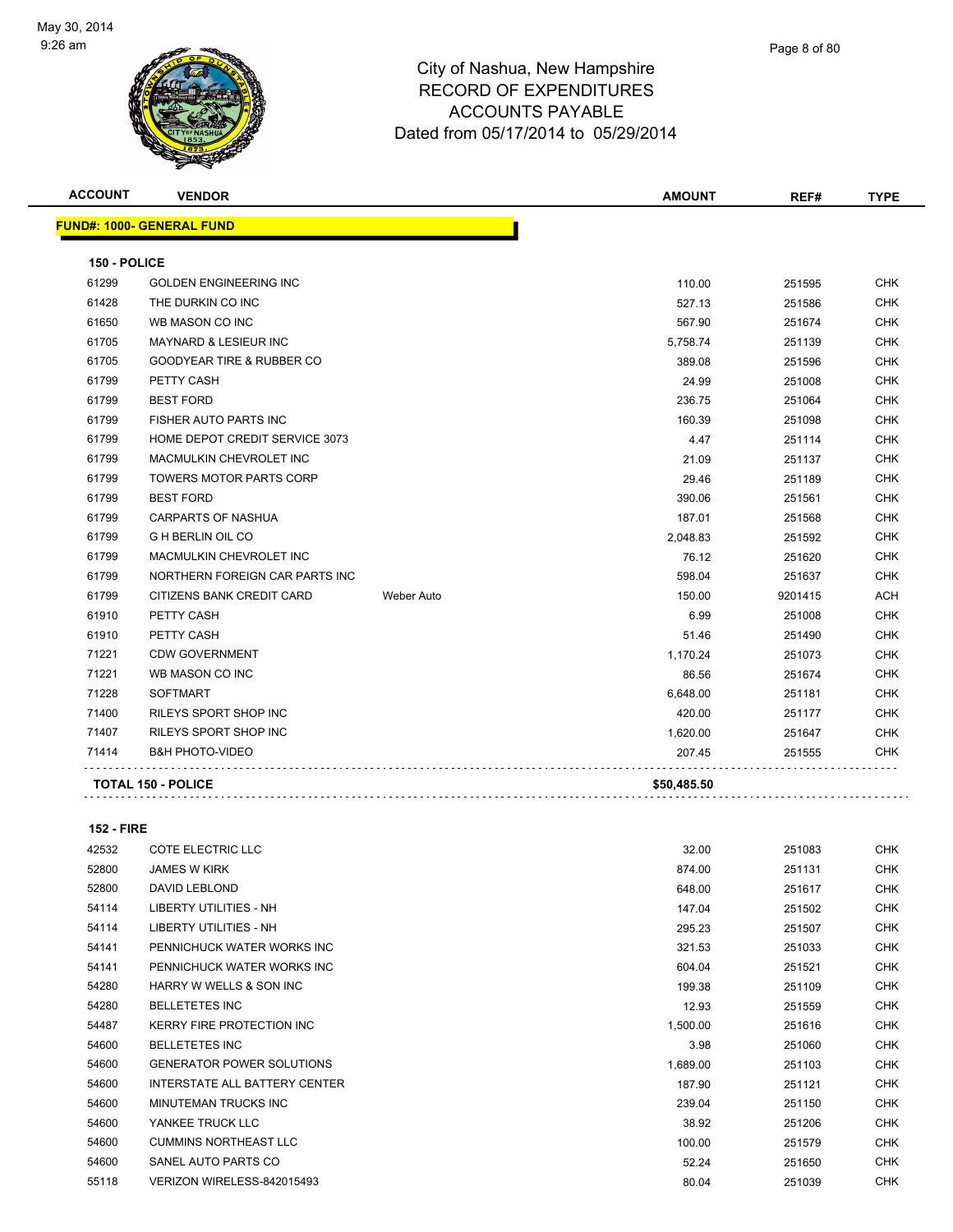

| Page 8 of 80 |
|--------------|
|              |

| <b>ACCOUNT</b> | <b>VENDOR</b>                        |            | <b>AMOUNT</b> | REF#    | <b>TYPE</b> |
|----------------|--------------------------------------|------------|---------------|---------|-------------|
|                | <b>FUND#: 1000- GENERAL FUND</b>     |            |               |         |             |
| 150 - POLICE   |                                      |            |               |         |             |
| 61299          | <b>GOLDEN ENGINEERING INC</b>        |            | 110.00        | 251595  | <b>CHK</b>  |
| 61428          | THE DURKIN CO INC                    |            | 527.13        | 251586  | <b>CHK</b>  |
| 61650          | WB MASON CO INC                      |            | 567.90        | 251674  | <b>CHK</b>  |
| 61705          | MAYNARD & LESIEUR INC                |            | 5,758.74      | 251139  | <b>CHK</b>  |
| 61705          | <b>GOODYEAR TIRE &amp; RUBBER CO</b> |            | 389.08        | 251596  | <b>CHK</b>  |
| 61799          | PETTY CASH                           |            | 24.99         | 251008  | <b>CHK</b>  |
| 61799          | <b>BEST FORD</b>                     |            | 236.75        | 251064  | <b>CHK</b>  |
| 61799          | FISHER AUTO PARTS INC                |            | 160.39        | 251098  | <b>CHK</b>  |
| 61799          | HOME DEPOT CREDIT SERVICE 3073       |            | 4.47          | 251114  | <b>CHK</b>  |
| 61799          | MACMULKIN CHEVROLET INC              |            | 21.09         | 251137  | <b>CHK</b>  |
| 61799          | <b>TOWERS MOTOR PARTS CORP</b>       |            | 29.46         | 251189  | <b>CHK</b>  |
| 61799          | <b>BEST FORD</b>                     |            | 390.06        | 251561  | <b>CHK</b>  |
| 61799          | CARPARTS OF NASHUA                   |            | 187.01        | 251568  | CHK         |
| 61799          | <b>G H BERLIN OIL CO</b>             |            | 2,048.83      | 251592  | <b>CHK</b>  |
| 61799          | MACMULKIN CHEVROLET INC              |            | 76.12         | 251620  | <b>CHK</b>  |
| 61799          | NORTHERN FOREIGN CAR PARTS INC       |            | 598.04        | 251637  | <b>CHK</b>  |
| 61799          | CITIZENS BANK CREDIT CARD            | Weber Auto | 150.00        | 9201415 | <b>ACH</b>  |
| 61910          | PETTY CASH                           |            | 6.99          | 251008  | <b>CHK</b>  |
| 61910          | PETTY CASH                           |            | 51.46         | 251490  | <b>CHK</b>  |
| 71221          | <b>CDW GOVERNMENT</b>                |            | 1,170.24      | 251073  | <b>CHK</b>  |
| 71221          | WB MASON CO INC                      |            | 86.56         | 251674  | <b>CHK</b>  |
| 71228          | <b>SOFTMART</b>                      |            | 6,648.00      | 251181  | <b>CHK</b>  |
| 71400          | RILEYS SPORT SHOP INC                |            | 420.00        | 251177  | <b>CHK</b>  |
| 71407          | RILEYS SPORT SHOP INC                |            | 1,620.00      | 251647  | <b>CHK</b>  |
| 71414          | <b>B&amp;H PHOTO-VIDEO</b>           |            | 207.45        | 251555  | <b>CHK</b>  |
|                | <b>TOTAL 150 - POLICE</b>            |            | \$50,485.50   |         |             |
|                |                                      |            |               |         |             |

**152 - FIRE**

| 42532 | <b>COTE ELECTRIC LLC</b>         | 32.00    | 251083 | <b>CHK</b> |
|-------|----------------------------------|----------|--------|------------|
| 52800 | <b>JAMES W KIRK</b>              | 874.00   | 251131 | <b>CHK</b> |
| 52800 | DAVID LEBLOND                    | 648.00   | 251617 | <b>CHK</b> |
| 54114 | LIBERTY UTILITIES - NH           | 147.04   | 251502 | <b>CHK</b> |
| 54114 | LIBERTY UTILITIES - NH           | 295.23   | 251507 | <b>CHK</b> |
| 54141 | PENNICHUCK WATER WORKS INC       | 321.53   | 251033 | <b>CHK</b> |
| 54141 | PENNICHUCK WATER WORKS INC       | 604.04   | 251521 | <b>CHK</b> |
| 54280 | HARRY W WELLS & SON INC          | 199.38   | 251109 | CHK        |
| 54280 | <b>BELLETETES INC</b>            | 12.93    | 251559 | CHK        |
| 54487 | <b>KERRY FIRE PROTECTION INC</b> | 1,500.00 | 251616 | <b>CHK</b> |
| 54600 | <b>BELLETETES INC</b>            | 3.98     | 251060 | <b>CHK</b> |
| 54600 | <b>GENERATOR POWER SOLUTIONS</b> | 1,689.00 | 251103 | <b>CHK</b> |
| 54600 | INTERSTATE ALL BATTERY CENTER    | 187.90   | 251121 | <b>CHK</b> |
| 54600 | MINUTEMAN TRUCKS INC             | 239.04   | 251150 | <b>CHK</b> |
| 54600 | YANKEE TRUCK LLC                 | 38.92    | 251206 | <b>CHK</b> |
| 54600 | <b>CUMMINS NORTHEAST LLC</b>     | 100.00   | 251579 | <b>CHK</b> |
| 54600 | SANEL AUTO PARTS CO              | 52.24    | 251650 | <b>CHK</b> |
| 55118 | VERIZON WIRELESS-842015493       | 80.04    | 251039 | <b>CHK</b> |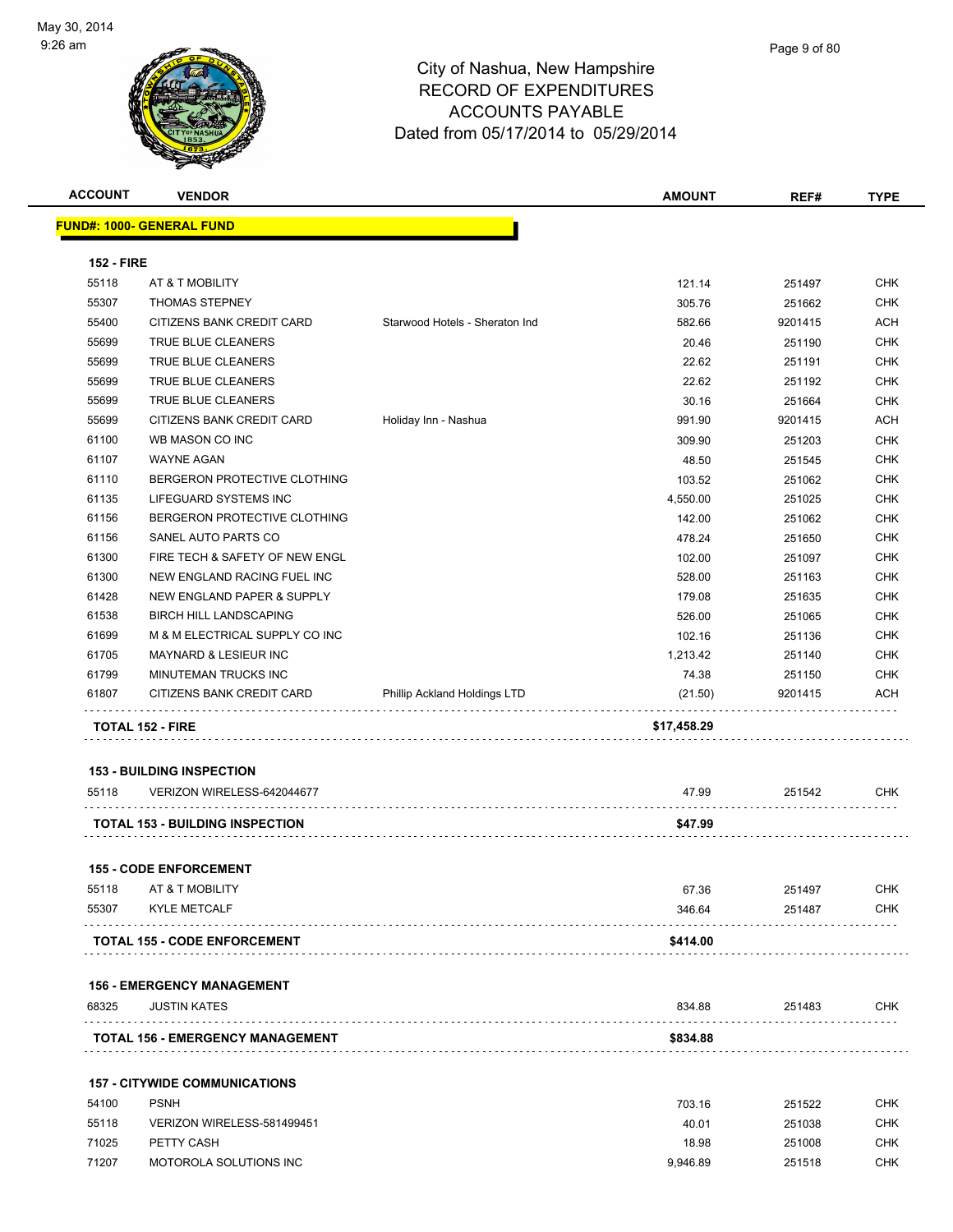

| <b>ACCOUNT</b>    | <b>VENDOR</b>                          |                                | <b>AMOUNT</b> | REF#    | <b>TYPE</b> |
|-------------------|----------------------------------------|--------------------------------|---------------|---------|-------------|
|                   | <u> FUND#: 1000- GENERAL FUND</u>      |                                |               |         |             |
|                   |                                        |                                |               |         |             |
| <b>152 - FIRE</b> |                                        |                                |               |         |             |
| 55118             | AT & T MOBILITY                        |                                | 121.14        | 251497  | <b>CHK</b>  |
| 55307             | <b>THOMAS STEPNEY</b>                  |                                | 305.76        | 251662  | <b>CHK</b>  |
| 55400             | CITIZENS BANK CREDIT CARD              | Starwood Hotels - Sheraton Ind | 582.66        | 9201415 | <b>ACH</b>  |
| 55699             | TRUE BLUE CLEANERS                     |                                | 20.46         | 251190  | <b>CHK</b>  |
| 55699             | <b>TRUE BLUE CLEANERS</b>              |                                | 22.62         | 251191  | <b>CHK</b>  |
| 55699             | <b>TRUE BLUE CLEANERS</b>              |                                | 22.62         | 251192  | <b>CHK</b>  |
| 55699             | TRUE BLUE CLEANERS                     |                                | 30.16         | 251664  | <b>CHK</b>  |
| 55699             | CITIZENS BANK CREDIT CARD              | Holiday Inn - Nashua           | 991.90        | 9201415 | <b>ACH</b>  |
| 61100             | WB MASON CO INC                        |                                | 309.90        | 251203  | <b>CHK</b>  |
| 61107             | <b>WAYNE AGAN</b>                      |                                | 48.50         | 251545  | <b>CHK</b>  |
| 61110             | BERGERON PROTECTIVE CLOTHING           |                                | 103.52        | 251062  | <b>CHK</b>  |
| 61135             | LIFEGUARD SYSTEMS INC                  |                                | 4,550.00      | 251025  | <b>CHK</b>  |
| 61156             | BERGERON PROTECTIVE CLOTHING           |                                | 142.00        | 251062  | <b>CHK</b>  |
| 61156             | SANEL AUTO PARTS CO                    |                                | 478.24        | 251650  | <b>CHK</b>  |
| 61300             | FIRE TECH & SAFETY OF NEW ENGL         |                                | 102.00        | 251097  | <b>CHK</b>  |
| 61300             | NEW ENGLAND RACING FUEL INC            |                                | 528.00        | 251163  | <b>CHK</b>  |
| 61428             | NEW ENGLAND PAPER & SUPPLY             |                                | 179.08        | 251635  | <b>CHK</b>  |
| 61538             | <b>BIRCH HILL LANDSCAPING</b>          |                                | 526.00        | 251065  | <b>CHK</b>  |
| 61699             | M & M ELECTRICAL SUPPLY CO INC         |                                | 102.16        | 251136  | <b>CHK</b>  |
| 61705             | MAYNARD & LESIEUR INC                  |                                | 1,213.42      | 251140  | <b>CHK</b>  |
| 61799             | MINUTEMAN TRUCKS INC                   |                                | 74.38         | 251150  | <b>CHK</b>  |
| 61807             | CITIZENS BANK CREDIT CARD              | Phillip Ackland Holdings LTD   | (21.50)       | 9201415 | ACH         |
|                   | <b>TOTAL 152 - FIRE</b>                |                                | \$17,458.29   |         |             |
|                   |                                        |                                |               |         |             |
|                   | <b>153 - BUILDING INSPECTION</b>       |                                |               |         |             |
| 55118             | VERIZON WIRELESS-642044677             |                                | 47.99         | 251542  | CHK         |
|                   | <b>TOTAL 153 - BUILDING INSPECTION</b> |                                | \$47.99       |         |             |
|                   | <b>155 - CODE ENFORCEMENT</b>          |                                |               |         |             |
| 55118             | AT & T MOBILITY                        |                                | 67.36         | 251497  | <b>CHK</b>  |
| 55307             | <b>KYLE METCALF</b>                    |                                | 346.64        | 251487  | CHK.        |
|                   | <b>TOTAL 155 - CODE ENFORCEMENT</b>    |                                | \$414.00      |         |             |
|                   |                                        |                                |               |         |             |
|                   | <b>156 - EMERGENCY MANAGEMENT</b>      |                                |               |         |             |
| 68325             | <b>JUSTIN KATES</b>                    |                                | 834.88        | 251483  | <b>CHK</b>  |
|                   | TOTAL 156 - EMERGENCY MANAGEMENT       |                                | \$834.88      |         |             |
|                   | <b>157 - CITYWIDE COMMUNICATIONS</b>   |                                |               |         |             |
| 54100             | <b>PSNH</b>                            |                                | 703.16        | 251522  | CHK         |
| 55118             | VERIZON WIRELESS-581499451             |                                | 40.01         | 251038  | CHK         |
| 71025             | PETTY CASH                             |                                | 18.98         | 251008  | CHK         |
| 71207             | MOTOROLA SOLUTIONS INC                 |                                | 9,946.89      | 251518  | CHK         |
|                   |                                        |                                |               |         |             |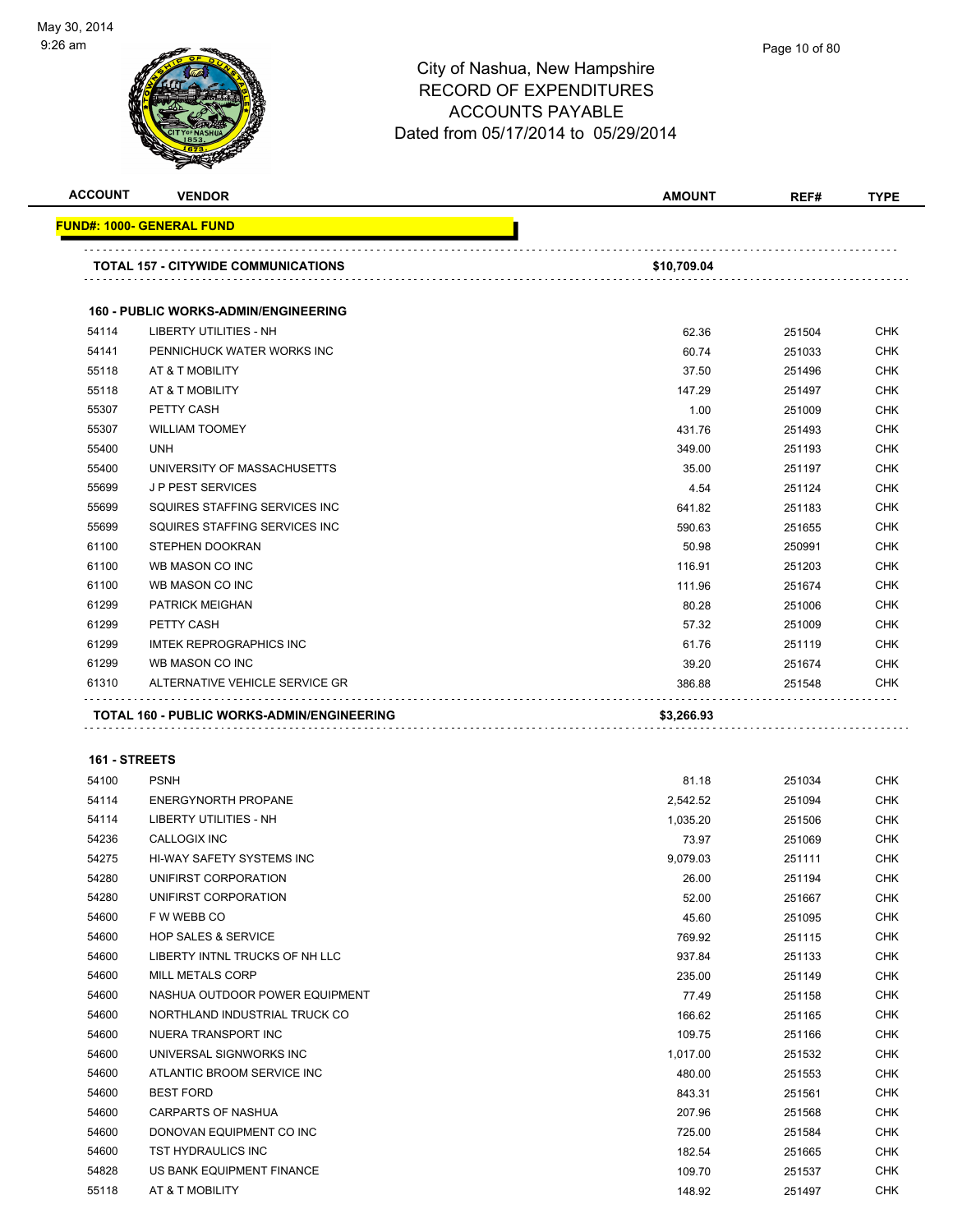

| <b>ACCOUNT</b> | <b>VENDOR</b>                               | <b>AMOUNT</b> | REF#   | <b>TYPE</b> |
|----------------|---------------------------------------------|---------------|--------|-------------|
|                | <b>FUND#: 1000- GENERAL FUND</b>            |               |        |             |
|                |                                             |               |        |             |
|                | <b>TOTAL 157 - CITYWIDE COMMUNICATIONS</b>  | \$10,709.04   |        |             |
|                |                                             |               |        |             |
|                | <b>160 - PUBLIC WORKS-ADMIN/ENGINEERING</b> |               |        |             |
| 54114          | <b>LIBERTY UTILITIES - NH</b>               | 62.36         | 251504 | <b>CHK</b>  |
| 54141          | PENNICHUCK WATER WORKS INC                  | 60.74         | 251033 | <b>CHK</b>  |
| 55118          | AT & T MOBILITY                             | 37.50         | 251496 | CHK         |
| 55118          | AT & T MOBILITY                             | 147.29        | 251497 | <b>CHK</b>  |
| 55307          | PETTY CASH                                  | 1.00          | 251009 | CHK         |
| 55307          | <b>WILLIAM TOOMEY</b>                       | 431.76        | 251493 | <b>CHK</b>  |
| 55400          | <b>UNH</b>                                  | 349.00        | 251193 | <b>CHK</b>  |
| 55400          | UNIVERSITY OF MASSACHUSETTS                 | 35.00         | 251197 | CHK         |
| 55699          | <b>JP PEST SERVICES</b>                     | 4.54          | 251124 | <b>CHK</b>  |
| 55699          | SQUIRES STAFFING SERVICES INC               | 641.82        | 251183 | CHK         |
| 55699          | SQUIRES STAFFING SERVICES INC               | 590.63        | 251655 | CHK         |
| 61100          | <b>STEPHEN DOOKRAN</b>                      | 50.98         | 250991 | <b>CHK</b>  |
| 61100          | WB MASON CO INC                             | 116.91        | 251203 | <b>CHK</b>  |
| 61100          | WB MASON CO INC                             | 111.96        | 251674 | <b>CHK</b>  |
| 61299          | <b>PATRICK MEIGHAN</b>                      | 80.28         | 251006 | <b>CHK</b>  |
| 61299          | PETTY CASH                                  | 57.32         | 251009 | <b>CHK</b>  |
| 61299          | <b>IMTEK REPROGRAPHICS INC</b>              | 61.76         | 251119 | <b>CHK</b>  |
| 61299          | WB MASON CO INC                             | 39.20         | 251674 | CHK         |
| 61310          | ALTERNATIVE VEHICLE SERVICE GR              | 386.88        | 251548 | CHK         |
|                | TOTAL 160 - PUBLIC WORKS-ADMIN/ENGINEERING  | \$3,266.93    |        |             |
|                |                                             |               |        |             |
| 161 - STREETS  |                                             |               |        |             |
| 54100          | <b>PSNH</b>                                 | 81.18         | 251034 | <b>CHK</b>  |
| 54114          | <b>ENERGYNORTH PROPANE</b>                  | 2,542.52      | 251094 | <b>CHK</b>  |
| 54114          | LIBERTY UTILITIES - NH                      | 1,035.20      | 251506 | <b>CHK</b>  |
| 54236          | CALLOGIX INC                                | 73.97         | 251069 | CHK         |
| 54275          | HI-WAY SAFETY SYSTEMS INC                   | 9,079.03      | 251111 | CHK         |
| 54280          | UNIFIRST CORPORATION                        | 26.00         | 251194 | <b>CHK</b>  |
| 54280          | UNIFIRST CORPORATION                        | 52.00         | 251667 | <b>CHK</b>  |
| 54600          | F W WEBB CO                                 | 45.60         | 251095 | <b>CHK</b>  |
| 54600          | <b>HOP SALES &amp; SERVICE</b>              | 769.92        | 251115 | CHK         |
| 54600          | LIBERTY INTNL TRUCKS OF NH LLC              | 937.84        | 251133 | CHK         |
| 54600          | MILL METALS CORP                            | 235.00        | 251149 | <b>CHK</b>  |
| 54600          | NASHUA OUTDOOR POWER EQUIPMENT              | 77.49         | 251158 | <b>CHK</b>  |
| 54600          | NORTHLAND INDUSTRIAL TRUCK CO               | 166.62        | 251165 | <b>CHK</b>  |
| 54600          | NUERA TRANSPORT INC                         | 109.75        | 251166 | <b>CHK</b>  |
| 54600          | UNIVERSAL SIGNWORKS INC                     | 1,017.00      | 251532 | CHK         |
| 54600          | ATLANTIC BROOM SERVICE INC                  | 480.00        | 251553 | <b>CHK</b>  |
| 54600          | <b>BEST FORD</b>                            | 843.31        | 251561 | <b>CHK</b>  |
| 54600          | CARPARTS OF NASHUA                          | 207.96        | 251568 | CHK         |
| 54600          | DONOVAN EQUIPMENT CO INC                    | 725.00        | 251584 | <b>CHK</b>  |
| 54600          | TST HYDRAULICS INC                          | 182.54        | 251665 | CHK         |
| 54828          | US BANK EQUIPMENT FINANCE                   | 109.70        | 251537 | <b>CHK</b>  |
| 55118          | AT & T MOBILITY                             | 148.92        | 251497 | <b>CHK</b>  |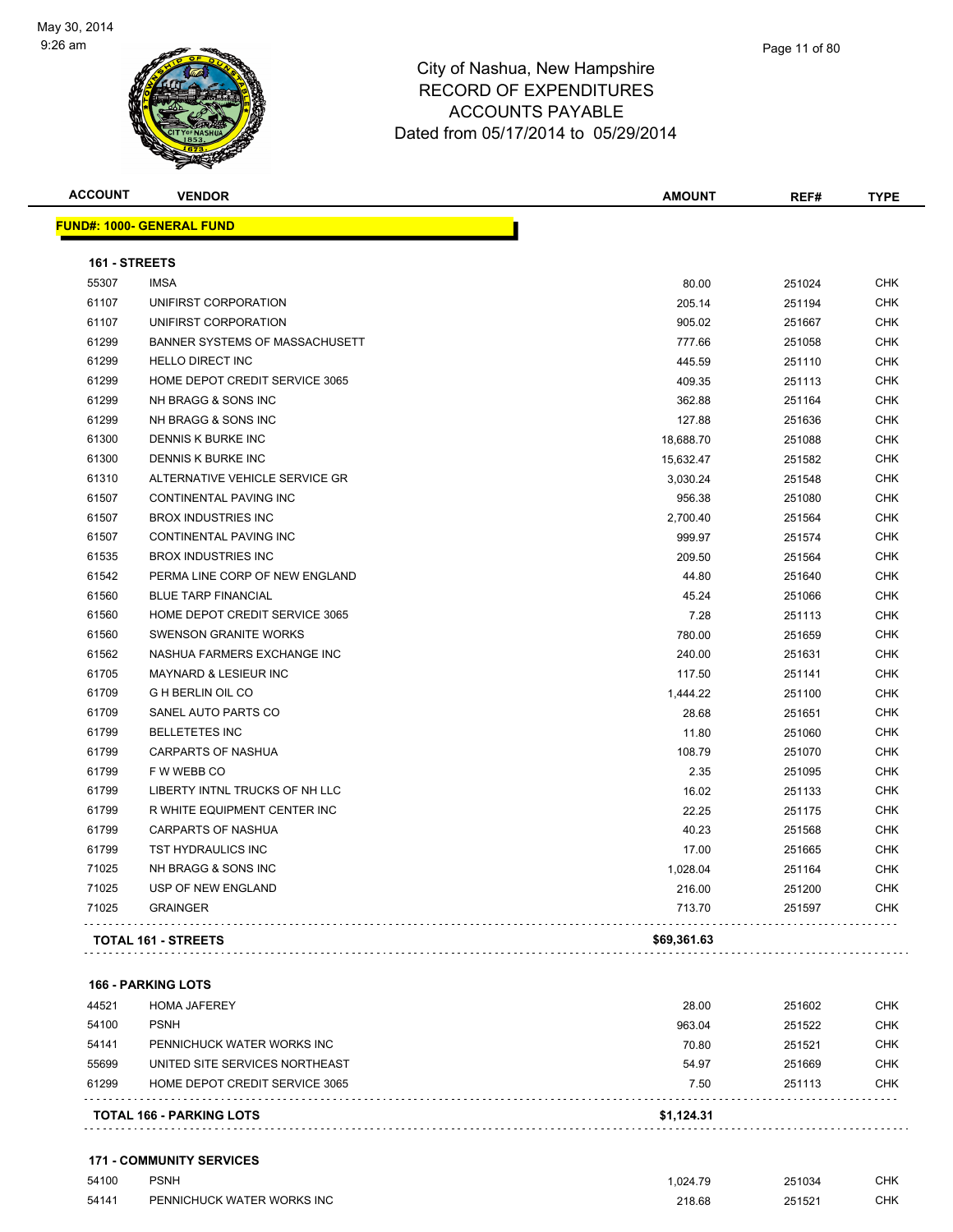

**ACCOUNT VENDOR AMOUNT REF# TYPE**

| Page 11 of 80 |
|---------------|
|               |

|       | <b>FUND#: 1000- GENERAL FUND</b> |           |        |            |
|-------|----------------------------------|-----------|--------|------------|
|       | 161 - STREETS                    |           |        |            |
| 55307 | <b>IMSA</b>                      | 80.00     | 251024 | CHK        |
| 61107 | UNIFIRST CORPORATION             | 205.14    | 251194 | CHK        |
| 61107 | UNIFIRST CORPORATION             | 905.02    | 251667 | CHK        |
| 61299 | BANNER SYSTEMS OF MASSACHUSETT   | 777.66    | 251058 | CHK        |
| 61299 | <b>HELLO DIRECT INC</b>          | 445.59    | 251110 | CHK        |
| 61299 | HOME DEPOT CREDIT SERVICE 3065   | 409.35    | 251113 | CHK        |
| 61299 | NH BRAGG & SONS INC              | 362.88    | 251164 | CHK        |
| 61299 | NH BRAGG & SONS INC              | 127.88    | 251636 | CHK        |
| 61300 | DENNIS K BURKE INC               | 18,688.70 | 251088 | CHK        |
| 61300 | DENNIS K BURKE INC               | 15,632.47 | 251582 | CHK        |
| 61310 | ALTERNATIVE VEHICLE SERVICE GR   | 3,030.24  | 251548 | CHK        |
| 61507 | CONTINENTAL PAVING INC           | 956.38    | 251080 | CHK        |
| 61507 | <b>BROX INDUSTRIES INC</b>       | 2,700.40  | 251564 | <b>CHK</b> |
| 61507 | <b>CONTINENTAL PAVING INC</b>    | 999.97    | 251574 | CHK        |
| 61535 | <b>BROX INDUSTRIES INC</b>       | 209.50    | 251564 | CHK        |
| 61542 | PERMA LINE CORP OF NEW ENGLAND   | 44.80     | 251640 | CHK        |
| 61560 | <b>BLUE TARP FINANCIAL</b>       | 45.24     | 251066 | CHK        |
| 61560 | HOME DEPOT CREDIT SERVICE 3065   | 7.28      | 251113 | <b>CHK</b> |
| 61560 | <b>SWENSON GRANITE WORKS</b>     | 780.00    | 251659 | CHK        |
| 61562 | NASHUA FARMERS EXCHANGE INC      | 240.00    | 251631 | <b>CHK</b> |
| 61705 | <b>MAYNARD &amp; LESIEUR INC</b> | 117.50    | 251141 | CHK        |
| 61709 | <b>G H BERLIN OIL CO</b>         | 1,444.22  | 251100 | <b>CHK</b> |
| 61709 | SANEL AUTO PARTS CO              | 28.68     | 251651 | CHK        |
| 61799 | <b>BELLETETES INC</b>            | 11.80     | 251060 | CHK        |
| 61799 | <b>CARPARTS OF NASHUA</b>        | 108.79    | 251070 | <b>CHK</b> |
| 61799 | F W WEBB CO                      | 2.35      | 251095 | CHK        |

**166 - PARKING LOTS**

|       | <b>TOTAL 166 - PARKING LOTS</b> | \$1.124.31 |        |            |
|-------|---------------------------------|------------|--------|------------|
| 61299 | HOME DEPOT CREDIT SERVICE 3065  | 7.50       | 251113 | <b>CHK</b> |
| 55699 | UNITED SITE SERVICES NORTHEAST  | 54.97      | 251669 | <b>CHK</b> |
| 54141 | PENNICHUCK WATER WORKS INC      | 70.80      | 251521 | <b>CHK</b> |
| 54100 | <b>PSNH</b>                     | 963.04     | 251522 | <b>CHK</b> |
| 44521 | <b>HOMA JAFEREY</b>             | 28.00      | 251602 | <b>CHK</b> |
|       |                                 |            |        |            |

**TOTAL 161 - STREETS \$69,361.63**

 LIBERTY INTNL TRUCKS OF NH LLC 16.02 251133 CHK R WHITE EQUIPMENT CENTER INC 22.25 251175 CHK CARPARTS OF NASHUA 40.23 251568 CHK TST HYDRAULICS INC 17.00 251665 CHK NH BRAGG & SONS INC 1,028.04 251164 CHK USP OF NEW ENGLAND 216.00 251200 CHK GRAINGER 713.70 251597 CHK

. . . . . . . . . . . . . .

. . . . . . . . . . . . . . . . . . 

**171 - COMMUNITY SERVICES**

| 54100 | <b>PSNH</b>                | .024.79     | 251034 | <b>CHK</b> |
|-------|----------------------------|-------------|--------|------------|
| 54141 | PENNICHUCK WATER WORKS INC | 218.68<br>. | 251521 | СНК        |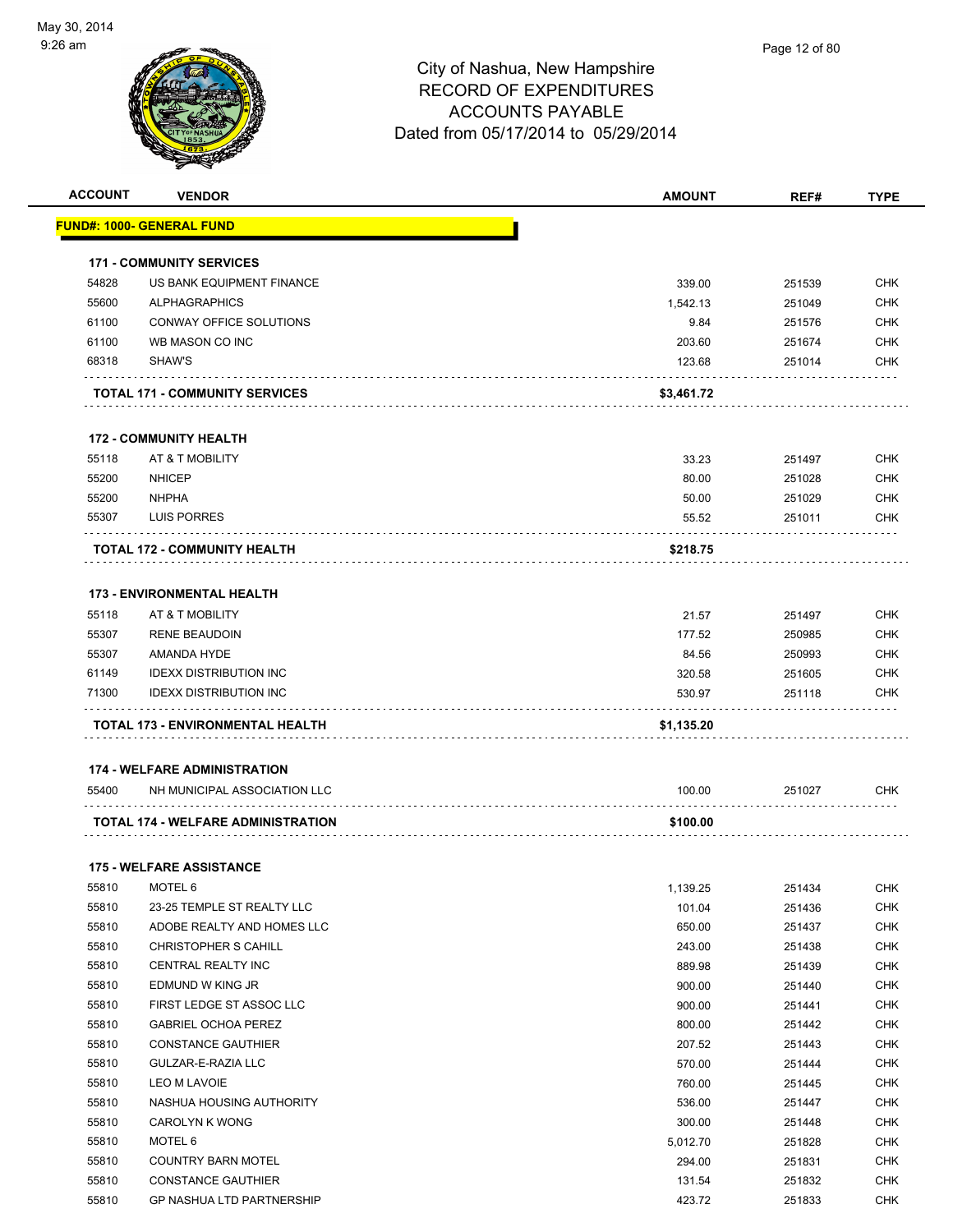

|       | <b>VENDOR</b>                         | <b>AMOUNT</b> | REF#   | <b>TYPE</b> |
|-------|---------------------------------------|---------------|--------|-------------|
|       | <u> FUND#: 1000- GENERAL FUND</u>     |               |        |             |
|       | <b>171 - COMMUNITY SERVICES</b>       |               |        |             |
| 54828 | US BANK EQUIPMENT FINANCE             | 339.00        | 251539 | <b>CHK</b>  |
| 55600 | <b>ALPHAGRAPHICS</b>                  | 1,542.13      | 251049 | <b>CHK</b>  |
| 61100 | CONWAY OFFICE SOLUTIONS               | 9.84          | 251576 | <b>CHK</b>  |
| 61100 | WB MASON CO INC                       | 203.60        | 251674 | <b>CHK</b>  |
| 68318 | SHAW'S                                | 123.68        | 251014 | <b>CHK</b>  |
|       | <b>TOTAL 171 - COMMUNITY SERVICES</b> | \$3,461.72    |        |             |
|       | <b>172 - COMMUNITY HEALTH</b>         |               |        |             |
| 55118 | AT & T MOBILITY                       | 33.23         | 251497 | <b>CHK</b>  |
| 55200 | <b>NHICEP</b>                         | 80.00         | 251028 | <b>CHK</b>  |
| 55200 | <b>NHPHA</b>                          | 50.00         | 251029 | <b>CHK</b>  |
| 55307 | LUIS PORRES                           | 55.52         | 251011 | <b>CHK</b>  |
|       | <b>TOTAL 172 - COMMUNITY HEALTH</b>   | \$218.75      |        |             |
|       |                                       |               |        |             |
|       | <b>173 - ENVIRONMENTAL HEALTH</b>     |               |        |             |
| 55118 | AT & T MOBILITY                       | 21.57         | 251497 | <b>CHK</b>  |
| 55307 | <b>RENE BEAUDOIN</b>                  | 177.52        | 250985 | <b>CHK</b>  |
| 55307 | AMANDA HYDE                           | 84.56         | 250993 | <b>CHK</b>  |
| 61149 | <b>IDEXX DISTRIBUTION INC</b>         | 320.58        | 251605 | <b>CHK</b>  |
| 71300 | <b>IDEXX DISTRIBUTION INC</b>         | 530.97        | 251118 | <b>CHK</b>  |
|       |                                       |               |        |             |
|       | TOTAL 173 - ENVIRONMENTAL HEALTH      | \$1,135.20    |        |             |
|       |                                       |               |        |             |
|       | <b>174 - WELFARE ADMINISTRATION</b>   |               |        |             |
| 55400 | NH MUNICIPAL ASSOCIATION LLC          | 100.00        | 251027 | <b>CHK</b>  |
|       | TOTAL 174 - WELFARE ADMINISTRATION    | \$100.00      |        |             |
|       | <b>175 - WELFARE ASSISTANCE</b>       |               |        |             |
|       | 55810 MOTEL 6                         | 1,139.25      | 251434 | <b>CHK</b>  |
| 55810 | 23-25 TEMPLE ST REALTY LLC            | 101.04        | 251436 | CHK         |
| 55810 | ADOBE REALTY AND HOMES LLC            | 650.00        | 251437 | <b>CHK</b>  |
| 55810 | <b>CHRISTOPHER S CAHILL</b>           | 243.00        | 251438 | <b>CHK</b>  |
| 55810 | CENTRAL REALTY INC                    | 889.98        | 251439 | <b>CHK</b>  |
| 55810 | EDMUND W KING JR                      | 900.00        | 251440 | <b>CHK</b>  |
| 55810 | FIRST LEDGE ST ASSOC LLC              | 900.00        | 251441 | <b>CHK</b>  |
| 55810 | <b>GABRIEL OCHOA PEREZ</b>            | 800.00        | 251442 | <b>CHK</b>  |
| 55810 | <b>CONSTANCE GAUTHIER</b>             | 207.52        | 251443 | <b>CHK</b>  |
| 55810 | GULZAR-E-RAZIA LLC                    | 570.00        | 251444 | <b>CHK</b>  |
| 55810 | LEO M LAVOIE                          | 760.00        | 251445 | <b>CHK</b>  |
| 55810 | NASHUA HOUSING AUTHORITY              | 536.00        | 251447 | <b>CHK</b>  |
| 55810 | CAROLYN K WONG                        | 300.00        | 251448 | <b>CHK</b>  |
| 55810 | MOTEL 6                               | 5,012.70      | 251828 | <b>CHK</b>  |
| 55810 | <b>COUNTRY BARN MOTEL</b>             | 294.00        | 251831 | <b>CHK</b>  |
| 55810 | <b>CONSTANCE GAUTHIER</b>             | 131.54        | 251832 | <b>CHK</b>  |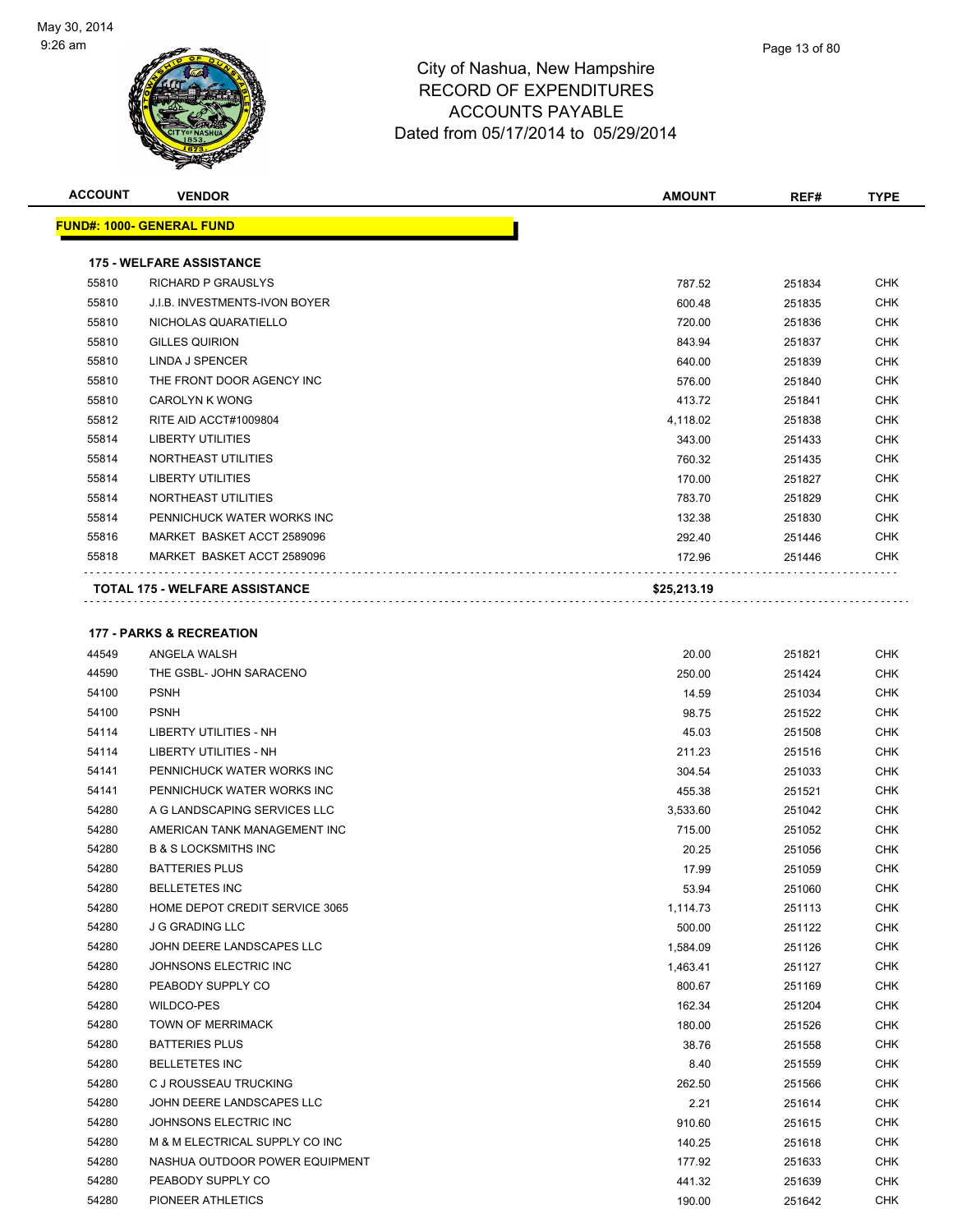

| <b>ACCOUNT</b> | <b>VENDOR</b>                         | <b>AMOUNT</b> | REF#   | <b>TYPE</b> |
|----------------|---------------------------------------|---------------|--------|-------------|
|                | <b>FUND#: 1000- GENERAL FUND</b>      |               |        |             |
|                | <b>175 - WELFARE ASSISTANCE</b>       |               |        |             |
| 55810          | RICHARD P GRAUSLYS                    | 787.52        | 251834 | <b>CHK</b>  |
| 55810          | <b>J.I.B. INVESTMENTS-IVON BOYER</b>  | 600.48        | 251835 | <b>CHK</b>  |
| 55810          | NICHOLAS QUARATIELLO                  | 720.00        | 251836 | <b>CHK</b>  |
| 55810          | <b>GILLES QUIRION</b>                 | 843.94        | 251837 | <b>CHK</b>  |
| 55810          | LINDA J SPENCER                       | 640.00        | 251839 | CHK         |
| 55810          | THE FRONT DOOR AGENCY INC             | 576.00        | 251840 | <b>CHK</b>  |
| 55810          | <b>CAROLYN K WONG</b>                 | 413.72        | 251841 | <b>CHK</b>  |
| 55812          | RITE AID ACCT#1009804                 | 4,118.02      | 251838 | <b>CHK</b>  |
| 55814          | <b>LIBERTY UTILITIES</b>              | 343.00        | 251433 | <b>CHK</b>  |
| 55814          | NORTHEAST UTILITIES                   | 760.32        | 251435 | <b>CHK</b>  |
| 55814          | <b>LIBERTY UTILITIES</b>              | 170.00        | 251827 | <b>CHK</b>  |
| 55814          | NORTHEAST UTILITIES                   | 783.70        | 251829 | <b>CHK</b>  |
| 55814          | PENNICHUCK WATER WORKS INC            | 132.38        | 251830 | <b>CHK</b>  |
| 55816          | MARKET BASKET ACCT 2589096            | 292.40        | 251446 | <b>CHK</b>  |
| 55818          | MARKET BASKET ACCT 2589096            | 172.96        | 251446 | <b>CHK</b>  |
|                | <b>TOTAL 175 - WELFARE ASSISTANCE</b> | \$25,213.19   |        |             |
|                |                                       |               |        |             |
|                | <b>177 - PARKS &amp; RECREATION</b>   |               |        |             |
| 44549          | ANGELA WALSH                          | 20.00         | 251821 | <b>CHK</b>  |
| 44590          | THE GSBL- JOHN SARACENO               | 250.00        | 251424 | <b>CHK</b>  |
| 54100          | <b>PSNH</b>                           | 14.59         | 251034 | <b>CHK</b>  |
| 54100          | <b>PSNH</b>                           | 98.75         | 251522 | CHK         |
| 54114          | <b>LIBERTY UTILITIES - NH</b>         | 45.03         | 251508 | <b>CHK</b>  |
| 54114          | <b>LIBERTY UTILITIES - NH</b>         | 211.23        | 251516 | <b>CHK</b>  |
| 54141          | PENNICHUCK WATER WORKS INC            | 304.54        | 251033 | <b>CHK</b>  |
| 54141          | PENNICHUCK WATER WORKS INC            | 455.38        | 251521 | <b>CHK</b>  |
| 54280          | A G LANDSCAPING SERVICES LLC          | 3,533.60      | 251042 | <b>CHK</b>  |
| 54280          | AMERICAN TANK MANAGEMENT INC          | 715.00        | 251052 | <b>CHK</b>  |
| 54280          | <b>B &amp; S LOCKSMITHS INC</b>       | 20.25         | 251056 | <b>CHK</b>  |
| 54280          | <b>BATTERIES PLUS</b>                 | 17.99         | 251059 | <b>CHK</b>  |
| 54280          | <b>BELLETETES INC</b>                 | 53.94         | 251060 | <b>CHK</b>  |
| 54280          | HOME DEPOT CREDIT SERVICE 3065        | 1,114.73      | 251113 | <b>CHK</b>  |
| 54280          | <b>J G GRADING LLC</b>                | 500.00        | 251122 | <b>CHK</b>  |
| 54280          | JOHN DEERE LANDSCAPES LLC             | 1,584.09      | 251126 | <b>CHK</b>  |
| 54280          | JOHNSONS ELECTRIC INC                 | 1,463.41      | 251127 | <b>CHK</b>  |

 PEABODY SUPPLY CO 800.67 251169 CHK WILDCO-PES 162.34 251204 CHK TOWN OF MERRIMACK CHANGE CHANGE CHANGE CHANGE CHANGE CHANGE CHANGE CHANGE CHANGE CHANGE CHANGE CHANGE CHANGE CHANGE CHANGE CHANGE CHANGE CHANGE CHANGE CHANGE CHANGE CHANGE CHANGE CHANGE CHANGE CHANGE CHANGE CHANGE BATTERIES PLUS 38.76 251558 CHK BELLETETES INC 8.40 251559 CHK C J ROUSSEAU TRUCKING 262.50 251566 CHK JOHN DEERE LANDSCAPES LLC 2.21 251614 CHK JOHNSONS ELECTRIC INC 910.60 251615 CHK M & M ELECTRICAL SUPPLY CO INC 140.25 251618 CHK 54280 NASHUA OUTDOOR POWER EQUIPMENT 177.92 251633 CHK PEABODY SUPPLY CO 441.32 251639 CHK PIONEER ATHLETICS 190.00 251642 CHK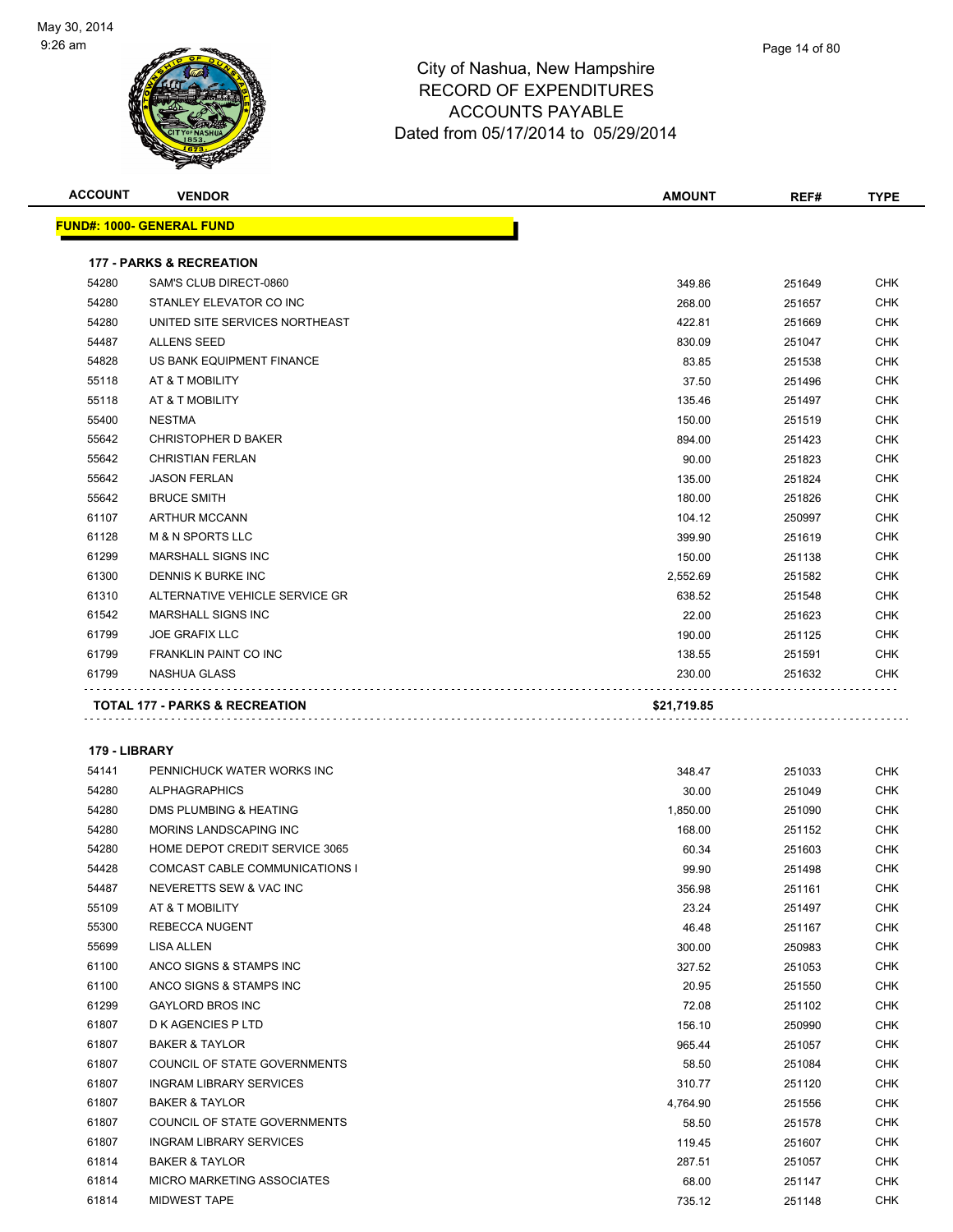

| Page 14 of 80 |  |
|---------------|--|
|               |  |

| <b>ACCOUNT</b> | <b>VENDOR</b>                             | <b>AMOUNT</b> | REF#   | <b>TYPE</b> |
|----------------|-------------------------------------------|---------------|--------|-------------|
|                | <b>FUND#: 1000- GENERAL FUND</b>          |               |        |             |
|                |                                           |               |        |             |
|                | <b>177 - PARKS &amp; RECREATION</b>       |               |        |             |
| 54280          | SAM'S CLUB DIRECT-0860                    | 349.86        | 251649 | <b>CHK</b>  |
| 54280          | STANLEY ELEVATOR CO INC                   | 268.00        | 251657 | <b>CHK</b>  |
| 54280          | UNITED SITE SERVICES NORTHEAST            | 422.81        | 251669 | <b>CHK</b>  |
| 54487          | <b>ALLENS SEED</b>                        | 830.09        | 251047 | CHK         |
| 54828          | US BANK EQUIPMENT FINANCE                 | 83.85         | 251538 | CHK         |
| 55118          | AT & T MOBILITY                           | 37.50         | 251496 | <b>CHK</b>  |
| 55118          | AT & T MOBILITY                           | 135.46        | 251497 | <b>CHK</b>  |
| 55400          | <b>NESTMA</b>                             | 150.00        | 251519 | CHK         |
| 55642          | <b>CHRISTOPHER D BAKER</b>                | 894.00        | 251423 | CHK         |
| 55642          | <b>CHRISTIAN FERLAN</b>                   | 90.00         | 251823 | CHK         |
| 55642          | <b>JASON FERLAN</b>                       | 135.00        | 251824 | <b>CHK</b>  |
| 55642          | <b>BRUCE SMITH</b>                        | 180.00        | 251826 | <b>CHK</b>  |
| 61107          | <b>ARTHUR MCCANN</b>                      | 104.12        | 250997 | CHK         |
| 61128          | <b>M &amp; N SPORTS LLC</b>               | 399.90        | 251619 | <b>CHK</b>  |
| 61299          | <b>MARSHALL SIGNS INC</b>                 | 150.00        | 251138 | <b>CHK</b>  |
| 61300          | DENNIS K BURKE INC                        | 2,552.69      | 251582 | <b>CHK</b>  |
| 61310          | ALTERNATIVE VEHICLE SERVICE GR            | 638.52        | 251548 | <b>CHK</b>  |
| 61542          | <b>MARSHALL SIGNS INC</b>                 | 22.00         | 251623 | <b>CHK</b>  |
| 61799          | <b>JOE GRAFIX LLC</b>                     | 190.00        | 251125 | <b>CHK</b>  |
| 61799          | <b>FRANKLIN PAINT CO INC</b>              | 138.55        | 251591 | <b>CHK</b>  |
| 61799          | NASHUA GLASS                              | 230.00        | 251632 | CHK         |
|                | <b>TOTAL 177 - PARKS &amp; RECREATION</b> | \$21,719.85   |        |             |
|                |                                           |               |        |             |
| 179 - LIBRARY  |                                           |               |        |             |
| 54141          | PENNICHUCK WATER WORKS INC                | 348.47        | 251033 | <b>CHK</b>  |
| 54280          | <b>ALPHAGRAPHICS</b>                      | 30.00         | 251049 | <b>CHK</b>  |
| 54280          | DMS PLUMBING & HEATING                    | 1,850.00      | 251090 | CHK         |
| 54280          | MORINS LANDSCAPING INC                    | 168.00        | 251152 | <b>CHK</b>  |
| 54280          | HOME DEPOT CREDIT SERVICE 3065            | 60.34         | 251603 | CHK         |
| 54428          | COMCAST CABLE COMMUNICATIONS I            | 99.90         | 251498 | <b>CHK</b>  |
| 54487          | NEVERETTS SEW & VAC INC                   | 356.98        | 251161 | <b>CHK</b>  |
| 55109          | AT & T MOBILITY                           | 23.24         | 251497 | <b>CHK</b>  |
| 55300          | REBECCA NUGENT                            | 46.48         | 251167 | <b>CHK</b>  |
| 55699          | LISA ALLEN                                | 300.00        | 250983 | <b>CHK</b>  |
| 61100          | ANCO SIGNS & STAMPS INC                   | 327.52        | 251053 | <b>CHK</b>  |
| 61100          | ANCO SIGNS & STAMPS INC                   | 20.95         | 251550 | <b>CHK</b>  |
| 61299          | <b>GAYLORD BROS INC</b>                   | 72.08         | 251102 | <b>CHK</b>  |
| 61807          | D K AGENCIES P LTD                        | 156.10        | 250990 | <b>CHK</b>  |
| 61807          | <b>BAKER &amp; TAYLOR</b>                 | 965.44        | 251057 | <b>CHK</b>  |
| 61807          | COUNCIL OF STATE GOVERNMENTS              | 58.50         | 251084 | CHK         |
| 61807          | <b>INGRAM LIBRARY SERVICES</b>            | 310.77        | 251120 | <b>CHK</b>  |
| 61807          | <b>BAKER &amp; TAYLOR</b>                 | 4,764.90      | 251556 | <b>CHK</b>  |

 COUNCIL OF STATE GOVERNMENTS 58.50 251578 CHK et and the independent of the intervention of the intervention of the intervention of the intervention of the intervention of the intervention of the intervention of the intervention of the intervention of the intervention BAKER & TAYLOR 287.51 251057 CHK MICRO MARKETING ASSOCIATES 68.00 251147 CHK MIDWEST TAPE 735.12 251148 CHK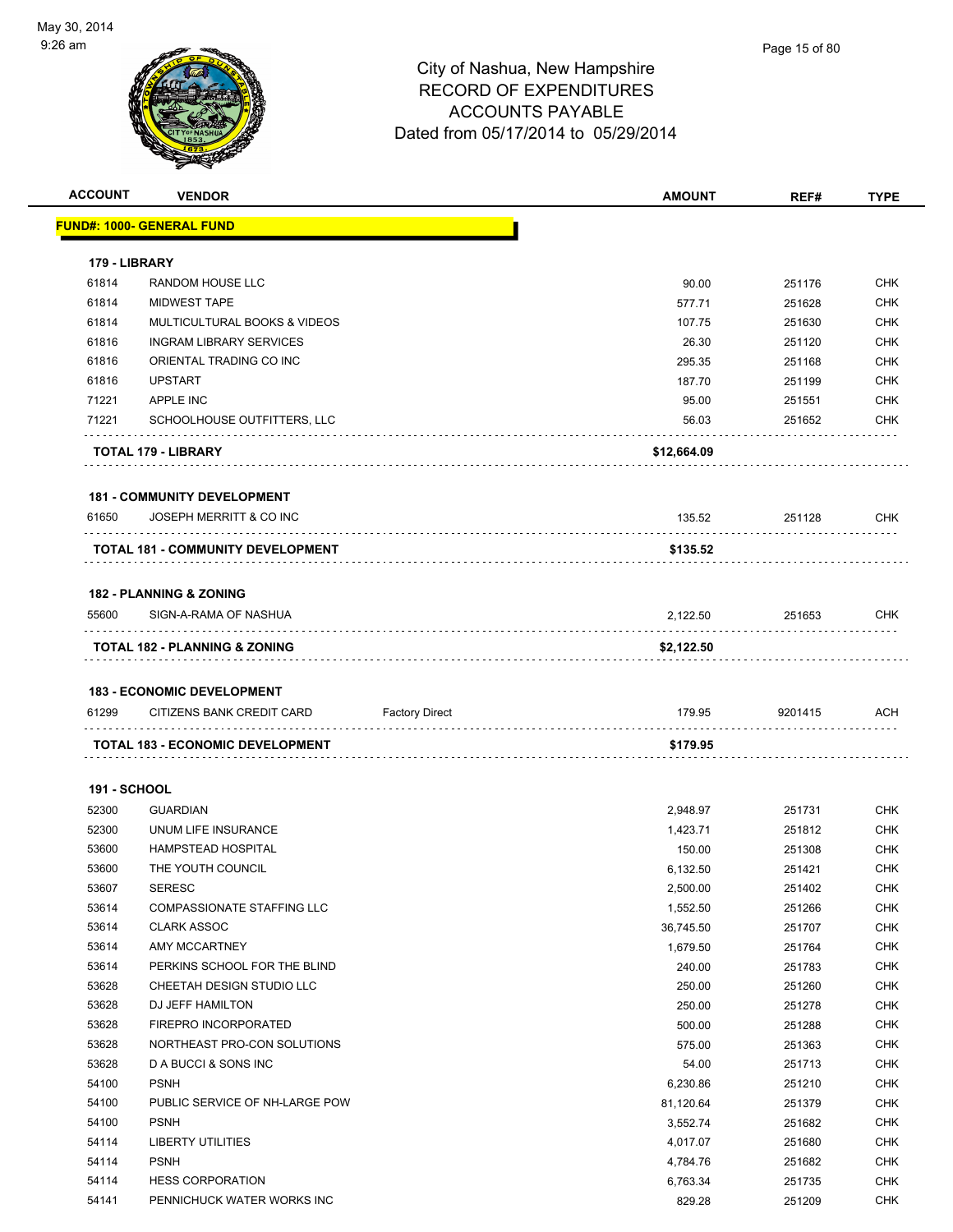

| <b>ACCOUNT</b>      | <b>VENDOR</b>                                                  |                       | <b>AMOUNT</b> | REF#    | <b>TYPE</b> |
|---------------------|----------------------------------------------------------------|-----------------------|---------------|---------|-------------|
|                     | <u> FUND#: 1000- GENERAL FUND</u>                              |                       |               |         |             |
|                     |                                                                |                       |               |         |             |
| 179 - LIBRARY       |                                                                |                       |               |         |             |
| 61814               | <b>RANDOM HOUSE LLC</b>                                        |                       | 90.00         | 251176  | <b>CHK</b>  |
| 61814               | <b>MIDWEST TAPE</b>                                            |                       | 577.71        | 251628  | <b>CHK</b>  |
| 61814               | MULTICULTURAL BOOKS & VIDEOS                                   |                       | 107.75        | 251630  | <b>CHK</b>  |
| 61816               | <b>INGRAM LIBRARY SERVICES</b>                                 |                       | 26.30         | 251120  | <b>CHK</b>  |
| 61816               | ORIENTAL TRADING CO INC                                        |                       | 295.35        | 251168  | <b>CHK</b>  |
| 61816               | <b>UPSTART</b>                                                 |                       | 187.70        | 251199  | <b>CHK</b>  |
| 71221               | APPLE INC                                                      |                       | 95.00         | 251551  | <b>CHK</b>  |
| 71221               | SCHOOLHOUSE OUTFITTERS, LLC                                    |                       | 56.03         | 251652  | CHK         |
|                     | <b>TOTAL 179 - LIBRARY</b>                                     |                       | \$12,664.09   |         |             |
|                     | <b>181 - COMMUNITY DEVELOPMENT</b>                             |                       |               |         |             |
| 61650               | JOSEPH MERRITT & CO INC                                        |                       | 135.52        | 251128  | <b>CHK</b>  |
|                     | <b>TOTAL 181 - COMMUNITY DEVELOPMENT</b>                       |                       | \$135.52      |         |             |
|                     | <b>182 - PLANNING &amp; ZONING</b>                             |                       |               |         |             |
| 55600               | SIGN-A-RAMA OF NASHUA                                          |                       | 2.122.50      | 251653  | <b>CHK</b>  |
|                     | TOTAL 182 - PLANNING & ZONING                                  |                       | \$2,122.50    |         |             |
|                     |                                                                |                       |               |         |             |
| 61299               | <b>183 - ECONOMIC DEVELOPMENT</b><br>CITIZENS BANK CREDIT CARD | <b>Factory Direct</b> | 179.95        | 9201415 | ACH         |
|                     |                                                                |                       |               |         |             |
|                     | <b>TOTAL 183 - ECONOMIC DEVELOPMENT</b>                        |                       | \$179.95      |         |             |
| <b>191 - SCHOOL</b> |                                                                |                       |               |         |             |
| 52300               | <b>GUARDIAN</b>                                                |                       | 2,948.97      | 251731  | <b>CHK</b>  |
| 52300               | UNUM LIFE INSURANCE                                            |                       | 1,423.71      | 251812  | <b>CHK</b>  |
| 53600               | <b>HAMPSTEAD HOSPITAL</b>                                      |                       | 150.00        | 251308  | <b>CHK</b>  |
| 53600               | THE YOUTH COUNCIL                                              |                       | 6,132.50      | 251421  | <b>CHK</b>  |
| 53607               | <b>SERESC</b>                                                  |                       | 2,500.00      | 251402  | CHK         |
| 53614               | <b>COMPASSIONATE STAFFING LLC</b>                              |                       | 1,552.50      | 251266  | <b>CHK</b>  |
| 53614               | <b>CLARK ASSOC</b>                                             |                       | 36,745.50     | 251707  | <b>CHK</b>  |
| 53614               | AMY MCCARTNEY                                                  |                       | 1,679.50      | 251764  | <b>CHK</b>  |
| 53614               | PERKINS SCHOOL FOR THE BLIND                                   |                       | 240.00        | 251783  | <b>CHK</b>  |
| 53628               | CHEETAH DESIGN STUDIO LLC                                      |                       | 250.00        | 251260  | <b>CHK</b>  |
| 53628               | DJ JEFF HAMILTON                                               |                       | 250.00        | 251278  | <b>CHK</b>  |
| 53628               | FIREPRO INCORPORATED                                           |                       | 500.00        | 251288  | <b>CHK</b>  |
| 53628               | NORTHEAST PRO-CON SOLUTIONS                                    |                       | 575.00        | 251363  | <b>CHK</b>  |
| 53628               | D A BUCCI & SONS INC                                           |                       | 54.00         | 251713  | <b>CHK</b>  |
| 54100               | <b>PSNH</b>                                                    |                       | 6,230.86      | 251210  | <b>CHK</b>  |
| 54100               | PUBLIC SERVICE OF NH-LARGE POW                                 |                       | 81,120.64     | 251379  | <b>CHK</b>  |
| 54100               | <b>PSNH</b>                                                    |                       | 3,552.74      | 251682  | <b>CHK</b>  |
| 54114               | LIBERTY UTILITIES                                              |                       | 4,017.07      | 251680  | <b>CHK</b>  |
| 54114               | <b>PSNH</b>                                                    |                       | 4,784.76      | 251682  | <b>CHK</b>  |
| 54114               | <b>HESS CORPORATION</b>                                        |                       | 6,763.34      | 251735  | <b>CHK</b>  |
| 54141               | PENNICHUCK WATER WORKS INC                                     |                       | 829.28        | 251209  | <b>CHK</b>  |
|                     |                                                                |                       |               |         |             |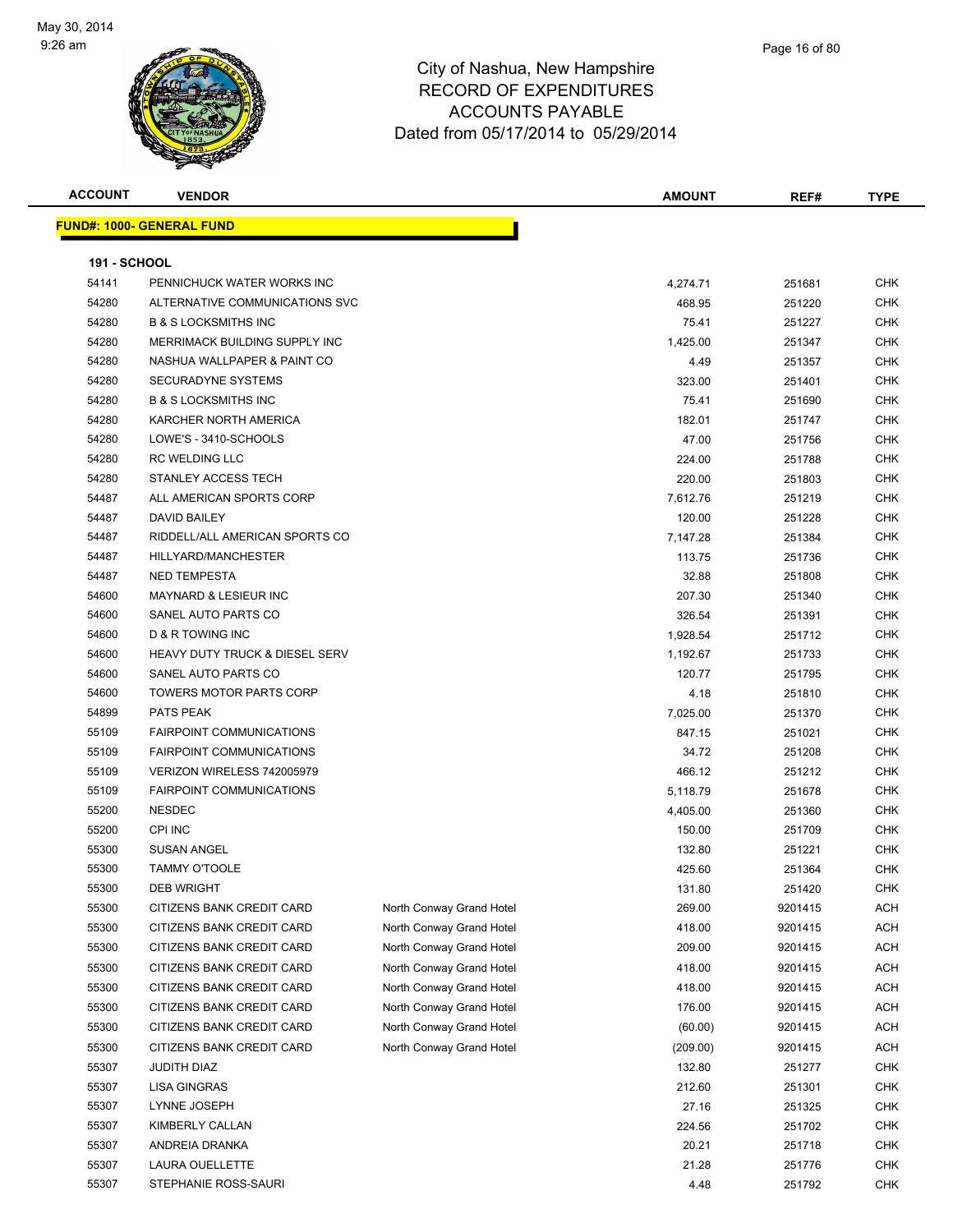

| <b>ACCOUNT</b>      | <b>VENDOR</b>                             |                          | <b>AMOUNT</b> | REF#    | <b>TYPE</b> |
|---------------------|-------------------------------------------|--------------------------|---------------|---------|-------------|
|                     | <b>FUND#: 1000- GENERAL FUND</b>          |                          |               |         |             |
|                     |                                           |                          |               |         |             |
| <b>191 - SCHOOL</b> |                                           |                          |               |         |             |
| 54141               | PENNICHUCK WATER WORKS INC                |                          | 4,274.71      | 251681  | CHK         |
| 54280               | ALTERNATIVE COMMUNICATIONS SVC            |                          | 468.95        | 251220  | CHK         |
| 54280               | <b>B &amp; S LOCKSMITHS INC</b>           |                          | 75.41         | 251227  | CHK         |
| 54280               | MERRIMACK BUILDING SUPPLY INC             |                          | 1,425.00      | 251347  | CHK         |
| 54280               | NASHUA WALLPAPER & PAINT CO               |                          | 4.49          | 251357  | CHK         |
| 54280               | SECURADYNE SYSTEMS                        |                          | 323.00        | 251401  | <b>CHK</b>  |
| 54280               | <b>B &amp; S LOCKSMITHS INC</b>           |                          | 75.41         | 251690  | CHK         |
| 54280               | KARCHER NORTH AMERICA                     |                          | 182.01        | 251747  | CHK         |
| 54280               | LOWE'S - 3410-SCHOOLS                     |                          | 47.00         | 251756  | CHK         |
| 54280               | RC WELDING LLC                            |                          | 224.00        | 251788  | CHK         |
| 54280               | STANLEY ACCESS TECH                       |                          | 220.00        | 251803  | CHK         |
| 54487               | ALL AMERICAN SPORTS CORP                  |                          | 7,612.76      | 251219  | CHK         |
| 54487               | DAVID BAILEY                              |                          | 120.00        | 251228  | CHK         |
| 54487               | RIDDELL/ALL AMERICAN SPORTS CO            |                          | 7,147.28      | 251384  | CHK         |
| 54487               | HILLYARD/MANCHESTER                       |                          | 113.75        | 251736  | CHK         |
| 54487               | <b>NED TEMPESTA</b>                       |                          | 32.88         | 251808  | CHK         |
| 54600               | <b>MAYNARD &amp; LESIEUR INC</b>          |                          | 207.30        | 251340  | CHK         |
| 54600               | SANEL AUTO PARTS CO                       |                          | 326.54        | 251391  | CHK         |
| 54600               | D & R TOWING INC                          |                          | 1,928.54      | 251712  | CHK         |
| 54600               | <b>HEAVY DUTY TRUCK &amp; DIESEL SERV</b> |                          | 1,192.67      | 251733  | CHK         |
| 54600               | SANEL AUTO PARTS CO                       |                          | 120.77        | 251795  | CHK         |
| 54600               | <b>TOWERS MOTOR PARTS CORP</b>            |                          | 4.18          | 251810  | CHK         |
| 54899               | PATS PEAK                                 |                          | 7,025.00      | 251370  | CHK         |
| 55109               | <b>FAIRPOINT COMMUNICATIONS</b>           |                          | 847.15        | 251021  | CHK         |
| 55109               | <b>FAIRPOINT COMMUNICATIONS</b>           |                          | 34.72         | 251208  | CHK         |
| 55109               | VERIZON WIRELESS 742005979                |                          | 466.12        | 251212  | <b>CHK</b>  |
| 55109               | <b>FAIRPOINT COMMUNICATIONS</b>           |                          | 5,118.79      | 251678  | <b>CHK</b>  |
| 55200               | <b>NESDEC</b>                             |                          | 4,405.00      | 251360  | <b>CHK</b>  |
| 55200               | <b>CPI INC</b>                            |                          | 150.00        | 251709  | CHK         |
| 55300               | <b>SUSAN ANGEL</b>                        |                          | 132.80        | 251221  | CHK         |
| 55300               | <b>TAMMY O'TOOLE</b>                      |                          | 425.60        | 251364  | CHK         |
| 55300               | <b>DEB WRIGHT</b>                         |                          | 131.80        | 251420  | <b>CHK</b>  |
| 55300               | CITIZENS BANK CREDIT CARD                 | North Conway Grand Hotel | 269.00        | 9201415 | ACH         |
| 55300               | CITIZENS BANK CREDIT CARD                 | North Conway Grand Hotel | 418.00        | 9201415 | ACH         |
| 55300               | CITIZENS BANK CREDIT CARD                 | North Conway Grand Hotel | 209.00        | 9201415 | ACH         |
| 55300               | CITIZENS BANK CREDIT CARD                 | North Conway Grand Hotel | 418.00        | 9201415 | ACH         |
| 55300               | CITIZENS BANK CREDIT CARD                 | North Conway Grand Hotel | 418.00        | 9201415 | ACH         |
| 55300               | CITIZENS BANK CREDIT CARD                 | North Conway Grand Hotel | 176.00        | 9201415 | ACH         |
| 55300               | CITIZENS BANK CREDIT CARD                 | North Conway Grand Hotel | (60.00)       | 9201415 | ACH         |
| 55300               | CITIZENS BANK CREDIT CARD                 | North Conway Grand Hotel | (209.00)      | 9201415 | ACH         |
| 55307               | JUDITH DIAZ                               |                          | 132.80        | 251277  | <b>CHK</b>  |
| 55307               | LISA GINGRAS                              |                          | 212.60        | 251301  | CHK         |
| 55307               | LYNNE JOSEPH                              |                          | 27.16         | 251325  | CHK         |
| 55307               | KIMBERLY CALLAN                           |                          | 224.56        | 251702  | CHK         |
| 55307               | ANDREIA DRANKA                            |                          | 20.21         | 251718  | <b>CHK</b>  |
| 55307               | LAURA OUELLETTE                           |                          | 21.28         | 251776  | CHK         |
| 55307               | STEPHANIE ROSS-SAURI                      |                          | 4.48          | 251792  | <b>CHK</b>  |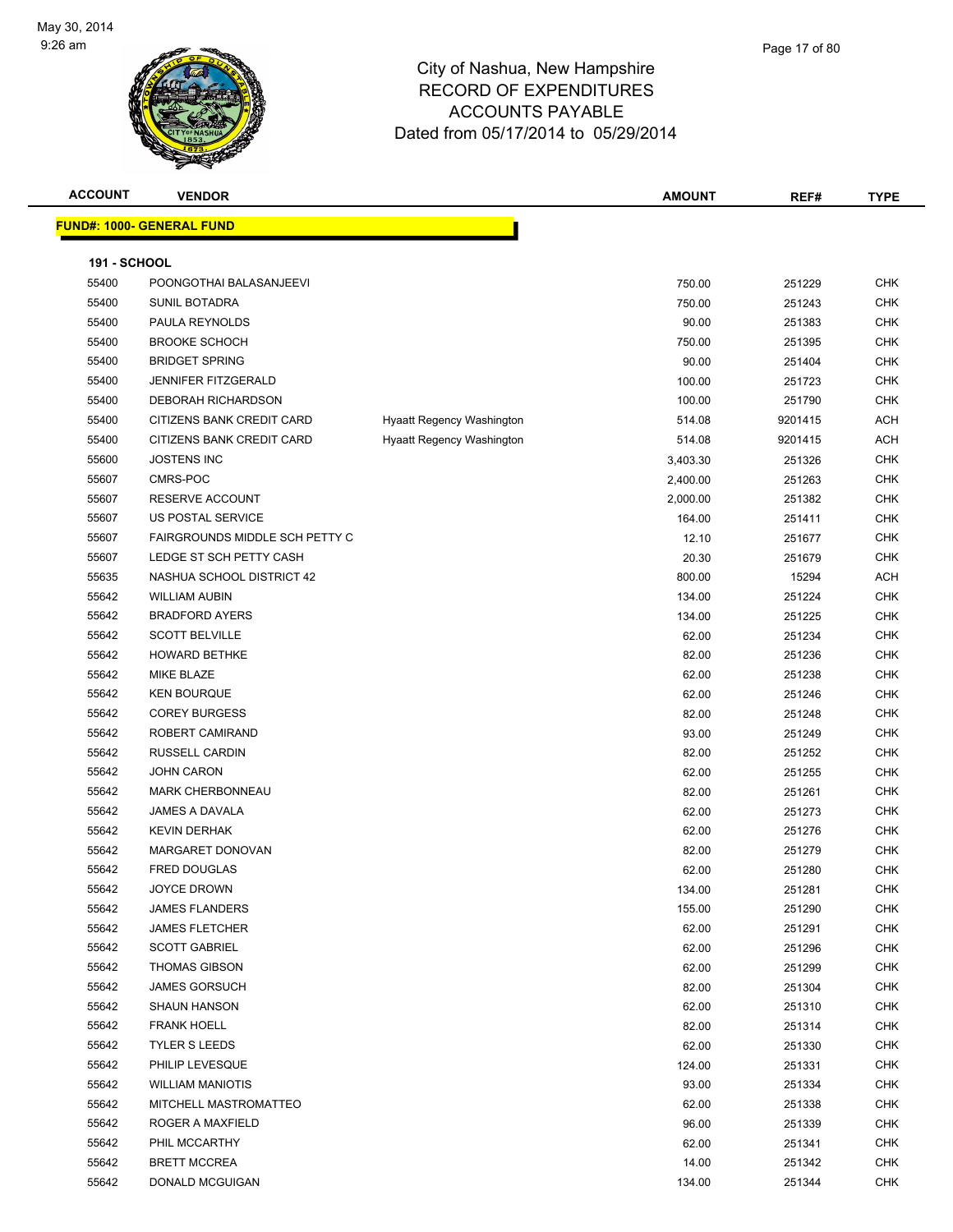

**ACCOUNT VENDOR AMOUNT REF# TYPE FUND#: 1000- GENERAL FUND 191 - SCHOOL** POONGOTHAI BALASANJEEVI 750.00 251229 CHK SUNIL BOTADRA 750.00 251243 CHK PAULA REYNOLDS 90.00 251383 CHK BROOKE SCHOCH 750.00 251395 CHK BRIDGET SPRING 90.00 251404 CHK JENNIFER FITZGERALD 100.00 251723 CHK DEBORAH RICHARDSON 100.00 251790 CHK 55400 CITIZENS BANK CREDIT CARD Hyaatt Regency Washington 514.08 9201415 ACH 55400 CITIZENS BANK CREDIT CARD Hyaatt Regency Washington 514.08 9201415 ACH JOSTENS INC 3,403.30 251326 CHK CMRS-POC 2,400.00 251263 CHK RESERVE ACCOUNT 2,000.00 251382 CHK 55607 US POSTAL SERVICE 164.00 251411 CHK FAIRGROUNDS MIDDLE SCH PETTY C 12.10 251677 CHK LEDGE ST SCH PETTY CASH 20.30 251679 CHK NASHUA SCHOOL DISTRICT 42 800.00 15294 ACH WILLIAM AUBIN 134.00 251224 CHK BRADFORD AYERS 134.00 251225 CHK SCOTT BELVILLE 62.00 251234 CHK HOWARD BETHKE 82.00 251236 CHK MIKE BLAZE 62.00 251238 CHK KEN BOURQUE 62.00 251246 CHK COREY BURGESS 82.00 251248 CHK ROBERT CAMIRAND 93.00 251249 CHK RUSSELL CARDIN 82.00 251252 CHK JOHN CARON 62.00 251255 CHK MARK CHERBONNEAU 82.00 251261 CHK JAMES A DAVALA 62.00 251273 CHK KEVIN DERHAK 62.00 251276 CHK MARGARET DONOVAN 82.00 251279 CHK FRED DOUGLAS 62.00 251280 CHK 55642 JOYCE DROWN 251281 CHK JAMES FLANDERS 155.00 251290 CHK JAMES FLETCHER 62.00 251291 CHK SCOTT GABRIEL 62.00 251296 CHK THOMAS GIBSON 62.00 251299 CHK

 JAMES GORSUCH 82.00 251304 CHK SHAUN HANSON 62.00 251310 CHK FRANK HOELL 82.00 251314 CHK TYLER S LEEDS 62.00 251330 CHK PHILIP LEVESQUE 124.00 251331 CHK WILLIAM MANIOTIS 93.00 251334 CHK MITCHELL MASTROMATTEO 62.00 251338 CHK ROGER A MAXFIELD 96.00 251339 CHK PHIL MCCARTHY 62.00 251341 CHK BRETT MCCREA 14.00 251342 CHK DONALD MCGUIGAN 134.00 251344 CHK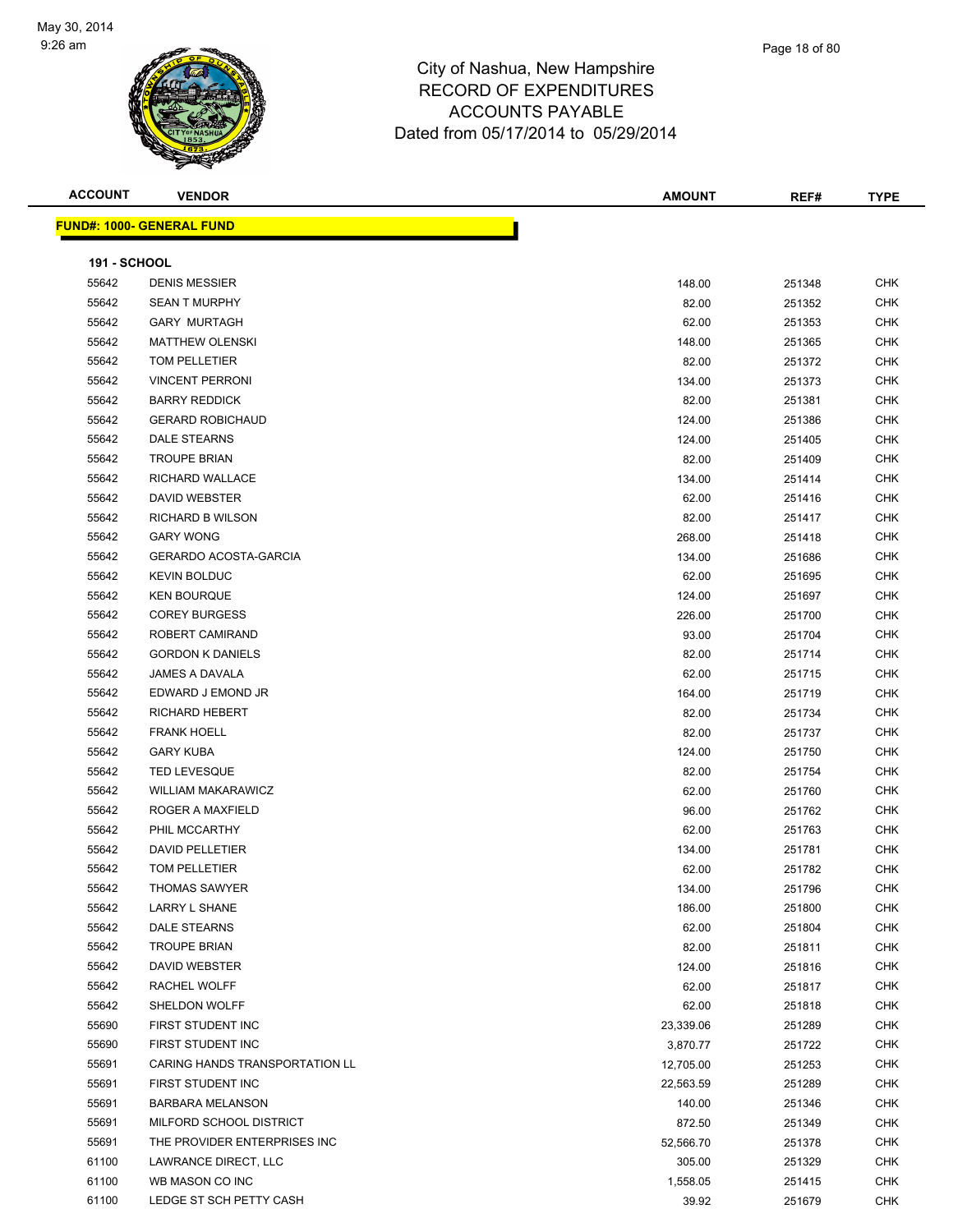

| mpshire      |  |  |
|--------------|--|--|
| <b>TURES</b> |  |  |
| ᄁᆮ           |  |  |

Page 18 of 80

| <b>ACCOUNT</b>      | <b>VENDOR</b>                    | <b>AMOUNT</b> | REF#   | <b>TYPE</b> |
|---------------------|----------------------------------|---------------|--------|-------------|
|                     | <b>FUND#: 1000- GENERAL FUND</b> |               |        |             |
|                     |                                  |               |        |             |
| <b>191 - SCHOOL</b> |                                  |               |        |             |
| 55642               | <b>DENIS MESSIER</b>             | 148.00        | 251348 | <b>CHK</b>  |
| 55642               | <b>SEAN T MURPHY</b>             | 82.00         | 251352 | <b>CHK</b>  |
| 55642               | <b>GARY MURTAGH</b>              | 62.00         | 251353 | CHK         |
| 55642               | <b>MATTHEW OLENSKI</b>           | 148.00        | 251365 | CHK         |
| 55642               | TOM PELLETIER                    | 82.00         | 251372 | <b>CHK</b>  |
| 55642               | <b>VINCENT PERRONI</b>           | 134.00        | 251373 | <b>CHK</b>  |
| 55642               | <b>BARRY REDDICK</b>             | 82.00         | 251381 | <b>CHK</b>  |
| 55642               | <b>GERARD ROBICHAUD</b>          | 124.00        | 251386 | <b>CHK</b>  |
| 55642               | DALE STEARNS                     | 124.00        | 251405 | <b>CHK</b>  |
| 55642               | <b>TROUPE BRIAN</b>              | 82.00         | 251409 | <b>CHK</b>  |
| 55642               | RICHARD WALLACE                  | 134.00        | 251414 | <b>CHK</b>  |
| 55642               | DAVID WEBSTER                    | 62.00         | 251416 | <b>CHK</b>  |
| 55642               | RICHARD B WILSON                 | 82.00         | 251417 | <b>CHK</b>  |
| 55642               | <b>GARY WONG</b>                 | 268.00        | 251418 | <b>CHK</b>  |
| 55642               | <b>GERARDO ACOSTA-GARCIA</b>     | 134.00        | 251686 | <b>CHK</b>  |
| 55642               | <b>KEVIN BOLDUC</b>              | 62.00         | 251695 | <b>CHK</b>  |
| 55642               | <b>KEN BOURQUE</b>               | 124.00        | 251697 | <b>CHK</b>  |
| 55642               | <b>COREY BURGESS</b>             | 226.00        | 251700 | <b>CHK</b>  |
| 55642               | ROBERT CAMIRAND                  | 93.00         | 251704 | <b>CHK</b>  |
| 55642               | <b>GORDON K DANIELS</b>          | 82.00         | 251714 | <b>CHK</b>  |
| 55642               | <b>JAMES A DAVALA</b>            | 62.00         | 251715 | <b>CHK</b>  |
| 55642               | EDWARD J EMOND JR                | 164.00        | 251719 | <b>CHK</b>  |
| 55642               | <b>RICHARD HEBERT</b>            | 82.00         | 251734 | <b>CHK</b>  |
| 55642               | <b>FRANK HOELL</b>               | 82.00         | 251737 | <b>CHK</b>  |
| 55642               | <b>GARY KUBA</b>                 | 124.00        | 251750 | <b>CHK</b>  |
| 55642               | <b>TED LEVESQUE</b>              | 82.00         | 251754 | <b>CHK</b>  |
| 55642               | <b>WILLIAM MAKARAWICZ</b>        | 62.00         | 251760 | <b>CHK</b>  |
| 55642               | ROGER A MAXFIELD                 | 96.00         | 251762 | <b>CHK</b>  |
| 55642               | PHIL MCCARTHY                    | 62.00         | 251763 | <b>CHK</b>  |
| 55642               | <b>DAVID PELLETIER</b>           | 134.00        | 251781 | <b>CHK</b>  |
| 55642               | TOM PELLETIER                    | 62.00         | 251782 | <b>CHK</b>  |
| 55642               | THOMAS SAWYER                    | 134.00        | 251796 | <b>CHK</b>  |
| 55642               | LARRY L SHANE                    | 186.00        | 251800 | CHK         |
| 55642               | DALE STEARNS                     | 62.00         | 251804 | <b>CHK</b>  |
| 55642               | <b>TROUPE BRIAN</b>              | 82.00         | 251811 | <b>CHK</b>  |
| 55642               | DAVID WEBSTER                    | 124.00        | 251816 | <b>CHK</b>  |
| 55642               | RACHEL WOLFF                     | 62.00         | 251817 | <b>CHK</b>  |
| 55642               | SHELDON WOLFF                    | 62.00         | 251818 | <b>CHK</b>  |
| 55690               | FIRST STUDENT INC                | 23,339.06     | 251289 | <b>CHK</b>  |
| 55690               | FIRST STUDENT INC                | 3,870.77      | 251722 | <b>CHK</b>  |
| 55691               | CARING HANDS TRANSPORTATION LL   | 12,705.00     | 251253 | <b>CHK</b>  |
| 55691               | FIRST STUDENT INC                | 22,563.59     | 251289 | <b>CHK</b>  |
| 55691               | <b>BARBARA MELANSON</b>          | 140.00        | 251346 | <b>CHK</b>  |
| 55691               | MILFORD SCHOOL DISTRICT          | 872.50        | 251349 | <b>CHK</b>  |
| 55691               | THE PROVIDER ENTERPRISES INC     | 52,566.70     | 251378 | <b>CHK</b>  |
| 61100               | LAWRANCE DIRECT, LLC             | 305.00        | 251329 | <b>CHK</b>  |
| 61100               | WB MASON CO INC                  | 1,558.05      | 251415 | CHK         |
| 61100               | LEDGE ST SCH PETTY CASH          | 39.92         | 251679 | <b>CHK</b>  |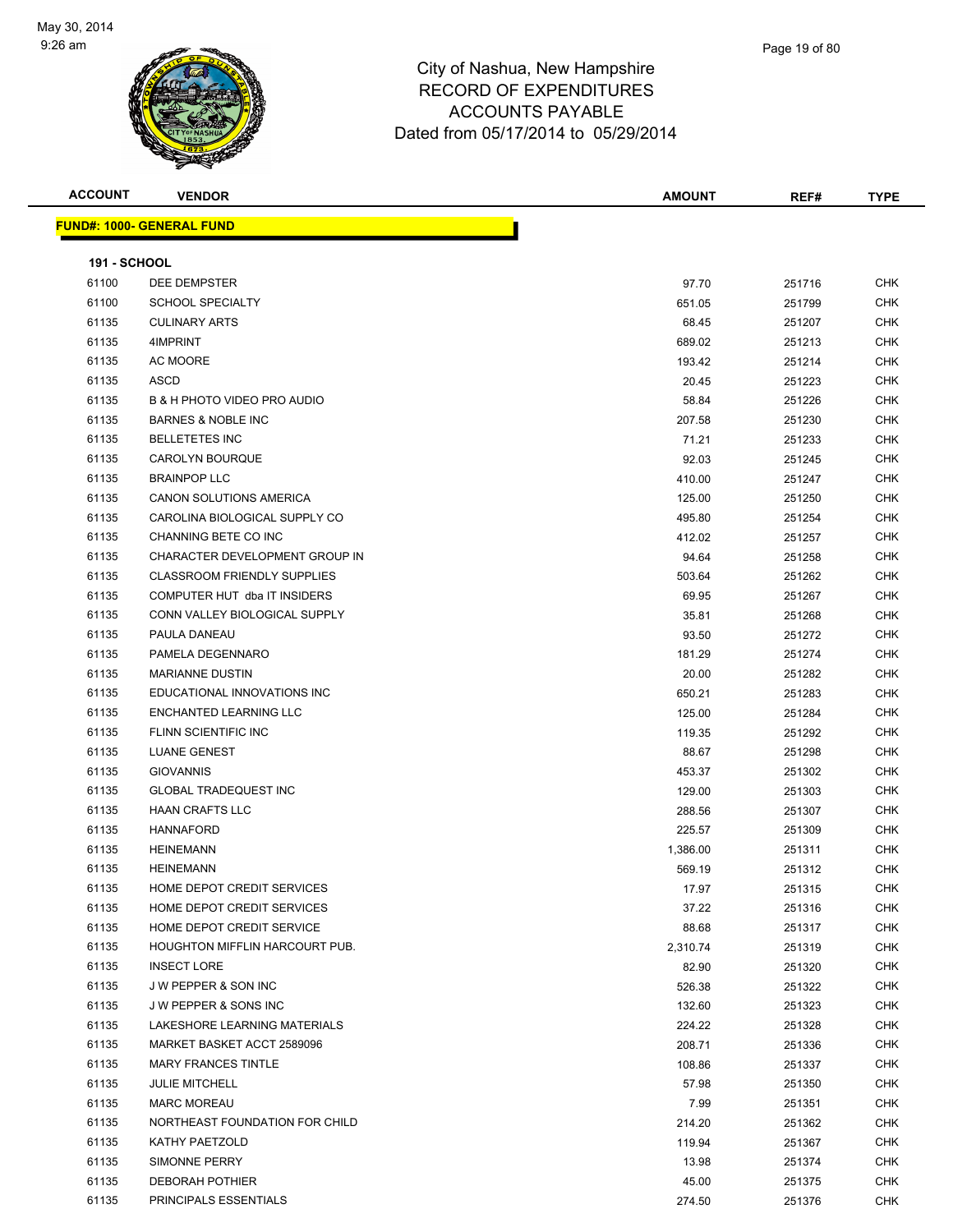

| ACCOUNT             | <b>VENDOR</b>                      | <b>AMOUNT</b> | REF#   | <b>TYPE</b> |
|---------------------|------------------------------------|---------------|--------|-------------|
|                     | <u> IND#: 1000- GENERAL FUND</u>   |               |        |             |
| <b>191 - SCHOOL</b> |                                    |               |        |             |
| 61100               | DEE DEMPSTER                       | 97.70         | 251716 | CHK         |
| 61100               | <b>SCHOOL SPECIALTY</b>            | 651.05        | 251799 | <b>CHK</b>  |
| 61135               | <b>CULINARY ARTS</b>               | 68.45         | 251207 | <b>CHK</b>  |
| 61135               | 4IMPRINT                           | 689.02        | 251213 | <b>CHK</b>  |
| 61135               | AC MOORE                           | 193.42        | 251214 | <b>CHK</b>  |
| 61135               | ASCD                               | 20.45         | 251223 | CHK         |
| 61135               | B & H PHOTO VIDEO PRO AUDIO        | 58.84         | 251226 | CHK         |
| 61135               | <b>BARNES &amp; NOBLE INC</b>      | 207.58        | 251230 | <b>CHK</b>  |
| 61135               | <b>BELLETETES INC</b>              | 71.21         | 251233 | <b>CHK</b>  |
| 61135               | CAROLYN BOURQUE                    | 92.03         | 251245 | <b>CHK</b>  |
| 61135               | <b>BRAINPOP LLC</b>                | 410.00        | 251247 | <b>CHK</b>  |
| 61135               | CANON SOLUTIONS AMERICA            | 125.00        | 251250 | CHK         |
| 61135               | CAROLINA BIOLOGICAL SUPPLY CO      | 495.80        | 251254 | <b>CHK</b>  |
| 61135               | CHANNING BETE CO INC               | 412.02        | 251257 | <b>CHK</b>  |
| 61135               | CHARACTER DEVELOPMENT GROUP IN     | 94.64         | 251258 | <b>CHK</b>  |
| 61135               | <b>CLASSROOM FRIENDLY SUPPLIES</b> | 503.64        | 251262 | <b>CHK</b>  |
| 61135               | COMPUTER HUT dba IT INSIDERS       | 69.95         | 251267 | <b>CHK</b>  |
| 61135               | CONN VALLEY BIOLOGICAL SUPPLY      | 35.81         | 251268 | <b>CHK</b>  |
| 61135               | PAULA DANEAU                       | 93.50         | 251272 | <b>CHK</b>  |
| 61135               | PAMELA DEGENNARO                   | 181.29        | 251274 | <b>CHK</b>  |
| 61135               | <b>MARIANNE DUSTIN</b>             | 20.00         | 251282 | <b>CHK</b>  |
| 61135               | EDUCATIONAL INNOVATIONS INC        | 650.21        | 251283 | CHK         |
| 61135               | ENCHANTED LEARNING LLC             | 125.00        | 251284 | <b>CHK</b>  |
| 61135               | FLINN SCIENTIFIC INC               | 119.35        | 251292 | <b>CHK</b>  |
| 61135               | <b>LUANE GENEST</b>                | 88.67         | 251298 | <b>CHK</b>  |
| 61135               | <b>GIOVANNIS</b>                   | 453.37        | 251302 | <b>CHK</b>  |
| 61135               | <b>GLOBAL TRADEQUEST INC</b>       | 129.00        | 251303 | <b>CHK</b>  |
| 61135               | <b>HAAN CRAFTS LLC</b>             | 288.56        | 251307 | CHK         |
| 61135               | <b>HANNAFORD</b>                   | 225.57        | 251309 | <b>CHK</b>  |
| 61135               | <b>HEINEMANN</b>                   | 1,386.00      | 251311 | <b>CHK</b>  |
| 61135               | <b>HEINEMANN</b>                   | 569.19        | 251312 | <b>CHK</b>  |
| 61135               | HOME DEPOT CREDIT SERVICES         | 17.97         | 251315 | <b>CHK</b>  |
| 61135               | HOME DEPOT CREDIT SERVICES         | 37.22         | 251316 | <b>CHK</b>  |
| 61135               | HOME DEPOT CREDIT SERVICE          | 88.68         | 251317 | <b>CHK</b>  |
| 61135               | HOUGHTON MIFFLIN HARCOURT PUB.     | 2,310.74      | 251319 | <b>CHK</b>  |
| 61135               | <b>INSECT LORE</b>                 | 82.90         | 251320 | <b>CHK</b>  |
| 61135               | J W PEPPER & SON INC               | 526.38        | 251322 | <b>CHK</b>  |
| 61135               | J W PEPPER & SONS INC              | 132.60        | 251323 | <b>CHK</b>  |
| 61135               | LAKESHORE LEARNING MATERIALS       | 224.22        | 251328 | <b>CHK</b>  |
| 61135               | MARKET BASKET ACCT 2589096         | 208.71        | 251336 | <b>CHK</b>  |

er 1135 MARY FRANCES TINTLE And the state of the control of the control of the control of the control of the control of the control of the control of the control of the control of the control of the control of the control JULIE MITCHELL 57.98 251350 CHK MARC MOREAU 7.99 251351 CHK NORTHEAST FOUNDATION FOR CHILD 214.20 251362 CHK KATHY PAETZOLD 119.94 251367 CHK SIMONNE PERRY 13.98 251374 CHK DEBORAH POTHIER 45.00 251375 CHK PRINCIPALS ESSENTIALS 274.50 251376 CHK

**FUND#: 1000- GENE**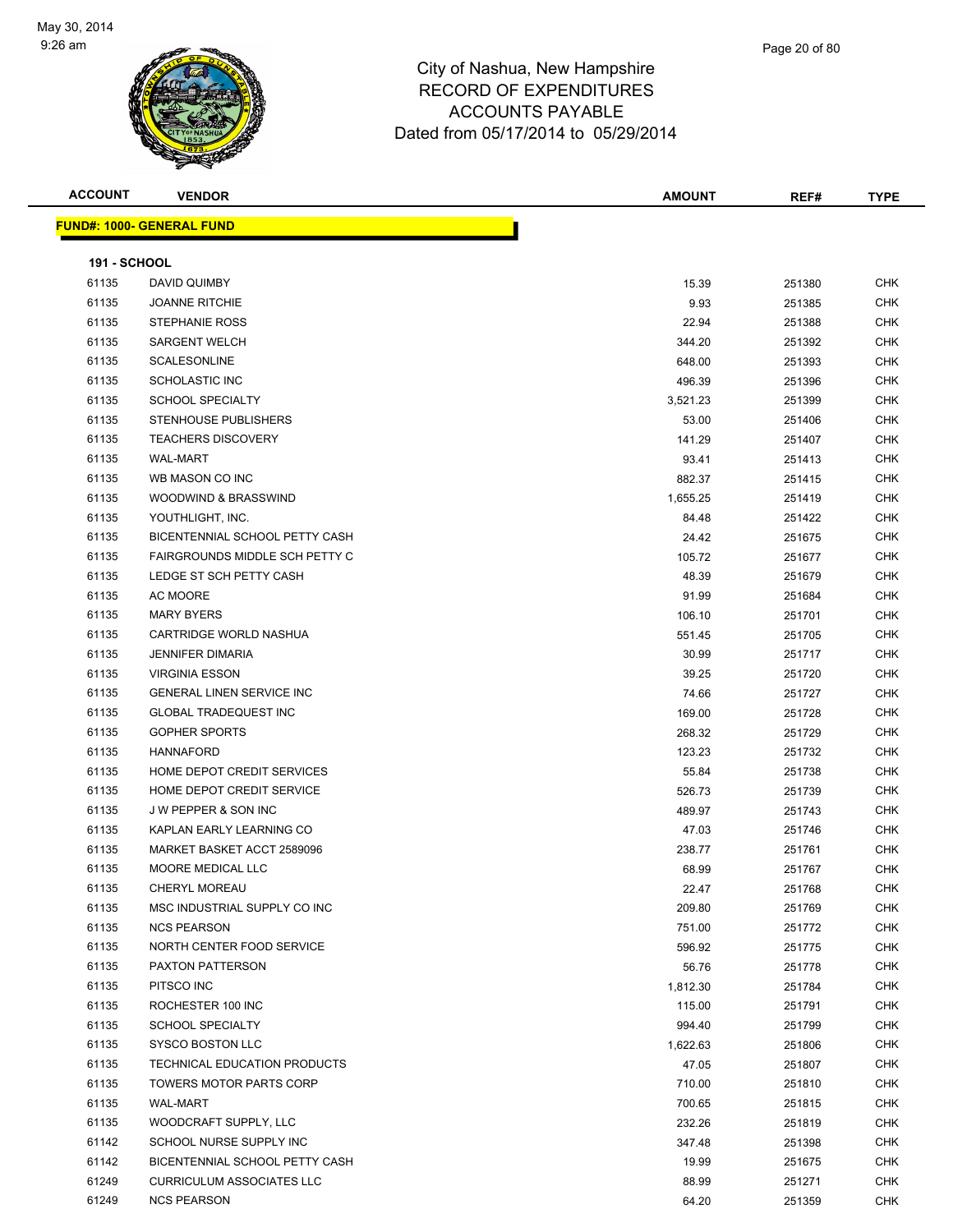**FUND#:** 



| <b>ACCOUNT</b>      | <b>VENDOR</b>                    | <b>AMOUNT</b> | REF#   | <b>TYPE</b> |
|---------------------|----------------------------------|---------------|--------|-------------|
|                     | <u> IND#: 1000- GENERAL FUND</u> |               |        |             |
|                     |                                  |               |        |             |
| <b>191 - SCHOOL</b> |                                  |               |        |             |
| 61135               | DAVID QUIMBY                     | 15.39         | 251380 | <b>CHK</b>  |
| 61135               | <b>JOANNE RITCHIE</b>            | 9.93          | 251385 | <b>CHK</b>  |
| 61135               | <b>STEPHANIE ROSS</b>            | 22.94         | 251388 | <b>CHK</b>  |
| 61135               | <b>SARGENT WELCH</b>             | 344.20        | 251392 | <b>CHK</b>  |
| 61135               | <b>SCALESONLINE</b>              | 648.00        | 251393 | <b>CHK</b>  |
| 61135               | <b>SCHOLASTIC INC</b>            | 496.39        | 251396 | <b>CHK</b>  |
| 61135               | <b>SCHOOL SPECIALTY</b>          | 3,521.23      | 251399 | <b>CHK</b>  |
| 61135               | STENHOUSE PUBLISHERS             | 53.00         | 251406 | <b>CHK</b>  |
| 61135               | <b>TEACHERS DISCOVERY</b>        | 141.29        | 251407 | <b>CHK</b>  |
| 61135               | <b>WAL-MART</b>                  | 93.41         | 251413 | <b>CHK</b>  |
| 61135               | WB MASON CO INC                  | 882.37        | 251415 | CHK         |
| 61135               | WOODWIND & BRASSWIND             | 1,655.25      | 251419 | <b>CHK</b>  |
| 61135               | YOUTHLIGHT, INC.                 | 84.48         | 251422 | <b>CHK</b>  |
| 61135               | BICENTENNIAL SCHOOL PETTY CASH   | 24.42         | 251675 | <b>CHK</b>  |
| 61135               | FAIRGROUNDS MIDDLE SCH PETTY C   | 105.72        | 251677 | <b>CHK</b>  |
| 61135               | LEDGE ST SCH PETTY CASH          | 48.39         | 251679 | <b>CHK</b>  |
| 61135               | AC MOORE                         | 91.99         | 251684 | <b>CHK</b>  |
| 61135               | <b>MARY BYERS</b>                | 106.10        | 251701 | <b>CHK</b>  |
| 61135               | CARTRIDGE WORLD NASHUA           | 551.45        | 251705 | <b>CHK</b>  |
| 61135               | <b>JENNIFER DIMARIA</b>          | 30.99         | 251717 | <b>CHK</b>  |
| 61135               | <b>VIRGINIA ESSON</b>            | 39.25         | 251720 | <b>CHK</b>  |
| 61135               | GENERAL LINEN SERVICE INC        | 74.66         | 251727 | <b>CHK</b>  |
| 61135               | <b>GLOBAL TRADEQUEST INC</b>     | 169.00        | 251728 | <b>CHK</b>  |
| 61135               | <b>GOPHER SPORTS</b>             | 268.32        | 251729 | <b>CHK</b>  |
| 61135               | <b>HANNAFORD</b>                 | 123.23        | 251732 | <b>CHK</b>  |
| 61135               | HOME DEPOT CREDIT SERVICES       | 55.84         | 251738 | <b>CHK</b>  |
| 61135               | HOME DEPOT CREDIT SERVICE        | 526.73        | 251739 | <b>CHK</b>  |
| 61135               | <b>JW PEPPER &amp; SON INC</b>   | 489.97        | 251743 | CHK         |
| 61135               | KAPLAN EARLY LEARNING CO         | 47.03         | 251746 | <b>CHK</b>  |
| 61135               | MARKET BASKET ACCT 2589096       | 238.77        | 251761 | CHK         |
| 61135               | MOORE MEDICAL LLC                | 68.99         | 251767 | <b>CHK</b>  |
| 61135               | CHERYL MOREAU                    | 22.47         | 251768 | <b>CHK</b>  |
| 61135               | MSC INDUSTRIAL SUPPLY CO INC     | 209.80        | 251769 | CHK         |
| 61135               | <b>NCS PEARSON</b>               | 751.00        | 251772 | <b>CHK</b>  |
| 61135               | NORTH CENTER FOOD SERVICE        | 596.92        | 251775 | <b>CHK</b>  |
| 61135               | PAXTON PATTERSON                 | 56.76         | 251778 | <b>CHK</b>  |
| 61135               | PITSCO INC                       | 1,812.30      | 251784 | <b>CHK</b>  |
| 61135               | ROCHESTER 100 INC                | 115.00        | 251791 | <b>CHK</b>  |
| 61135               | <b>SCHOOL SPECIALTY</b>          | 994.40        | 251799 | <b>CHK</b>  |
| 61135               | SYSCO BOSTON LLC                 | 1,622.63      | 251806 | <b>CHK</b>  |
| 61135               | TECHNICAL EDUCATION PRODUCTS     | 47.05         | 251807 | CHK         |
| 61135               | TOWERS MOTOR PARTS CORP          | 710.00        | 251810 | <b>CHK</b>  |
| 61135               | WAL-MART                         | 700.65        | 251815 | <b>CHK</b>  |
| 61135               | WOODCRAFT SUPPLY, LLC            | 232.26        | 251819 | CHK         |
| 61142               | SCHOOL NURSE SUPPLY INC          | 347.48        | 251398 | <b>CHK</b>  |
| 61142               | BICENTENNIAL SCHOOL PETTY CASH   | 19.99         | 251675 | <b>CHK</b>  |
| 61249               | <b>CURRICULUM ASSOCIATES LLC</b> | 88.99         | 251271 | <b>CHK</b>  |
| 61249               | <b>NCS PEARSON</b>               | 64.20         | 251359 | <b>CHK</b>  |
|                     |                                  |               |        |             |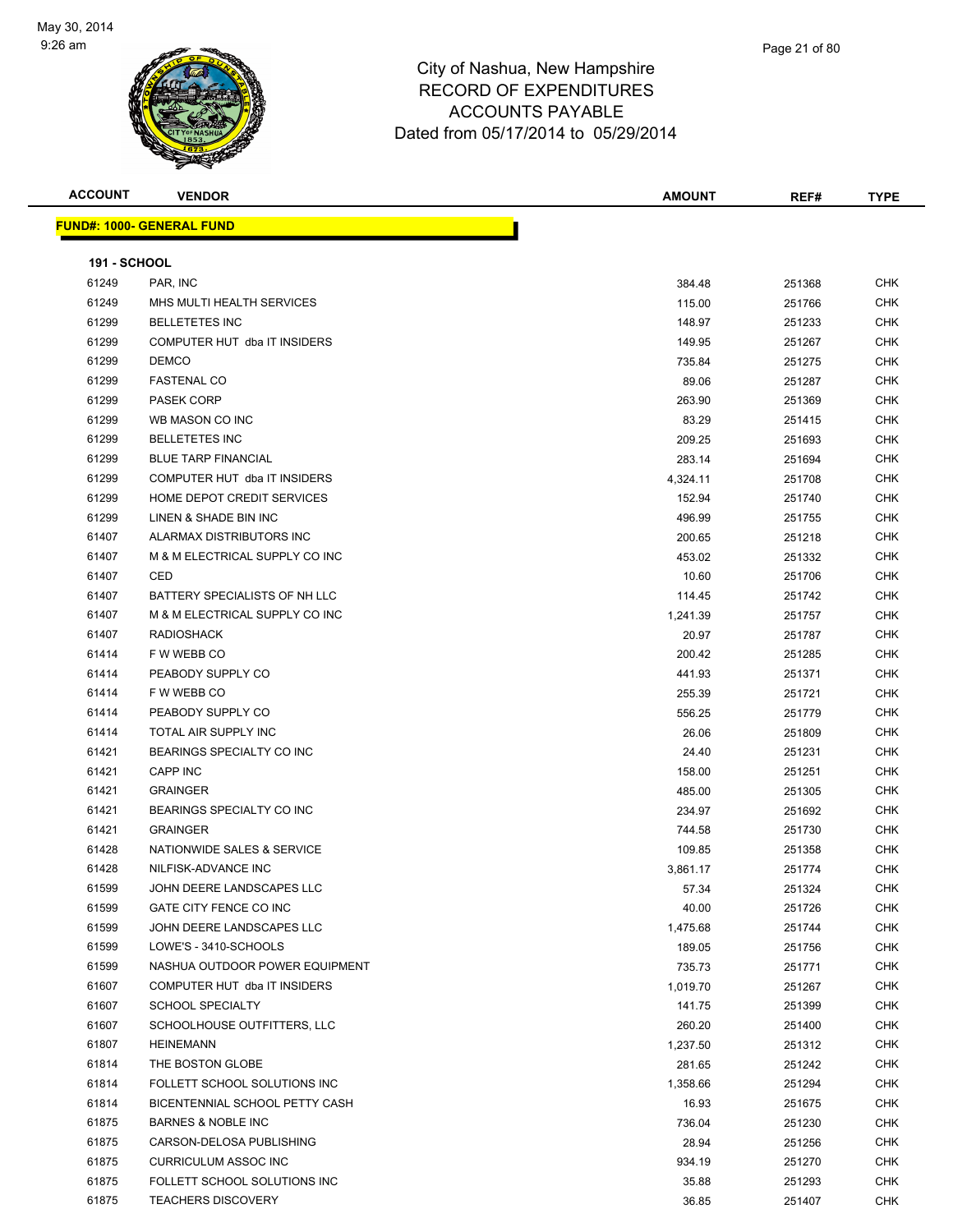

**ACCOUNT VENDOR AMOUNT REF# TYPE FUND#: 1000- GENERAL FUND 191 - SCHOOL** PAR, INC 384.48 251368 CHK MHS MULTI HEALTH SERVICES 115.00 251766 CHK BELLETETES INC 148.97 251233 CHK COMPUTER HUT dba IT INSIDERS 149.95 251267 CHK DEMCO 735.84 251275 CHK FASTENAL CO 89.06 251287 CHK PASEK CORP 263.90 251369 CHK WB MASON CO INC 83.29 251415 CHK BELLETETES INC 209.25 251693 CHK BLUE TARP FINANCIAL 283.14 251694 CHK COMPUTER HUT dba IT INSIDERS 4,324.11 251708 CHK HOME DEPOT CREDIT SERVICES 152.94 251740 CHK LINEN & SHADE BIN INC 496.99 251755 CHK ALARMAX DISTRIBUTORS INC 200.65 251218 CHK M & M ELECTRICAL SUPPLY CO INC 453.02 251332 CHK CED 10.60 251706 CHK 61407 BATTERY SPECIALISTS OF NH LLC 61 A CHANGE 114.45 251742 CHK M & M ELECTRICAL SUPPLY CO INC 1,241.39 251757 CHK RADIOSHACK 20.97 251787 CHK F W WEBB CO 200.42 251285 CHK PEABODY SUPPLY CO 441.93 251371 CHK F W WEBB CO 255.39 251721 CHK er and the PEABODY SUPPLY CO and the state of the state of the state of the state of the state of the state of the state of the state of the state of the state of the state of the state of the state of the state of the sta TOTAL AIR SUPPLY INC 26.06 251809 CHK BEARINGS SPECIALTY CO INC 24.40 251231 CHK CAPP INC 158.00 251251 CHK GRAINGER 485.00 251305 CHK BEARINGS SPECIALTY CO INC 234.97 251692 CHK GRAINGER 744.58 251730 CHK NATIONWIDE SALES & SERVICE 109.85 251358 CHK NILFISK-ADVANCE INC 3,861.17 251774 CHK JOHN DEERE LANDSCAPES LLC 57.34 251324 CHK GATE CITY FENCE CO INC 40.00 251726 CHK JOHN DEERE LANDSCAPES LLC 1,475.68 251744 CHK LOWE'S - 3410-SCHOOLS 189.05 251756 CHK 61599 NASHUA OUTDOOR POWER EQUIPMENT CHANGER AND THE CHANGER OF THE RESEARCH ON THE PASS OF THE RESEARCH OF TH COMPUTER HUT dba IT INSIDERS 1,019.70 251267 CHK SCHOOL SPECIALTY 141.75 251399 CHK SCHOOLHOUSE OUTFITTERS, LLC 260.20 251400 CHK

 HEINEMANN 1,237.50 251312 CHK THE BOSTON GLOBE 281.65 251242 CHK FOLLETT SCHOOL SOLUTIONS INC 1,358.66 251294 CHK BICENTENNIAL SCHOOL PETTY CASH 16.93 251675 CHK BARNES & NOBLE INC 736.04 251230 CHK CARSON-DELOSA PUBLISHING 28.94 251256 CHK CURRICULUM ASSOC INC 934.19 251270 CHK 61875 FOLLETT SCHOOL SOLUTIONS INC **SUITE A SECULAR SECULAR SECULAR SECULAR SECULAR SECULAR SECULAR SECULAR SECU** TEACHERS DISCOVERY 36.85 251407 CHK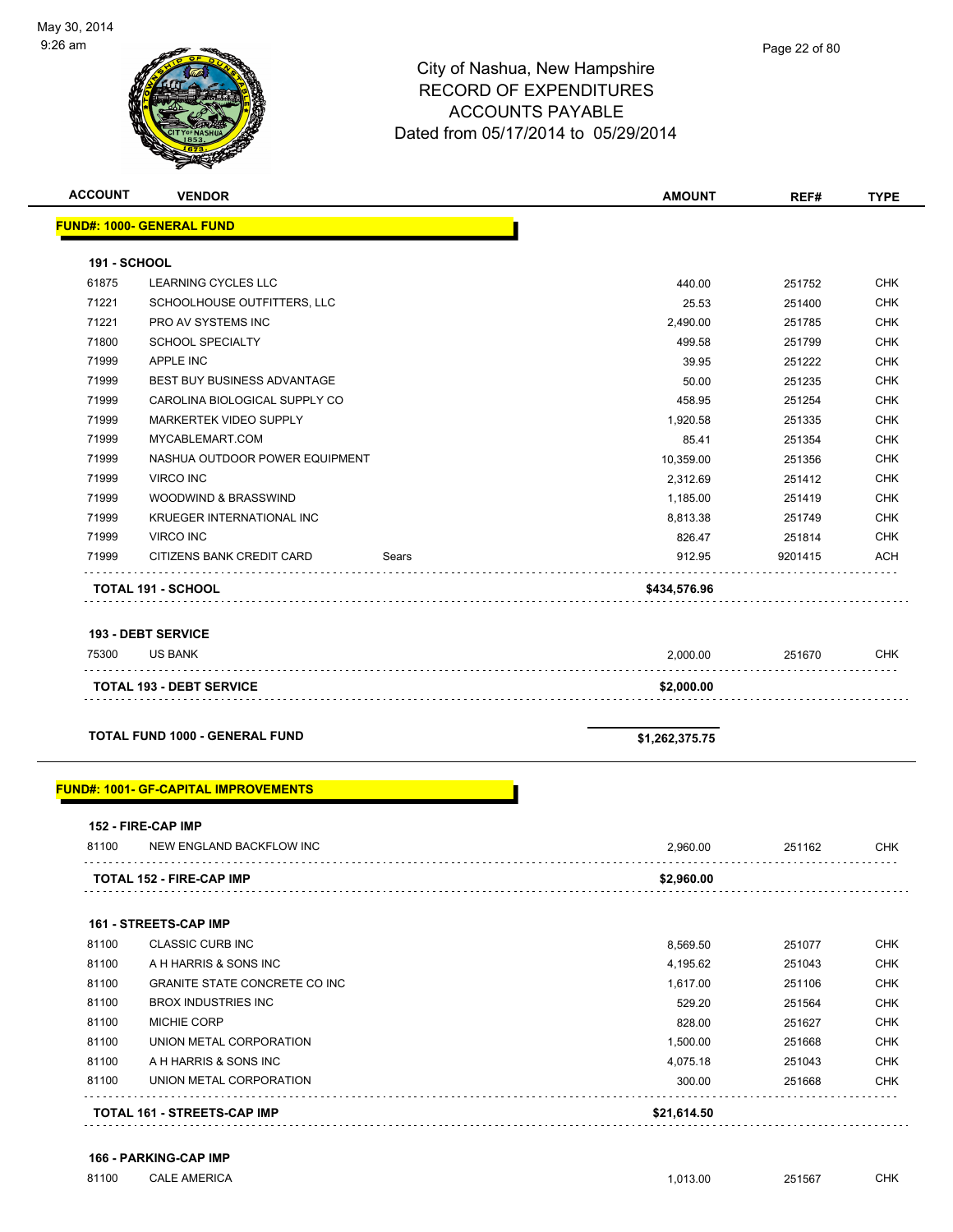

#### Page 22 of 80

### City of Nashua, New Hampshire RECORD OF EXPENDITURES ACCOUNTS PAYABLE Dated from 05/17/2014 to 05/29/2014

| <b>ACCOUNT</b>      | <b>VENDOR</b>                               |       | <b>AMOUNT</b>  | REF#    | <b>TYPE</b> |
|---------------------|---------------------------------------------|-------|----------------|---------|-------------|
|                     | <b>FUND#: 1000- GENERAL FUND</b>            |       |                |         |             |
| <b>191 - SCHOOL</b> |                                             |       |                |         |             |
| 61875               | LEARNING CYCLES LLC                         |       | 440.00         | 251752  | <b>CHK</b>  |
| 71221               | SCHOOLHOUSE OUTFITTERS, LLC                 |       | 25.53          | 251400  | <b>CHK</b>  |
| 71221               | PRO AV SYSTEMS INC                          |       | 2,490.00       | 251785  | <b>CHK</b>  |
| 71800               | <b>SCHOOL SPECIALTY</b>                     |       | 499.58         | 251799  | <b>CHK</b>  |
| 71999               | <b>APPLE INC</b>                            |       | 39.95          | 251222  | <b>CHK</b>  |
| 71999               | <b>BEST BUY BUSINESS ADVANTAGE</b>          |       | 50.00          | 251235  | <b>CHK</b>  |
| 71999               | CAROLINA BIOLOGICAL SUPPLY CO               |       | 458.95         | 251254  | <b>CHK</b>  |
| 71999               | MARKERTEK VIDEO SUPPLY                      |       | 1,920.58       | 251335  | <b>CHK</b>  |
| 71999               | MYCABLEMART.COM                             |       | 85.41          | 251354  | <b>CHK</b>  |
| 71999               | NASHUA OUTDOOR POWER EQUIPMENT              |       | 10,359.00      | 251356  | <b>CHK</b>  |
| 71999               | <b>VIRCO INC</b>                            |       | 2,312.69       | 251412  | <b>CHK</b>  |
| 71999               | WOODWIND & BRASSWIND                        |       | 1,185.00       | 251419  | <b>CHK</b>  |
| 71999               | KRUEGER INTERNATIONAL INC                   |       | 8,813.38       | 251749  | <b>CHK</b>  |
| 71999               | <b>VIRCO INC</b>                            |       | 826.47         | 251814  | <b>CHK</b>  |
| 71999               | CITIZENS BANK CREDIT CARD                   | Sears | 912.95         | 9201415 | ACH         |
|                     | <b>TOTAL 191 - SCHOOL</b>                   |       | \$434,576.96   |         |             |
|                     |                                             |       |                |         |             |
| 75300               | <b>193 - DEBT SERVICE</b><br><b>US BANK</b> |       | 2,000.00       | 251670  | <b>CHK</b>  |
|                     | <b>TOTAL 193 - DEBT SERVICE</b>             |       | \$2,000.00     |         |             |
|                     |                                             |       |                |         |             |
|                     | <b>TOTAL FUND 1000 - GENERAL FUND</b>       |       | \$1,262,375.75 |         |             |
|                     | <b>FUND#: 1001- GF-CAPITAL IMPROVEMENTS</b> |       |                |         |             |
|                     | 152 - FIRE-CAP IMP                          |       |                |         |             |
| 81100               | NEW ENGLAND BACKFLOW INC                    |       | 2,960.00       | 251162  | <b>CHK</b>  |
|                     | <b>TOTAL 152 - FIRE-CAP IMP</b>             |       | \$2,960.00     |         |             |
|                     | 161 - STREETS-CAP IMP                       |       |                |         |             |
| 81100               | <b>CLASSIC CURB INC</b>                     |       | 8,569.50       | 251077  | <b>CHK</b>  |
| 81100               | A H HARRIS & SONS INC                       |       | 4,195.62       | 251043  | <b>CHK</b>  |
| 81100               | <b>GRANITE STATE CONCRETE CO INC</b>        |       | 1,617.00       | 251106  | <b>CHK</b>  |
| 81100               | <b>BROX INDUSTRIES INC</b>                  |       | 529.20         | 251564  | <b>CHK</b>  |
| 81100               | MICHIE CORP                                 |       | 828.00         | 251627  | <b>CHK</b>  |
| 81100               | UNION METAL CORPORATION                     |       | 1,500.00       | 251668  | <b>CHK</b>  |
| 81100               | A H HARRIS & SONS INC                       |       | 4,075.18       | 251043  | <b>CHK</b>  |
| 81100               | UNION METAL CORPORATION                     |       | 300.00         | 251668  | <b>CHK</b>  |
|                     | TOTAL 161 - STREETS-CAP IMP                 |       | \$21,614.50    |         |             |
|                     |                                             |       |                |         |             |

#### **166 - PARKING-CAP IMP**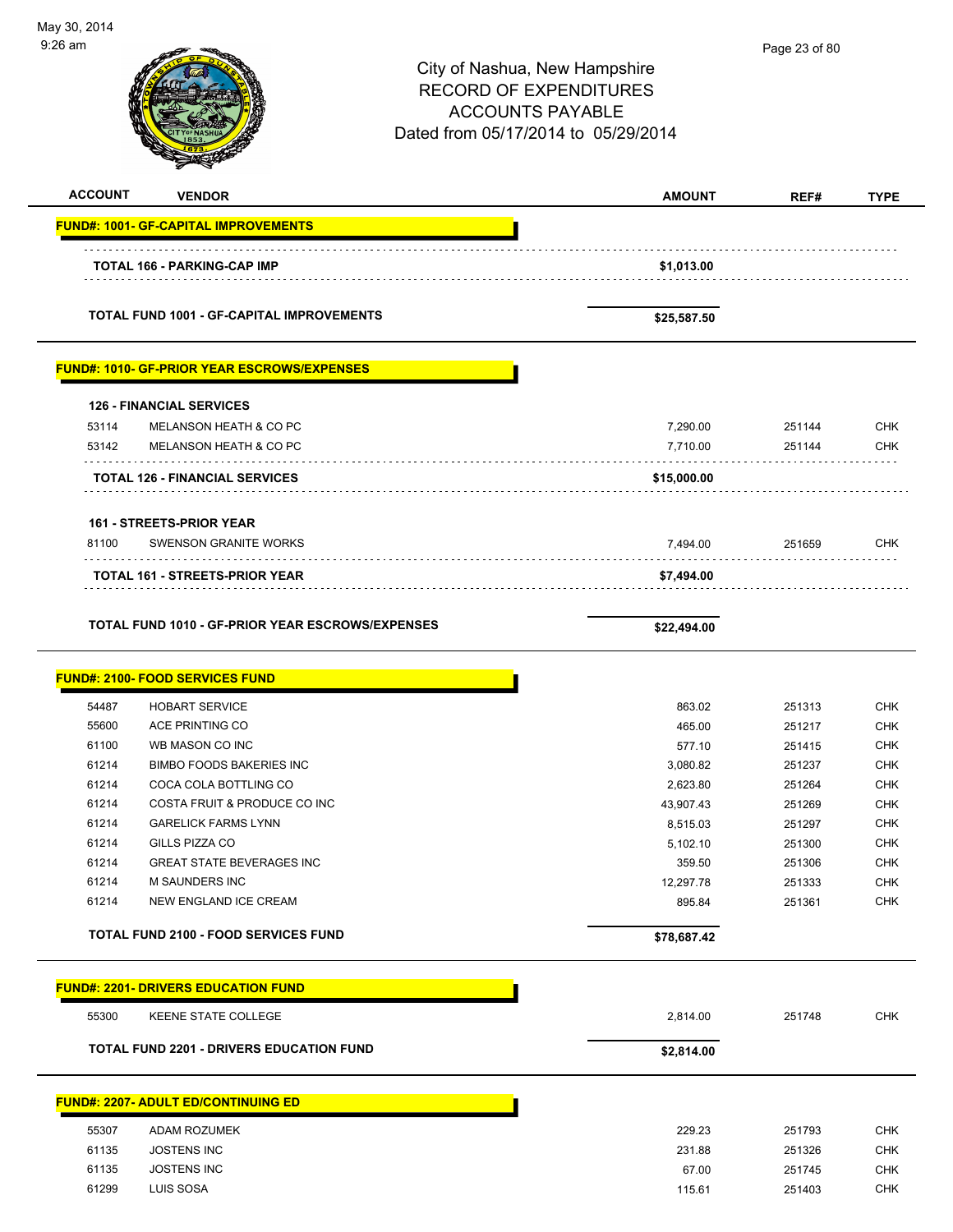| May 30, 2014<br>9:26 am |                                                            |                                                                                                                                  |                      | Page 23 of 80    |                          |
|-------------------------|------------------------------------------------------------|----------------------------------------------------------------------------------------------------------------------------------|----------------------|------------------|--------------------------|
|                         |                                                            | City of Nashua, New Hampshire<br><b>RECORD OF EXPENDITURES</b><br><b>ACCOUNTS PAYABLE</b><br>Dated from 05/17/2014 to 05/29/2014 |                      |                  |                          |
| <b>ACCOUNT</b>          | <b>VENDOR</b>                                              |                                                                                                                                  | <b>AMOUNT</b>        | REF#             | <b>TYPE</b>              |
|                         | <b>FUND#: 1001- GF-CAPITAL IMPROVEMENTS</b>                |                                                                                                                                  |                      |                  |                          |
|                         | <b>TOTAL 166 - PARKING-CAP IMP</b>                         |                                                                                                                                  | \$1,013.00           |                  |                          |
|                         | <b>TOTAL FUND 1001 - GF-CAPITAL IMPROVEMENTS</b>           |                                                                                                                                  | \$25,587.50          |                  |                          |
|                         | <b>FUND#: 1010- GF-PRIOR YEAR ESCROWS/EXPENSES</b>         |                                                                                                                                  |                      |                  |                          |
|                         | <b>126 - FINANCIAL SERVICES</b>                            |                                                                                                                                  |                      |                  |                          |
| 53114                   | MELANSON HEATH & CO PC                                     |                                                                                                                                  | 7,290.00             | 251144           | <b>CHK</b>               |
| 53142                   | <b>MELANSON HEATH &amp; CO PC</b>                          |                                                                                                                                  | 7,710.00             | 251144           | <b>CHK</b>               |
|                         | <b>TOTAL 126 - FINANCIAL SERVICES</b>                      |                                                                                                                                  | \$15,000.00          |                  |                          |
|                         | 161 - STREETS-PRIOR YEAR                                   |                                                                                                                                  |                      |                  |                          |
| 81100                   | <b>SWENSON GRANITE WORKS</b>                               |                                                                                                                                  | 7,494.00             | 251659           | <b>CHK</b>               |
|                         | <b>TOTAL 161 - STREETS-PRIOR YEAR</b>                      |                                                                                                                                  | \$7,494.00           |                  |                          |
|                         | <b>TOTAL FUND 1010 - GF-PRIOR YEAR ESCROWS/EXPENSES</b>    |                                                                                                                                  | \$22,494.00          |                  |                          |
|                         | <u> FUND#: 2100- FOOD SERVICES FUND</u>                    |                                                                                                                                  |                      |                  |                          |
| 54487                   | <b>HOBART SERVICE</b>                                      |                                                                                                                                  | 863.02               | 251313           | <b>CHK</b>               |
| 55600                   | ACE PRINTING CO                                            |                                                                                                                                  | 465.00               | 251217           | CHK                      |
| 61100                   | WB MASON CO INC                                            |                                                                                                                                  | 577.10               | 251415           | CHK                      |
| 61214                   | BIMBO FOODS BAKERIES INC                                   |                                                                                                                                  | 3,080.82             | 251237           | <b>CHK</b>               |
| 61214                   | COCA COLA BOTTLING CO                                      |                                                                                                                                  | 2,623.80             | 251264           | <b>CHK</b>               |
| 61214<br>61214          | COSTA FRUIT & PRODUCE CO INC<br><b>GARELICK FARMS LYNN</b> |                                                                                                                                  | 43,907.43            | 251269           | <b>CHK</b><br><b>CHK</b> |
| 61214                   | GILLS PIZZA CO                                             |                                                                                                                                  | 8,515.03<br>5,102.10 | 251297<br>251300 | <b>CHK</b>               |
| 61214                   | <b>GREAT STATE BEVERAGES INC</b>                           |                                                                                                                                  | 359.50               | 251306           | <b>CHK</b>               |
| 61214                   | M SAUNDERS INC                                             |                                                                                                                                  | 12,297.78            | 251333           | <b>CHK</b>               |
| 61214                   | NEW ENGLAND ICE CREAM                                      |                                                                                                                                  | 895.84               | 251361           | <b>CHK</b>               |
|                         | <b>TOTAL FUND 2100 - FOOD SERVICES FUND</b>                |                                                                                                                                  | \$78,687.42          |                  |                          |
|                         | <b>FUND#: 2201- DRIVERS EDUCATION FUND</b>                 |                                                                                                                                  |                      |                  |                          |
| 55300                   | <b>KEENE STATE COLLEGE</b>                                 |                                                                                                                                  | 2,814.00             | 251748           | CHK                      |
|                         | <b>TOTAL FUND 2201 - DRIVERS EDUCATION FUND</b>            |                                                                                                                                  | \$2,814.00           |                  |                          |
|                         | <b>FUND#: 2207- ADULT ED/CONTINUING ED</b>                 |                                                                                                                                  |                      |                  |                          |
| 55307                   | ADAM ROZUMEK                                               |                                                                                                                                  | 229.23               | 251793           | CHK                      |
| 61135                   | <b>JOSTENS INC</b>                                         |                                                                                                                                  | 231.88               | 251326           | <b>CHK</b>               |
| 61135                   | JOSTENS INC                                                |                                                                                                                                  | 67.00                | 251745           | <b>CHK</b>               |

-

61299 LUIS SOSA 115.61 251403 CHK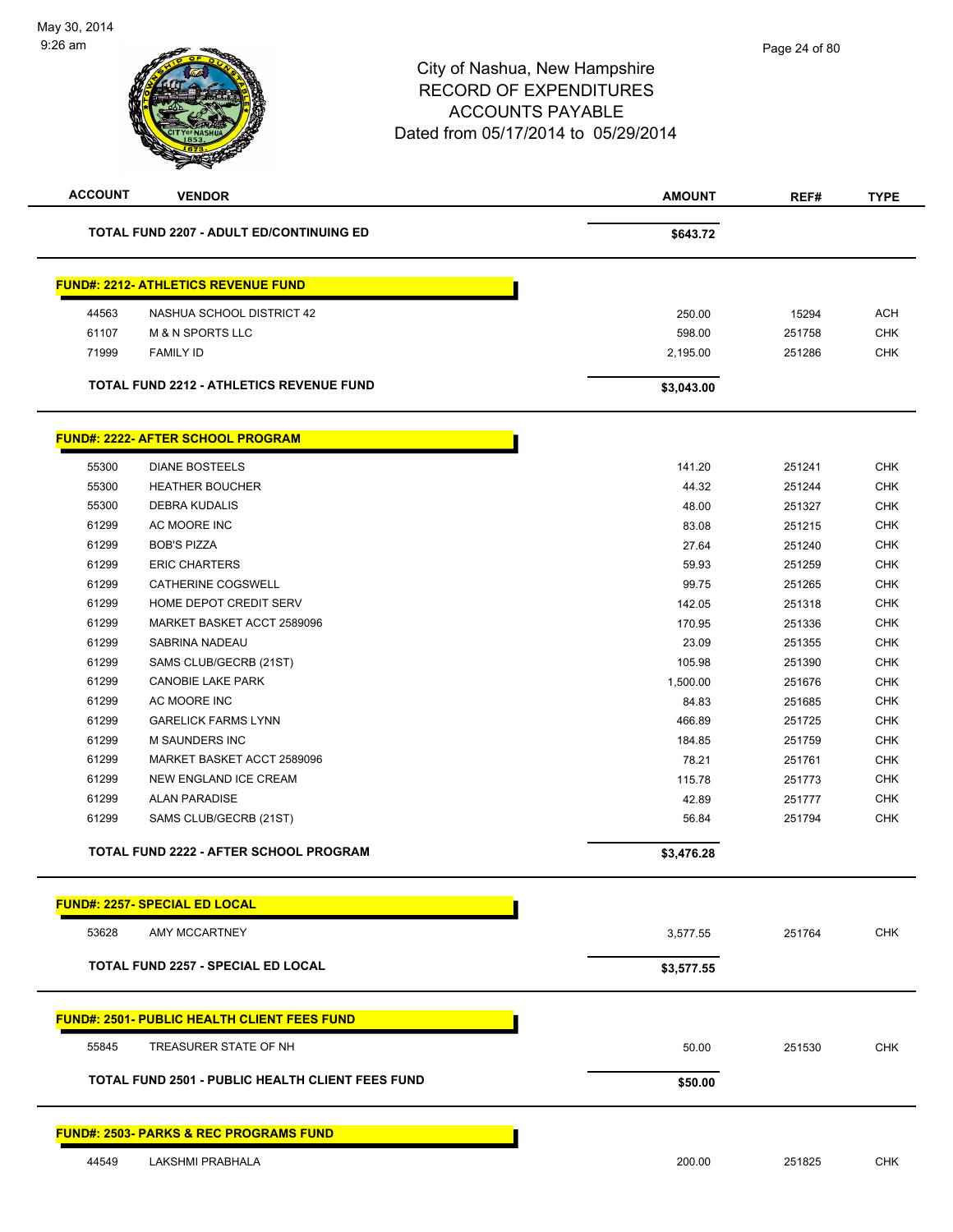| <b>TOTAL FUND 2207 - ADULT ED/CONTINUING ED</b><br>\$643.72<br><b>FUND#: 2212- ATHLETICS REVENUE FUND</b><br>44563<br>NASHUA SCHOOL DISTRICT 42<br>250.00<br>15294<br><b>ACH</b><br>61107<br><b>M &amp; N SPORTS LLC</b><br><b>CHK</b><br>598.00<br>251758<br>71999<br><b>FAMILY ID</b><br><b>CHK</b><br>251286<br>2,195.00<br><b>TOTAL FUND 2212 - ATHLETICS REVENUE FUND</b><br>\$3,043.00<br><b>FUND#: 2222- AFTER SCHOOL PROGRAM</b><br>55300<br><b>DIANE BOSTEELS</b><br><b>CHK</b><br>141.20<br>251241<br>CHK<br>55300<br><b>HEATHER BOUCHER</b><br>44.32<br>251244<br>55300<br>DEBRA KUDALIS<br>48.00<br><b>CHK</b><br>251327<br>61299<br>AC MOORE INC<br><b>CHK</b><br>83.08<br>251215<br>61299<br><b>BOB'S PIZZA</b><br><b>CHK</b><br>27.64<br>251240<br>61299<br><b>ERIC CHARTERS</b><br>59.93<br><b>CHK</b><br>251259<br>61299<br>CATHERINE COGSWELL<br><b>CHK</b><br>99.75<br>251265<br>61299<br>HOME DEPOT CREDIT SERV<br>142.05<br><b>CHK</b><br>251318<br>61299<br>MARKET BASKET ACCT 2589096<br><b>CHK</b><br>170.95<br>251336<br>61299<br>SABRINA NADEAU<br>23.09<br><b>CHK</b><br>251355<br>61299<br><b>CHK</b><br>SAMS CLUB/GECRB (21ST)<br>105.98<br>251390<br>61299<br><b>CANOBIE LAKE PARK</b><br><b>CHK</b><br>1,500.00<br>251676<br><b>CHK</b><br>61299<br>AC MOORE INC<br>84.83<br>251685<br>61299<br><b>GARELICK FARMS LYNN</b><br>466.89<br><b>CHK</b><br>251725<br>61299<br>M SAUNDERS INC<br><b>CHK</b><br>184.85<br>251759<br>61299<br>MARKET BASKET ACCT 2589096<br>78.21<br><b>CHK</b><br>251761<br>61299<br><b>CHK</b><br>NEW ENGLAND ICE CREAM<br>115.78<br>251773<br>61299<br><b>ALAN PARADISE</b><br>CHK<br>42.89<br>251777<br><b>CHK</b><br>61299<br>SAMS CLUB/GECRB (21ST)<br>56.84<br>251794<br>TOTAL FUND 2222 - AFTER SCHOOL PROGRAM<br>\$3,476.28<br><b>FUND#: 2257- SPECIAL ED LOCAL</b><br><b>CHK</b><br>53628<br>AMY MCCARTNEY<br>3,577.55<br>251764<br><b>TOTAL FUND 2257 - SPECIAL ED LOCAL</b><br>\$3,577.55<br><u>FUND#: 2501- PUBLIC HEALTH CLIENT FEES FUND</u><br>55845<br>TREASURER STATE OF NH<br>CHK<br>50.00<br>251530<br>TOTAL FUND 2501 - PUBLIC HEALTH CLIENT FEES FUND<br>\$50.00<br><b>FUND#: 2503- PARKS &amp; REC PROGRAMS FUND</b><br>44549<br>LAKSHMI PRABHALA<br><b>CHK</b><br>200.00<br>251825 | <b>ACCOUNT</b> | <b>VENDOR</b> | <b>AMOUNT</b> | REF# | <b>TYPE</b> |
|-------------------------------------------------------------------------------------------------------------------------------------------------------------------------------------------------------------------------------------------------------------------------------------------------------------------------------------------------------------------------------------------------------------------------------------------------------------------------------------------------------------------------------------------------------------------------------------------------------------------------------------------------------------------------------------------------------------------------------------------------------------------------------------------------------------------------------------------------------------------------------------------------------------------------------------------------------------------------------------------------------------------------------------------------------------------------------------------------------------------------------------------------------------------------------------------------------------------------------------------------------------------------------------------------------------------------------------------------------------------------------------------------------------------------------------------------------------------------------------------------------------------------------------------------------------------------------------------------------------------------------------------------------------------------------------------------------------------------------------------------------------------------------------------------------------------------------------------------------------------------------------------------------------------------------------------------------------------------------------------------------------------------------------------------------------------------------------------------------------------------------------------------------------------------------------------------------------------------------------------------------------------|----------------|---------------|---------------|------|-------------|
|                                                                                                                                                                                                                                                                                                                                                                                                                                                                                                                                                                                                                                                                                                                                                                                                                                                                                                                                                                                                                                                                                                                                                                                                                                                                                                                                                                                                                                                                                                                                                                                                                                                                                                                                                                                                                                                                                                                                                                                                                                                                                                                                                                                                                                                                   |                |               |               |      |             |
|                                                                                                                                                                                                                                                                                                                                                                                                                                                                                                                                                                                                                                                                                                                                                                                                                                                                                                                                                                                                                                                                                                                                                                                                                                                                                                                                                                                                                                                                                                                                                                                                                                                                                                                                                                                                                                                                                                                                                                                                                                                                                                                                                                                                                                                                   |                |               |               |      |             |
|                                                                                                                                                                                                                                                                                                                                                                                                                                                                                                                                                                                                                                                                                                                                                                                                                                                                                                                                                                                                                                                                                                                                                                                                                                                                                                                                                                                                                                                                                                                                                                                                                                                                                                                                                                                                                                                                                                                                                                                                                                                                                                                                                                                                                                                                   |                |               |               |      |             |
|                                                                                                                                                                                                                                                                                                                                                                                                                                                                                                                                                                                                                                                                                                                                                                                                                                                                                                                                                                                                                                                                                                                                                                                                                                                                                                                                                                                                                                                                                                                                                                                                                                                                                                                                                                                                                                                                                                                                                                                                                                                                                                                                                                                                                                                                   |                |               |               |      |             |
|                                                                                                                                                                                                                                                                                                                                                                                                                                                                                                                                                                                                                                                                                                                                                                                                                                                                                                                                                                                                                                                                                                                                                                                                                                                                                                                                                                                                                                                                                                                                                                                                                                                                                                                                                                                                                                                                                                                                                                                                                                                                                                                                                                                                                                                                   |                |               |               |      |             |
|                                                                                                                                                                                                                                                                                                                                                                                                                                                                                                                                                                                                                                                                                                                                                                                                                                                                                                                                                                                                                                                                                                                                                                                                                                                                                                                                                                                                                                                                                                                                                                                                                                                                                                                                                                                                                                                                                                                                                                                                                                                                                                                                                                                                                                                                   |                |               |               |      |             |
|                                                                                                                                                                                                                                                                                                                                                                                                                                                                                                                                                                                                                                                                                                                                                                                                                                                                                                                                                                                                                                                                                                                                                                                                                                                                                                                                                                                                                                                                                                                                                                                                                                                                                                                                                                                                                                                                                                                                                                                                                                                                                                                                                                                                                                                                   |                |               |               |      |             |
|                                                                                                                                                                                                                                                                                                                                                                                                                                                                                                                                                                                                                                                                                                                                                                                                                                                                                                                                                                                                                                                                                                                                                                                                                                                                                                                                                                                                                                                                                                                                                                                                                                                                                                                                                                                                                                                                                                                                                                                                                                                                                                                                                                                                                                                                   |                |               |               |      |             |
|                                                                                                                                                                                                                                                                                                                                                                                                                                                                                                                                                                                                                                                                                                                                                                                                                                                                                                                                                                                                                                                                                                                                                                                                                                                                                                                                                                                                                                                                                                                                                                                                                                                                                                                                                                                                                                                                                                                                                                                                                                                                                                                                                                                                                                                                   |                |               |               |      |             |
|                                                                                                                                                                                                                                                                                                                                                                                                                                                                                                                                                                                                                                                                                                                                                                                                                                                                                                                                                                                                                                                                                                                                                                                                                                                                                                                                                                                                                                                                                                                                                                                                                                                                                                                                                                                                                                                                                                                                                                                                                                                                                                                                                                                                                                                                   |                |               |               |      |             |
|                                                                                                                                                                                                                                                                                                                                                                                                                                                                                                                                                                                                                                                                                                                                                                                                                                                                                                                                                                                                                                                                                                                                                                                                                                                                                                                                                                                                                                                                                                                                                                                                                                                                                                                                                                                                                                                                                                                                                                                                                                                                                                                                                                                                                                                                   |                |               |               |      |             |
|                                                                                                                                                                                                                                                                                                                                                                                                                                                                                                                                                                                                                                                                                                                                                                                                                                                                                                                                                                                                                                                                                                                                                                                                                                                                                                                                                                                                                                                                                                                                                                                                                                                                                                                                                                                                                                                                                                                                                                                                                                                                                                                                                                                                                                                                   |                |               |               |      |             |
|                                                                                                                                                                                                                                                                                                                                                                                                                                                                                                                                                                                                                                                                                                                                                                                                                                                                                                                                                                                                                                                                                                                                                                                                                                                                                                                                                                                                                                                                                                                                                                                                                                                                                                                                                                                                                                                                                                                                                                                                                                                                                                                                                                                                                                                                   |                |               |               |      |             |
|                                                                                                                                                                                                                                                                                                                                                                                                                                                                                                                                                                                                                                                                                                                                                                                                                                                                                                                                                                                                                                                                                                                                                                                                                                                                                                                                                                                                                                                                                                                                                                                                                                                                                                                                                                                                                                                                                                                                                                                                                                                                                                                                                                                                                                                                   |                |               |               |      |             |
|                                                                                                                                                                                                                                                                                                                                                                                                                                                                                                                                                                                                                                                                                                                                                                                                                                                                                                                                                                                                                                                                                                                                                                                                                                                                                                                                                                                                                                                                                                                                                                                                                                                                                                                                                                                                                                                                                                                                                                                                                                                                                                                                                                                                                                                                   |                |               |               |      |             |
|                                                                                                                                                                                                                                                                                                                                                                                                                                                                                                                                                                                                                                                                                                                                                                                                                                                                                                                                                                                                                                                                                                                                                                                                                                                                                                                                                                                                                                                                                                                                                                                                                                                                                                                                                                                                                                                                                                                                                                                                                                                                                                                                                                                                                                                                   |                |               |               |      |             |
|                                                                                                                                                                                                                                                                                                                                                                                                                                                                                                                                                                                                                                                                                                                                                                                                                                                                                                                                                                                                                                                                                                                                                                                                                                                                                                                                                                                                                                                                                                                                                                                                                                                                                                                                                                                                                                                                                                                                                                                                                                                                                                                                                                                                                                                                   |                |               |               |      |             |
|                                                                                                                                                                                                                                                                                                                                                                                                                                                                                                                                                                                                                                                                                                                                                                                                                                                                                                                                                                                                                                                                                                                                                                                                                                                                                                                                                                                                                                                                                                                                                                                                                                                                                                                                                                                                                                                                                                                                                                                                                                                                                                                                                                                                                                                                   |                |               |               |      |             |
|                                                                                                                                                                                                                                                                                                                                                                                                                                                                                                                                                                                                                                                                                                                                                                                                                                                                                                                                                                                                                                                                                                                                                                                                                                                                                                                                                                                                                                                                                                                                                                                                                                                                                                                                                                                                                                                                                                                                                                                                                                                                                                                                                                                                                                                                   |                |               |               |      |             |
|                                                                                                                                                                                                                                                                                                                                                                                                                                                                                                                                                                                                                                                                                                                                                                                                                                                                                                                                                                                                                                                                                                                                                                                                                                                                                                                                                                                                                                                                                                                                                                                                                                                                                                                                                                                                                                                                                                                                                                                                                                                                                                                                                                                                                                                                   |                |               |               |      |             |
|                                                                                                                                                                                                                                                                                                                                                                                                                                                                                                                                                                                                                                                                                                                                                                                                                                                                                                                                                                                                                                                                                                                                                                                                                                                                                                                                                                                                                                                                                                                                                                                                                                                                                                                                                                                                                                                                                                                                                                                                                                                                                                                                                                                                                                                                   |                |               |               |      |             |
|                                                                                                                                                                                                                                                                                                                                                                                                                                                                                                                                                                                                                                                                                                                                                                                                                                                                                                                                                                                                                                                                                                                                                                                                                                                                                                                                                                                                                                                                                                                                                                                                                                                                                                                                                                                                                                                                                                                                                                                                                                                                                                                                                                                                                                                                   |                |               |               |      |             |
|                                                                                                                                                                                                                                                                                                                                                                                                                                                                                                                                                                                                                                                                                                                                                                                                                                                                                                                                                                                                                                                                                                                                                                                                                                                                                                                                                                                                                                                                                                                                                                                                                                                                                                                                                                                                                                                                                                                                                                                                                                                                                                                                                                                                                                                                   |                |               |               |      |             |
|                                                                                                                                                                                                                                                                                                                                                                                                                                                                                                                                                                                                                                                                                                                                                                                                                                                                                                                                                                                                                                                                                                                                                                                                                                                                                                                                                                                                                                                                                                                                                                                                                                                                                                                                                                                                                                                                                                                                                                                                                                                                                                                                                                                                                                                                   |                |               |               |      |             |
|                                                                                                                                                                                                                                                                                                                                                                                                                                                                                                                                                                                                                                                                                                                                                                                                                                                                                                                                                                                                                                                                                                                                                                                                                                                                                                                                                                                                                                                                                                                                                                                                                                                                                                                                                                                                                                                                                                                                                                                                                                                                                                                                                                                                                                                                   |                |               |               |      |             |
|                                                                                                                                                                                                                                                                                                                                                                                                                                                                                                                                                                                                                                                                                                                                                                                                                                                                                                                                                                                                                                                                                                                                                                                                                                                                                                                                                                                                                                                                                                                                                                                                                                                                                                                                                                                                                                                                                                                                                                                                                                                                                                                                                                                                                                                                   |                |               |               |      |             |
|                                                                                                                                                                                                                                                                                                                                                                                                                                                                                                                                                                                                                                                                                                                                                                                                                                                                                                                                                                                                                                                                                                                                                                                                                                                                                                                                                                                                                                                                                                                                                                                                                                                                                                                                                                                                                                                                                                                                                                                                                                                                                                                                                                                                                                                                   |                |               |               |      |             |
|                                                                                                                                                                                                                                                                                                                                                                                                                                                                                                                                                                                                                                                                                                                                                                                                                                                                                                                                                                                                                                                                                                                                                                                                                                                                                                                                                                                                                                                                                                                                                                                                                                                                                                                                                                                                                                                                                                                                                                                                                                                                                                                                                                                                                                                                   |                |               |               |      |             |
|                                                                                                                                                                                                                                                                                                                                                                                                                                                                                                                                                                                                                                                                                                                                                                                                                                                                                                                                                                                                                                                                                                                                                                                                                                                                                                                                                                                                                                                                                                                                                                                                                                                                                                                                                                                                                                                                                                                                                                                                                                                                                                                                                                                                                                                                   |                |               |               |      |             |
|                                                                                                                                                                                                                                                                                                                                                                                                                                                                                                                                                                                                                                                                                                                                                                                                                                                                                                                                                                                                                                                                                                                                                                                                                                                                                                                                                                                                                                                                                                                                                                                                                                                                                                                                                                                                                                                                                                                                                                                                                                                                                                                                                                                                                                                                   |                |               |               |      |             |
|                                                                                                                                                                                                                                                                                                                                                                                                                                                                                                                                                                                                                                                                                                                                                                                                                                                                                                                                                                                                                                                                                                                                                                                                                                                                                                                                                                                                                                                                                                                                                                                                                                                                                                                                                                                                                                                                                                                                                                                                                                                                                                                                                                                                                                                                   |                |               |               |      |             |
|                                                                                                                                                                                                                                                                                                                                                                                                                                                                                                                                                                                                                                                                                                                                                                                                                                                                                                                                                                                                                                                                                                                                                                                                                                                                                                                                                                                                                                                                                                                                                                                                                                                                                                                                                                                                                                                                                                                                                                                                                                                                                                                                                                                                                                                                   |                |               |               |      |             |
|                                                                                                                                                                                                                                                                                                                                                                                                                                                                                                                                                                                                                                                                                                                                                                                                                                                                                                                                                                                                                                                                                                                                                                                                                                                                                                                                                                                                                                                                                                                                                                                                                                                                                                                                                                                                                                                                                                                                                                                                                                                                                                                                                                                                                                                                   |                |               |               |      |             |
|                                                                                                                                                                                                                                                                                                                                                                                                                                                                                                                                                                                                                                                                                                                                                                                                                                                                                                                                                                                                                                                                                                                                                                                                                                                                                                                                                                                                                                                                                                                                                                                                                                                                                                                                                                                                                                                                                                                                                                                                                                                                                                                                                                                                                                                                   |                |               |               |      |             |
|                                                                                                                                                                                                                                                                                                                                                                                                                                                                                                                                                                                                                                                                                                                                                                                                                                                                                                                                                                                                                                                                                                                                                                                                                                                                                                                                                                                                                                                                                                                                                                                                                                                                                                                                                                                                                                                                                                                                                                                                                                                                                                                                                                                                                                                                   |                |               |               |      |             |
|                                                                                                                                                                                                                                                                                                                                                                                                                                                                                                                                                                                                                                                                                                                                                                                                                                                                                                                                                                                                                                                                                                                                                                                                                                                                                                                                                                                                                                                                                                                                                                                                                                                                                                                                                                                                                                                                                                                                                                                                                                                                                                                                                                                                                                                                   |                |               |               |      |             |
|                                                                                                                                                                                                                                                                                                                                                                                                                                                                                                                                                                                                                                                                                                                                                                                                                                                                                                                                                                                                                                                                                                                                                                                                                                                                                                                                                                                                                                                                                                                                                                                                                                                                                                                                                                                                                                                                                                                                                                                                                                                                                                                                                                                                                                                                   |                |               |               |      |             |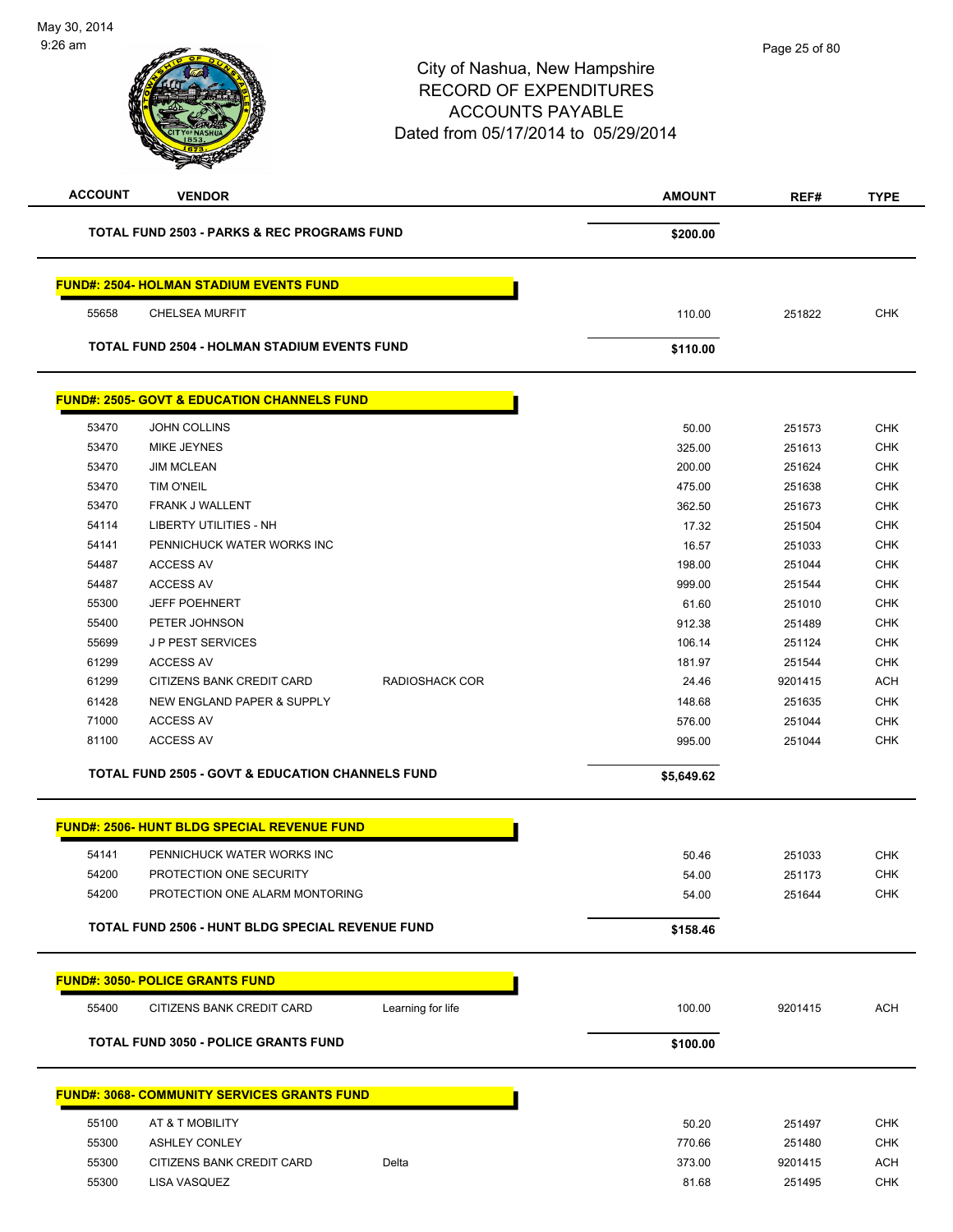# City of Nashua, New Hampshire RECORD OF EXPENDITURES ACCOUNTS PAYABLE Dated from 05/17/2014 to 05/29/2014 **ACCOUNT VENDOR AMOUNT REF# TYPE**

| <b>TOTAL FUND 2503 - PARKS &amp; REC PROGRAMS FUND</b> |          |
|--------------------------------------------------------|----------|
|                                                        | \$200.00 |

### **FUND#: 2504- HOLMAN STADIUM EVENTS FUND**

55658 CHELSEA MURFIT 110.00 251822 CHK

**TOTAL FUND 2504 - HOLMAN STADIUM EVENTS FUND \$110.00** 

### **FUND#: 2505- GOVT & EDUCATION CHANNELS FUND**

| 53470 | <b>JOHN COLLINS</b>        |                | 50.00  | 251573  | <b>CHK</b> |
|-------|----------------------------|----------------|--------|---------|------------|
| 53470 | MIKE JEYNES                |                | 325.00 | 251613  | <b>CHK</b> |
| 53470 | <b>JIM MCLEAN</b>          |                | 200.00 | 251624  | <b>CHK</b> |
| 53470 | <b>TIM O'NEIL</b>          |                | 475.00 | 251638  | <b>CHK</b> |
| 53470 | <b>FRANK J WALLENT</b>     |                | 362.50 | 251673  | <b>CHK</b> |
| 54114 | LIBERTY UTILITIES - NH     |                | 17.32  | 251504  | <b>CHK</b> |
| 54141 | PENNICHUCK WATER WORKS INC |                | 16.57  | 251033  | <b>CHK</b> |
| 54487 | <b>ACCESS AV</b>           |                | 198.00 | 251044  | <b>CHK</b> |
| 54487 | <b>ACCESS AV</b>           |                | 999.00 | 251544  | <b>CHK</b> |
| 55300 | <b>JEFF POEHNERT</b>       |                | 61.60  | 251010  | <b>CHK</b> |
| 55400 | PETER JOHNSON              |                | 912.38 | 251489  | <b>CHK</b> |
| 55699 | <b>JP PEST SERVICES</b>    |                | 106.14 | 251124  | <b>CHK</b> |
| 61299 | <b>ACCESS AV</b>           |                | 181.97 | 251544  | <b>CHK</b> |
| 61299 | CITIZENS BANK CREDIT CARD  | RADIOSHACK COR | 24.46  | 9201415 | <b>ACH</b> |
| 61428 | NEW ENGLAND PAPER & SUPPLY |                | 148.68 | 251635  | <b>CHK</b> |
| 71000 | <b>ACCESS AV</b>           |                | 576.00 | 251044  | <b>CHK</b> |
| 81100 | <b>ACCESS AV</b>           |                | 995.00 | 251044  | <b>CHK</b> |
|       |                            |                |        |         |            |

**TOTAL FUND 2505 - GOVT & EDUCATION CHANNELS FUND \$5,649.62** 

|       | <b>FUND#: 2506- HUNT BLDG SPECIAL REVENUE FUND</b>      |          |        |            |
|-------|---------------------------------------------------------|----------|--------|------------|
| 54141 | PENNICHUCK WATER WORKS INC                              | 50.46    | 251033 | <b>CHK</b> |
| 54200 | PROTECTION ONE SECURITY                                 | 54.00    | 251173 | <b>CHK</b> |
| 54200 | PROTECTION ONE ALARM MONTORING                          | 54.00    | 251644 | <b>CHK</b> |
|       |                                                         |          |        |            |
|       | <b>TOTAL FUND 2506 - HUNT BLDG SPECIAL REVENUE FUND</b> | \$158.46 |        |            |
|       | <b>FUND#: 3050- POLICE GRANTS FUND</b>                  |          |        |            |

### **TOTAL FUND 3050 - POLICE GRANTS FUND \$100.00**

| \$100.00 |  |
|----------|--|

## **FUND#: 3068- COMMUNITY SERVICES GRANTS FUND** 55100 AT & T MOBILITY 50.20 251497 CHK 55300 ASHLEY CONLEY 770.66 251480 CHK 55300 CITIZENS BANK CREDIT CARD Delta 373.00 9201415 ACH 55300 LISA VASQUEZ 81.68 251495 CHK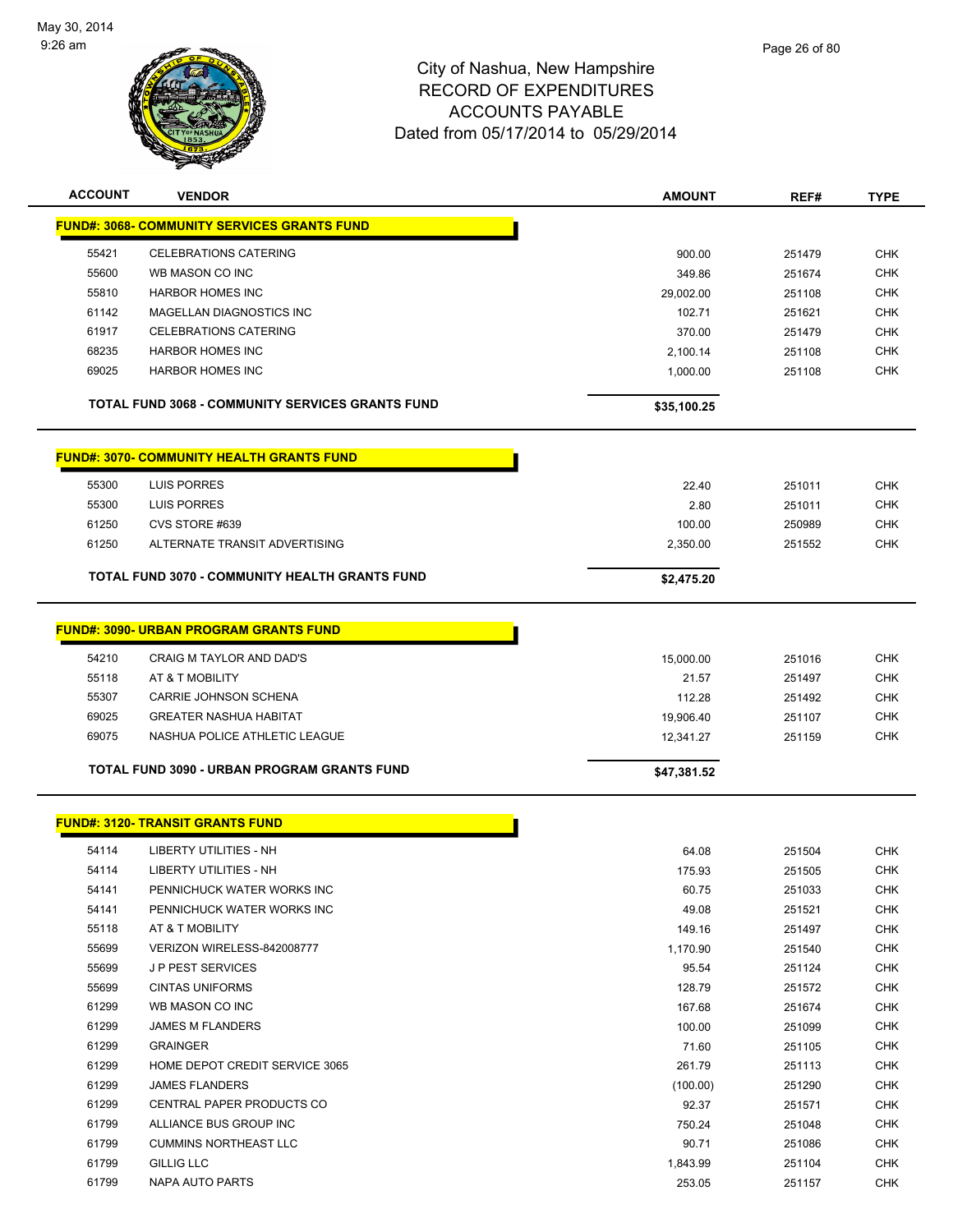

| <b>ACCOUNT</b> | <b>VENDOR</b>                                           | <b>AMOUNT</b> | REF#   | <b>TYPE</b> |
|----------------|---------------------------------------------------------|---------------|--------|-------------|
|                | <b>FUND#: 3068- COMMUNITY SERVICES GRANTS FUND</b>      |               |        |             |
| 55421          | <b>CELEBRATIONS CATERING</b>                            | 900.00        | 251479 | <b>CHK</b>  |
| 55600          | WB MASON CO INC                                         | 349.86        | 251674 | <b>CHK</b>  |
| 55810          | <b>HARBOR HOMES INC</b>                                 | 29,002.00     | 251108 | <b>CHK</b>  |
| 61142          | MAGELLAN DIAGNOSTICS INC                                | 102.71        | 251621 | <b>CHK</b>  |
| 61917          | <b>CELEBRATIONS CATERING</b>                            | 370.00        | 251479 | <b>CHK</b>  |
| 68235          | <b>HARBOR HOMES INC</b>                                 | 2,100.14      | 251108 | <b>CHK</b>  |
| 69025          | <b>HARBOR HOMES INC</b>                                 | 1,000.00      | 251108 | <b>CHK</b>  |
|                | <b>TOTAL FUND 3068 - COMMUNITY SERVICES GRANTS FUND</b> | \$35,100.25   |        |             |
|                | <b>FUND#: 3070- COMMUNITY HEALTH GRANTS FUND</b>        |               |        |             |
| 55300          | LUIS PORRES                                             | 22.40         | 251011 | <b>CHK</b>  |
| 55300          | LUIS PORRES                                             | 2.80          | 251011 | <b>CHK</b>  |
| 61250          | CVS STORE #639                                          | 100.00        | 250989 | <b>CHK</b>  |
| 61250          | ALTERNATE TRANSIT ADVERTISING                           | 2,350.00      | 251552 | <b>CHK</b>  |
|                | <b>TOTAL FUND 3070 - COMMUNITY HEALTH GRANTS FUND</b>   | \$2,475.20    |        |             |
|                |                                                         |               |        |             |
|                | <b>FUND#: 3090- URBAN PROGRAM GRANTS FUND</b>           |               |        |             |
| 54210          | CRAIG M TAYLOR AND DAD'S                                | 15,000.00     | 251016 | <b>CHK</b>  |
| 55118          | AT & T MOBILITY                                         | 21.57         | 251497 | <b>CHK</b>  |
| 55307          | CARRIE JOHNSON SCHENA                                   | 112.28        | 251492 | <b>CHK</b>  |
| 69025          | <b>GREATER NASHUA HABITAT</b>                           | 19,906.40     | 251107 | <b>CHK</b>  |
| 69075          | NASHUA POLICE ATHLETIC LEAGUE                           | 12,341.27     | 251159 | CHK         |
|                |                                                         |               |        |             |
|                | TOTAL FUND 3090 - URBAN PROGRAM GRANTS FUND             | \$47,381.52   |        |             |
|                | <b>FUND#: 3120- TRANSIT GRANTS FUND</b>                 |               |        |             |
| 54114          | <b>LIBERTY UTILITIES - NH</b>                           | 64.08         | 251504 | CHK         |
| 54114          | <b>LIBERTY UTILITIES - NH</b>                           | 175.93        | 251505 | <b>CHK</b>  |
| 54141          | PENNICHUCK WATER WORKS INC                              | 60.75         | 251033 | <b>CHK</b>  |
| 54141          | PENNICHUCK WATER WORKS INC                              | 49.08         | 251521 | <b>CHK</b>  |
| 55118          | AT & T MOBILITY                                         | 149.16        | 251497 | <b>CHK</b>  |
| 55699          | VERIZON WIRELESS-842008777                              | 1,170.90      | 251540 | <b>CHK</b>  |
| 55699          | <b>JP PEST SERVICES</b>                                 | 95.54         | 251124 | <b>CHK</b>  |
| 55699          | <b>CINTAS UNIFORMS</b>                                  | 128.79        | 251572 | <b>CHK</b>  |
| 61299          | WB MASON CO INC                                         | 167.68        | 251674 | CHK         |
| 61299          | <b>JAMES M FLANDERS</b>                                 | 100.00        | 251099 | <b>CHK</b>  |
| 61299          | <b>GRAINGER</b>                                         | 71.60         | 251105 | <b>CHK</b>  |
| 61299          | HOME DEPOT CREDIT SERVICE 3065                          | 261.79        | 251113 | <b>CHK</b>  |
| 61299          | <b>JAMES FLANDERS</b>                                   | (100.00)      | 251290 | <b>CHK</b>  |
| 61299          | CENTRAL PAPER PRODUCTS CO                               | 92.37         | 251571 | <b>CHK</b>  |
| 61799          | ALLIANCE BUS GROUP INC                                  | 750.24        | 251048 | CHK         |
| 61799          | <b>CUMMINS NORTHEAST LLC</b>                            | 90.71         | 251086 | <b>CHK</b>  |
| 61799          | <b>GILLIG LLC</b>                                       | 1,843.99      | 251104 | <b>CHK</b>  |
| 61799          | NAPA AUTO PARTS                                         | 253.05        | 251157 | <b>CHK</b>  |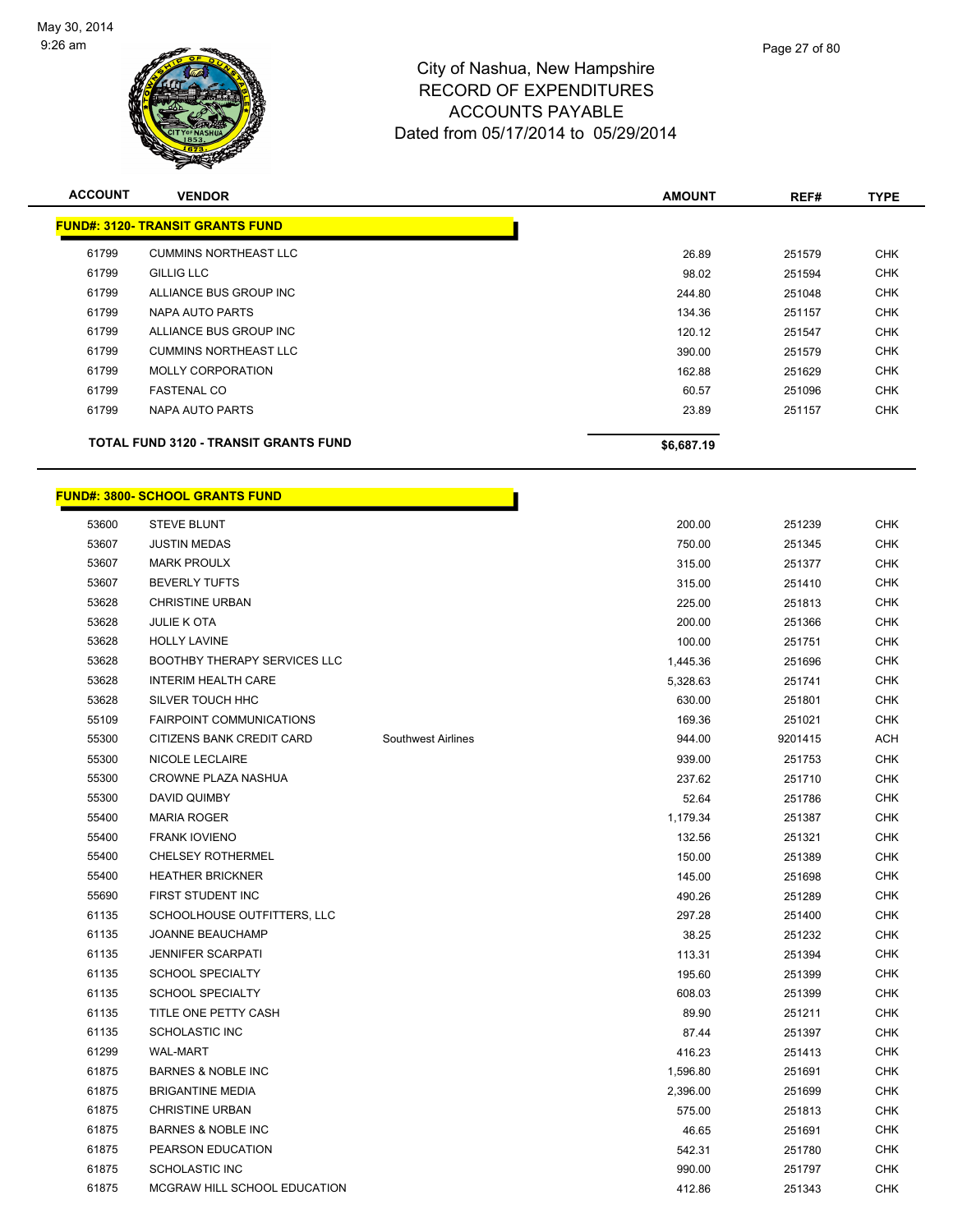

| <b>ACCOUNT</b> | <b>VENDOR</b>                           | <b>AMOUNT</b> | REF#   | <b>TYPE</b> |
|----------------|-----------------------------------------|---------------|--------|-------------|
|                | <b>FUND#: 3120- TRANSIT GRANTS FUND</b> |               |        |             |
| 61799          | <b>CUMMINS NORTHEAST LLC</b>            | 26.89         | 251579 | <b>CHK</b>  |
| 61799          | <b>GILLIG LLC</b>                       | 98.02         | 251594 | <b>CHK</b>  |
| 61799          | ALLIANCE BUS GROUP INC                  | 244.80        | 251048 | <b>CHK</b>  |
| 61799          | NAPA AUTO PARTS                         | 134.36        | 251157 | <b>CHK</b>  |
| 61799          | ALLIANCE BUS GROUP INC                  | 120.12        | 251547 | <b>CHK</b>  |
| 61799          | <b>CUMMINS NORTHEAST LLC</b>            | 390.00        | 251579 | <b>CHK</b>  |
| 61799          | <b>MOLLY CORPORATION</b>                | 162.88        | 251629 | <b>CHK</b>  |
| 61799          | <b>FASTENAL CO</b>                      | 60.57         | 251096 | <b>CHK</b>  |
| 61799          | NAPA AUTO PARTS                         | 23.89         | 251157 | <b>CHK</b>  |
|                | TOTAL FUND 3120 - TRANSIT GRANTS FUND   | \$6,687.19    |        |             |

Г

## **FUND#: 3800- SCHOOL GRANTS FUND**

| 53600<br>53607 | <b>STEVE BLUNT</b><br><b>JUSTIN MEDAS</b> |                           | 200.00   | 251239  | <b>CHK</b> |
|----------------|-------------------------------------------|---------------------------|----------|---------|------------|
|                |                                           |                           |          |         |            |
|                |                                           |                           | 750.00   | 251345  | <b>CHK</b> |
| 53607          | <b>MARK PROULX</b>                        |                           | 315.00   | 251377  | CHK        |
| 53607          | <b>BEVERLY TUFTS</b>                      |                           | 315.00   | 251410  | <b>CHK</b> |
| 53628          | <b>CHRISTINE URBAN</b>                    |                           | 225.00   | 251813  | <b>CHK</b> |
| 53628          | <b>JULIE K OTA</b>                        |                           | 200.00   | 251366  | <b>CHK</b> |
| 53628          | <b>HOLLY LAVINE</b>                       |                           | 100.00   | 251751  | <b>CHK</b> |
| 53628          | BOOTHBY THERAPY SERVICES LLC              |                           | 1,445.36 | 251696  | CHK        |
| 53628          | <b>INTERIM HEALTH CARE</b>                |                           | 5,328.63 | 251741  | <b>CHK</b> |
| 53628          | SILVER TOUCH HHC                          |                           | 630.00   | 251801  | <b>CHK</b> |
| 55109          | <b>FAIRPOINT COMMUNICATIONS</b>           |                           | 169.36   | 251021  | <b>CHK</b> |
| 55300          | CITIZENS BANK CREDIT CARD                 | <b>Southwest Airlines</b> | 944.00   | 9201415 | <b>ACH</b> |
| 55300          | NICOLE LECLAIRE                           |                           | 939.00   | 251753  | <b>CHK</b> |
| 55300          | CROWNE PLAZA NASHUA                       |                           | 237.62   | 251710  | <b>CHK</b> |
| 55300          | DAVID QUIMBY                              |                           | 52.64    | 251786  | <b>CHK</b> |
| 55400          | <b>MARIA ROGER</b>                        |                           | 1,179.34 | 251387  | <b>CHK</b> |
| 55400          | <b>FRANK IOVIENO</b>                      |                           | 132.56   | 251321  | <b>CHK</b> |
| 55400          | <b>CHELSEY ROTHERMEL</b>                  |                           | 150.00   | 251389  | <b>CHK</b> |
| 55400          | <b>HEATHER BRICKNER</b>                   |                           | 145.00   | 251698  | <b>CHK</b> |
| 55690          | FIRST STUDENT INC                         |                           | 490.26   | 251289  | <b>CHK</b> |
| 61135          | SCHOOLHOUSE OUTFITTERS, LLC               |                           | 297.28   | 251400  | CHK        |
| 61135          | JOANNE BEAUCHAMP                          |                           | 38.25    | 251232  | <b>CHK</b> |
| 61135          | <b>JENNIFER SCARPATI</b>                  |                           | 113.31   | 251394  | <b>CHK</b> |
| 61135          | SCHOOL SPECIALTY                          |                           | 195.60   | 251399  | <b>CHK</b> |
| 61135          | <b>SCHOOL SPECIALTY</b>                   |                           | 608.03   | 251399  | <b>CHK</b> |
| 61135          | TITLE ONE PETTY CASH                      |                           | 89.90    | 251211  | CHK        |
| 61135          | SCHOLASTIC INC                            |                           | 87.44    | 251397  | <b>CHK</b> |
| 61299          | <b>WAL-MART</b>                           |                           | 416.23   | 251413  | <b>CHK</b> |
| 61875          | <b>BARNES &amp; NOBLE INC</b>             |                           | 1,596.80 | 251691  | <b>CHK</b> |
| 61875          | <b>BRIGANTINE MEDIA</b>                   |                           | 2,396.00 | 251699  | <b>CHK</b> |
| 61875          | <b>CHRISTINE URBAN</b>                    |                           | 575.00   | 251813  | <b>CHK</b> |
| 61875          | <b>BARNES &amp; NOBLE INC</b>             |                           | 46.65    | 251691  | <b>CHK</b> |
| 61875          | PEARSON EDUCATION                         |                           | 542.31   | 251780  | <b>CHK</b> |
| 61875          | <b>SCHOLASTIC INC</b>                     |                           | 990.00   | 251797  | <b>CHK</b> |
| 61875          | MCGRAW HILL SCHOOL EDUCATION              |                           | 412.86   | 251343  | <b>CHK</b> |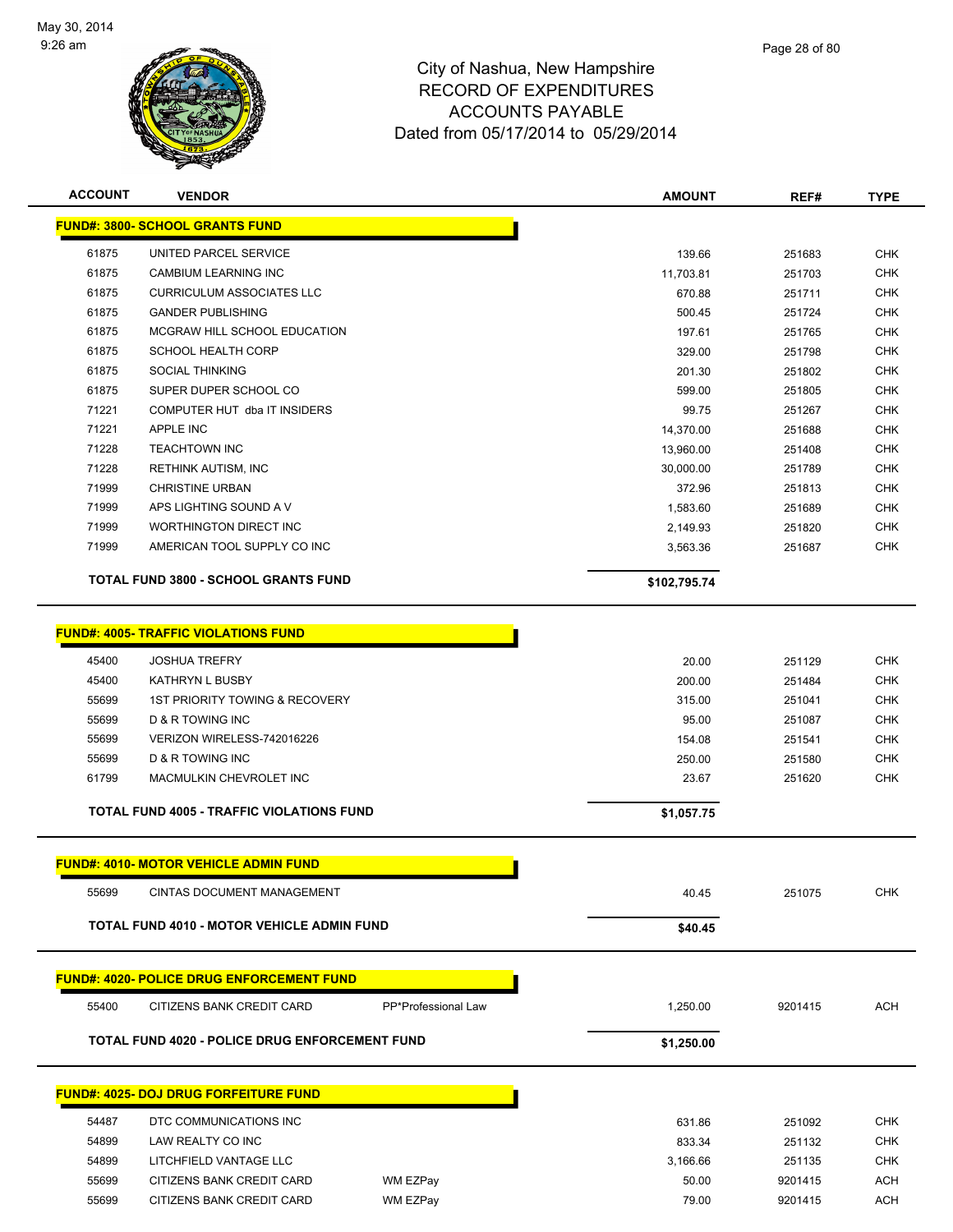

| <b>ACCOUNT</b> | <b>VENDOR</b>                                     |                     | <b>AMOUNT</b> | REF#    | <b>TYPE</b> |
|----------------|---------------------------------------------------|---------------------|---------------|---------|-------------|
|                | <b>FUND#: 3800- SCHOOL GRANTS FUND</b>            |                     |               |         |             |
| 61875          | UNITED PARCEL SERVICE                             |                     | 139.66        | 251683  | <b>CHK</b>  |
| 61875          | CAMBIUM LEARNING INC                              |                     | 11,703.81     | 251703  | <b>CHK</b>  |
| 61875          | <b>CURRICULUM ASSOCIATES LLC</b>                  |                     | 670.88        | 251711  | <b>CHK</b>  |
| 61875          | <b>GANDER PUBLISHING</b>                          |                     | 500.45        | 251724  | CHK         |
| 61875          | MCGRAW HILL SCHOOL EDUCATION                      |                     | 197.61        | 251765  | <b>CHK</b>  |
| 61875          | <b>SCHOOL HEALTH CORP</b>                         |                     | 329.00        | 251798  | CHK         |
| 61875          | <b>SOCIAL THINKING</b>                            |                     | 201.30        | 251802  | <b>CHK</b>  |
| 61875          | SUPER DUPER SCHOOL CO                             |                     | 599.00        | 251805  | <b>CHK</b>  |
| 71221          | COMPUTER HUT dba IT INSIDERS                      |                     | 99.75         | 251267  | <b>CHK</b>  |
| 71221          | APPLE INC                                         |                     | 14,370.00     | 251688  | <b>CHK</b>  |
| 71228          | <b>TEACHTOWN INC</b>                              |                     | 13,960.00     | 251408  | <b>CHK</b>  |
| 71228          | <b>RETHINK AUTISM, INC</b>                        |                     | 30,000.00     | 251789  | <b>CHK</b>  |
| 71999          | <b>CHRISTINE URBAN</b>                            |                     | 372.96        | 251813  | <b>CHK</b>  |
| 71999          | APS LIGHTING SOUND A V                            |                     | 1,583.60      | 251689  | <b>CHK</b>  |
| 71999          | <b>WORTHINGTON DIRECT INC</b>                     |                     | 2,149.93      | 251820  | <b>CHK</b>  |
| 71999          | AMERICAN TOOL SUPPLY CO INC                       |                     | 3,563.36      | 251687  | <b>CHK</b>  |
|                | <b>TOTAL FUND 3800 - SCHOOL GRANTS FUND</b>       |                     | \$102,795.74  |         |             |
|                |                                                   |                     |               |         |             |
|                | <b>FUND#: 4005- TRAFFIC VIOLATIONS FUND</b>       |                     |               |         |             |
| 45400          | <b>JOSHUA TREFRY</b>                              |                     | 20.00         | 251129  | <b>CHK</b>  |
| 45400          | <b>KATHRYN L BUSBY</b>                            |                     | 200.00        | 251484  | <b>CHK</b>  |
| 55699          | 1ST PRIORITY TOWING & RECOVERY                    |                     | 315.00        | 251041  | CHK         |
| 55699          | D & R TOWING INC                                  |                     | 95.00         | 251087  | <b>CHK</b>  |
| 55699          | VERIZON WIRELESS-742016226                        |                     | 154.08        | 251541  | <b>CHK</b>  |
| 55699          | D & R TOWING INC                                  |                     | 250.00        | 251580  | <b>CHK</b>  |
| 61799          | MACMULKIN CHEVROLET INC                           |                     | 23.67         | 251620  | <b>CHK</b>  |
|                | <b>TOTAL FUND 4005 - TRAFFIC VIOLATIONS FUND</b>  |                     | \$1,057.75    |         |             |
|                |                                                   |                     |               |         |             |
|                | <b>FUND#: 4010- MOTOR VEHICLE ADMIN FUND</b>      |                     |               |         |             |
| 55699          | CINTAS DOCUMENT MANAGEMENT                        |                     | 40.45         | 251075  | <b>CHK</b>  |
|                | <b>TOTAL FUND 4010 - MOTOR VEHICLE ADMIN FUND</b> |                     | \$40.45       |         |             |
|                |                                                   |                     |               |         |             |
|                | <b>FUND#: 4020- POLICE DRUG ENFORCEMENT FUND</b>  |                     |               |         |             |
| 55400          | CITIZENS BANK CREDIT CARD                         | PP*Professional Law | 1,250.00      | 9201415 | <b>ACH</b>  |
|                | TOTAL FUND 4020 - POLICE DRUG ENFORCEMENT FUND    |                     | \$1,250.00    |         |             |
|                |                                                   |                     |               |         |             |
|                | <b>FUND#: 4025- DOJ DRUG FORFEITURE FUND</b>      |                     |               |         |             |
| 54487          | DTC COMMUNICATIONS INC                            |                     | 631.86        | 251092  | <b>CHK</b>  |
| 54899          | LAW REALTY CO INC                                 |                     | 833.34        | 251132  | <b>CHK</b>  |
| 54899          | LITCHFIELD VANTAGE LLC                            |                     | 3,166.66      | 251135  | <b>CHK</b>  |
| 55699          | CITIZENS BANK CREDIT CARD                         | WM EZPay            | 50.00         | 9201415 | <b>ACH</b>  |
| 55699          | CITIZENS BANK CREDIT CARD                         | WM EZPay            | 79.00         | 9201415 | <b>ACH</b>  |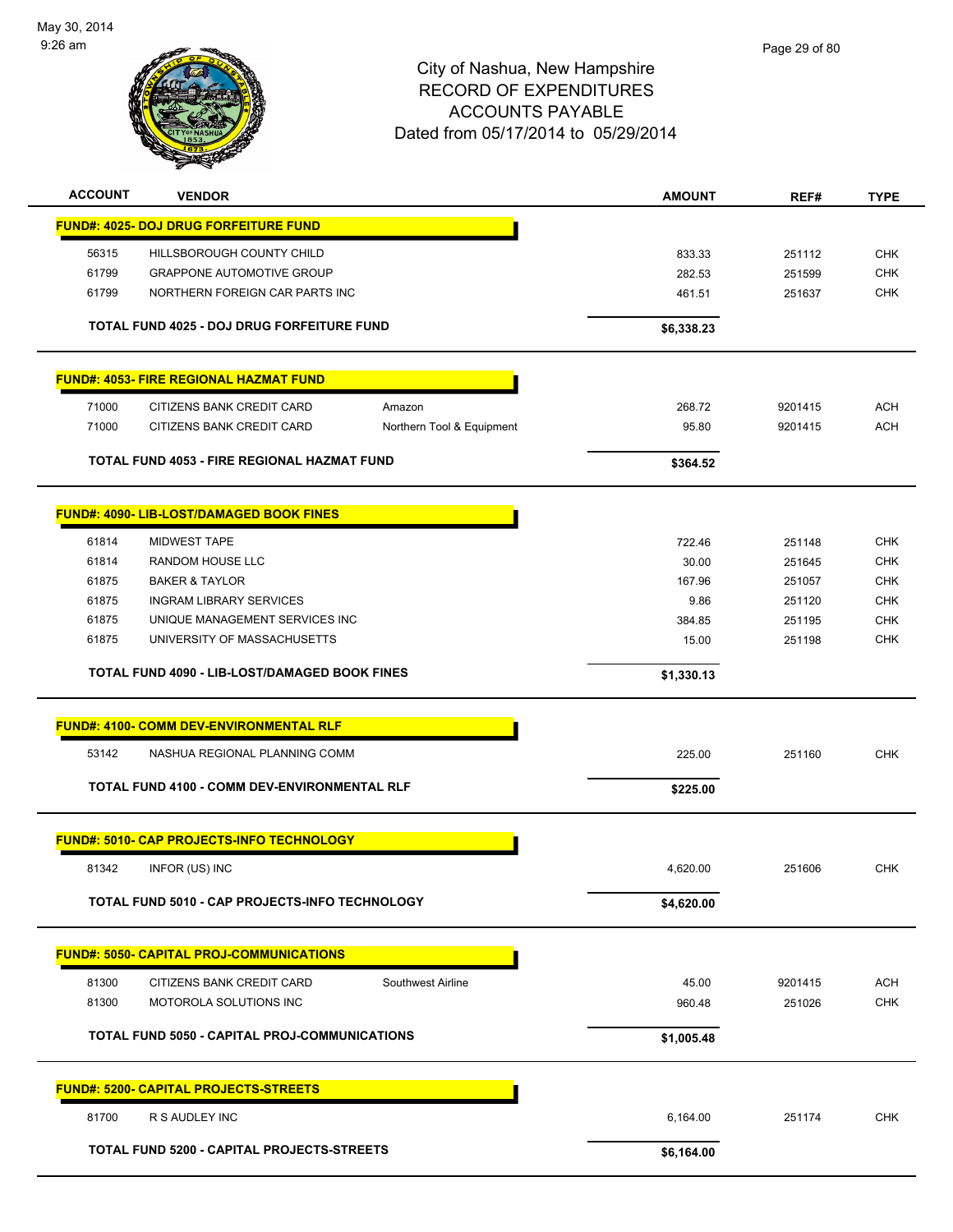

| <b>ACCOUNT</b> | <b>VENDOR</b>                                         |                           | <b>AMOUNT</b> | REF#    | <b>TYPE</b> |
|----------------|-------------------------------------------------------|---------------------------|---------------|---------|-------------|
|                | <b>FUND#: 4025- DOJ DRUG FORFEITURE FUND</b>          |                           |               |         |             |
| 56315          | HILLSBOROUGH COUNTY CHILD                             |                           | 833.33        | 251112  | <b>CHK</b>  |
| 61799          | <b>GRAPPONE AUTOMOTIVE GROUP</b>                      |                           | 282.53        | 251599  | <b>CHK</b>  |
| 61799          | NORTHERN FOREIGN CAR PARTS INC                        |                           | 461.51        | 251637  | <b>CHK</b>  |
|                |                                                       |                           |               |         |             |
|                | TOTAL FUND 4025 - DOJ DRUG FORFEITURE FUND            |                           | \$6,338.23    |         |             |
|                | <b>FUND#: 4053- FIRE REGIONAL HAZMAT FUND</b>         |                           |               |         |             |
| 71000          | CITIZENS BANK CREDIT CARD                             | Amazon                    | 268.72        | 9201415 | <b>ACH</b>  |
| 71000          | CITIZENS BANK CREDIT CARD                             | Northern Tool & Equipment | 95.80         | 9201415 | <b>ACH</b>  |
|                | TOTAL FUND 4053 - FIRE REGIONAL HAZMAT FUND           |                           | \$364.52      |         |             |
|                |                                                       |                           |               |         |             |
|                | <b>FUND#: 4090- LIB-LOST/DAMAGED BOOK FINES</b>       |                           |               |         |             |
| 61814          | MIDWEST TAPE                                          |                           | 722.46        | 251148  | <b>CHK</b>  |
| 61814          | <b>RANDOM HOUSE LLC</b>                               |                           | 30.00         | 251645  | <b>CHK</b>  |
| 61875          | <b>BAKER &amp; TAYLOR</b>                             |                           | 167.96        | 251057  | <b>CHK</b>  |
| 61875          | <b>INGRAM LIBRARY SERVICES</b>                        |                           | 9.86          | 251120  | <b>CHK</b>  |
| 61875          | UNIQUE MANAGEMENT SERVICES INC                        |                           | 384.85        | 251195  | <b>CHK</b>  |
| 61875          | UNIVERSITY OF MASSACHUSETTS                           |                           | 15.00         | 251198  | <b>CHK</b>  |
|                | TOTAL FUND 4090 - LIB-LOST/DAMAGED BOOK FINES         |                           | \$1,330.13    |         |             |
|                | <b>FUND#: 4100- COMM DEV-ENVIRONMENTAL RLF</b>        |                           |               |         |             |
| 53142          | NASHUA REGIONAL PLANNING COMM                         |                           | 225.00        | 251160  | <b>CHK</b>  |
|                | TOTAL FUND 4100 - COMM DEV-ENVIRONMENTAL RLF          |                           | \$225.00      |         |             |
|                | FUND#: 5010- CAP PROJECTS-INFO TECHNOLOGY             |                           |               |         |             |
|                |                                                       |                           |               |         |             |
| 81342          | INFOR (US) INC                                        |                           | 4,620.00      | 251606  | <b>CHK</b>  |
|                | <b>TOTAL FUND 5010 - CAP PROJECTS-INFO TECHNOLOGY</b> |                           | \$4,620.00    |         |             |
|                | <b>FUND#: 5050- CAPITAL PROJ-COMMUNICATIONS</b>       |                           |               |         |             |
| 81300          | CITIZENS BANK CREDIT CARD                             | Southwest Airline         | 45.00         | 9201415 | <b>ACH</b>  |
| 81300          | MOTOROLA SOLUTIONS INC                                |                           | 960.48        | 251026  | <b>CHK</b>  |
|                |                                                       |                           |               |         |             |
|                | <b>TOTAL FUND 5050 - CAPITAL PROJ-COMMUNICATIONS</b>  |                           | \$1,005.48    |         |             |
|                | <u> FUND#: 5200- CAPITAL PROJECTS-STREETS</u>         |                           |               |         |             |
| 81700          | R S AUDLEY INC                                        |                           | 6,164.00      | 251174  | <b>CHK</b>  |
|                | TOTAL FUND 5200 - CAPITAL PROJECTS-STREETS            |                           | \$6,164.00    |         |             |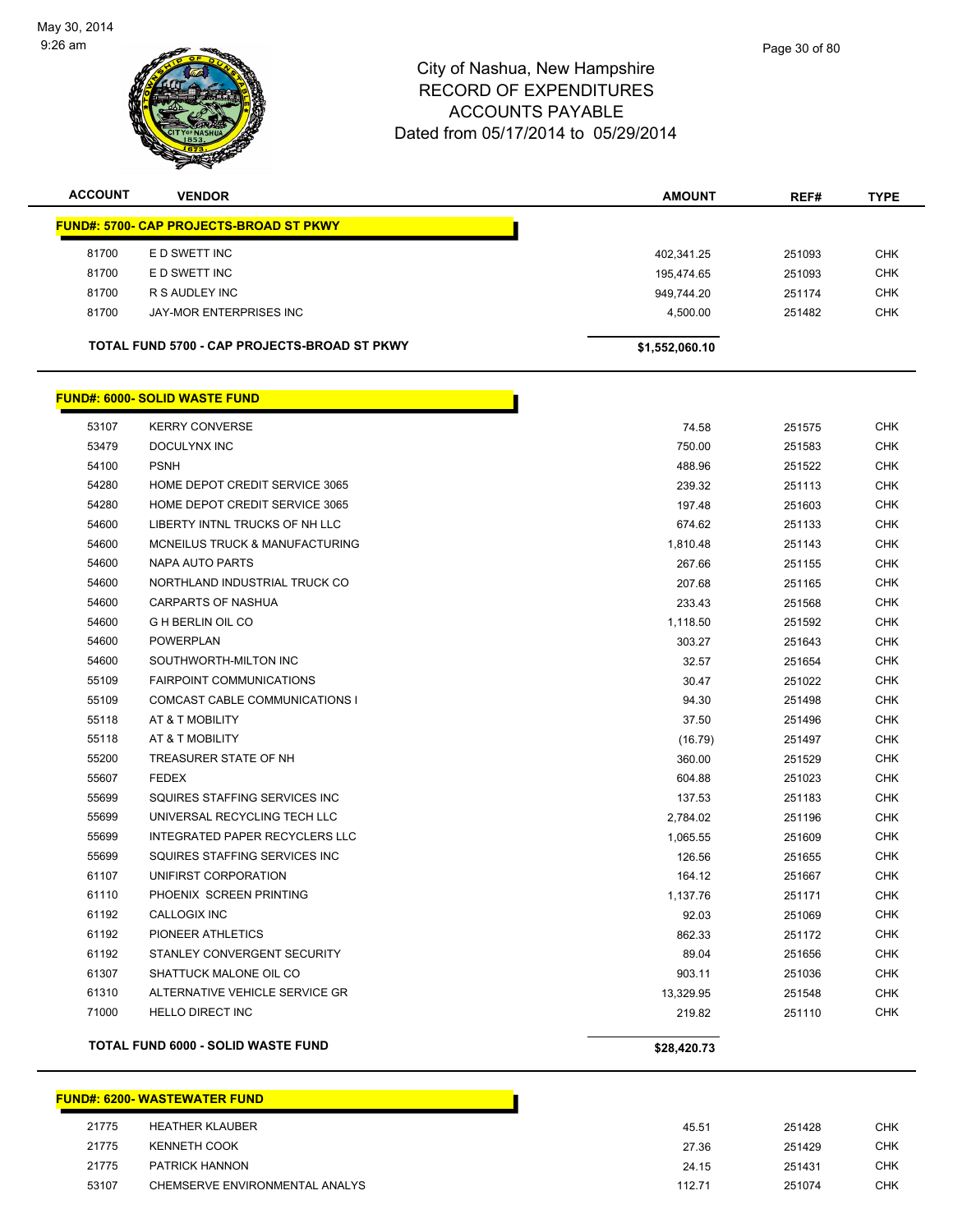

| <b>ACCOUNT</b>                               | <b>VENDOR</b>                                  | <b>AMOUNT</b>  | REF#   | <b>TYPE</b> |
|----------------------------------------------|------------------------------------------------|----------------|--------|-------------|
|                                              | <b>FUND#: 5700- CAP PROJECTS-BROAD ST PKWY</b> |                |        |             |
| 81700                                        | E D SWETT INC                                  | 402.341.25     | 251093 | <b>CHK</b>  |
| 81700                                        | E D SWETT INC                                  | 195,474.65     | 251093 | <b>CHK</b>  |
| 81700                                        | R S AUDLEY INC                                 | 949.744.20     | 251174 | <b>CHK</b>  |
| 81700                                        | JAY-MOR ENTERPRISES INC                        | 4.500.00       | 251482 | <b>CHK</b>  |
| TOTAL FUND 5700 - CAP PROJECTS-BROAD ST PKWY |                                                | \$1,552,060.10 |        |             |

|       | <u> FUND#: 6000- SOLID WASTE FUND</u>     |             |        |            |
|-------|-------------------------------------------|-------------|--------|------------|
| 53107 | <b>KERRY CONVERSE</b>                     | 74.58       | 251575 | CHK        |
| 53479 | <b>DOCULYNX INC</b>                       | 750.00      | 251583 | <b>CHK</b> |
| 54100 | <b>PSNH</b>                               | 488.96      | 251522 | <b>CHK</b> |
| 54280 | HOME DEPOT CREDIT SERVICE 3065            | 239.32      | 251113 | <b>CHK</b> |
| 54280 | HOME DEPOT CREDIT SERVICE 3065            | 197.48      | 251603 | <b>CHK</b> |
| 54600 | LIBERTY INTNL TRUCKS OF NH LLC            | 674.62      | 251133 | <b>CHK</b> |
| 54600 | MCNEILUS TRUCK & MANUFACTURING            | 1,810.48    | 251143 | <b>CHK</b> |
| 54600 | NAPA AUTO PARTS                           | 267.66      | 251155 | <b>CHK</b> |
| 54600 | NORTHLAND INDUSTRIAL TRUCK CO             | 207.68      | 251165 | <b>CHK</b> |
| 54600 | <b>CARPARTS OF NASHUA</b>                 | 233.43      | 251568 | CHK        |
| 54600 | <b>G H BERLIN OIL CO</b>                  | 1,118.50    | 251592 | <b>CHK</b> |
| 54600 | <b>POWERPLAN</b>                          | 303.27      | 251643 | <b>CHK</b> |
| 54600 | SOUTHWORTH-MILTON INC                     | 32.57       | 251654 | <b>CHK</b> |
| 55109 | <b>FAIRPOINT COMMUNICATIONS</b>           | 30.47       | 251022 | <b>CHK</b> |
| 55109 | COMCAST CABLE COMMUNICATIONS I            | 94.30       | 251498 | <b>CHK</b> |
| 55118 | AT & T MOBILITY                           | 37.50       | 251496 | <b>CHK</b> |
| 55118 | AT & T MOBILITY                           | (16.79)     | 251497 | CHK        |
| 55200 | TREASURER STATE OF NH                     | 360.00      | 251529 | <b>CHK</b> |
| 55607 | <b>FEDEX</b>                              | 604.88      | 251023 | <b>CHK</b> |
| 55699 | SQUIRES STAFFING SERVICES INC             | 137.53      | 251183 | <b>CHK</b> |
| 55699 | UNIVERSAL RECYCLING TECH LLC              | 2,784.02    | 251196 | <b>CHK</b> |
| 55699 | INTEGRATED PAPER RECYCLERS LLC            | 1,065.55    | 251609 | CHK        |
| 55699 | SQUIRES STAFFING SERVICES INC             | 126.56      | 251655 | <b>CHK</b> |
| 61107 | UNIFIRST CORPORATION                      | 164.12      | 251667 | <b>CHK</b> |
| 61110 | PHOENIX SCREEN PRINTING                   | 1,137.76    | 251171 | <b>CHK</b> |
| 61192 | <b>CALLOGIX INC</b>                       | 92.03       | 251069 | <b>CHK</b> |
| 61192 | PIONEER ATHLETICS                         | 862.33      | 251172 | CHK        |
| 61192 | STANLEY CONVERGENT SECURITY               | 89.04       | 251656 | <b>CHK</b> |
| 61307 | SHATTUCK MALONE OIL CO                    | 903.11      | 251036 | CHK        |
| 61310 | ALTERNATIVE VEHICLE SERVICE GR            | 13,329.95   | 251548 | <b>CHK</b> |
| 71000 | <b>HELLO DIRECT INC</b>                   | 219.82      | 251110 | <b>CHK</b> |
|       | <b>TOTAL FUND 6000 - SOLID WASTE FUND</b> | \$28,420.73 |        |            |

|       | <b>FUND#: 6200- WASTEWATER FUND</b> |        |
|-------|-------------------------------------|--------|
| 21775 | <b>HEATHER KLAUBER</b>              | 45.51  |
| 21775 | KENNETH COOK                        | 27.36  |
| 21775 | PATRICK HANNON                      | 24.15  |
| 53107 | CHEMSERVE ENVIRONMENTAL ANALYS      | 112.71 |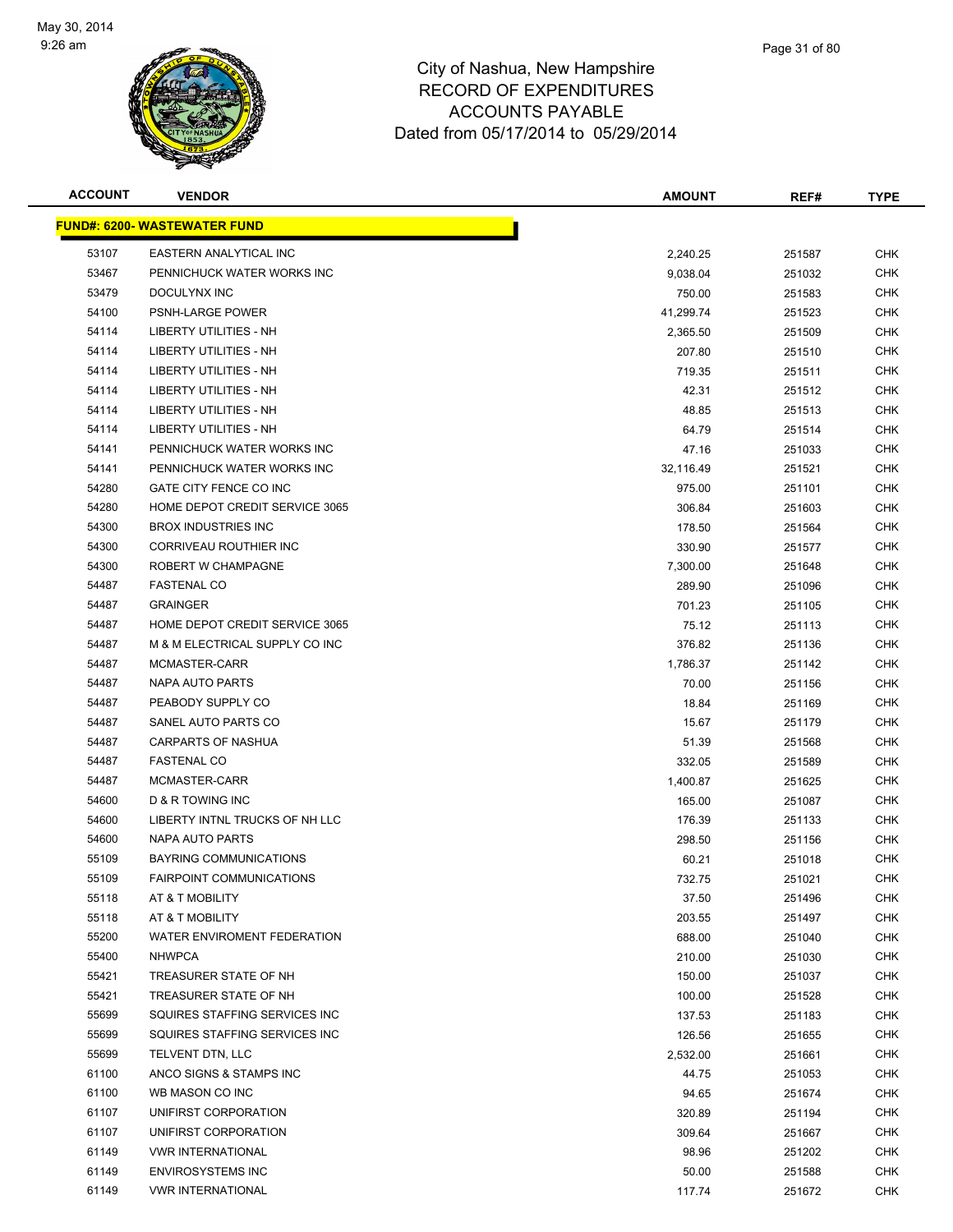

**FUND#: 6200- WASTEWATER FUND**

|                |                                    | <b>ACCOUNTS PAYABLE</b><br>Dated from 05/17/2014 to 05/29/2014 |            |             |  |
|----------------|------------------------------------|----------------------------------------------------------------|------------|-------------|--|
| <b>ACCOUNT</b> | <b>VENDOR</b>                      | <b>AMOUNT</b>                                                  | REF#       | <b>TYPE</b> |  |
|                | <b>IND#: 6200- WASTEWATER FUND</b> |                                                                |            |             |  |
| 53107          | <b>EASTERN ANALYTICAL INC</b>      | 2,240.25                                                       | 251587     | <b>CHK</b>  |  |
| 53467          | PENNICHUCK WATER WORKS INC         | 9,038.04                                                       | 251032     | <b>CHK</b>  |  |
| 53479          | DOCULYNX INC                       | 750.00                                                         | 251583     | <b>CHK</b>  |  |
| 54100          | <b>PSNH-LARGE POWER</b>            | 41,299.74                                                      | 251523     | <b>CHK</b>  |  |
| 54114          | <b>LIBERTY UTILITIES - NH</b>      | 2,365.50                                                       | 251509     | <b>CHK</b>  |  |
| 54114          | LIBERTY UTILITIES - NH             | 207.80                                                         | 251510     | <b>CHK</b>  |  |
| 54114          | LIBERTY UTILITIES - NH             | 719.35                                                         | 251511     | <b>CHK</b>  |  |
| 54114          | LIBERTY UTILITIES - NH             | 42.31                                                          | 251512     | <b>CHK</b>  |  |
| 54114          | LIBERTY UTILITIES - NH             | 48.85                                                          | 251513     | <b>CHK</b>  |  |
| 54114          | LIBERTY UTILITIES - NH             | 64.79                                                          | 251514     | <b>CHK</b>  |  |
| 54141          | PENNICHUCK WATER WORKS INC         | 47.16                                                          | 251033     | <b>CHK</b>  |  |
| 54141          | PENNICHUCK WATER WORKS INC         | 32.116.49                                                      | 251521     | <b>CHK</b>  |  |
| 54280          | GATE CITY FENCE CO INC             | 975.00                                                         | 251101     | <b>CHK</b>  |  |
| 54280          | HOME DEPOT CREDIT SERVICE 3065     | 306.84                                                         | 251603     | <b>CHK</b>  |  |
| 5.000          | <b>DOOV INDUCTDIES INS</b>         | 470F                                                           | 0.00000000 | $\sim$ 11/  |  |

| 54114 | LIBERTY UTILITIES - NH         | 207.80    | 251510 | CHK        |
|-------|--------------------------------|-----------|--------|------------|
| 54114 | LIBERTY UTILITIES - NH         | 719.35    | 251511 | <b>CHK</b> |
| 54114 | <b>LIBERTY UTILITIES - NH</b>  | 42.31     | 251512 | <b>CHK</b> |
| 54114 | LIBERTY UTILITIES - NH         | 48.85     | 251513 | <b>CHK</b> |
| 54114 | LIBERTY UTILITIES - NH         | 64.79     | 251514 | <b>CHK</b> |
| 54141 | PENNICHUCK WATER WORKS INC     | 47.16     | 251033 | <b>CHK</b> |
| 54141 | PENNICHUCK WATER WORKS INC     | 32,116.49 | 251521 | <b>CHK</b> |
| 54280 | GATE CITY FENCE CO INC         | 975.00    | 251101 | <b>CHK</b> |
| 54280 | HOME DEPOT CREDIT SERVICE 3065 | 306.84    | 251603 | <b>CHK</b> |
| 54300 | <b>BROX INDUSTRIES INC</b>     | 178.50    | 251564 | <b>CHK</b> |
| 54300 | CORRIVEAU ROUTHIER INC         | 330.90    | 251577 | <b>CHK</b> |
| 54300 | ROBERT W CHAMPAGNE             | 7,300.00  | 251648 | <b>CHK</b> |
| 54487 | <b>FASTENAL CO</b>             | 289.90    | 251096 | <b>CHK</b> |
| 54487 | <b>GRAINGER</b>                | 701.23    | 251105 | <b>CHK</b> |
| 54487 | HOME DEPOT CREDIT SERVICE 3065 | 75.12     | 251113 | <b>CHK</b> |
| 54487 | M & M ELECTRICAL SUPPLY CO INC | 376.82    | 251136 | <b>CHK</b> |
| 54487 | MCMASTER-CARR                  | 1,786.37  | 251142 | <b>CHK</b> |
| 54487 | NAPA AUTO PARTS                | 70.00     | 251156 | <b>CHK</b> |
| 54487 | PEABODY SUPPLY CO              | 18.84     | 251169 | <b>CHK</b> |
| 54487 | SANEL AUTO PARTS CO            | 15.67     | 251179 | <b>CHK</b> |
| 54487 | <b>CARPARTS OF NASHUA</b>      | 51.39     | 251568 | <b>CHK</b> |
| 54487 | <b>FASTENAL CO</b>             | 332.05    | 251589 | <b>CHK</b> |
| 54487 | MCMASTER-CARR                  | 1,400.87  | 251625 | <b>CHK</b> |
| 54600 | D & R TOWING INC               | 165.00    | 251087 | CHK        |
| 54600 | LIBERTY INTNL TRUCKS OF NH LLC | 176.39    | 251133 | <b>CHK</b> |
| 54600 | NAPA AUTO PARTS                | 298.50    | 251156 | <b>CHK</b> |
| 55109 | <b>BAYRING COMMUNICATIONS</b>  | 60.21     | 251018 | <b>CHK</b> |
| 55109 | FAIRPOINT COMMUNICATIONS       | 732.75    | 251021 | <b>CHK</b> |
| 55118 | AT & T MOBILITY                | 37.50     | 251496 | <b>CHK</b> |
| 55118 | AT & T MOBILITY                | 203.55    | 251497 | <b>CHK</b> |
| 55200 | WATER ENVIROMENT FEDERATION    | 688.00    | 251040 | <b>CHK</b> |
| 55400 | <b>NHWPCA</b>                  | 210.00    | 251030 | <b>CHK</b> |
| 55421 | TREASURER STATE OF NH          | 150.00    | 251037 | <b>CHK</b> |
| 55421 | TREASURER STATE OF NH          | 100.00    | 251528 | CHK        |
| 55699 | SQUIRES STAFFING SERVICES INC  | 137.53    | 251183 | <b>CHK</b> |
| 55699 | SQUIRES STAFFING SERVICES INC  | 126.56    | 251655 | <b>CHK</b> |
| 55699 | TELVENT DTN, LLC               | 2,532.00  | 251661 | <b>CHK</b> |
| 61100 | ANCO SIGNS & STAMPS INC        | 44.75     | 251053 | <b>CHK</b> |
| 61100 | WB MASON CO INC                | 94.65     | 251674 | <b>CHK</b> |
| 61107 | UNIFIRST CORPORATION           | 320.89    | 251194 | <b>CHK</b> |
| 61107 | UNIFIRST CORPORATION           | 309.64    | 251667 | <b>CHK</b> |
| 61149 | <b>VWR INTERNATIONAL</b>       | 98.96     | 251202 | <b>CHK</b> |
| 61149 | <b>ENVIROSYSTEMS INC</b>       | 50.00     | 251588 | <b>CHK</b> |
| 61149 | <b>VWR INTERNATIONAL</b>       | 117.74    | 251672 | <b>CHK</b> |
|       |                                |           |        |            |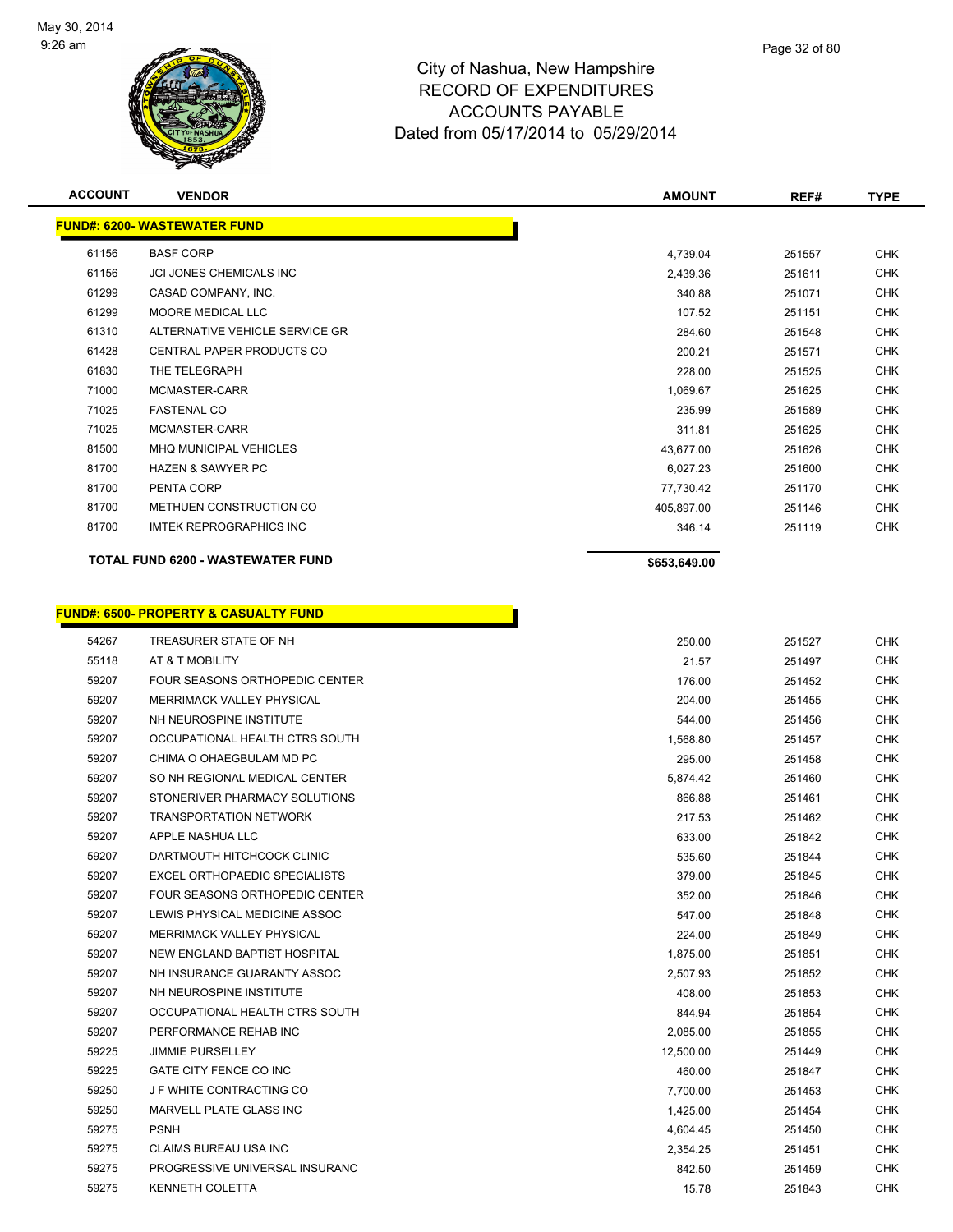

|                | <b>MASHUAZ</b><br><b>ALL</b>        | <b>Dated HUIH US/TIZUTA to US/29/2014</b> |               |        |             |  |
|----------------|-------------------------------------|-------------------------------------------|---------------|--------|-------------|--|
| <b>ACCOUNT</b> | <b>VENDOR</b>                       |                                           | <b>AMOUNT</b> | REF#   | <b>TYPE</b> |  |
|                | <b>FUND#: 6200- WASTEWATER FUND</b> |                                           |               |        |             |  |
| 61156          | <b>BASF CORP</b>                    |                                           | 4,739.04      | 251557 | <b>CHK</b>  |  |
| 61156          | JCI JONES CHEMICALS INC             |                                           | 2,439.36      | 251611 | <b>CHK</b>  |  |
| 61299          | CASAD COMPANY, INC.                 |                                           | 340.88        | 251071 | <b>CHK</b>  |  |

|       | TOTAL FUND 6200 - WASTEWATER FUND | \$653,649.00 |        |            |
|-------|-----------------------------------|--------------|--------|------------|
| 81700 | IMTEK REPROGRAPHICS INC           | 346.14       | 251119 | CHK        |
| 81700 | METHUEN CONSTRUCTION CO           | 405,897.00   | 251146 | <b>CHK</b> |
| 81700 | PENTA CORP                        | 77,730.42    | 251170 | <b>CHK</b> |
| 81700 | <b>HAZEN &amp; SAWYER PC</b>      | 6,027.23     | 251600 | <b>CHK</b> |
| 81500 | <b>MHQ MUNICIPAL VEHICLES</b>     | 43,677.00    | 251626 | <b>CHK</b> |
| 71025 | MCMASTER-CARR                     | 311.81       | 251625 | <b>CHK</b> |
| 71025 | <b>FASTENAL CO</b>                | 235.99       | 251589 | <b>CHK</b> |
| 71000 | MCMASTER-CARR                     | 1,069.67     | 251625 | <b>CHK</b> |
| 61830 | THE TELEGRAPH                     | 228.00       | 251525 | <b>CHK</b> |
| 61428 | CENTRAL PAPER PRODUCTS CO         | 200.21       | 251571 | <b>CHK</b> |
| 61310 | ALTERNATIVE VEHICLE SERVICE GR    | 284.60       | 251548 | <b>CHK</b> |
| 61299 | MOORE MEDICAL LLC                 | 107.52       | 251151 | <b>CHK</b> |
| 61299 | CASAD COMPANY, INC.               | 340.88       | 251071 | <b>CHK</b> |

|       | <b>FUND#: 6500- PROPERTY &amp; CASUALTY FUND</b> |           |
|-------|--------------------------------------------------|-----------|
| 54267 | TREASURER STATE OF NH                            |           |
| 55118 | AT & T MOBILITY                                  |           |
| 59207 | FOUR SEASONS ORTHOPEDIC CENTER                   |           |
| 59207 | <b>MERRIMACK VALLEY PHYSICAL</b>                 |           |
| 59207 | NH NEUROSPINE INSTITUTE                          |           |
| 59207 | OCCUPATIONAL HEALTH CTRS SOUTH                   | 1,568.80  |
| 59207 | CHIMA O OHAEGBULAM MD PC                         | 295.00    |
| 59207 | SO NH REGIONAL MEDICAL CENTER                    | 5,874.42  |
| 59207 | STONERIVER PHARMACY SOLUTIONS                    | 866.88    |
| 59207 | <b>TRANSPORTATION NETWORK</b>                    | 217.53    |
| 59207 | APPLE NASHUA LLC                                 | 633.00    |
| 59207 | DARTMOUTH HITCHCOCK CLINIC                       | 535.60    |
| 59207 | EXCEL ORTHOPAEDIC SPECIALISTS                    | 379.00    |
| 59207 | FOUR SEASONS ORTHOPEDIC CENTER                   | 352.00    |
| 59207 | LEWIS PHYSICAL MEDICINE ASSOC                    | 547.00    |
| 59207 | <b>MERRIMACK VALLEY PHYSICAL</b>                 | 224.00    |
| 59207 | NEW ENGLAND BAPTIST HOSPITAL                     | 1,875.00  |
| 59207 | NH INSURANCE GUARANTY ASSOC                      | 2,507.93  |
| 59207 | NH NEUROSPINE INSTITUTE                          | 408.00    |
| 59207 | OCCUPATIONAL HEALTH CTRS SOUTH                   | 844.94    |
| 59207 | PERFORMANCE REHAB INC                            | 2,085.00  |
| 59225 | <b>JIMMIE PURSELLEY</b>                          | 12,500.00 |
| 59225 | GATE CITY FENCE CO INC                           | 460.00    |
| 59250 | J F WHITE CONTRACTING CO                         | 7,700.00  |
| 59250 | MARVELL PLATE GLASS INC                          | 1,425.00  |
| 59275 | <b>PSNH</b>                                      | 4,604.45  |
| 59275 | CLAIMS BUREAU USA INC                            | 2,354.25  |
| 59275 | PROGRESSIVE UNIVERSAL INSURANC                   | 842.50    |
| 59275 | <b>KENNETH COLETTA</b>                           | 15.78     |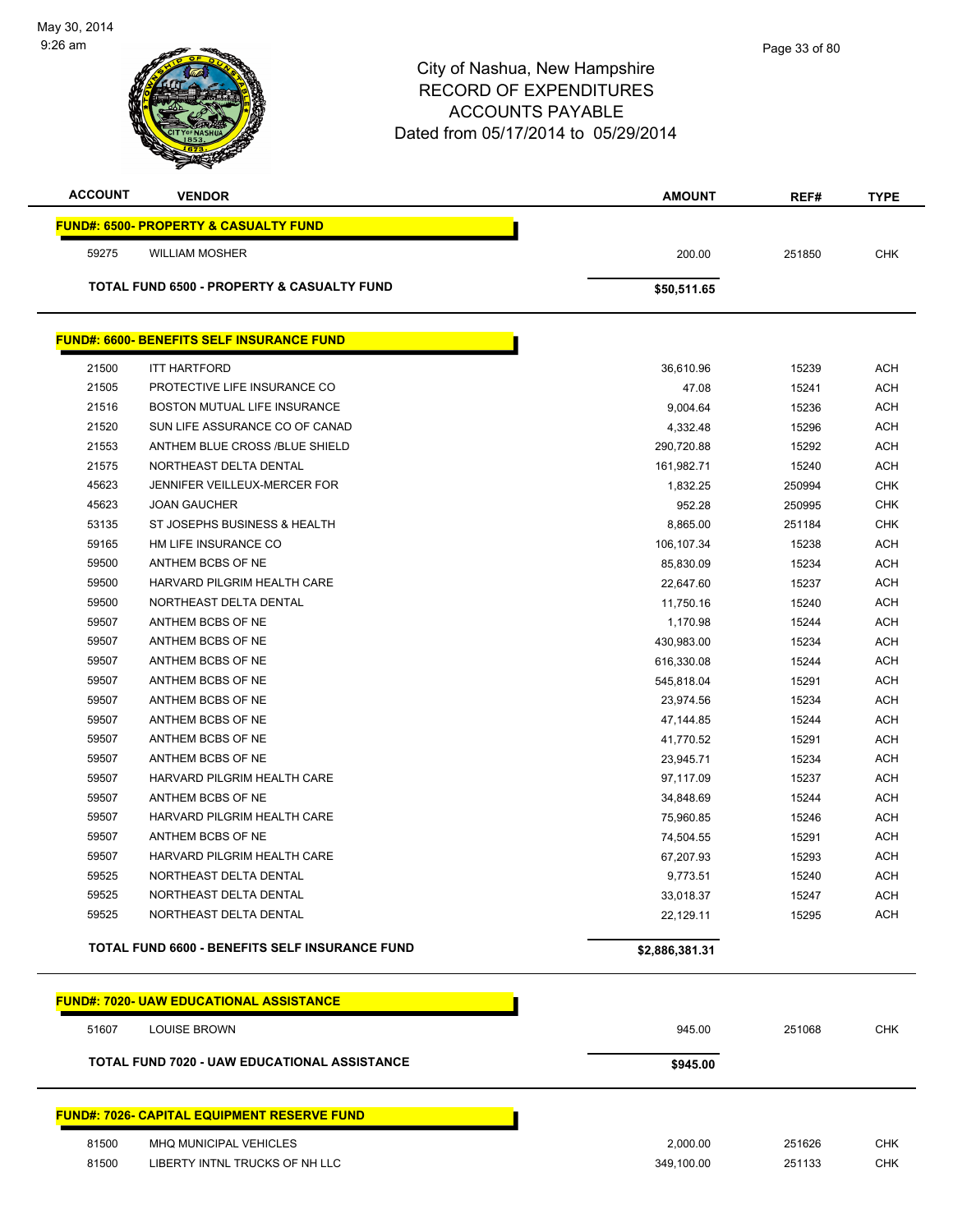| <b>ACCOUNT</b> | <b>VENDOR</b>                                      | <b>AMOUNT</b>  | REF#   | <b>TYPE</b> |
|----------------|----------------------------------------------------|----------------|--------|-------------|
|                | <b>FUND#: 6500- PROPERTY &amp; CASUALTY FUND</b>   |                |        |             |
| 59275          | <b>WILLIAM MOSHER</b>                              | 200.00         | 251850 | <b>CHK</b>  |
|                |                                                    |                |        |             |
|                | TOTAL FUND 6500 - PROPERTY & CASUALTY FUND         | \$50,511.65    |        |             |
|                | <b>FUND#: 6600- BENEFITS SELF INSURANCE FUND</b>   |                |        |             |
|                |                                                    |                |        |             |
| 21500          | <b>ITT HARTFORD</b>                                | 36,610.96      | 15239  | <b>ACH</b>  |
| 21505          | PROTECTIVE LIFE INSURANCE CO                       | 47.08          | 15241  | ACH         |
| 21516          | BOSTON MUTUAL LIFE INSURANCE                       | 9,004.64       | 15236  | <b>ACH</b>  |
| 21520          | SUN LIFE ASSURANCE CO OF CANAD                     | 4,332.48       | 15296  | <b>ACH</b>  |
| 21553          | ANTHEM BLUE CROSS /BLUE SHIELD                     | 290,720.88     | 15292  | <b>ACH</b>  |
| 21575          | NORTHEAST DELTA DENTAL                             | 161,982.71     | 15240  | ACH         |
| 45623          | JENNIFER VEILLEUX-MERCER FOR                       | 1,832.25       | 250994 | <b>CHK</b>  |
| 45623          | <b>JOAN GAUCHER</b>                                | 952.28         | 250995 | <b>CHK</b>  |
| 53135          | ST JOSEPHS BUSINESS & HEALTH                       | 8,865.00       | 251184 | <b>CHK</b>  |
| 59165          | HM LIFE INSURANCE CO                               | 106,107.34     | 15238  | ACH         |
| 59500          | ANTHEM BCBS OF NE                                  | 85,830.09      | 15234  | <b>ACH</b>  |
| 59500          | HARVARD PILGRIM HEALTH CARE                        | 22,647.60      | 15237  | <b>ACH</b>  |
| 59500          | NORTHEAST DELTA DENTAL                             | 11,750.16      | 15240  | ACH         |
| 59507          | ANTHEM BCBS OF NE                                  | 1,170.98       | 15244  | <b>ACH</b>  |
| 59507          | ANTHEM BCBS OF NE                                  | 430,983.00     | 15234  | ACH         |
| 59507          | ANTHEM BCBS OF NE                                  | 616,330.08     | 15244  | <b>ACH</b>  |
| 59507          | ANTHEM BCBS OF NE                                  | 545,818.04     | 15291  | <b>ACH</b>  |
| 59507          | ANTHEM BCBS OF NE                                  | 23,974.56      | 15234  | ACH         |
| 59507          | ANTHEM BCBS OF NE                                  | 47,144.85      | 15244  | ACH         |
| 59507          | ANTHEM BCBS OF NE                                  | 41,770.52      | 15291  | ACH         |
| 59507          | ANTHEM BCBS OF NE                                  | 23,945.71      | 15234  | <b>ACH</b>  |
| 59507          | HARVARD PILGRIM HEALTH CARE                        | 97,117.09      | 15237  | <b>ACH</b>  |
| 59507          | ANTHEM BCBS OF NE                                  | 34,848.69      | 15244  | <b>ACH</b>  |
| 59507          | HARVARD PILGRIM HEALTH CARE                        | 75,960.85      | 15246  | ACH         |
| 59507          | ANTHEM BCBS OF NE                                  | 74,504.55      | 15291  | <b>ACH</b>  |
| 59507          | HARVARD PILGRIM HEALTH CARE                        | 67,207.93      | 15293  | ACH         |
| 59525          | NORTHEAST DELTA DENTAL                             | 9,773.51       | 15240  | <b>ACH</b>  |
| 59525          | NORTHEAST DELTA DENTAL                             | 33,018.37      | 15247  | <b>ACH</b>  |
| 59525          | NORTHEAST DELTA DENTAL                             | 22,129.11      | 15295  | <b>ACH</b>  |
|                | TOTAL FUND 6600 - BENEFITS SELF INSURANCE FUND     | \$2,886,381.31 |        |             |
|                | <b>FUND#: 7020- UAW EDUCATIONAL ASSISTANCE</b>     |                |        |             |
|                |                                                    |                |        |             |
| 51607          | <b>LOUISE BROWN</b>                                | 945.00         | 251068 | <b>CHK</b>  |
|                | TOTAL FUND 7020 - UAW EDUCATIONAL ASSISTANCE       | \$945.00       |        |             |
|                | <b>FUND#: 7026- CAPITAL EQUIPMENT RESERVE FUND</b> |                |        |             |
| 81500          | MHQ MUNICIPAL VEHICLES                             | 2,000.00       | 251626 | <b>CHK</b>  |
| 81500          | LIBERTY INTNL TRUCKS OF NH LLC                     | 349,100.00     | 251133 | <b>CHK</b>  |
|                |                                                    |                |        |             |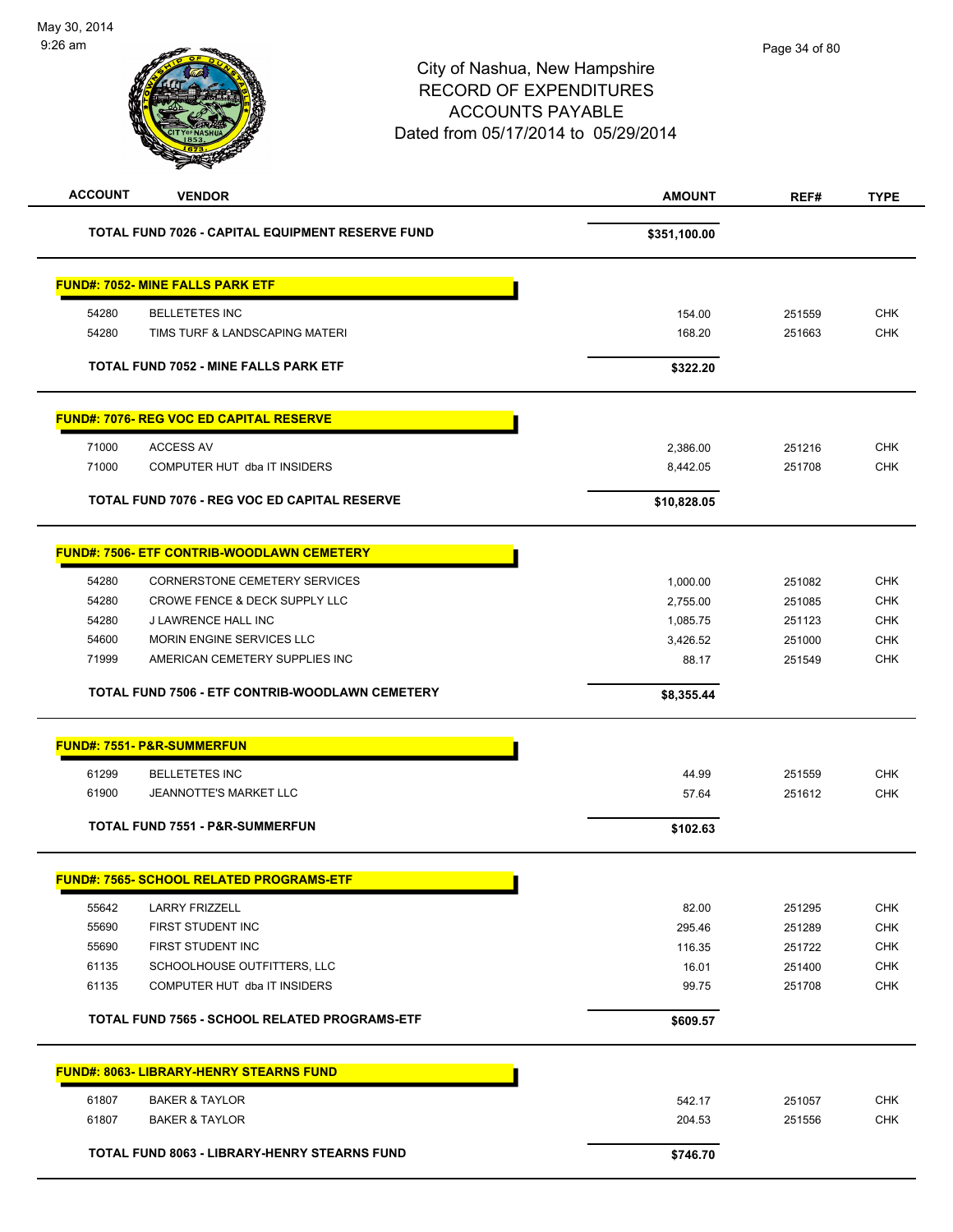| <b>ACCOUNT</b>                          | <b>VENDOR</b>                                     | <b>AMOUNT</b> | REF#   | <b>TYPE</b> |
|-----------------------------------------|---------------------------------------------------|---------------|--------|-------------|
|                                         | TOTAL FUND 7026 - CAPITAL EQUIPMENT RESERVE FUND  | \$351,100.00  |        |             |
| <b>FUND#: 7052- MINE FALLS PARK ETF</b> |                                                   |               |        |             |
| 54280                                   | <b>BELLETETES INC</b>                             | 154.00        | 251559 | <b>CHK</b>  |
| 54280                                   | TIMS TURF & LANDSCAPING MATERI                    | 168.20        | 251663 | <b>CHK</b>  |
|                                         | TOTAL FUND 7052 - MINE FALLS PARK ETF             | \$322.20      |        |             |
|                                         | <b>FUND#: 7076- REG VOC ED CAPITAL RESERVE</b>    |               |        |             |
| 71000<br><b>ACCESS AV</b>               |                                                   | 2,386.00      | 251216 | <b>CHK</b>  |
| 71000                                   | COMPUTER HUT dba IT INSIDERS                      | 8,442.05      | 251708 | <b>CHK</b>  |
|                                         | TOTAL FUND 7076 - REG VOC ED CAPITAL RESERVE      | \$10,828.05   |        |             |
|                                         | <b>FUND#: 7506- ETF CONTRIB-WOODLAWN CEMETERY</b> |               |        |             |
| 54280                                   | CORNERSTONE CEMETERY SERVICES                     | 1,000.00      | 251082 | <b>CHK</b>  |
| 54280                                   | CROWE FENCE & DECK SUPPLY LLC                     | 2,755.00      | 251085 | <b>CHK</b>  |
| 54280                                   | J LAWRENCE HALL INC                               | 1,085.75      | 251123 | <b>CHK</b>  |
| 54600                                   | MORIN ENGINE SERVICES LLC                         | 3,426.52      | 251000 | <b>CHK</b>  |
| 71999                                   | AMERICAN CEMETERY SUPPLIES INC                    | 88.17         | 251549 | <b>CHK</b>  |
|                                         | TOTAL FUND 7506 - ETF CONTRIB-WOODLAWN CEMETERY   | \$8,355.44    |        |             |
| <b>FUND#: 7551- P&amp;R-SUMMERFUN</b>   |                                                   |               |        |             |
| 61299                                   | <b>BELLETETES INC</b>                             | 44.99         | 251559 | <b>CHK</b>  |
| 61900                                   | JEANNOTTE'S MARKET LLC                            | 57.64         | 251612 | <b>CHK</b>  |
|                                         | <b>TOTAL FUND 7551 - P&amp;R-SUMMERFUN</b>        | \$102.63      |        |             |
|                                         | <u>FUND#: 7565- SCHOOL RELATED PROGRAMS-ETF</u>   |               |        |             |
| 55642                                   | <b>LARRY FRIZZELL</b>                             | 82.00         | 251295 | <b>CHK</b>  |
| 55690                                   | FIRST STUDENT INC                                 | 295.46        | 251289 | <b>CHK</b>  |
| 55690                                   | FIRST STUDENT INC                                 | 116.35        | 251722 | <b>CHK</b>  |
| 61135                                   | SCHOOLHOUSE OUTFITTERS, LLC                       | 16.01         | 251400 | <b>CHK</b>  |
| 61135                                   | COMPUTER HUT dba IT INSIDERS                      | 99.75         | 251708 | <b>CHK</b>  |
|                                         | TOTAL FUND 7565 - SCHOOL RELATED PROGRAMS-ETF     | \$609.57      |        |             |
|                                         | <b>FUND#: 8063- LIBRARY-HENRY STEARNS FUND</b>    |               |        |             |
| 61807                                   | <b>BAKER &amp; TAYLOR</b>                         | 542.17        | 251057 | <b>CHK</b>  |
| 61807                                   | <b>BAKER &amp; TAYLOR</b>                         | 204.53        | 251556 | CHK         |
|                                         | TOTAL FUND 8063 - LIBRARY-HENRY STEARNS FUND      | \$746.70      |        |             |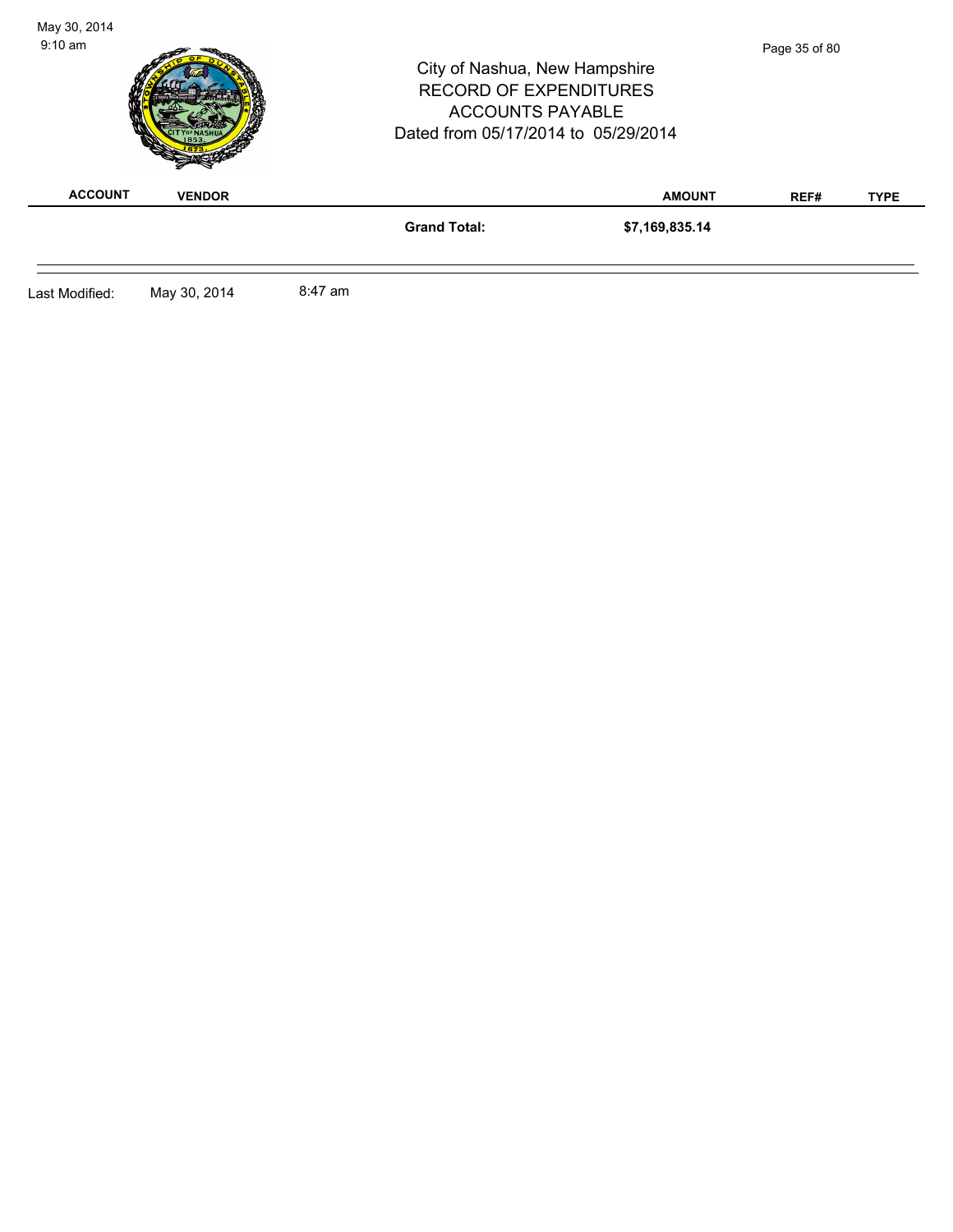| May 30, 2014<br>$9:10 \text{ am}$ |               |         | City of Nashua, New Hampshire<br><b>RECORD OF EXPENDITURES</b><br><b>ACCOUNTS PAYABLE</b><br>Dated from 05/17/2014 to 05/29/2014 |                | Page 35 of 80 |             |
|-----------------------------------|---------------|---------|----------------------------------------------------------------------------------------------------------------------------------|----------------|---------------|-------------|
| <b>ACCOUNT</b>                    | <b>VENDOR</b> |         |                                                                                                                                  | <b>AMOUNT</b>  | REF#          | <b>TYPE</b> |
|                                   |               |         | <b>Grand Total:</b>                                                                                                              | \$7,169,835.14 |               |             |
| Last Modified:                    | May 30, 2014  | 8:47 am |                                                                                                                                  |                |               |             |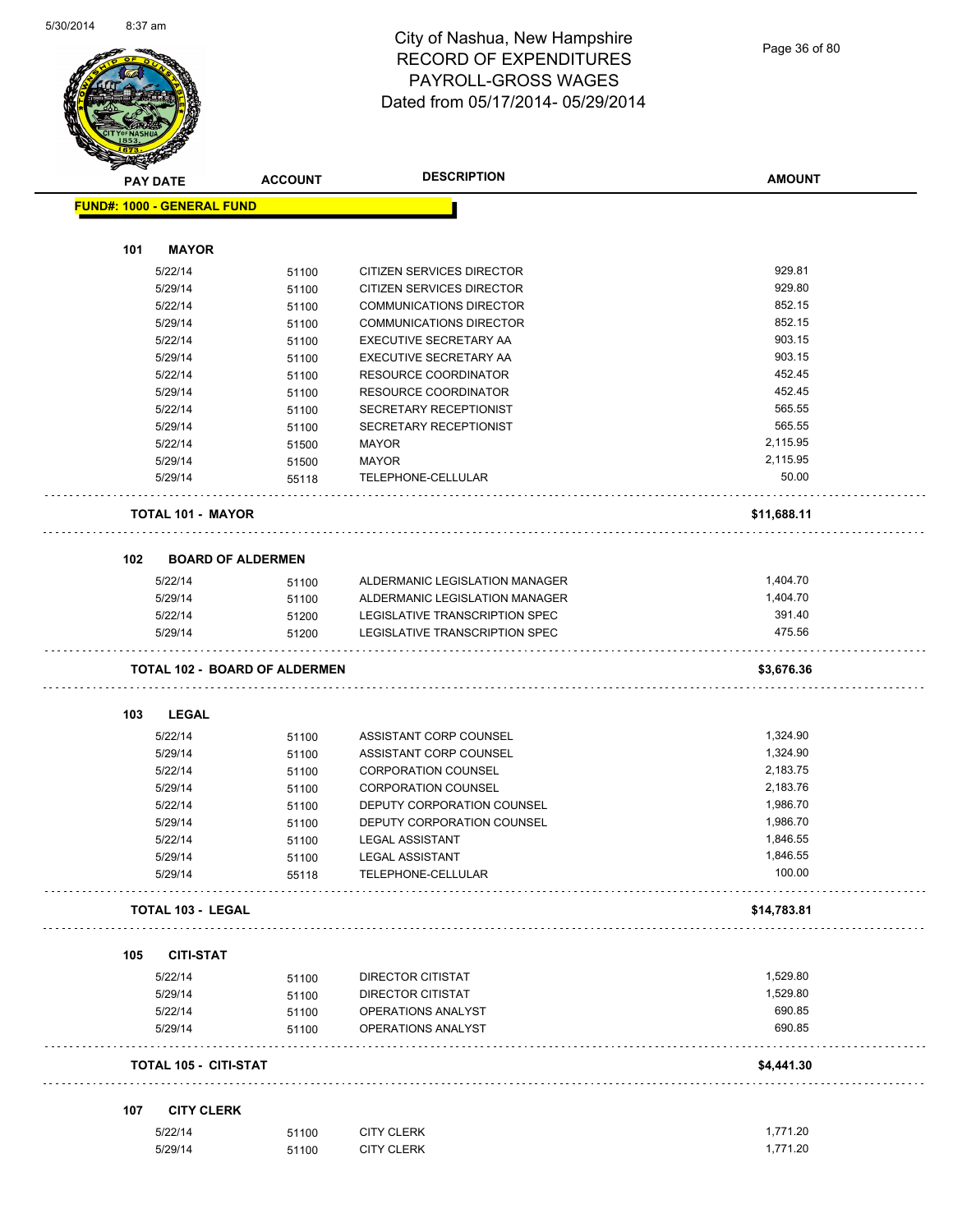

## City of Nashua, New Hampshire RECORD OF EXPENDITURES PAYROLL-GROSS WAGES Dated from 05/17/2014- 05/29/2014

Page 36 of 80

|     | <b>PAY DATE</b>                      | <b>ACCOUNT</b> | <b>DESCRIPTION</b>             | <b>AMOUNT</b> |
|-----|--------------------------------------|----------------|--------------------------------|---------------|
|     | <b>FUND#: 1000 - GENERAL FUND</b>    |                |                                |               |
|     |                                      |                |                                |               |
| 101 | <b>MAYOR</b>                         |                |                                |               |
|     | 5/22/14                              | 51100          | CITIZEN SERVICES DIRECTOR      | 929.81        |
|     | 5/29/14                              | 51100          | CITIZEN SERVICES DIRECTOR      | 929.80        |
|     | 5/22/14                              | 51100          | <b>COMMUNICATIONS DIRECTOR</b> | 852.15        |
|     | 5/29/14                              | 51100          | <b>COMMUNICATIONS DIRECTOR</b> | 852.15        |
|     | 5/22/14                              | 51100          | EXECUTIVE SECRETARY AA         | 903.15        |
|     | 5/29/14                              | 51100          | EXECUTIVE SECRETARY AA         | 903.15        |
|     | 5/22/14                              | 51100          | <b>RESOURCE COORDINATOR</b>    | 452.45        |
|     | 5/29/14                              | 51100          | <b>RESOURCE COORDINATOR</b>    | 452.45        |
|     | 5/22/14                              | 51100          | SECRETARY RECEPTIONIST         | 565.55        |
|     | 5/29/14                              | 51100          | SECRETARY RECEPTIONIST         | 565.55        |
|     | 5/22/14                              | 51500          | <b>MAYOR</b>                   | 2,115.95      |
|     | 5/29/14                              | 51500          | <b>MAYOR</b>                   | 2,115.95      |
|     | 5/29/14                              | 55118          | TELEPHONE-CELLULAR             | 50.00         |
|     | <b>TOTAL 101 - MAYOR</b>             |                |                                | \$11,688.11   |
| 102 | <b>BOARD OF ALDERMEN</b>             |                |                                |               |
|     | 5/22/14                              | 51100          | ALDERMANIC LEGISLATION MANAGER | 1,404.70      |
|     | 5/29/14                              | 51100          | ALDERMANIC LEGISLATION MANAGER | 1,404.70      |
|     | 5/22/14                              | 51200          | LEGISLATIVE TRANSCRIPTION SPEC | 391.40        |
|     | 5/29/14                              | 51200          | LEGISLATIVE TRANSCRIPTION SPEC | 475.56        |
|     | <b>TOTAL 102 - BOARD OF ALDERMEN</b> |                |                                | \$3,676.36    |
|     |                                      |                |                                |               |
| 103 | <b>LEGAL</b>                         |                |                                |               |
|     | 5/22/14                              | 51100          | ASSISTANT CORP COUNSEL         | 1,324.90      |
|     | 5/29/14                              | 51100          | ASSISTANT CORP COUNSEL         | 1,324.90      |
|     | 5/22/14                              | 51100          | <b>CORPORATION COUNSEL</b>     | 2,183.75      |
|     | 5/29/14                              | 51100          | <b>CORPORATION COUNSEL</b>     | 2,183.76      |
|     | 5/22/14                              | 51100          | DEPUTY CORPORATION COUNSEL     | 1,986.70      |
|     | 5/29/14                              | 51100          | DEPUTY CORPORATION COUNSEL     | 1,986.70      |
|     | 5/22/14                              | 51100          | <b>LEGAL ASSISTANT</b>         | 1,846.55      |
|     | 5/29/14                              | 51100          | <b>LEGAL ASSISTANT</b>         | 1,846.55      |
|     | 5/29/14                              | 55118          | TELEPHONE-CELLULAR             | 100.00        |
|     | <b>TOTAL 103 - LEGAL</b>             |                |                                | \$14,783.81   |
| 105 | <b>CITI-STAT</b>                     |                |                                |               |
|     | 5/22/14                              | 51100          | DIRECTOR CITISTAT              | 1,529.80      |
|     | 5/29/14                              | 51100          | <b>DIRECTOR CITISTAT</b>       | 1,529.80      |
|     | 5/22/14                              | 51100          | OPERATIONS ANALYST             | 690.85        |
|     | 5/29/14                              | 51100          | OPERATIONS ANALYST             | 690.85        |
|     | <b>TOTAL 105 - CITI-STAT</b>         |                |                                | \$4,441.30    |
| 107 | <b>CITY CLERK</b>                    |                |                                |               |
|     | 5/22/14                              | 51100          | <b>CITY CLERK</b>              | 1,771.20      |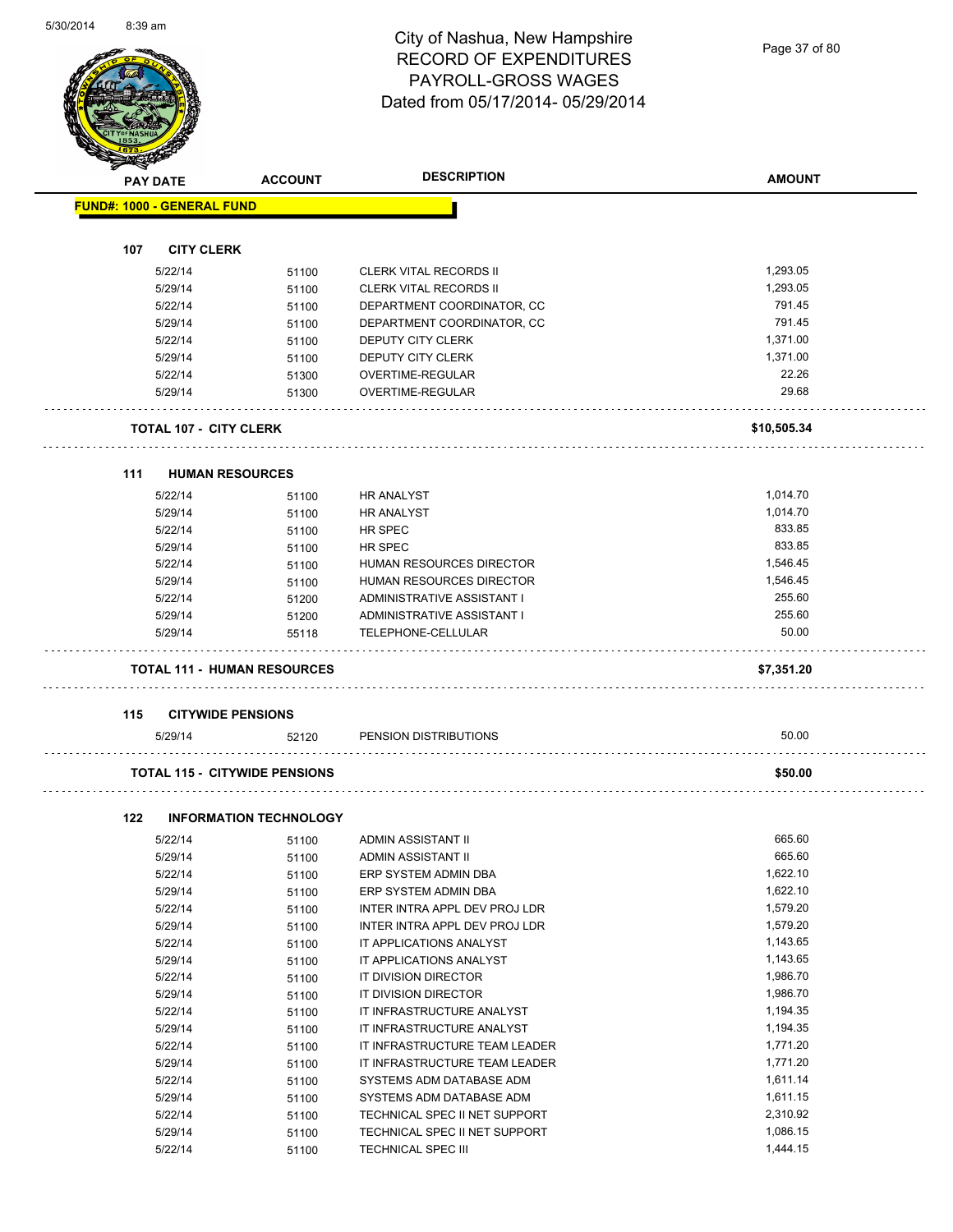Page 37 of 80

| <b>PAY DATE</b>                   |                               | <b>ACCOUNT</b>                       | <b>DESCRIPTION</b>                   | <b>AMOUNT</b>  |
|-----------------------------------|-------------------------------|--------------------------------------|--------------------------------------|----------------|
| <b>FUND#: 1000 - GENERAL FUND</b> |                               |                                      |                                      |                |
| 107                               | <b>CITY CLERK</b>             |                                      |                                      |                |
|                                   |                               |                                      |                                      |                |
|                                   | 5/22/14                       | 51100                                | <b>CLERK VITAL RECORDS II</b>        | 1,293.05       |
|                                   | 5/29/14                       | 51100                                | <b>CLERK VITAL RECORDS II</b>        | 1,293.05       |
|                                   | 5/22/14                       | 51100                                | DEPARTMENT COORDINATOR, CC           | 791.45         |
|                                   | 5/29/14                       | 51100                                | DEPARTMENT COORDINATOR, CC           | 791.45         |
|                                   | 5/22/14                       | 51100                                | <b>DEPUTY CITY CLERK</b>             | 1,371.00       |
|                                   | 5/29/14                       | 51100                                | DEPUTY CITY CLERK                    | 1,371.00       |
|                                   | 5/22/14<br>5/29/14            | 51300<br>51300                       | OVERTIME-REGULAR<br>OVERTIME-REGULAR | 22.26<br>29.68 |
|                                   |                               |                                      |                                      |                |
|                                   | <b>TOTAL 107 - CITY CLERK</b> |                                      |                                      | \$10,505.34    |
|                                   |                               |                                      |                                      |                |
| 111                               | <b>HUMAN RESOURCES</b>        |                                      |                                      |                |
|                                   | 5/22/14                       | 51100                                | <b>HR ANALYST</b>                    | 1,014.70       |
|                                   | 5/29/14                       | 51100                                | <b>HR ANALYST</b>                    | 1,014.70       |
|                                   | 5/22/14                       | 51100                                | HR SPEC                              | 833.85         |
|                                   | 5/29/14                       | 51100                                | HR SPEC                              | 833.85         |
|                                   | 5/22/14                       | 51100                                | HUMAN RESOURCES DIRECTOR             | 1,546.45       |
|                                   | 5/29/14                       | 51100                                | HUMAN RESOURCES DIRECTOR             | 1,546.45       |
|                                   | 5/22/14                       | 51200                                | ADMINISTRATIVE ASSISTANT I           | 255.60         |
|                                   | 5/29/14                       | 51200                                | ADMINISTRATIVE ASSISTANT I           | 255.60         |
|                                   | 5/29/14                       | 55118                                | TELEPHONE-CELLULAR                   | 50.00          |
|                                   |                               | <b>TOTAL 111 - HUMAN RESOURCES</b>   |                                      | \$7,351.20     |
| 115                               | <b>CITYWIDE PENSIONS</b>      |                                      |                                      |                |
|                                   | 5/29/14                       | 52120                                | PENSION DISTRIBUTIONS                | 50.00          |
|                                   |                               |                                      |                                      |                |
|                                   |                               | <b>TOTAL 115 - CITYWIDE PENSIONS</b> |                                      | \$50.00        |
| 122                               |                               | <b>INFORMATION TECHNOLOGY</b>        |                                      |                |
|                                   | 5/22/14                       | 51100                                | ADMIN ASSISTANT II                   | 665.60         |
|                                   | 5/29/14                       | 51100                                | ADMIN ASSISTANT II                   | 665.60         |
|                                   | 5/22/14                       | 51100                                | ERP SYSTEM ADMIN DBA                 | 1,622.10       |
|                                   | 5/29/14                       | 51100                                | ERP SYSTEM ADMIN DBA                 | 1,622.10       |
|                                   | 5/22/14                       | 51100                                | INTER INTRA APPL DEV PROJ LDR        | 1,579.20       |
|                                   | 5/29/14                       | 51100                                | INTER INTRA APPL DEV PROJ LDR        | 1,579.20       |
|                                   | 5/22/14                       | 51100                                | IT APPLICATIONS ANALYST              | 1,143.65       |
|                                   | 5/29/14                       | 51100                                | IT APPLICATIONS ANALYST              | 1,143.65       |
|                                   | 5/22/14                       | 51100                                | IT DIVISION DIRECTOR                 | 1,986.70       |
|                                   | 5/29/14                       | 51100                                | IT DIVISION DIRECTOR                 | 1,986.70       |
|                                   | 5/22/14                       | 51100                                | IT INFRASTRUCTURE ANALYST            | 1,194.35       |
|                                   | 5/29/14                       | 51100                                | IT INFRASTRUCTURE ANALYST            | 1,194.35       |
|                                   | 5/22/14                       | 51100                                | IT INFRASTRUCTURE TEAM LEADER        | 1,771.20       |
|                                   | 5/29/14                       | 51100                                | IT INFRASTRUCTURE TEAM LEADER        | 1,771.20       |
|                                   | 5/22/14                       | 51100                                | SYSTEMS ADM DATABASE ADM             | 1,611.14       |
|                                   | 5/29/14                       | 51100                                | SYSTEMS ADM DATABASE ADM             | 1,611.15       |
|                                   | 5/22/14                       | 51100                                | TECHNICAL SPEC II NET SUPPORT        | 2,310.92       |

5/29/14 51100 TECHNICAL SPEC II NET SUPPORT 1,086.15 5/22/14 51100 TECHNICAL SPEC III 1,444.15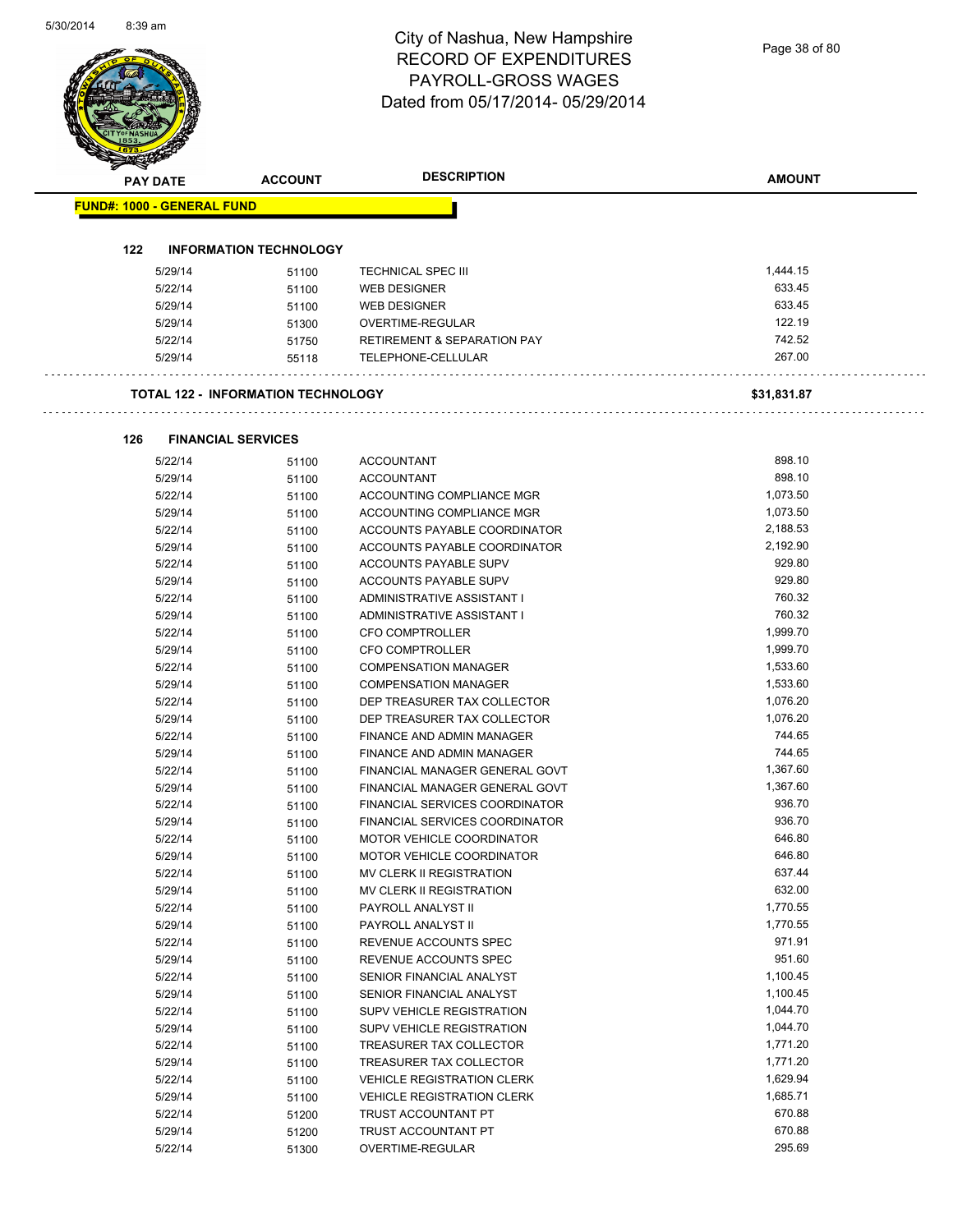| PAY DATE                          |                           | <b>ACCOUNT</b>                            | <b>DESCRIPTION</b>                             | <b>AMOUNT</b>    |
|-----------------------------------|---------------------------|-------------------------------------------|------------------------------------------------|------------------|
| <b>FUND#: 1000 - GENERAL FUND</b> |                           |                                           |                                                |                  |
|                                   |                           |                                           |                                                |                  |
| 122                               |                           | <b>INFORMATION TECHNOLOGY</b>             |                                                |                  |
|                                   | 5/29/14                   | 51100                                     | <b>TECHNICAL SPEC III</b>                      | 1,444.15         |
|                                   | 5/22/14                   | 51100                                     | <b>WEB DESIGNER</b>                            | 633.45           |
|                                   | 5/29/14                   | 51100                                     | <b>WEB DESIGNER</b>                            | 633.45           |
|                                   | 5/29/14                   | 51300                                     | OVERTIME-REGULAR                               | 122.19           |
|                                   | 5/22/14                   | 51750                                     | <b>RETIREMENT &amp; SEPARATION PAY</b>         | 742.52           |
|                                   | 5/29/14                   | 55118                                     | TELEPHONE-CELLULAR                             | 267.00           |
|                                   |                           | <b>TOTAL 122 - INFORMATION TECHNOLOGY</b> |                                                | \$31,831.87      |
|                                   |                           |                                           |                                                |                  |
| 126                               | <b>FINANCIAL SERVICES</b> |                                           |                                                |                  |
|                                   | 5/22/14                   | 51100                                     | <b>ACCOUNTANT</b>                              | 898.10<br>898.10 |
|                                   | 5/29/14<br>5/22/14        | 51100                                     | <b>ACCOUNTANT</b><br>ACCOUNTING COMPLIANCE MGR | 1,073.50         |
|                                   | 5/29/14                   | 51100                                     | ACCOUNTING COMPLIANCE MGR                      | 1,073.50         |
|                                   | 5/22/14                   | 51100<br>51100                            | ACCOUNTS PAYABLE COORDINATOR                   | 2,188.53         |
|                                   | 5/29/14                   | 51100                                     | ACCOUNTS PAYABLE COORDINATOR                   | 2,192.90         |
|                                   | 5/22/14                   | 51100                                     | ACCOUNTS PAYABLE SUPV                          | 929.80           |
|                                   | 5/29/14                   | 51100                                     | ACCOUNTS PAYABLE SUPV                          | 929.80           |
|                                   | 5/22/14                   | 51100                                     | ADMINISTRATIVE ASSISTANT I                     | 760.32           |
|                                   | 5/29/14                   | 51100                                     | ADMINISTRATIVE ASSISTANT I                     | 760.32           |
|                                   | 5/22/14                   | 51100                                     | <b>CFO COMPTROLLER</b>                         | 1,999.70         |
|                                   | 5/29/14                   | 51100                                     | CFO COMPTROLLER                                | 1,999.70         |
|                                   | 5/22/14                   | 51100                                     | <b>COMPENSATION MANAGER</b>                    | 1,533.60         |
|                                   | 5/29/14                   | 51100                                     | <b>COMPENSATION MANAGER</b>                    | 1,533.60         |
|                                   | 5/22/14                   | 51100                                     | DEP TREASURER TAX COLLECTOR                    | 1,076.20         |
|                                   | 5/29/14                   | 51100                                     | DEP TREASURER TAX COLLECTOR                    | 1,076.20         |
|                                   | 5/22/14                   | 51100                                     | FINANCE AND ADMIN MANAGER                      | 744.65           |
|                                   | 5/29/14                   | 51100                                     | FINANCE AND ADMIN MANAGER                      | 744.65           |
|                                   | 5/22/14                   | 51100                                     | FINANCIAL MANAGER GENERAL GOVT                 | 1,367.60         |
|                                   | 5/29/14                   | 51100                                     | FINANCIAL MANAGER GENERAL GOVT                 | 1.367.60         |
|                                   | 5/22/14                   | 51100                                     | FINANCIAL SERVICES COORDINATOR                 | 936.70           |
|                                   | 5/29/14                   | 51100                                     | FINANCIAL SERVICES COORDINATOR                 | 936.70           |
|                                   | 5/22/14                   | 51100                                     | MOTOR VEHICLE COORDINATOR                      | 646.80           |
|                                   | 5/29/14                   | 51100                                     | MOTOR VEHICLE COORDINATOR                      | 646.80           |
|                                   | 5/22/14                   | 51100                                     | MV CLERK II REGISTRATION                       | 637.44           |
|                                   | 5/29/14                   | 51100                                     | MV CLERK II REGISTRATION                       | 632.00           |
|                                   | 5/22/14                   | 51100                                     | PAYROLL ANALYST II                             | 1,770.55         |
|                                   | 5/29/14                   | 51100                                     | PAYROLL ANALYST II                             | 1,770.55         |
|                                   | 5/22/14                   | 51100                                     | REVENUE ACCOUNTS SPEC                          | 971.91           |
|                                   | 5/29/14                   | 51100                                     | REVENUE ACCOUNTS SPEC                          | 951.60           |
|                                   | 5/22/14                   | 51100                                     | SENIOR FINANCIAL ANALYST                       | 1,100.45         |
|                                   | 5/29/14                   | 51100                                     | SENIOR FINANCIAL ANALYST                       | 1,100.45         |
|                                   | 5/22/14                   | 51100                                     | SUPV VEHICLE REGISTRATION                      | 1,044.70         |
|                                   | 5/29/14                   | 51100                                     | SUPV VEHICLE REGISTRATION                      | 1,044.70         |
|                                   | 5/22/14                   | 51100                                     | TREASURER TAX COLLECTOR                        | 1,771.20         |
|                                   | 5/29/14                   | 51100                                     | TREASURER TAX COLLECTOR                        | 1,771.20         |
|                                   | 5/22/14                   | 51100                                     | <b>VEHICLE REGISTRATION CLERK</b>              | 1,629.94         |
|                                   | 5/29/14                   | 51100                                     | <b>VEHICLE REGISTRATION CLERK</b>              | 1,685.71         |
|                                   | 5/22/14                   | 51200                                     | TRUST ACCOUNTANT PT                            | 670.88           |
|                                   | 5/29/14                   | 51200                                     | TRUST ACCOUNTANT PT                            | 670.88           |
|                                   | 5/22/14                   |                                           | OVERTIME-REGULAR                               | 295.69           |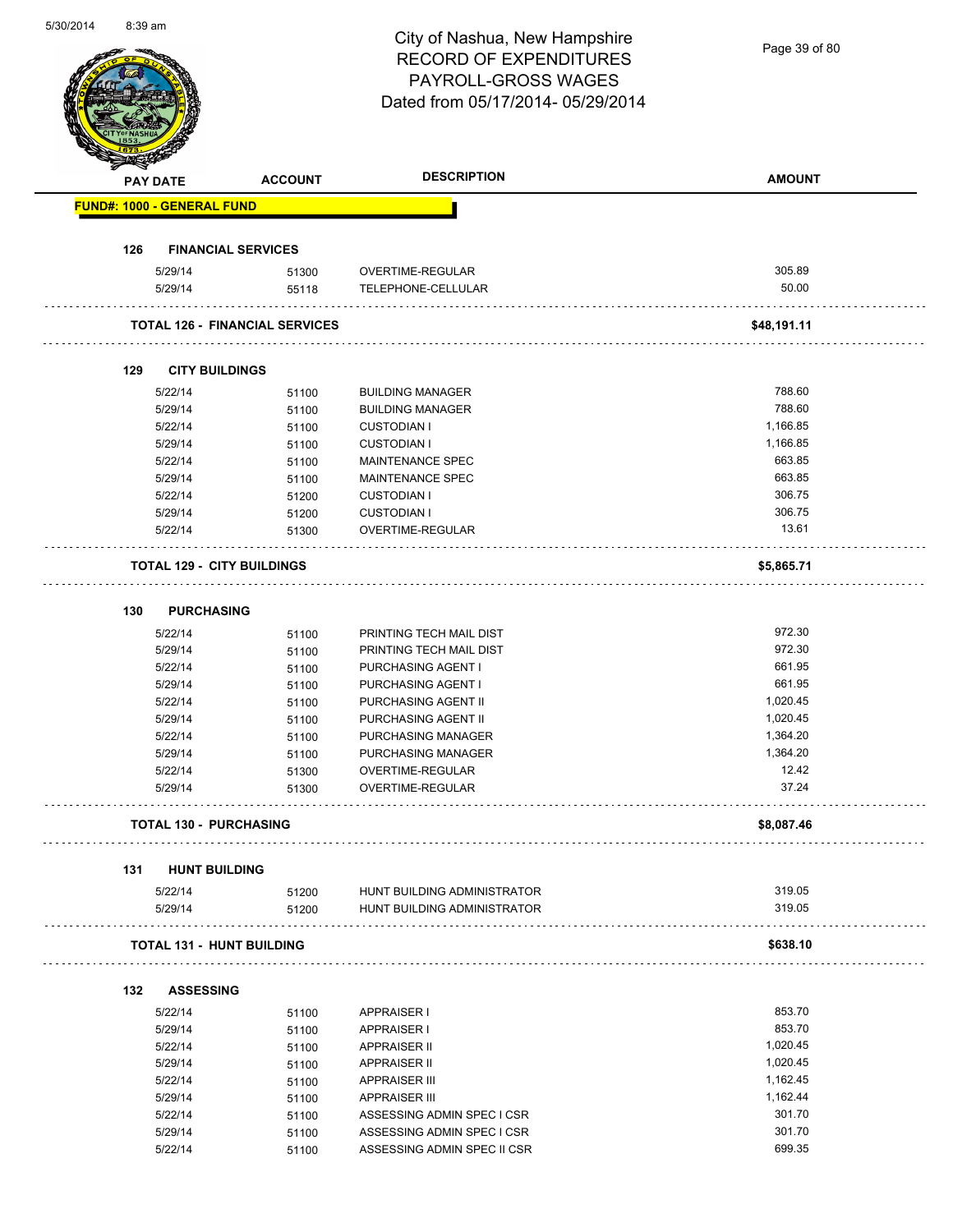| 5/30/2014 | 8:39 am |                 |                                       | City of Nashua, New Hampshire<br><b>RECORD OF EXPENDITURES</b><br>PAYROLL-GROSS WAGES | Page 39 of 80 |
|-----------|---------|-----------------|---------------------------------------|---------------------------------------------------------------------------------------|---------------|
|           |         |                 |                                       | Dated from 05/17/2014-05/29/2014                                                      |               |
|           |         | <b>PAY DATE</b> | <b>ACCOUNT</b>                        | <b>DESCRIPTION</b>                                                                    | <b>AMOUNT</b> |
|           |         |                 | <b>FUND#: 1000 - GENERAL FUND</b>     |                                                                                       |               |
|           | 126     |                 | <b>FINANCIAL SERVICES</b>             |                                                                                       |               |
|           |         | 5/29/14         | 51300                                 | OVERTIME-REGULAR                                                                      | 305.89        |
|           |         | 5/29/14         | 55118                                 | TELEPHONE-CELLULAR                                                                    | 50.00         |
|           |         |                 | <b>TOTAL 126 - FINANCIAL SERVICES</b> |                                                                                       | \$48,191.11   |
|           |         |                 |                                       |                                                                                       |               |
|           | 129     |                 | <b>CITY BUILDINGS</b>                 |                                                                                       |               |
|           |         | 5/22/14         | 51100                                 | <b>BUILDING MANAGER</b>                                                               | 788.60        |
|           |         | 5/29/14         | 51100                                 | <b>BUILDING MANAGER</b>                                                               | 788.60        |
|           |         | 5/22/14         | 51100                                 | <b>CUSTODIAN I</b>                                                                    | 1,166.85      |
|           |         | 5/29/14         | 51100                                 | <b>CUSTODIAN I</b>                                                                    | 1,166.85      |
|           |         | 5/22/14         | 51100                                 | MAINTENANCE SPEC                                                                      | 663.85        |
|           |         | 5/29/14         | 51100                                 | MAINTENANCE SPEC                                                                      | 663.85        |
|           |         | 5/22/14         | 51200                                 | <b>CUSTODIAN I</b>                                                                    | 306.75        |
|           |         | 5/29/14         | 51200                                 | <b>CUSTODIAN I</b>                                                                    | 306.75        |
|           |         | 5/22/14         | 51300                                 | OVERTIME-REGULAR                                                                      | 13.61         |
|           |         |                 | <b>TOTAL 129 - CITY BUILDINGS</b>     |                                                                                       | \$5,865.71    |
|           |         |                 |                                       |                                                                                       |               |
|           | 130     |                 | <b>PURCHASING</b>                     |                                                                                       |               |
|           |         | 5/22/14         | 51100                                 | PRINTING TECH MAIL DIST                                                               | 972.30        |
|           |         | 5/29/14         | 51100                                 | PRINTING TECH MAIL DIST                                                               | 972.30        |
|           |         | 5/22/14         | 51100                                 | PURCHASING AGENT I                                                                    | 661.95        |
|           |         | 5/29/14         | 51100                                 | PURCHASING AGENT I                                                                    | 661.95        |
|           |         | 5/22/14         | 51100                                 | PURCHASING AGENT II                                                                   | 1,020.45      |
|           |         | 5/29/14         | 51100                                 | PURCHASING AGENT II                                                                   | 1,020.45      |
|           |         | 5/22/14         | 51100                                 | PURCHASING MANAGER                                                                    | 1,364.20      |
|           |         | 5/29/14         | 51100                                 | PURCHASING MANAGER                                                                    | 1,364.20      |
|           |         | 5/22/14         | 51300                                 | OVERTIME-REGULAR                                                                      | 12.42         |
|           |         | 5/29/14         | 51300                                 | OVERTIME-REGULAR                                                                      | 37.24         |
|           |         |                 | <b>TOTAL 130 - PURCHASING</b>         |                                                                                       | \$8,087.46    |
|           |         |                 |                                       |                                                                                       |               |
|           | 131     |                 | <b>HUNT BUILDING</b>                  |                                                                                       |               |
|           |         | 5/22/14         | 51200                                 | HUNT BUILDING ADMINISTRATOR                                                           | 319.05        |
|           |         | 5/29/14         | 51200                                 | HUNT BUILDING ADMINISTRATOR                                                           | 319.05        |
|           |         |                 | <b>TOTAL 131 - HUNT BUILDING</b>      |                                                                                       | \$638.10      |
|           |         |                 |                                       |                                                                                       |               |
|           | 132     |                 | <b>ASSESSING</b>                      |                                                                                       | 853.70        |
|           |         | 5/22/14         | 51100                                 | <b>APPRAISER I</b>                                                                    |               |
|           |         | 5/29/14         | 51100                                 | <b>APPRAISER I</b>                                                                    | 853.70        |
|           |         | 5/22/14         | 51100                                 | <b>APPRAISER II</b>                                                                   | 1,020.45      |
|           |         | 5/29/14         | 51100                                 | <b>APPRAISER II</b>                                                                   | 1,020.45      |
|           |         | 5/22/14         | 51100                                 | <b>APPRAISER III</b>                                                                  | 1,162.45      |
|           |         | 5/29/14         | 51100                                 | <b>APPRAISER III</b>                                                                  | 1,162.44      |
|           |         | 5/22/14         | 51100                                 | ASSESSING ADMIN SPEC I CSR                                                            | 301.70        |
|           |         | 5/29/14         | 51100                                 | ASSESSING ADMIN SPEC I CSR                                                            | 301.70        |
|           |         | 5/22/14         | 51100                                 | ASSESSING ADMIN SPEC II CSR                                                           | 699.35        |

5/30/2014 8:39 am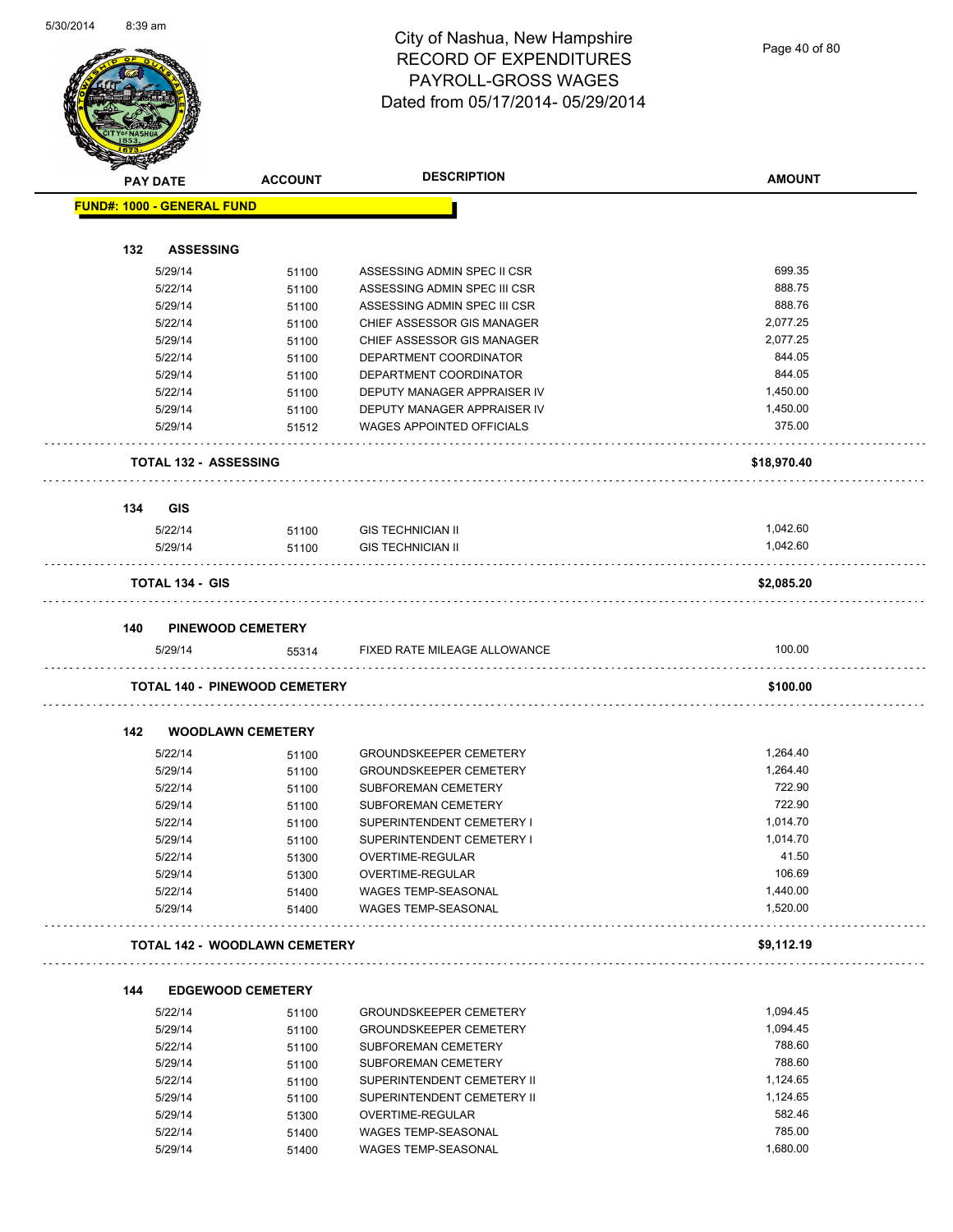

Page 40 of 80

| $\rightarrow$ | <b>PAY DATE</b>                   | <b>DESCRIPTION</b><br><b>ACCOUNT</b> |                                                   | <b>AMOUNT</b>        |
|---------------|-----------------------------------|--------------------------------------|---------------------------------------------------|----------------------|
|               | <b>FUND#: 1000 - GENERAL FUND</b> |                                      |                                                   |                      |
|               |                                   |                                      |                                                   |                      |
| 132           | <b>ASSESSING</b>                  |                                      |                                                   |                      |
|               | 5/29/14                           | 51100                                | ASSESSING ADMIN SPEC II CSR                       | 699.35               |
|               | 5/22/14                           | 51100                                | ASSESSING ADMIN SPEC III CSR                      | 888.75               |
|               | 5/29/14                           | 51100                                | ASSESSING ADMIN SPEC III CSR                      | 888.76               |
|               | 5/22/14                           | 51100                                | CHIEF ASSESSOR GIS MANAGER                        | 2,077.25             |
|               | 5/29/14                           | 51100                                | CHIEF ASSESSOR GIS MANAGER                        | 2,077.25             |
|               | 5/22/14                           | 51100                                | DEPARTMENT COORDINATOR                            | 844.05               |
|               | 5/29/14                           | 51100                                | DEPARTMENT COORDINATOR                            | 844.05               |
|               | 5/22/14                           | 51100                                | DEPUTY MANAGER APPRAISER IV                       | 1,450.00             |
|               | 5/29/14                           | 51100                                | DEPUTY MANAGER APPRAISER IV                       | 1,450.00             |
|               | 5/29/14                           | 51512                                | <b>WAGES APPOINTED OFFICIALS</b>                  | 375.00               |
|               | <b>TOTAL 132 - ASSESSING</b>      |                                      |                                                   | \$18,970.40          |
| 134           | GIS                               |                                      |                                                   |                      |
|               | 5/22/14                           | 51100                                | <b>GIS TECHNICIAN II</b>                          | 1,042.60             |
|               | 5/29/14                           | 51100                                | <b>GIS TECHNICIAN II</b>                          | 1,042.60             |
|               | <b>TOTAL 134 - GIS</b>            |                                      |                                                   | \$2,085.20           |
|               |                                   |                                      |                                                   |                      |
| 140           | 5/29/14                           | <b>PINEWOOD CEMETERY</b><br>55314    | FIXED RATE MILEAGE ALLOWANCE                      | 100.00               |
|               |                                   |                                      |                                                   |                      |
|               |                                   | <b>TOTAL 140 - PINEWOOD CEMETERY</b> |                                                   | \$100.00             |
| 142           |                                   | <b>WOODLAWN CEMETERY</b>             |                                                   |                      |
|               | 5/22/14                           | 51100                                | <b>GROUNDSKEEPER CEMETERY</b>                     | 1,264.40             |
|               | 5/29/14                           | 51100                                | <b>GROUNDSKEEPER CEMETERY</b>                     | 1,264.40             |
|               | 5/22/14                           | 51100                                | SUBFOREMAN CEMETERY                               | 722.90               |
|               | 5/29/14                           | 51100                                | SUBFOREMAN CEMETERY                               | 722.90               |
|               | 5/22/14                           | 51100                                | SUPERINTENDENT CEMETERY I                         | 1,014.70             |
|               | 5/29/14                           | 51100                                | SUPERINTENDENT CEMETERY I                         | 1,014.70             |
|               | 5/22/14                           | 51300                                | OVERTIME-REGULAR                                  | 41.50                |
|               | 5/29/14                           | 51300                                | OVERTIME-REGULAR                                  | 106.69               |
|               | 5/22/14<br>5/29/14                | 51400<br>51400                       | WAGES TEMP-SEASONAL<br><b>WAGES TEMP-SEASONAL</b> | 1,440.00<br>1,520.00 |
|               |                                   |                                      |                                                   |                      |
|               |                                   | <b>TOTAL 142 - WOODLAWN CEMETERY</b> |                                                   | \$9,112.19           |
| 144           |                                   | <b>EDGEWOOD CEMETERY</b>             |                                                   |                      |
|               | 5/22/14                           | 51100                                | <b>GROUNDSKEEPER CEMETERY</b>                     | 1,094.45             |
|               | 5/29/14                           | 51100                                | <b>GROUNDSKEEPER CEMETERY</b>                     | 1,094.45             |
|               | 5/22/14                           | 51100                                | <b>SUBFOREMAN CEMETERY</b>                        | 788.60               |
|               | 5/29/14                           | 51100                                | SUBFOREMAN CEMETERY                               | 788.60               |
|               | 5/22/14                           | 51100                                | SUPERINTENDENT CEMETERY II                        | 1,124.65             |
|               | 5/29/14                           | 51100                                | SUPERINTENDENT CEMETERY II                        | 1,124.65             |
|               | 5/29/14                           | 51300                                | OVERTIME-REGULAR                                  | 582.46               |
|               | 5/22/14                           | 51400                                | WAGES TEMP-SEASONAL                               | 785.00               |
|               | 5/29/14                           | 51400                                | WAGES TEMP-SEASONAL                               | 1,680.00             |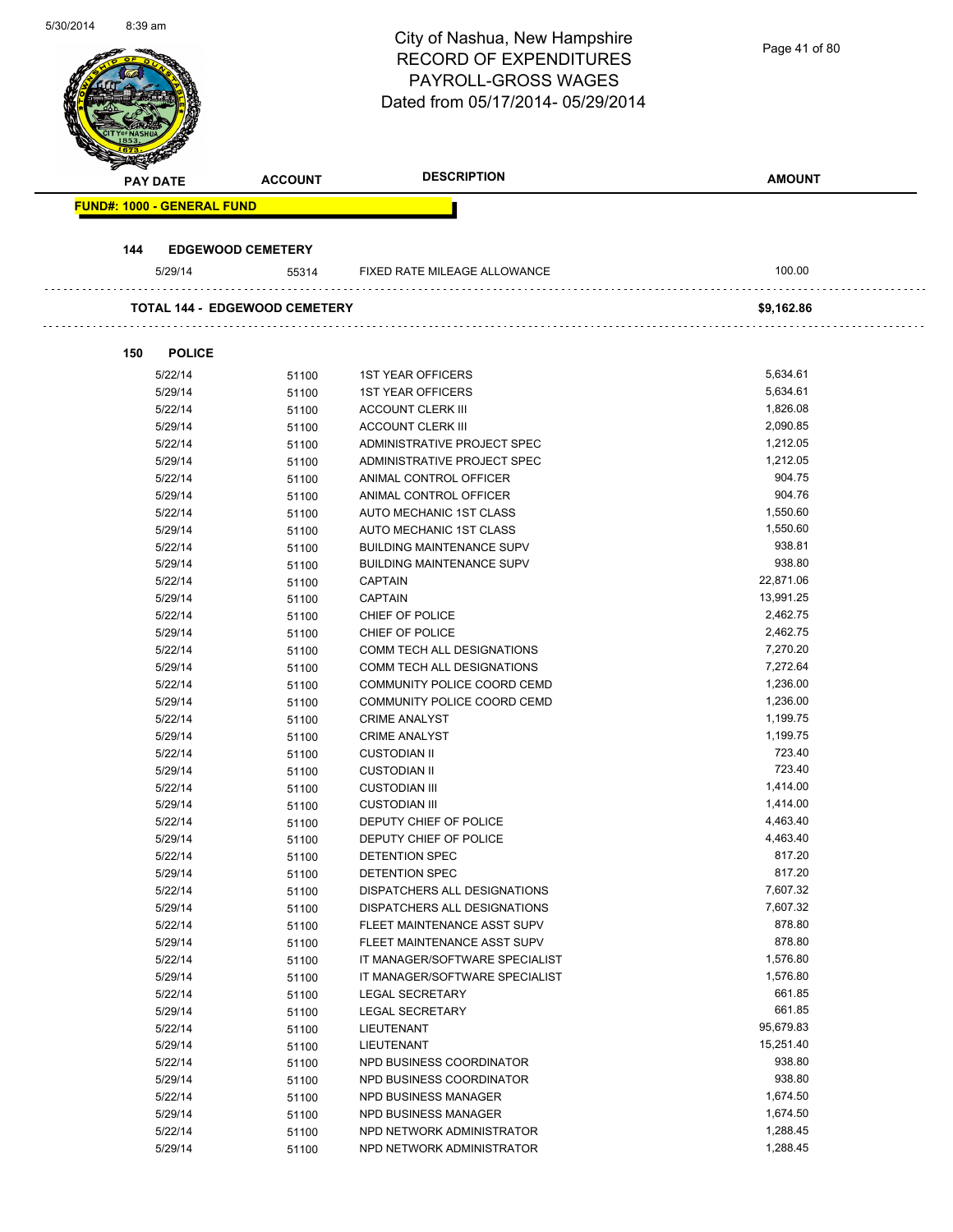| <b>DESCRIPTION</b><br><b>AMOUNT</b><br><b>ACCOUNT</b><br><b>PAY DATE</b><br><b>FUND#: 1000 - GENERAL FUND</b><br>144<br><b>EDGEWOOD CEMETERY</b><br>100.00<br>5/29/14<br>FIXED RATE MILEAGE ALLOWANCE<br>55314<br><b>TOTAL 144 - EDGEWOOD CEMETERY</b><br>\$9,162.86<br>150<br><b>POLICE</b><br>5/22/14<br><b>1ST YEAR OFFICERS</b><br>5,634.61<br>51100<br>5,634.61<br>5/29/14<br>51100<br><b>1ST YEAR OFFICERS</b><br>1,826.08<br>5/22/14<br><b>ACCOUNT CLERK III</b><br>51100<br>2,090.85<br>5/29/14<br>51100<br><b>ACCOUNT CLERK III</b><br>1,212.05<br>5/22/14<br>ADMINISTRATIVE PROJECT SPEC<br>51100<br>5/29/14<br>ADMINISTRATIVE PROJECT SPEC<br>1,212.05<br>51100<br>904.75<br>5/22/14<br>ANIMAL CONTROL OFFICER<br>51100<br>904.76<br>5/29/14<br>ANIMAL CONTROL OFFICER<br>51100<br>1,550.60<br>5/22/14<br>AUTO MECHANIC 1ST CLASS<br>51100<br>1,550.60<br>5/29/14<br>AUTO MECHANIC 1ST CLASS<br>51100<br>938.81<br>5/22/14<br><b>BUILDING MAINTENANCE SUPV</b><br>51100<br>938.80<br>5/29/14<br><b>BUILDING MAINTENANCE SUPV</b><br>51100<br>22,871.06<br>5/22/14<br><b>CAPTAIN</b><br>51100<br>5/29/14<br><b>CAPTAIN</b><br>13,991.25<br>51100<br>2,462.75<br>5/22/14<br>51100<br>CHIEF OF POLICE<br>2,462.75<br>5/29/14<br>CHIEF OF POLICE<br>51100<br>7,270.20<br>5/22/14<br>COMM TECH ALL DESIGNATIONS<br>51100<br>7,272.64<br>5/29/14<br>COMM TECH ALL DESIGNATIONS<br>51100<br>1,236.00<br>5/22/14<br>COMMUNITY POLICE COORD CEMD<br>51100<br>1,236.00<br>5/29/14<br>COMMUNITY POLICE COORD CEMD<br>51100<br>1,199.75<br>5/22/14<br>51100<br><b>CRIME ANALYST</b><br>1,199.75<br>5/29/14<br><b>CRIME ANALYST</b><br>51100<br>723.40<br>5/22/14<br><b>CUSTODIAN II</b><br>51100<br>723.40<br>5/29/14<br>51100<br><b>CUSTODIAN II</b><br>1,414.00<br>5/22/14<br><b>CUSTODIAN III</b><br>51100<br>1,414.00<br>5/29/14<br>51100<br><b>CUSTODIAN III</b><br>DEPUTY CHIEF OF POLICE<br>4,463.40<br>5/22/14<br>51100<br>4,463.40<br>5/29/14<br>DEPUTY CHIEF OF POLICE<br>51100<br>5/22/14<br>817.20<br>DETENTION SPEC<br>51100<br>817.20<br>5/29/14<br>51100<br>DETENTION SPEC<br>5/22/14<br>DISPATCHERS ALL DESIGNATIONS<br>7,607.32<br>51100<br>7,607.32<br>5/29/14<br>51100<br>DISPATCHERS ALL DESIGNATIONS<br>878.80<br>5/22/14<br>FLEET MAINTENANCE ASST SUPV<br>51100<br>878.80<br>5/29/14<br>51100<br>FLEET MAINTENANCE ASST SUPV<br>1,576.80<br>5/22/14<br>IT MANAGER/SOFTWARE SPECIALIST<br>51100<br>1,576.80<br>5/29/14<br>IT MANAGER/SOFTWARE SPECIALIST<br>51100<br>661.85<br>5/22/14<br>LEGAL SECRETARY<br>51100<br>661.85<br>5/29/14<br>LEGAL SECRETARY<br>51100<br>95,679.83<br>5/22/14<br>51100<br>LIEUTENANT<br>15,251.40<br>5/29/14<br>LIEUTENANT<br>51100<br>938.80<br>5/22/14<br>NPD BUSINESS COORDINATOR<br>51100<br>5/29/14<br>NPD BUSINESS COORDINATOR<br>938.80<br>51100<br>1,674.50<br>5/22/14<br>51100<br>NPD BUSINESS MANAGER<br>1,674.50<br>5/29/14<br>NPD BUSINESS MANAGER<br>51100<br>1,288.45<br>5/22/14<br>NPD NETWORK ADMINISTRATOR<br>51100<br>1,288.45<br>5/29/14<br>NPD NETWORK ADMINISTRATOR<br>51100 | 5/30/2014 | 8:39 am |  | City of Nashua, New Hampshire<br><b>RECORD OF EXPENDITURES</b><br><b>PAYROLL-GROSS WAGES</b><br>Dated from 05/17/2014-05/29/2014 | Page 41 of 80 |
|------------------------------------------------------------------------------------------------------------------------------------------------------------------------------------------------------------------------------------------------------------------------------------------------------------------------------------------------------------------------------------------------------------------------------------------------------------------------------------------------------------------------------------------------------------------------------------------------------------------------------------------------------------------------------------------------------------------------------------------------------------------------------------------------------------------------------------------------------------------------------------------------------------------------------------------------------------------------------------------------------------------------------------------------------------------------------------------------------------------------------------------------------------------------------------------------------------------------------------------------------------------------------------------------------------------------------------------------------------------------------------------------------------------------------------------------------------------------------------------------------------------------------------------------------------------------------------------------------------------------------------------------------------------------------------------------------------------------------------------------------------------------------------------------------------------------------------------------------------------------------------------------------------------------------------------------------------------------------------------------------------------------------------------------------------------------------------------------------------------------------------------------------------------------------------------------------------------------------------------------------------------------------------------------------------------------------------------------------------------------------------------------------------------------------------------------------------------------------------------------------------------------------------------------------------------------------------------------------------------------------------------------------------------------------------------------------------------------------------------------------------------------------------------------------------------------------------------------------------------------------------------------------------------------------------------------------------------------------------------------------------------------------------------------------|-----------|---------|--|----------------------------------------------------------------------------------------------------------------------------------|---------------|
|                                                                                                                                                                                                                                                                                                                                                                                                                                                                                                                                                                                                                                                                                                                                                                                                                                                                                                                                                                                                                                                                                                                                                                                                                                                                                                                                                                                                                                                                                                                                                                                                                                                                                                                                                                                                                                                                                                                                                                                                                                                                                                                                                                                                                                                                                                                                                                                                                                                                                                                                                                                                                                                                                                                                                                                                                                                                                                                                                                                                                                                      |           |         |  |                                                                                                                                  |               |
|                                                                                                                                                                                                                                                                                                                                                                                                                                                                                                                                                                                                                                                                                                                                                                                                                                                                                                                                                                                                                                                                                                                                                                                                                                                                                                                                                                                                                                                                                                                                                                                                                                                                                                                                                                                                                                                                                                                                                                                                                                                                                                                                                                                                                                                                                                                                                                                                                                                                                                                                                                                                                                                                                                                                                                                                                                                                                                                                                                                                                                                      |           |         |  |                                                                                                                                  |               |
|                                                                                                                                                                                                                                                                                                                                                                                                                                                                                                                                                                                                                                                                                                                                                                                                                                                                                                                                                                                                                                                                                                                                                                                                                                                                                                                                                                                                                                                                                                                                                                                                                                                                                                                                                                                                                                                                                                                                                                                                                                                                                                                                                                                                                                                                                                                                                                                                                                                                                                                                                                                                                                                                                                                                                                                                                                                                                                                                                                                                                                                      |           |         |  |                                                                                                                                  |               |
|                                                                                                                                                                                                                                                                                                                                                                                                                                                                                                                                                                                                                                                                                                                                                                                                                                                                                                                                                                                                                                                                                                                                                                                                                                                                                                                                                                                                                                                                                                                                                                                                                                                                                                                                                                                                                                                                                                                                                                                                                                                                                                                                                                                                                                                                                                                                                                                                                                                                                                                                                                                                                                                                                                                                                                                                                                                                                                                                                                                                                                                      |           |         |  |                                                                                                                                  |               |
|                                                                                                                                                                                                                                                                                                                                                                                                                                                                                                                                                                                                                                                                                                                                                                                                                                                                                                                                                                                                                                                                                                                                                                                                                                                                                                                                                                                                                                                                                                                                                                                                                                                                                                                                                                                                                                                                                                                                                                                                                                                                                                                                                                                                                                                                                                                                                                                                                                                                                                                                                                                                                                                                                                                                                                                                                                                                                                                                                                                                                                                      |           |         |  |                                                                                                                                  |               |
|                                                                                                                                                                                                                                                                                                                                                                                                                                                                                                                                                                                                                                                                                                                                                                                                                                                                                                                                                                                                                                                                                                                                                                                                                                                                                                                                                                                                                                                                                                                                                                                                                                                                                                                                                                                                                                                                                                                                                                                                                                                                                                                                                                                                                                                                                                                                                                                                                                                                                                                                                                                                                                                                                                                                                                                                                                                                                                                                                                                                                                                      |           |         |  |                                                                                                                                  |               |
|                                                                                                                                                                                                                                                                                                                                                                                                                                                                                                                                                                                                                                                                                                                                                                                                                                                                                                                                                                                                                                                                                                                                                                                                                                                                                                                                                                                                                                                                                                                                                                                                                                                                                                                                                                                                                                                                                                                                                                                                                                                                                                                                                                                                                                                                                                                                                                                                                                                                                                                                                                                                                                                                                                                                                                                                                                                                                                                                                                                                                                                      |           |         |  |                                                                                                                                  |               |
|                                                                                                                                                                                                                                                                                                                                                                                                                                                                                                                                                                                                                                                                                                                                                                                                                                                                                                                                                                                                                                                                                                                                                                                                                                                                                                                                                                                                                                                                                                                                                                                                                                                                                                                                                                                                                                                                                                                                                                                                                                                                                                                                                                                                                                                                                                                                                                                                                                                                                                                                                                                                                                                                                                                                                                                                                                                                                                                                                                                                                                                      |           |         |  |                                                                                                                                  |               |
|                                                                                                                                                                                                                                                                                                                                                                                                                                                                                                                                                                                                                                                                                                                                                                                                                                                                                                                                                                                                                                                                                                                                                                                                                                                                                                                                                                                                                                                                                                                                                                                                                                                                                                                                                                                                                                                                                                                                                                                                                                                                                                                                                                                                                                                                                                                                                                                                                                                                                                                                                                                                                                                                                                                                                                                                                                                                                                                                                                                                                                                      |           |         |  |                                                                                                                                  |               |
|                                                                                                                                                                                                                                                                                                                                                                                                                                                                                                                                                                                                                                                                                                                                                                                                                                                                                                                                                                                                                                                                                                                                                                                                                                                                                                                                                                                                                                                                                                                                                                                                                                                                                                                                                                                                                                                                                                                                                                                                                                                                                                                                                                                                                                                                                                                                                                                                                                                                                                                                                                                                                                                                                                                                                                                                                                                                                                                                                                                                                                                      |           |         |  |                                                                                                                                  |               |
|                                                                                                                                                                                                                                                                                                                                                                                                                                                                                                                                                                                                                                                                                                                                                                                                                                                                                                                                                                                                                                                                                                                                                                                                                                                                                                                                                                                                                                                                                                                                                                                                                                                                                                                                                                                                                                                                                                                                                                                                                                                                                                                                                                                                                                                                                                                                                                                                                                                                                                                                                                                                                                                                                                                                                                                                                                                                                                                                                                                                                                                      |           |         |  |                                                                                                                                  |               |
|                                                                                                                                                                                                                                                                                                                                                                                                                                                                                                                                                                                                                                                                                                                                                                                                                                                                                                                                                                                                                                                                                                                                                                                                                                                                                                                                                                                                                                                                                                                                                                                                                                                                                                                                                                                                                                                                                                                                                                                                                                                                                                                                                                                                                                                                                                                                                                                                                                                                                                                                                                                                                                                                                                                                                                                                                                                                                                                                                                                                                                                      |           |         |  |                                                                                                                                  |               |
|                                                                                                                                                                                                                                                                                                                                                                                                                                                                                                                                                                                                                                                                                                                                                                                                                                                                                                                                                                                                                                                                                                                                                                                                                                                                                                                                                                                                                                                                                                                                                                                                                                                                                                                                                                                                                                                                                                                                                                                                                                                                                                                                                                                                                                                                                                                                                                                                                                                                                                                                                                                                                                                                                                                                                                                                                                                                                                                                                                                                                                                      |           |         |  |                                                                                                                                  |               |
|                                                                                                                                                                                                                                                                                                                                                                                                                                                                                                                                                                                                                                                                                                                                                                                                                                                                                                                                                                                                                                                                                                                                                                                                                                                                                                                                                                                                                                                                                                                                                                                                                                                                                                                                                                                                                                                                                                                                                                                                                                                                                                                                                                                                                                                                                                                                                                                                                                                                                                                                                                                                                                                                                                                                                                                                                                                                                                                                                                                                                                                      |           |         |  |                                                                                                                                  |               |
|                                                                                                                                                                                                                                                                                                                                                                                                                                                                                                                                                                                                                                                                                                                                                                                                                                                                                                                                                                                                                                                                                                                                                                                                                                                                                                                                                                                                                                                                                                                                                                                                                                                                                                                                                                                                                                                                                                                                                                                                                                                                                                                                                                                                                                                                                                                                                                                                                                                                                                                                                                                                                                                                                                                                                                                                                                                                                                                                                                                                                                                      |           |         |  |                                                                                                                                  |               |
|                                                                                                                                                                                                                                                                                                                                                                                                                                                                                                                                                                                                                                                                                                                                                                                                                                                                                                                                                                                                                                                                                                                                                                                                                                                                                                                                                                                                                                                                                                                                                                                                                                                                                                                                                                                                                                                                                                                                                                                                                                                                                                                                                                                                                                                                                                                                                                                                                                                                                                                                                                                                                                                                                                                                                                                                                                                                                                                                                                                                                                                      |           |         |  |                                                                                                                                  |               |
|                                                                                                                                                                                                                                                                                                                                                                                                                                                                                                                                                                                                                                                                                                                                                                                                                                                                                                                                                                                                                                                                                                                                                                                                                                                                                                                                                                                                                                                                                                                                                                                                                                                                                                                                                                                                                                                                                                                                                                                                                                                                                                                                                                                                                                                                                                                                                                                                                                                                                                                                                                                                                                                                                                                                                                                                                                                                                                                                                                                                                                                      |           |         |  |                                                                                                                                  |               |
|                                                                                                                                                                                                                                                                                                                                                                                                                                                                                                                                                                                                                                                                                                                                                                                                                                                                                                                                                                                                                                                                                                                                                                                                                                                                                                                                                                                                                                                                                                                                                                                                                                                                                                                                                                                                                                                                                                                                                                                                                                                                                                                                                                                                                                                                                                                                                                                                                                                                                                                                                                                                                                                                                                                                                                                                                                                                                                                                                                                                                                                      |           |         |  |                                                                                                                                  |               |
|                                                                                                                                                                                                                                                                                                                                                                                                                                                                                                                                                                                                                                                                                                                                                                                                                                                                                                                                                                                                                                                                                                                                                                                                                                                                                                                                                                                                                                                                                                                                                                                                                                                                                                                                                                                                                                                                                                                                                                                                                                                                                                                                                                                                                                                                                                                                                                                                                                                                                                                                                                                                                                                                                                                                                                                                                                                                                                                                                                                                                                                      |           |         |  |                                                                                                                                  |               |
|                                                                                                                                                                                                                                                                                                                                                                                                                                                                                                                                                                                                                                                                                                                                                                                                                                                                                                                                                                                                                                                                                                                                                                                                                                                                                                                                                                                                                                                                                                                                                                                                                                                                                                                                                                                                                                                                                                                                                                                                                                                                                                                                                                                                                                                                                                                                                                                                                                                                                                                                                                                                                                                                                                                                                                                                                                                                                                                                                                                                                                                      |           |         |  |                                                                                                                                  |               |
|                                                                                                                                                                                                                                                                                                                                                                                                                                                                                                                                                                                                                                                                                                                                                                                                                                                                                                                                                                                                                                                                                                                                                                                                                                                                                                                                                                                                                                                                                                                                                                                                                                                                                                                                                                                                                                                                                                                                                                                                                                                                                                                                                                                                                                                                                                                                                                                                                                                                                                                                                                                                                                                                                                                                                                                                                                                                                                                                                                                                                                                      |           |         |  |                                                                                                                                  |               |
|                                                                                                                                                                                                                                                                                                                                                                                                                                                                                                                                                                                                                                                                                                                                                                                                                                                                                                                                                                                                                                                                                                                                                                                                                                                                                                                                                                                                                                                                                                                                                                                                                                                                                                                                                                                                                                                                                                                                                                                                                                                                                                                                                                                                                                                                                                                                                                                                                                                                                                                                                                                                                                                                                                                                                                                                                                                                                                                                                                                                                                                      |           |         |  |                                                                                                                                  |               |
|                                                                                                                                                                                                                                                                                                                                                                                                                                                                                                                                                                                                                                                                                                                                                                                                                                                                                                                                                                                                                                                                                                                                                                                                                                                                                                                                                                                                                                                                                                                                                                                                                                                                                                                                                                                                                                                                                                                                                                                                                                                                                                                                                                                                                                                                                                                                                                                                                                                                                                                                                                                                                                                                                                                                                                                                                                                                                                                                                                                                                                                      |           |         |  |                                                                                                                                  |               |
|                                                                                                                                                                                                                                                                                                                                                                                                                                                                                                                                                                                                                                                                                                                                                                                                                                                                                                                                                                                                                                                                                                                                                                                                                                                                                                                                                                                                                                                                                                                                                                                                                                                                                                                                                                                                                                                                                                                                                                                                                                                                                                                                                                                                                                                                                                                                                                                                                                                                                                                                                                                                                                                                                                                                                                                                                                                                                                                                                                                                                                                      |           |         |  |                                                                                                                                  |               |
|                                                                                                                                                                                                                                                                                                                                                                                                                                                                                                                                                                                                                                                                                                                                                                                                                                                                                                                                                                                                                                                                                                                                                                                                                                                                                                                                                                                                                                                                                                                                                                                                                                                                                                                                                                                                                                                                                                                                                                                                                                                                                                                                                                                                                                                                                                                                                                                                                                                                                                                                                                                                                                                                                                                                                                                                                                                                                                                                                                                                                                                      |           |         |  |                                                                                                                                  |               |
|                                                                                                                                                                                                                                                                                                                                                                                                                                                                                                                                                                                                                                                                                                                                                                                                                                                                                                                                                                                                                                                                                                                                                                                                                                                                                                                                                                                                                                                                                                                                                                                                                                                                                                                                                                                                                                                                                                                                                                                                                                                                                                                                                                                                                                                                                                                                                                                                                                                                                                                                                                                                                                                                                                                                                                                                                                                                                                                                                                                                                                                      |           |         |  |                                                                                                                                  |               |
|                                                                                                                                                                                                                                                                                                                                                                                                                                                                                                                                                                                                                                                                                                                                                                                                                                                                                                                                                                                                                                                                                                                                                                                                                                                                                                                                                                                                                                                                                                                                                                                                                                                                                                                                                                                                                                                                                                                                                                                                                                                                                                                                                                                                                                                                                                                                                                                                                                                                                                                                                                                                                                                                                                                                                                                                                                                                                                                                                                                                                                                      |           |         |  |                                                                                                                                  |               |
|                                                                                                                                                                                                                                                                                                                                                                                                                                                                                                                                                                                                                                                                                                                                                                                                                                                                                                                                                                                                                                                                                                                                                                                                                                                                                                                                                                                                                                                                                                                                                                                                                                                                                                                                                                                                                                                                                                                                                                                                                                                                                                                                                                                                                                                                                                                                                                                                                                                                                                                                                                                                                                                                                                                                                                                                                                                                                                                                                                                                                                                      |           |         |  |                                                                                                                                  |               |
|                                                                                                                                                                                                                                                                                                                                                                                                                                                                                                                                                                                                                                                                                                                                                                                                                                                                                                                                                                                                                                                                                                                                                                                                                                                                                                                                                                                                                                                                                                                                                                                                                                                                                                                                                                                                                                                                                                                                                                                                                                                                                                                                                                                                                                                                                                                                                                                                                                                                                                                                                                                                                                                                                                                                                                                                                                                                                                                                                                                                                                                      |           |         |  |                                                                                                                                  |               |
|                                                                                                                                                                                                                                                                                                                                                                                                                                                                                                                                                                                                                                                                                                                                                                                                                                                                                                                                                                                                                                                                                                                                                                                                                                                                                                                                                                                                                                                                                                                                                                                                                                                                                                                                                                                                                                                                                                                                                                                                                                                                                                                                                                                                                                                                                                                                                                                                                                                                                                                                                                                                                                                                                                                                                                                                                                                                                                                                                                                                                                                      |           |         |  |                                                                                                                                  |               |
|                                                                                                                                                                                                                                                                                                                                                                                                                                                                                                                                                                                                                                                                                                                                                                                                                                                                                                                                                                                                                                                                                                                                                                                                                                                                                                                                                                                                                                                                                                                                                                                                                                                                                                                                                                                                                                                                                                                                                                                                                                                                                                                                                                                                                                                                                                                                                                                                                                                                                                                                                                                                                                                                                                                                                                                                                                                                                                                                                                                                                                                      |           |         |  |                                                                                                                                  |               |
|                                                                                                                                                                                                                                                                                                                                                                                                                                                                                                                                                                                                                                                                                                                                                                                                                                                                                                                                                                                                                                                                                                                                                                                                                                                                                                                                                                                                                                                                                                                                                                                                                                                                                                                                                                                                                                                                                                                                                                                                                                                                                                                                                                                                                                                                                                                                                                                                                                                                                                                                                                                                                                                                                                                                                                                                                                                                                                                                                                                                                                                      |           |         |  |                                                                                                                                  |               |
|                                                                                                                                                                                                                                                                                                                                                                                                                                                                                                                                                                                                                                                                                                                                                                                                                                                                                                                                                                                                                                                                                                                                                                                                                                                                                                                                                                                                                                                                                                                                                                                                                                                                                                                                                                                                                                                                                                                                                                                                                                                                                                                                                                                                                                                                                                                                                                                                                                                                                                                                                                                                                                                                                                                                                                                                                                                                                                                                                                                                                                                      |           |         |  |                                                                                                                                  |               |
|                                                                                                                                                                                                                                                                                                                                                                                                                                                                                                                                                                                                                                                                                                                                                                                                                                                                                                                                                                                                                                                                                                                                                                                                                                                                                                                                                                                                                                                                                                                                                                                                                                                                                                                                                                                                                                                                                                                                                                                                                                                                                                                                                                                                                                                                                                                                                                                                                                                                                                                                                                                                                                                                                                                                                                                                                                                                                                                                                                                                                                                      |           |         |  |                                                                                                                                  |               |
|                                                                                                                                                                                                                                                                                                                                                                                                                                                                                                                                                                                                                                                                                                                                                                                                                                                                                                                                                                                                                                                                                                                                                                                                                                                                                                                                                                                                                                                                                                                                                                                                                                                                                                                                                                                                                                                                                                                                                                                                                                                                                                                                                                                                                                                                                                                                                                                                                                                                                                                                                                                                                                                                                                                                                                                                                                                                                                                                                                                                                                                      |           |         |  |                                                                                                                                  |               |
|                                                                                                                                                                                                                                                                                                                                                                                                                                                                                                                                                                                                                                                                                                                                                                                                                                                                                                                                                                                                                                                                                                                                                                                                                                                                                                                                                                                                                                                                                                                                                                                                                                                                                                                                                                                                                                                                                                                                                                                                                                                                                                                                                                                                                                                                                                                                                                                                                                                                                                                                                                                                                                                                                                                                                                                                                                                                                                                                                                                                                                                      |           |         |  |                                                                                                                                  |               |
|                                                                                                                                                                                                                                                                                                                                                                                                                                                                                                                                                                                                                                                                                                                                                                                                                                                                                                                                                                                                                                                                                                                                                                                                                                                                                                                                                                                                                                                                                                                                                                                                                                                                                                                                                                                                                                                                                                                                                                                                                                                                                                                                                                                                                                                                                                                                                                                                                                                                                                                                                                                                                                                                                                                                                                                                                                                                                                                                                                                                                                                      |           |         |  |                                                                                                                                  |               |
|                                                                                                                                                                                                                                                                                                                                                                                                                                                                                                                                                                                                                                                                                                                                                                                                                                                                                                                                                                                                                                                                                                                                                                                                                                                                                                                                                                                                                                                                                                                                                                                                                                                                                                                                                                                                                                                                                                                                                                                                                                                                                                                                                                                                                                                                                                                                                                                                                                                                                                                                                                                                                                                                                                                                                                                                                                                                                                                                                                                                                                                      |           |         |  |                                                                                                                                  |               |
|                                                                                                                                                                                                                                                                                                                                                                                                                                                                                                                                                                                                                                                                                                                                                                                                                                                                                                                                                                                                                                                                                                                                                                                                                                                                                                                                                                                                                                                                                                                                                                                                                                                                                                                                                                                                                                                                                                                                                                                                                                                                                                                                                                                                                                                                                                                                                                                                                                                                                                                                                                                                                                                                                                                                                                                                                                                                                                                                                                                                                                                      |           |         |  |                                                                                                                                  |               |
|                                                                                                                                                                                                                                                                                                                                                                                                                                                                                                                                                                                                                                                                                                                                                                                                                                                                                                                                                                                                                                                                                                                                                                                                                                                                                                                                                                                                                                                                                                                                                                                                                                                                                                                                                                                                                                                                                                                                                                                                                                                                                                                                                                                                                                                                                                                                                                                                                                                                                                                                                                                                                                                                                                                                                                                                                                                                                                                                                                                                                                                      |           |         |  |                                                                                                                                  |               |
|                                                                                                                                                                                                                                                                                                                                                                                                                                                                                                                                                                                                                                                                                                                                                                                                                                                                                                                                                                                                                                                                                                                                                                                                                                                                                                                                                                                                                                                                                                                                                                                                                                                                                                                                                                                                                                                                                                                                                                                                                                                                                                                                                                                                                                                                                                                                                                                                                                                                                                                                                                                                                                                                                                                                                                                                                                                                                                                                                                                                                                                      |           |         |  |                                                                                                                                  |               |
|                                                                                                                                                                                                                                                                                                                                                                                                                                                                                                                                                                                                                                                                                                                                                                                                                                                                                                                                                                                                                                                                                                                                                                                                                                                                                                                                                                                                                                                                                                                                                                                                                                                                                                                                                                                                                                                                                                                                                                                                                                                                                                                                                                                                                                                                                                                                                                                                                                                                                                                                                                                                                                                                                                                                                                                                                                                                                                                                                                                                                                                      |           |         |  |                                                                                                                                  |               |
|                                                                                                                                                                                                                                                                                                                                                                                                                                                                                                                                                                                                                                                                                                                                                                                                                                                                                                                                                                                                                                                                                                                                                                                                                                                                                                                                                                                                                                                                                                                                                                                                                                                                                                                                                                                                                                                                                                                                                                                                                                                                                                                                                                                                                                                                                                                                                                                                                                                                                                                                                                                                                                                                                                                                                                                                                                                                                                                                                                                                                                                      |           |         |  |                                                                                                                                  |               |
|                                                                                                                                                                                                                                                                                                                                                                                                                                                                                                                                                                                                                                                                                                                                                                                                                                                                                                                                                                                                                                                                                                                                                                                                                                                                                                                                                                                                                                                                                                                                                                                                                                                                                                                                                                                                                                                                                                                                                                                                                                                                                                                                                                                                                                                                                                                                                                                                                                                                                                                                                                                                                                                                                                                                                                                                                                                                                                                                                                                                                                                      |           |         |  |                                                                                                                                  |               |
|                                                                                                                                                                                                                                                                                                                                                                                                                                                                                                                                                                                                                                                                                                                                                                                                                                                                                                                                                                                                                                                                                                                                                                                                                                                                                                                                                                                                                                                                                                                                                                                                                                                                                                                                                                                                                                                                                                                                                                                                                                                                                                                                                                                                                                                                                                                                                                                                                                                                                                                                                                                                                                                                                                                                                                                                                                                                                                                                                                                                                                                      |           |         |  |                                                                                                                                  |               |
|                                                                                                                                                                                                                                                                                                                                                                                                                                                                                                                                                                                                                                                                                                                                                                                                                                                                                                                                                                                                                                                                                                                                                                                                                                                                                                                                                                                                                                                                                                                                                                                                                                                                                                                                                                                                                                                                                                                                                                                                                                                                                                                                                                                                                                                                                                                                                                                                                                                                                                                                                                                                                                                                                                                                                                                                                                                                                                                                                                                                                                                      |           |         |  |                                                                                                                                  |               |
|                                                                                                                                                                                                                                                                                                                                                                                                                                                                                                                                                                                                                                                                                                                                                                                                                                                                                                                                                                                                                                                                                                                                                                                                                                                                                                                                                                                                                                                                                                                                                                                                                                                                                                                                                                                                                                                                                                                                                                                                                                                                                                                                                                                                                                                                                                                                                                                                                                                                                                                                                                                                                                                                                                                                                                                                                                                                                                                                                                                                                                                      |           |         |  |                                                                                                                                  |               |
|                                                                                                                                                                                                                                                                                                                                                                                                                                                                                                                                                                                                                                                                                                                                                                                                                                                                                                                                                                                                                                                                                                                                                                                                                                                                                                                                                                                                                                                                                                                                                                                                                                                                                                                                                                                                                                                                                                                                                                                                                                                                                                                                                                                                                                                                                                                                                                                                                                                                                                                                                                                                                                                                                                                                                                                                                                                                                                                                                                                                                                                      |           |         |  |                                                                                                                                  |               |
|                                                                                                                                                                                                                                                                                                                                                                                                                                                                                                                                                                                                                                                                                                                                                                                                                                                                                                                                                                                                                                                                                                                                                                                                                                                                                                                                                                                                                                                                                                                                                                                                                                                                                                                                                                                                                                                                                                                                                                                                                                                                                                                                                                                                                                                                                                                                                                                                                                                                                                                                                                                                                                                                                                                                                                                                                                                                                                                                                                                                                                                      |           |         |  |                                                                                                                                  |               |
|                                                                                                                                                                                                                                                                                                                                                                                                                                                                                                                                                                                                                                                                                                                                                                                                                                                                                                                                                                                                                                                                                                                                                                                                                                                                                                                                                                                                                                                                                                                                                                                                                                                                                                                                                                                                                                                                                                                                                                                                                                                                                                                                                                                                                                                                                                                                                                                                                                                                                                                                                                                                                                                                                                                                                                                                                                                                                                                                                                                                                                                      |           |         |  |                                                                                                                                  |               |
|                                                                                                                                                                                                                                                                                                                                                                                                                                                                                                                                                                                                                                                                                                                                                                                                                                                                                                                                                                                                                                                                                                                                                                                                                                                                                                                                                                                                                                                                                                                                                                                                                                                                                                                                                                                                                                                                                                                                                                                                                                                                                                                                                                                                                                                                                                                                                                                                                                                                                                                                                                                                                                                                                                                                                                                                                                                                                                                                                                                                                                                      |           |         |  |                                                                                                                                  |               |
|                                                                                                                                                                                                                                                                                                                                                                                                                                                                                                                                                                                                                                                                                                                                                                                                                                                                                                                                                                                                                                                                                                                                                                                                                                                                                                                                                                                                                                                                                                                                                                                                                                                                                                                                                                                                                                                                                                                                                                                                                                                                                                                                                                                                                                                                                                                                                                                                                                                                                                                                                                                                                                                                                                                                                                                                                                                                                                                                                                                                                                                      |           |         |  |                                                                                                                                  |               |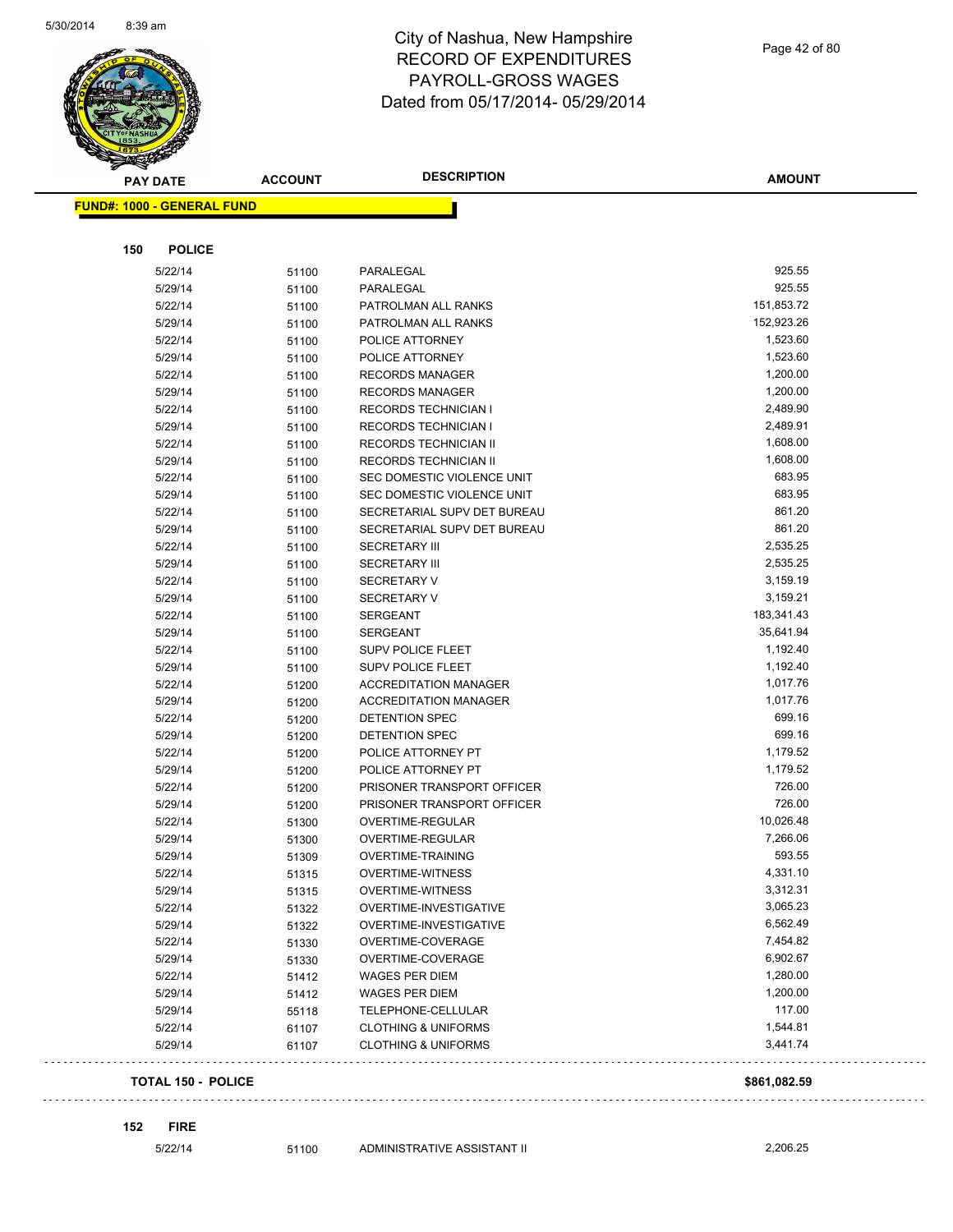

Page 42 of 80

| <b>PAY DATE</b>                   | <b>ACCOUNT</b> | <b>DESCRIPTION</b>             | <b>AMOUNT</b> |
|-----------------------------------|----------------|--------------------------------|---------------|
| <b>FUND#: 1000 - GENERAL FUND</b> |                |                                |               |
| <b>POLICE</b><br>150              |                |                                |               |
| 5/22/14                           | 51100          | PARALEGAL                      | 925.55        |
| 5/29/14                           | 51100          | PARALEGAL                      | 925.55        |
| 5/22/14                           | 51100          | PATROLMAN ALL RANKS            | 151,853.72    |
| 5/29/14                           | 51100          | PATROLMAN ALL RANKS            | 152,923.26    |
| 5/22/14                           | 51100          | POLICE ATTORNEY                | 1,523.60      |
| 5/29/14                           | 51100          | POLICE ATTORNEY                | 1,523.60      |
| 5/22/14                           | 51100          | <b>RECORDS MANAGER</b>         | 1,200.00      |
| 5/29/14                           | 51100          | <b>RECORDS MANAGER</b>         | 1,200.00      |
| 5/22/14                           | 51100          | RECORDS TECHNICIAN I           | 2,489.90      |
| 5/29/14                           | 51100          | RECORDS TECHNICIAN I           | 2,489.91      |
| 5/22/14                           | 51100          | RECORDS TECHNICIAN II          | 1,608.00      |
| 5/29/14                           | 51100          | RECORDS TECHNICIAN II          | 1,608.00      |
| 5/22/14                           | 51100          | SEC DOMESTIC VIOLENCE UNIT     | 683.95        |
| 5/29/14                           | 51100          | SEC DOMESTIC VIOLENCE UNIT     | 683.95        |
| 5/22/14                           | 51100          | SECRETARIAL SUPV DET BUREAU    | 861.20        |
| 5/29/14                           | 51100          | SECRETARIAL SUPV DET BUREAU    | 861.20        |
| 5/22/14                           | 51100          | <b>SECRETARY III</b>           | 2,535.25      |
| 5/29/14                           | 51100          | <b>SECRETARY III</b>           | 2,535.25      |
| 5/22/14                           | 51100          | <b>SECRETARY V</b>             | 3,159.19      |
| 5/29/14                           | 51100          | <b>SECRETARY V</b>             | 3,159.21      |
| 5/22/14                           | 51100          | SERGEANT                       | 183,341.43    |
| 5/29/14                           | 51100          | SERGEANT                       | 35,641.94     |
| 5/22/14                           | 51100          | <b>SUPV POLICE FLEET</b>       | 1,192.40      |
| 5/29/14                           | 51100          | <b>SUPV POLICE FLEET</b>       | 1,192.40      |
| 5/22/14                           | 51200          | <b>ACCREDITATION MANAGER</b>   | 1,017.76      |
| 5/29/14                           | 51200          | <b>ACCREDITATION MANAGER</b>   | 1,017.76      |
| 5/22/14                           | 51200          | DETENTION SPEC                 | 699.16        |
| 5/29/14                           | 51200          | DETENTION SPEC                 | 699.16        |
| 5/22/14                           | 51200          | POLICE ATTORNEY PT             | 1,179.52      |
| 5/29/14                           | 51200          | POLICE ATTORNEY PT             | 1,179.52      |
| 5/22/14                           | 51200          | PRISONER TRANSPORT OFFICER     | 726.00        |
| 5/29/14                           | 51200          | PRISONER TRANSPORT OFFICER     | 726.00        |
| 5/22/14                           | 51300          | <b>OVERTIME-REGULAR</b>        | 10,026.48     |
| 5/29/14                           | 51300          | OVERTIME-REGULAR               | 7,266.06      |
| 5/29/14                           | 51309          | <b>OVERTIME-TRAINING</b>       | 593.55        |
| 5/22/14                           | 51315          | <b>OVERTIME-WITNESS</b>        | 4,331.10      |
| 5/29/14                           | 51315          | <b>OVERTIME-WITNESS</b>        | 3,312.31      |
| 5/22/14                           | 51322          | OVERTIME-INVESTIGATIVE         | 3,065.23      |
| 5/29/14                           | 51322          | OVERTIME-INVESTIGATIVE         | 6,562.49      |
| 5/22/14                           | 51330          | OVERTIME-COVERAGE              | 7,454.82      |
| 5/29/14                           | 51330          | OVERTIME-COVERAGE              | 6,902.67      |
| 5/22/14                           | 51412          | WAGES PER DIEM                 | 1,280.00      |
| 5/29/14                           | 51412          | WAGES PER DIEM                 | 1,200.00      |
| 5/29/14                           | 55118          | TELEPHONE-CELLULAR             | 117.00        |
| 5/22/14                           | 61107          | <b>CLOTHING &amp; UNIFORMS</b> | 1,544.81      |
| 5/29/14                           | 61107          | <b>CLOTHING &amp; UNIFORMS</b> | 3,441.74      |
|                                   |                |                                |               |

**152 FIRE**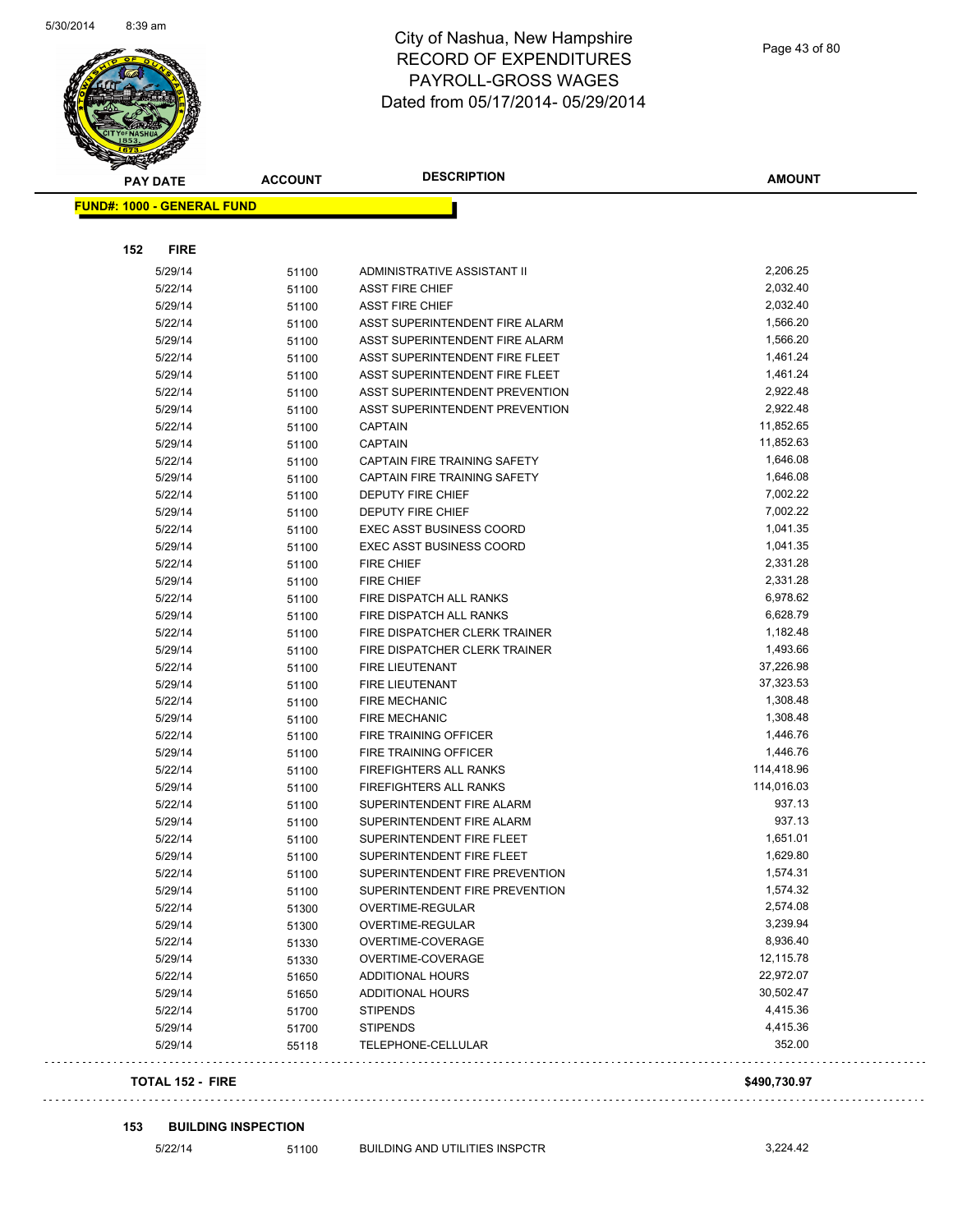

Page 43 of 80

| <b>PAY DATE</b>                   | <b>DESCRIPTION</b><br><b>ACCOUNT</b> |                                 | <b>AMOUNT</b> |  |
|-----------------------------------|--------------------------------------|---------------------------------|---------------|--|
| <b>FUND#: 1000 - GENERAL FUND</b> |                                      |                                 |               |  |
| 152<br><b>FIRE</b>                |                                      |                                 |               |  |
| 5/29/14                           | 51100                                | ADMINISTRATIVE ASSISTANT II     | 2,206.25      |  |
| 5/22/14                           | 51100                                | <b>ASST FIRE CHIEF</b>          | 2,032.40      |  |
| 5/29/14                           | 51100                                | <b>ASST FIRE CHIEF</b>          | 2,032.40      |  |
| 5/22/14                           | 51100                                | ASST SUPERINTENDENT FIRE ALARM  | 1,566.20      |  |
| 5/29/14                           | 51100                                | ASST SUPERINTENDENT FIRE ALARM  | 1,566.20      |  |
| 5/22/14                           | 51100                                | ASST SUPERINTENDENT FIRE FLEET  | 1,461.24      |  |
| 5/29/14                           | 51100                                | ASST SUPERINTENDENT FIRE FLEET  | 1,461.24      |  |
| 5/22/14                           | 51100                                | ASST SUPERINTENDENT PREVENTION  | 2,922.48      |  |
| 5/29/14                           | 51100                                | ASST SUPERINTENDENT PREVENTION  | 2,922.48      |  |
| 5/22/14                           | 51100                                | <b>CAPTAIN</b>                  | 11,852.65     |  |
| 5/29/14                           | 51100                                | <b>CAPTAIN</b>                  | 11,852.63     |  |
| 5/22/14                           | 51100                                | CAPTAIN FIRE TRAINING SAFETY    | 1,646.08      |  |
| 5/29/14                           | 51100                                | CAPTAIN FIRE TRAINING SAFETY    | 1,646.08      |  |
| 5/22/14                           | 51100                                | <b>DEPUTY FIRE CHIEF</b>        | 7,002.22      |  |
| 5/29/14                           |                                      | <b>DEPUTY FIRE CHIEF</b>        | 7,002.22      |  |
| 5/22/14                           | 51100                                | <b>EXEC ASST BUSINESS COORD</b> | 1,041.35      |  |
| 5/29/14                           | 51100                                | <b>EXEC ASST BUSINESS COORD</b> | 1,041.35      |  |
| 5/22/14                           | 51100                                | <b>FIRE CHIEF</b>               | 2,331.28      |  |
|                                   | 51100                                | <b>FIRE CHIEF</b>               | 2,331.28      |  |
| 5/29/14                           | 51100                                | FIRE DISPATCH ALL RANKS         | 6,978.62      |  |
| 5/22/14                           | 51100                                |                                 |               |  |
| 5/29/14                           | 51100                                | FIRE DISPATCH ALL RANKS         | 6,628.79      |  |
| 5/22/14                           | 51100                                | FIRE DISPATCHER CLERK TRAINER   | 1,182.48      |  |
| 5/29/14                           | 51100                                | FIRE DISPATCHER CLERK TRAINER   | 1,493.66      |  |
| 5/22/14                           | 51100                                | <b>FIRE LIEUTENANT</b>          | 37,226.98     |  |
| 5/29/14                           | 51100                                | <b>FIRE LIEUTENANT</b>          | 37,323.53     |  |
| 5/22/14                           | 51100                                | <b>FIRE MECHANIC</b>            | 1,308.48      |  |
| 5/29/14                           | 51100                                | <b>FIRE MECHANIC</b>            | 1,308.48      |  |
| 5/22/14                           | 51100                                | FIRE TRAINING OFFICER           | 1,446.76      |  |
| 5/29/14                           | 51100                                | FIRE TRAINING OFFICER           | 1,446.76      |  |
| 5/22/14                           | 51100                                | FIREFIGHTERS ALL RANKS          | 114,418.96    |  |
| 5/29/14                           | 51100                                | FIREFIGHTERS ALL RANKS          | 114,016.03    |  |
| 5/22/14                           | 51100                                | SUPERINTENDENT FIRE ALARM       | 937.13        |  |
| 5/29/14                           | 51100                                | SUPERINTENDENT FIRE ALARM       | 937.13        |  |
| 5/22/14                           | 51100                                | SUPERINTENDENT FIRE FLEET       | 1,651.01      |  |
| 5/29/14                           | 51100                                | SUPERINTENDENT FIRE FLEET       | 1,629.80      |  |
| 5/22/14                           | 51100                                | SUPERINTENDENT FIRE PREVENTION  | 1,574.31      |  |
| 5/29/14                           | 51100                                | SUPERINTENDENT FIRE PREVENTION  | 1,574.32      |  |
| 5/22/14                           | 51300                                | OVERTIME-REGULAR                | 2,574.08      |  |
| 5/29/14                           | 51300                                | OVERTIME-REGULAR                | 3,239.94      |  |
| 5/22/14                           | 51330                                | OVERTIME-COVERAGE               | 8,936.40      |  |
| 5/29/14                           | 51330                                | OVERTIME-COVERAGE               | 12,115.78     |  |
| 5/22/14                           | 51650                                | <b>ADDITIONAL HOURS</b>         | 22,972.07     |  |
| 5/29/14                           | 51650                                | <b>ADDITIONAL HOURS</b>         | 30,502.47     |  |
| 5/22/14                           | 51700                                | <b>STIPENDS</b>                 | 4,415.36      |  |
| 5/29/14                           | 51700                                | <b>STIPENDS</b>                 | 4,415.36      |  |
| 5/29/14                           | 55118                                | TELEPHONE-CELLULAR              | 352.00        |  |
|                                   |                                      |                                 |               |  |

#### **153 BUILDING INSPECTION**

5/22/14 51100 BUILDING AND UTILITIES INSPCTR 3,224.42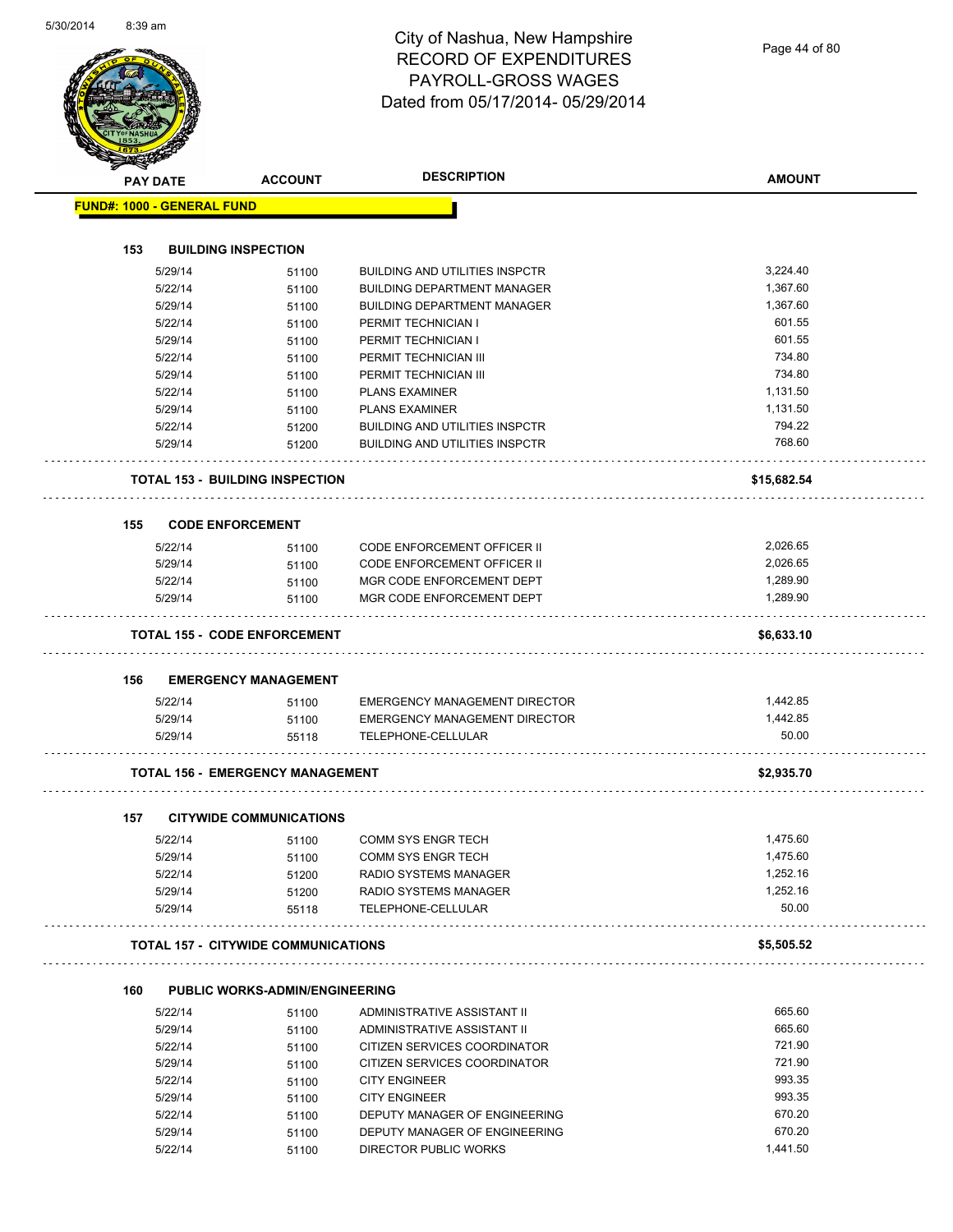Page 44 of 80

|                                   | <b>PAY DATE</b> | <b>ACCOUNT</b>                             | <b>DESCRIPTION</b>                    | <b>AMOUNT</b> |
|-----------------------------------|-----------------|--------------------------------------------|---------------------------------------|---------------|
| <b>FUND#: 1000 - GENERAL FUND</b> |                 |                                            |                                       |               |
|                                   |                 |                                            |                                       |               |
| 153                               |                 | <b>BUILDING INSPECTION</b>                 |                                       |               |
|                                   | 5/29/14         | 51100                                      | <b>BUILDING AND UTILITIES INSPCTR</b> | 3,224.40      |
|                                   | 5/22/14         | 51100                                      | <b>BUILDING DEPARTMENT MANAGER</b>    | 1,367.60      |
|                                   | 5/29/14         | 51100                                      | <b>BUILDING DEPARTMENT MANAGER</b>    | 1,367.60      |
|                                   | 5/22/14         | 51100                                      | PERMIT TECHNICIAN I                   | 601.55        |
|                                   | 5/29/14         | 51100                                      | PERMIT TECHNICIAN I                   | 601.55        |
|                                   | 5/22/14         | 51100                                      | PERMIT TECHNICIAN III                 | 734.80        |
|                                   | 5/29/14         | 51100                                      | PERMIT TECHNICIAN III                 | 734.80        |
|                                   | 5/22/14         | 51100                                      | <b>PLANS EXAMINER</b>                 | 1,131.50      |
|                                   | 5/29/14         | 51100                                      | <b>PLANS EXAMINER</b>                 | 1,131.50      |
|                                   | 5/22/14         | 51200                                      | <b>BUILDING AND UTILITIES INSPCTR</b> | 794.22        |
|                                   | 5/29/14         | 51200                                      | <b>BUILDING AND UTILITIES INSPCTR</b> | 768.60        |
|                                   |                 |                                            |                                       |               |
|                                   |                 | <b>TOTAL 153 - BUILDING INSPECTION</b>     |                                       | \$15,682.54   |
| 155                               |                 | <b>CODE ENFORCEMENT</b>                    |                                       |               |
|                                   | 5/22/14         | 51100                                      | <b>CODE ENFORCEMENT OFFICER II</b>    | 2,026.65      |
|                                   | 5/29/14         | 51100                                      | <b>CODE ENFORCEMENT OFFICER II</b>    | 2,026.65      |
|                                   | 5/22/14         | 51100                                      | MGR CODE ENFORCEMENT DEPT             | 1,289.90      |
|                                   | 5/29/14         | 51100                                      | MGR CODE ENFORCEMENT DEPT             | 1,289.90      |
|                                   |                 |                                            |                                       |               |
|                                   |                 | <b>TOTAL 155 - CODE ENFORCEMENT</b>        |                                       | \$6,633.10    |
| 156                               |                 | <b>EMERGENCY MANAGEMENT</b>                |                                       |               |
|                                   | 5/22/14         | 51100                                      | <b>EMERGENCY MANAGEMENT DIRECTOR</b>  | 1,442.85      |
|                                   | 5/29/14         | 51100                                      | EMERGENCY MANAGEMENT DIRECTOR         | 1,442.85      |
|                                   | 5/29/14         | 55118                                      | TELEPHONE-CELLULAR                    | 50.00         |
|                                   |                 | <b>TOTAL 156 - EMERGENCY MANAGEMENT</b>    |                                       | \$2,935.70    |
|                                   |                 |                                            |                                       |               |
| 157                               |                 | <b>CITYWIDE COMMUNICATIONS</b>             |                                       |               |
|                                   | 5/22/14         | 51100                                      | <b>COMM SYS ENGR TECH</b>             | 1,475.60      |
|                                   | 5/29/14         | 51100                                      | COMM SYS ENGR TECH                    | 1,475.60      |
|                                   | 5/22/14         | 51200                                      | RADIO SYSTEMS MANAGER                 | 1,252.16      |
|                                   | 5/29/14         | 51200                                      | <b>RADIO SYSTEMS MANAGER</b>          | 1,252.16      |
|                                   | 5/29/14         | 55118                                      | TELEPHONE-CELLULAR                    | 50.00         |
|                                   |                 | <b>TOTAL 157 - CITYWIDE COMMUNICATIONS</b> |                                       | \$5,505.52    |
| 160                               |                 | <b>PUBLIC WORKS-ADMIN/ENGINEERING</b>      |                                       |               |
|                                   | 5/22/14         | 51100                                      | ADMINISTRATIVE ASSISTANT II           | 665.60        |
|                                   | 5/29/14         | 51100                                      | ADMINISTRATIVE ASSISTANT II           | 665.60        |
|                                   | 5/22/14         | 51100                                      | CITIZEN SERVICES COORDINATOR          | 721.90        |
|                                   | 5/29/14         | 51100                                      | CITIZEN SERVICES COORDINATOR          | 721.90        |
|                                   | 5/22/14         | 51100                                      | <b>CITY ENGINEER</b>                  | 993.35        |
|                                   | 5/29/14         | 51100                                      | <b>CITY ENGINEER</b>                  | 993.35        |
|                                   | 5/22/14         | 51100                                      | DEPUTY MANAGER OF ENGINEERING         | 670.20        |
|                                   | 5/29/14         | 51100                                      | DEPUTY MANAGER OF ENGINEERING         | 670.20        |
|                                   | 5/22/14         | 51100                                      | DIRECTOR PUBLIC WORKS                 | 1,441.50      |
|                                   |                 |                                            |                                       |               |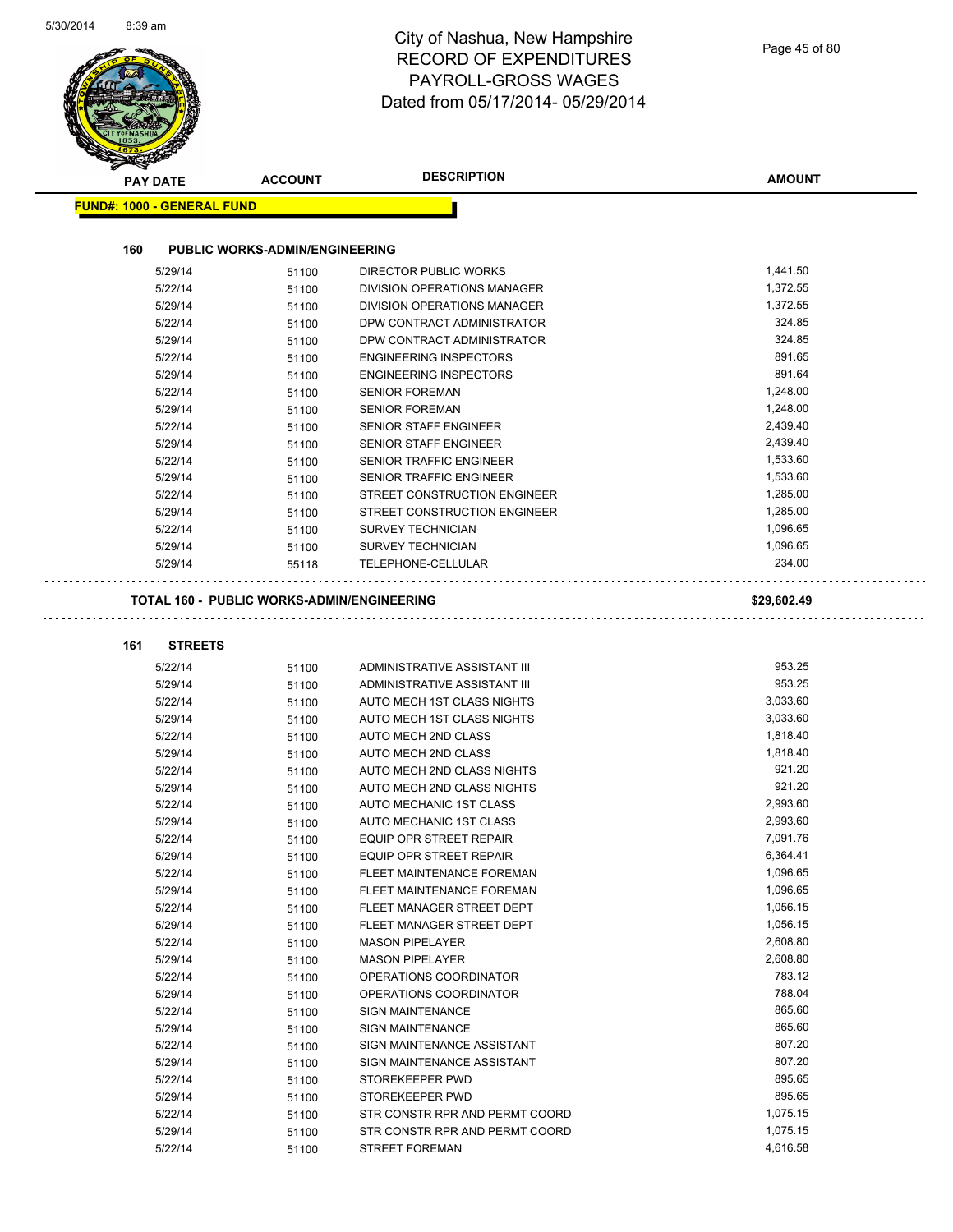| <b>FUND#: 1000 - GENERAL FUND</b><br>160<br><b>PUBLIC WORKS-ADMIN/ENGINEERING</b><br>5/29/14<br><b>DIRECTOR PUBLIC WORKS</b><br>51100<br>5/22/14<br><b>DIVISION OPERATIONS MANAGER</b><br>51100<br>5/29/14<br>51100<br>DIVISION OPERATIONS MANAGER<br>DPW CONTRACT ADMINISTRATOR<br>5/22/14<br>51100<br>5/29/14<br>DPW CONTRACT ADMINISTRATOR<br>51100<br>5/22/14<br><b>ENGINEERING INSPECTORS</b><br>51100<br>5/29/14<br><b>ENGINEERING INSPECTORS</b><br>51100<br>5/22/14<br><b>SENIOR FOREMAN</b><br>51100<br>5/29/14<br><b>SENIOR FOREMAN</b><br>51100<br>SENIOR STAFF ENGINEER<br>5/22/14<br>51100<br>5/29/14<br>SENIOR STAFF ENGINEER<br>51100<br>5/22/14<br>SENIOR TRAFFIC ENGINEER<br>51100<br>5/29/14<br>SENIOR TRAFFIC ENGINEER<br>51100<br>5/22/14<br>51100<br>STREET CONSTRUCTION ENGINEER<br>5/29/14<br>STREET CONSTRUCTION ENGINEER<br>51100<br>5/22/14<br>51100<br><b>SURVEY TECHNICIAN</b><br>SURVEY TECHNICIAN<br>5/29/14<br>51100<br>TELEPHONE-CELLULAR<br>5/29/14<br>55118<br><b>TOTAL 160 - PUBLIC WORKS-ADMIN/ENGINEERING</b><br><b>STREETS</b><br>161<br>5/22/14<br>ADMINISTRATIVE ASSISTANT III<br>51100<br>5/29/14<br>ADMINISTRATIVE ASSISTANT III<br>51100<br>5/22/14<br>AUTO MECH 1ST CLASS NIGHTS<br>51100<br>5/29/14<br>AUTO MECH 1ST CLASS NIGHTS<br>51100<br>1,818.40<br>5/22/14<br>AUTO MECH 2ND CLASS<br>51100<br>1,818.40<br>5/29/14<br>AUTO MECH 2ND CLASS<br>51100<br>5/22/14<br>51100<br>AUTO MECH 2ND CLASS NIGHTS<br>921.20<br>5/29/14<br>AUTO MECH 2ND CLASS NIGHTS<br>51100<br>2,993.60<br>5/22/14<br>51100<br>AUTO MECHANIC 1ST CLASS<br>5/29/14<br>AUTO MECHANIC 1ST CLASS<br>51100<br>5/22/14<br>EQUIP OPR STREET REPAIR<br>51100<br>5/29/14<br>EQUIP OPR STREET REPAIR<br>51100<br>5/22/14<br>51100<br>FLEET MAINTENANCE FOREMAN<br>5/29/14<br>FLEET MAINTENANCE FOREMAN<br>51100<br>5/22/14<br>51100<br>FLEET MANAGER STREET DEPT<br>5/29/14<br>FLEET MANAGER STREET DEPT<br>51100<br>5/22/14<br>51100<br><b>MASON PIPELAYER</b><br>5/29/14<br><b>MASON PIPELAYER</b><br>51100<br>OPERATIONS COORDINATOR<br>5/22/14<br>51100<br>5/29/14<br>OPERATIONS COORDINATOR<br>51100<br>5/22/14<br>SIGN MAINTENANCE<br>51100<br>5/29/14<br>SIGN MAINTENANCE<br>51100<br>5/22/14<br>SIGN MAINTENANCE ASSISTANT<br>51100<br>5/29/14<br>51100<br>SIGN MAINTENANCE ASSISTANT |             |                 | <b>ACCOUNT</b> | <b>PAY DATE</b> |
|-------------------------------------------------------------------------------------------------------------------------------------------------------------------------------------------------------------------------------------------------------------------------------------------------------------------------------------------------------------------------------------------------------------------------------------------------------------------------------------------------------------------------------------------------------------------------------------------------------------------------------------------------------------------------------------------------------------------------------------------------------------------------------------------------------------------------------------------------------------------------------------------------------------------------------------------------------------------------------------------------------------------------------------------------------------------------------------------------------------------------------------------------------------------------------------------------------------------------------------------------------------------------------------------------------------------------------------------------------------------------------------------------------------------------------------------------------------------------------------------------------------------------------------------------------------------------------------------------------------------------------------------------------------------------------------------------------------------------------------------------------------------------------------------------------------------------------------------------------------------------------------------------------------------------------------------------------------------------------------------------------------------------------------------------------------------------------------------------------------------------------------------------------------------------------------------------------------------------------------------------------------------------------------------------------------|-------------|-----------------|----------------|-----------------|
|                                                                                                                                                                                                                                                                                                                                                                                                                                                                                                                                                                                                                                                                                                                                                                                                                                                                                                                                                                                                                                                                                                                                                                                                                                                                                                                                                                                                                                                                                                                                                                                                                                                                                                                                                                                                                                                                                                                                                                                                                                                                                                                                                                                                                                                                                                             |             |                 |                |                 |
|                                                                                                                                                                                                                                                                                                                                                                                                                                                                                                                                                                                                                                                                                                                                                                                                                                                                                                                                                                                                                                                                                                                                                                                                                                                                                                                                                                                                                                                                                                                                                                                                                                                                                                                                                                                                                                                                                                                                                                                                                                                                                                                                                                                                                                                                                                             |             |                 |                |                 |
|                                                                                                                                                                                                                                                                                                                                                                                                                                                                                                                                                                                                                                                                                                                                                                                                                                                                                                                                                                                                                                                                                                                                                                                                                                                                                                                                                                                                                                                                                                                                                                                                                                                                                                                                                                                                                                                                                                                                                                                                                                                                                                                                                                                                                                                                                                             |             |                 |                |                 |
|                                                                                                                                                                                                                                                                                                                                                                                                                                                                                                                                                                                                                                                                                                                                                                                                                                                                                                                                                                                                                                                                                                                                                                                                                                                                                                                                                                                                                                                                                                                                                                                                                                                                                                                                                                                                                                                                                                                                                                                                                                                                                                                                                                                                                                                                                                             | 1,441.50    |                 |                |                 |
|                                                                                                                                                                                                                                                                                                                                                                                                                                                                                                                                                                                                                                                                                                                                                                                                                                                                                                                                                                                                                                                                                                                                                                                                                                                                                                                                                                                                                                                                                                                                                                                                                                                                                                                                                                                                                                                                                                                                                                                                                                                                                                                                                                                                                                                                                                             | 1,372.55    |                 |                |                 |
|                                                                                                                                                                                                                                                                                                                                                                                                                                                                                                                                                                                                                                                                                                                                                                                                                                                                                                                                                                                                                                                                                                                                                                                                                                                                                                                                                                                                                                                                                                                                                                                                                                                                                                                                                                                                                                                                                                                                                                                                                                                                                                                                                                                                                                                                                                             | 1,372.55    |                 |                |                 |
|                                                                                                                                                                                                                                                                                                                                                                                                                                                                                                                                                                                                                                                                                                                                                                                                                                                                                                                                                                                                                                                                                                                                                                                                                                                                                                                                                                                                                                                                                                                                                                                                                                                                                                                                                                                                                                                                                                                                                                                                                                                                                                                                                                                                                                                                                                             | 324.85      |                 |                |                 |
|                                                                                                                                                                                                                                                                                                                                                                                                                                                                                                                                                                                                                                                                                                                                                                                                                                                                                                                                                                                                                                                                                                                                                                                                                                                                                                                                                                                                                                                                                                                                                                                                                                                                                                                                                                                                                                                                                                                                                                                                                                                                                                                                                                                                                                                                                                             | 324.85      |                 |                |                 |
|                                                                                                                                                                                                                                                                                                                                                                                                                                                                                                                                                                                                                                                                                                                                                                                                                                                                                                                                                                                                                                                                                                                                                                                                                                                                                                                                                                                                                                                                                                                                                                                                                                                                                                                                                                                                                                                                                                                                                                                                                                                                                                                                                                                                                                                                                                             | 891.65      |                 |                |                 |
|                                                                                                                                                                                                                                                                                                                                                                                                                                                                                                                                                                                                                                                                                                                                                                                                                                                                                                                                                                                                                                                                                                                                                                                                                                                                                                                                                                                                                                                                                                                                                                                                                                                                                                                                                                                                                                                                                                                                                                                                                                                                                                                                                                                                                                                                                                             | 891.64      |                 |                |                 |
|                                                                                                                                                                                                                                                                                                                                                                                                                                                                                                                                                                                                                                                                                                                                                                                                                                                                                                                                                                                                                                                                                                                                                                                                                                                                                                                                                                                                                                                                                                                                                                                                                                                                                                                                                                                                                                                                                                                                                                                                                                                                                                                                                                                                                                                                                                             | 1,248.00    |                 |                |                 |
|                                                                                                                                                                                                                                                                                                                                                                                                                                                                                                                                                                                                                                                                                                                                                                                                                                                                                                                                                                                                                                                                                                                                                                                                                                                                                                                                                                                                                                                                                                                                                                                                                                                                                                                                                                                                                                                                                                                                                                                                                                                                                                                                                                                                                                                                                                             | 1,248.00    |                 |                |                 |
|                                                                                                                                                                                                                                                                                                                                                                                                                                                                                                                                                                                                                                                                                                                                                                                                                                                                                                                                                                                                                                                                                                                                                                                                                                                                                                                                                                                                                                                                                                                                                                                                                                                                                                                                                                                                                                                                                                                                                                                                                                                                                                                                                                                                                                                                                                             | 2,439.40    |                 |                |                 |
|                                                                                                                                                                                                                                                                                                                                                                                                                                                                                                                                                                                                                                                                                                                                                                                                                                                                                                                                                                                                                                                                                                                                                                                                                                                                                                                                                                                                                                                                                                                                                                                                                                                                                                                                                                                                                                                                                                                                                                                                                                                                                                                                                                                                                                                                                                             | 2,439.40    |                 |                |                 |
|                                                                                                                                                                                                                                                                                                                                                                                                                                                                                                                                                                                                                                                                                                                                                                                                                                                                                                                                                                                                                                                                                                                                                                                                                                                                                                                                                                                                                                                                                                                                                                                                                                                                                                                                                                                                                                                                                                                                                                                                                                                                                                                                                                                                                                                                                                             | 1,533.60    |                 |                |                 |
|                                                                                                                                                                                                                                                                                                                                                                                                                                                                                                                                                                                                                                                                                                                                                                                                                                                                                                                                                                                                                                                                                                                                                                                                                                                                                                                                                                                                                                                                                                                                                                                                                                                                                                                                                                                                                                                                                                                                                                                                                                                                                                                                                                                                                                                                                                             | 1,533.60    |                 |                |                 |
|                                                                                                                                                                                                                                                                                                                                                                                                                                                                                                                                                                                                                                                                                                                                                                                                                                                                                                                                                                                                                                                                                                                                                                                                                                                                                                                                                                                                                                                                                                                                                                                                                                                                                                                                                                                                                                                                                                                                                                                                                                                                                                                                                                                                                                                                                                             | 1,285.00    |                 |                |                 |
|                                                                                                                                                                                                                                                                                                                                                                                                                                                                                                                                                                                                                                                                                                                                                                                                                                                                                                                                                                                                                                                                                                                                                                                                                                                                                                                                                                                                                                                                                                                                                                                                                                                                                                                                                                                                                                                                                                                                                                                                                                                                                                                                                                                                                                                                                                             | 1,285.00    |                 |                |                 |
|                                                                                                                                                                                                                                                                                                                                                                                                                                                                                                                                                                                                                                                                                                                                                                                                                                                                                                                                                                                                                                                                                                                                                                                                                                                                                                                                                                                                                                                                                                                                                                                                                                                                                                                                                                                                                                                                                                                                                                                                                                                                                                                                                                                                                                                                                                             | 1,096.65    |                 |                |                 |
|                                                                                                                                                                                                                                                                                                                                                                                                                                                                                                                                                                                                                                                                                                                                                                                                                                                                                                                                                                                                                                                                                                                                                                                                                                                                                                                                                                                                                                                                                                                                                                                                                                                                                                                                                                                                                                                                                                                                                                                                                                                                                                                                                                                                                                                                                                             | 1,096.65    |                 |                |                 |
|                                                                                                                                                                                                                                                                                                                                                                                                                                                                                                                                                                                                                                                                                                                                                                                                                                                                                                                                                                                                                                                                                                                                                                                                                                                                                                                                                                                                                                                                                                                                                                                                                                                                                                                                                                                                                                                                                                                                                                                                                                                                                                                                                                                                                                                                                                             | 234.00      |                 |                |                 |
|                                                                                                                                                                                                                                                                                                                                                                                                                                                                                                                                                                                                                                                                                                                                                                                                                                                                                                                                                                                                                                                                                                                                                                                                                                                                                                                                                                                                                                                                                                                                                                                                                                                                                                                                                                                                                                                                                                                                                                                                                                                                                                                                                                                                                                                                                                             | \$29,602.49 |                 |                |                 |
|                                                                                                                                                                                                                                                                                                                                                                                                                                                                                                                                                                                                                                                                                                                                                                                                                                                                                                                                                                                                                                                                                                                                                                                                                                                                                                                                                                                                                                                                                                                                                                                                                                                                                                                                                                                                                                                                                                                                                                                                                                                                                                                                                                                                                                                                                                             | 953.25      |                 |                |                 |
|                                                                                                                                                                                                                                                                                                                                                                                                                                                                                                                                                                                                                                                                                                                                                                                                                                                                                                                                                                                                                                                                                                                                                                                                                                                                                                                                                                                                                                                                                                                                                                                                                                                                                                                                                                                                                                                                                                                                                                                                                                                                                                                                                                                                                                                                                                             | 953.25      |                 |                |                 |
|                                                                                                                                                                                                                                                                                                                                                                                                                                                                                                                                                                                                                                                                                                                                                                                                                                                                                                                                                                                                                                                                                                                                                                                                                                                                                                                                                                                                                                                                                                                                                                                                                                                                                                                                                                                                                                                                                                                                                                                                                                                                                                                                                                                                                                                                                                             | 3,033.60    |                 |                |                 |
|                                                                                                                                                                                                                                                                                                                                                                                                                                                                                                                                                                                                                                                                                                                                                                                                                                                                                                                                                                                                                                                                                                                                                                                                                                                                                                                                                                                                                                                                                                                                                                                                                                                                                                                                                                                                                                                                                                                                                                                                                                                                                                                                                                                                                                                                                                             | 3,033.60    |                 |                |                 |
|                                                                                                                                                                                                                                                                                                                                                                                                                                                                                                                                                                                                                                                                                                                                                                                                                                                                                                                                                                                                                                                                                                                                                                                                                                                                                                                                                                                                                                                                                                                                                                                                                                                                                                                                                                                                                                                                                                                                                                                                                                                                                                                                                                                                                                                                                                             |             |                 |                |                 |
|                                                                                                                                                                                                                                                                                                                                                                                                                                                                                                                                                                                                                                                                                                                                                                                                                                                                                                                                                                                                                                                                                                                                                                                                                                                                                                                                                                                                                                                                                                                                                                                                                                                                                                                                                                                                                                                                                                                                                                                                                                                                                                                                                                                                                                                                                                             |             |                 |                |                 |
|                                                                                                                                                                                                                                                                                                                                                                                                                                                                                                                                                                                                                                                                                                                                                                                                                                                                                                                                                                                                                                                                                                                                                                                                                                                                                                                                                                                                                                                                                                                                                                                                                                                                                                                                                                                                                                                                                                                                                                                                                                                                                                                                                                                                                                                                                                             | 921.20      |                 |                |                 |
|                                                                                                                                                                                                                                                                                                                                                                                                                                                                                                                                                                                                                                                                                                                                                                                                                                                                                                                                                                                                                                                                                                                                                                                                                                                                                                                                                                                                                                                                                                                                                                                                                                                                                                                                                                                                                                                                                                                                                                                                                                                                                                                                                                                                                                                                                                             |             |                 |                |                 |
|                                                                                                                                                                                                                                                                                                                                                                                                                                                                                                                                                                                                                                                                                                                                                                                                                                                                                                                                                                                                                                                                                                                                                                                                                                                                                                                                                                                                                                                                                                                                                                                                                                                                                                                                                                                                                                                                                                                                                                                                                                                                                                                                                                                                                                                                                                             | 2,993.60    |                 |                |                 |
|                                                                                                                                                                                                                                                                                                                                                                                                                                                                                                                                                                                                                                                                                                                                                                                                                                                                                                                                                                                                                                                                                                                                                                                                                                                                                                                                                                                                                                                                                                                                                                                                                                                                                                                                                                                                                                                                                                                                                                                                                                                                                                                                                                                                                                                                                                             | 7,091.76    |                 |                |                 |
|                                                                                                                                                                                                                                                                                                                                                                                                                                                                                                                                                                                                                                                                                                                                                                                                                                                                                                                                                                                                                                                                                                                                                                                                                                                                                                                                                                                                                                                                                                                                                                                                                                                                                                                                                                                                                                                                                                                                                                                                                                                                                                                                                                                                                                                                                                             | 6,364.41    |                 |                |                 |
|                                                                                                                                                                                                                                                                                                                                                                                                                                                                                                                                                                                                                                                                                                                                                                                                                                                                                                                                                                                                                                                                                                                                                                                                                                                                                                                                                                                                                                                                                                                                                                                                                                                                                                                                                                                                                                                                                                                                                                                                                                                                                                                                                                                                                                                                                                             | 1,096.65    |                 |                |                 |
|                                                                                                                                                                                                                                                                                                                                                                                                                                                                                                                                                                                                                                                                                                                                                                                                                                                                                                                                                                                                                                                                                                                                                                                                                                                                                                                                                                                                                                                                                                                                                                                                                                                                                                                                                                                                                                                                                                                                                                                                                                                                                                                                                                                                                                                                                                             | 1,096.65    |                 |                |                 |
|                                                                                                                                                                                                                                                                                                                                                                                                                                                                                                                                                                                                                                                                                                                                                                                                                                                                                                                                                                                                                                                                                                                                                                                                                                                                                                                                                                                                                                                                                                                                                                                                                                                                                                                                                                                                                                                                                                                                                                                                                                                                                                                                                                                                                                                                                                             | 1,056.15    |                 |                |                 |
|                                                                                                                                                                                                                                                                                                                                                                                                                                                                                                                                                                                                                                                                                                                                                                                                                                                                                                                                                                                                                                                                                                                                                                                                                                                                                                                                                                                                                                                                                                                                                                                                                                                                                                                                                                                                                                                                                                                                                                                                                                                                                                                                                                                                                                                                                                             | 1,056.15    |                 |                |                 |
|                                                                                                                                                                                                                                                                                                                                                                                                                                                                                                                                                                                                                                                                                                                                                                                                                                                                                                                                                                                                                                                                                                                                                                                                                                                                                                                                                                                                                                                                                                                                                                                                                                                                                                                                                                                                                                                                                                                                                                                                                                                                                                                                                                                                                                                                                                             | 2,608.80    |                 |                |                 |
|                                                                                                                                                                                                                                                                                                                                                                                                                                                                                                                                                                                                                                                                                                                                                                                                                                                                                                                                                                                                                                                                                                                                                                                                                                                                                                                                                                                                                                                                                                                                                                                                                                                                                                                                                                                                                                                                                                                                                                                                                                                                                                                                                                                                                                                                                                             | 2,608.80    |                 |                |                 |
|                                                                                                                                                                                                                                                                                                                                                                                                                                                                                                                                                                                                                                                                                                                                                                                                                                                                                                                                                                                                                                                                                                                                                                                                                                                                                                                                                                                                                                                                                                                                                                                                                                                                                                                                                                                                                                                                                                                                                                                                                                                                                                                                                                                                                                                                                                             | 783.12      |                 |                |                 |
|                                                                                                                                                                                                                                                                                                                                                                                                                                                                                                                                                                                                                                                                                                                                                                                                                                                                                                                                                                                                                                                                                                                                                                                                                                                                                                                                                                                                                                                                                                                                                                                                                                                                                                                                                                                                                                                                                                                                                                                                                                                                                                                                                                                                                                                                                                             |             |                 |                |                 |
|                                                                                                                                                                                                                                                                                                                                                                                                                                                                                                                                                                                                                                                                                                                                                                                                                                                                                                                                                                                                                                                                                                                                                                                                                                                                                                                                                                                                                                                                                                                                                                                                                                                                                                                                                                                                                                                                                                                                                                                                                                                                                                                                                                                                                                                                                                             | 788.04      |                 |                |                 |
|                                                                                                                                                                                                                                                                                                                                                                                                                                                                                                                                                                                                                                                                                                                                                                                                                                                                                                                                                                                                                                                                                                                                                                                                                                                                                                                                                                                                                                                                                                                                                                                                                                                                                                                                                                                                                                                                                                                                                                                                                                                                                                                                                                                                                                                                                                             | 865.60      |                 |                |                 |
|                                                                                                                                                                                                                                                                                                                                                                                                                                                                                                                                                                                                                                                                                                                                                                                                                                                                                                                                                                                                                                                                                                                                                                                                                                                                                                                                                                                                                                                                                                                                                                                                                                                                                                                                                                                                                                                                                                                                                                                                                                                                                                                                                                                                                                                                                                             | 865.60      |                 |                |                 |
|                                                                                                                                                                                                                                                                                                                                                                                                                                                                                                                                                                                                                                                                                                                                                                                                                                                                                                                                                                                                                                                                                                                                                                                                                                                                                                                                                                                                                                                                                                                                                                                                                                                                                                                                                                                                                                                                                                                                                                                                                                                                                                                                                                                                                                                                                                             | 807.20      |                 |                |                 |
|                                                                                                                                                                                                                                                                                                                                                                                                                                                                                                                                                                                                                                                                                                                                                                                                                                                                                                                                                                                                                                                                                                                                                                                                                                                                                                                                                                                                                                                                                                                                                                                                                                                                                                                                                                                                                                                                                                                                                                                                                                                                                                                                                                                                                                                                                                             | 807.20      |                 |                |                 |
| 895.65<br>5/29/14<br>51100<br>STOREKEEPER PWD                                                                                                                                                                                                                                                                                                                                                                                                                                                                                                                                                                                                                                                                                                                                                                                                                                                                                                                                                                                                                                                                                                                                                                                                                                                                                                                                                                                                                                                                                                                                                                                                                                                                                                                                                                                                                                                                                                                                                                                                                                                                                                                                                                                                                                                               | 895.65      | STOREKEEPER PWD | 51100          | 5/22/14         |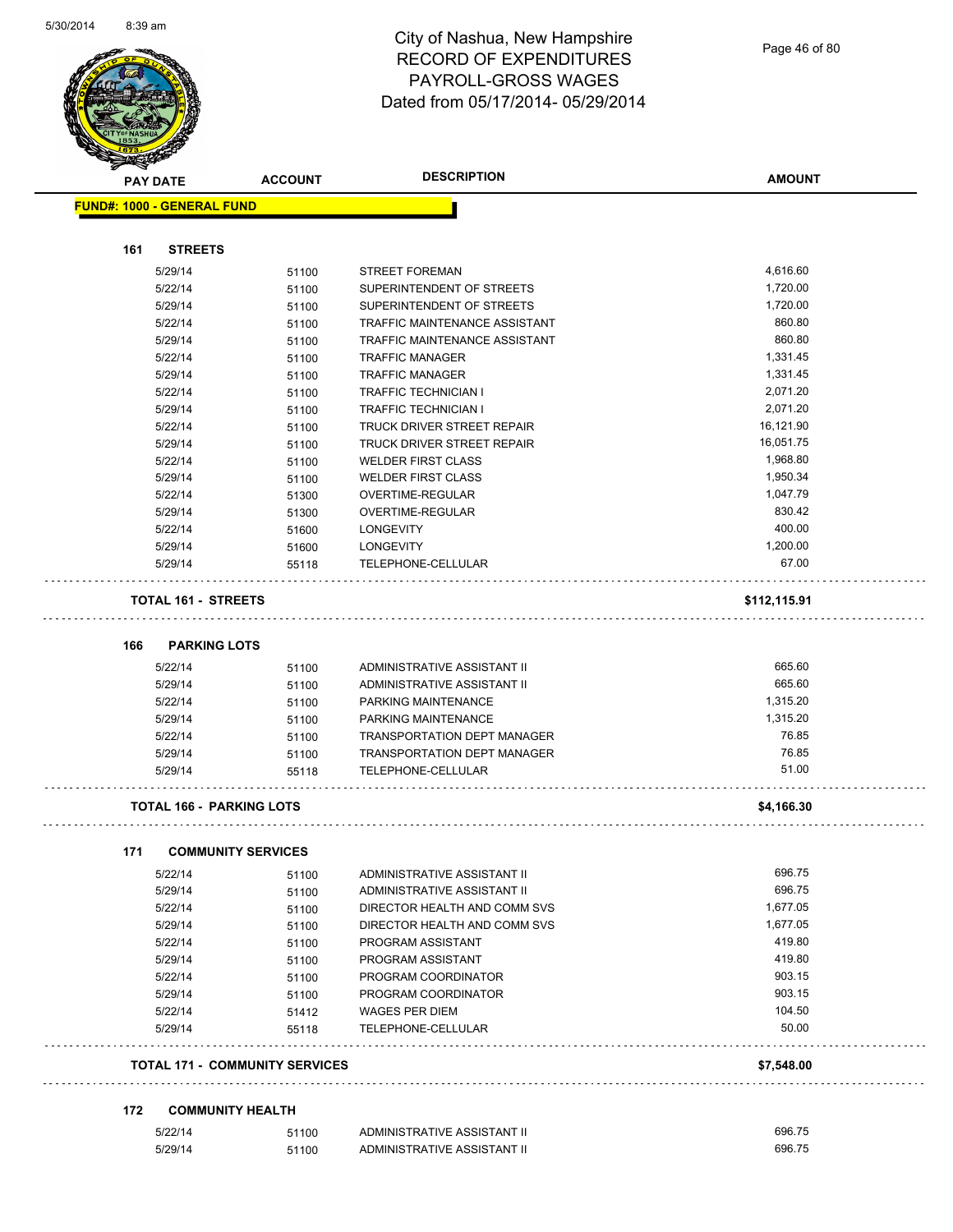

Page 46 of 80

| <b>PAY DATE</b> |                                       | <b>ACCOUNT</b> | <b>DESCRIPTION</b>                   | <b>AMOUNT</b> |
|-----------------|---------------------------------------|----------------|--------------------------------------|---------------|
|                 | <b>FUND#: 1000 - GENERAL FUND</b>     |                |                                      |               |
|                 |                                       |                |                                      |               |
| 161             | <b>STREETS</b>                        |                |                                      |               |
|                 | 5/29/14                               | 51100          | <b>STREET FOREMAN</b>                | 4,616.60      |
|                 | 5/22/14                               | 51100          | SUPERINTENDENT OF STREETS            | 1,720.00      |
|                 | 5/29/14                               | 51100          | SUPERINTENDENT OF STREETS            | 1,720.00      |
|                 | 5/22/14                               | 51100          | TRAFFIC MAINTENANCE ASSISTANT        | 860.80        |
|                 | 5/29/14                               | 51100          | <b>TRAFFIC MAINTENANCE ASSISTANT</b> | 860.80        |
|                 | 5/22/14                               | 51100          | <b>TRAFFIC MANAGER</b>               | 1,331.45      |
|                 | 5/29/14                               | 51100          | <b>TRAFFIC MANAGER</b>               | 1,331.45      |
|                 | 5/22/14                               | 51100          | <b>TRAFFIC TECHNICIAN I</b>          | 2,071.20      |
|                 | 5/29/14                               | 51100          | <b>TRAFFIC TECHNICIAN I</b>          | 2,071.20      |
|                 | 5/22/14                               | 51100          | TRUCK DRIVER STREET REPAIR           | 16,121.90     |
|                 | 5/29/14                               | 51100          | TRUCK DRIVER STREET REPAIR           | 16,051.75     |
|                 | 5/22/14                               | 51100          | <b>WELDER FIRST CLASS</b>            | 1,968.80      |
|                 | 5/29/14                               | 51100          | <b>WELDER FIRST CLASS</b>            | 1,950.34      |
|                 | 5/22/14                               | 51300          | OVERTIME-REGULAR                     | 1,047.79      |
|                 | 5/29/14                               | 51300          | OVERTIME-REGULAR                     | 830.42        |
|                 | 5/22/14                               | 51600          | <b>LONGEVITY</b>                     | 400.00        |
|                 | 5/29/14                               | 51600          | <b>LONGEVITY</b>                     | 1,200.00      |
|                 | 5/29/14                               | 55118          | TELEPHONE-CELLULAR                   | 67.00         |
|                 | <b>TOTAL 161 - STREETS</b>            |                |                                      | \$112,115.91  |
| 166             | <b>PARKING LOTS</b>                   |                |                                      |               |
|                 | 5/22/14                               |                | ADMINISTRATIVE ASSISTANT II          | 665.60        |
|                 | 5/29/14                               | 51100<br>51100 | ADMINISTRATIVE ASSISTANT II          | 665.60        |
|                 | 5/22/14                               | 51100          | PARKING MAINTENANCE                  | 1,315.20      |
|                 | 5/29/14                               | 51100          | PARKING MAINTENANCE                  | 1,315.20      |
|                 | 5/22/14                               | 51100          | TRANSPORTATION DEPT MANAGER          | 76.85         |
|                 | 5/29/14                               | 51100          | <b>TRANSPORTATION DEPT MANAGER</b>   | 76.85         |
|                 | 5/29/14                               | 55118          | TELEPHONE-CELLULAR                   | 51.00         |
|                 | <b>TOTAL 166 - PARKING LOTS</b>       |                |                                      | \$4,166.30    |
|                 |                                       |                |                                      |               |
| 171             | <b>COMMUNITY SERVICES</b>             |                |                                      |               |
|                 | 5/22/14                               | 51100          | ADMINISTRATIVE ASSISTANT II          | 696.75        |
|                 | 5/29/14                               | 51100          | ADMINISTRATIVE ASSISTANT II          | 696.75        |
|                 | 5/22/14                               | 51100          | DIRECTOR HEALTH AND COMM SVS         | 1,677.05      |
|                 | 5/29/14                               | 51100          | DIRECTOR HEALTH AND COMM SVS         | 1,677.05      |
|                 | 5/22/14                               | 51100          | PROGRAM ASSISTANT                    | 419.80        |
|                 | 5/29/14                               | 51100          | PROGRAM ASSISTANT                    | 419.80        |
|                 | 5/22/14                               | 51100          | PROGRAM COORDINATOR                  | 903.15        |
|                 | 5/29/14                               | 51100          | PROGRAM COORDINATOR                  | 903.15        |
|                 | 5/22/14                               | 51412          | WAGES PER DIEM                       | 104.50        |
|                 | 5/29/14                               | 55118          | TELEPHONE-CELLULAR                   | 50.00         |
|                 | <b>TOTAL 171 - COMMUNITY SERVICES</b> |                |                                      | \$7,548.00    |
|                 |                                       |                |                                      |               |
| 172             | <b>COMMUNITY HEALTH</b>               |                |                                      |               |
|                 | 5/22/14                               | 51100          | ADMINISTRATIVE ASSISTANT II          | 696.75        |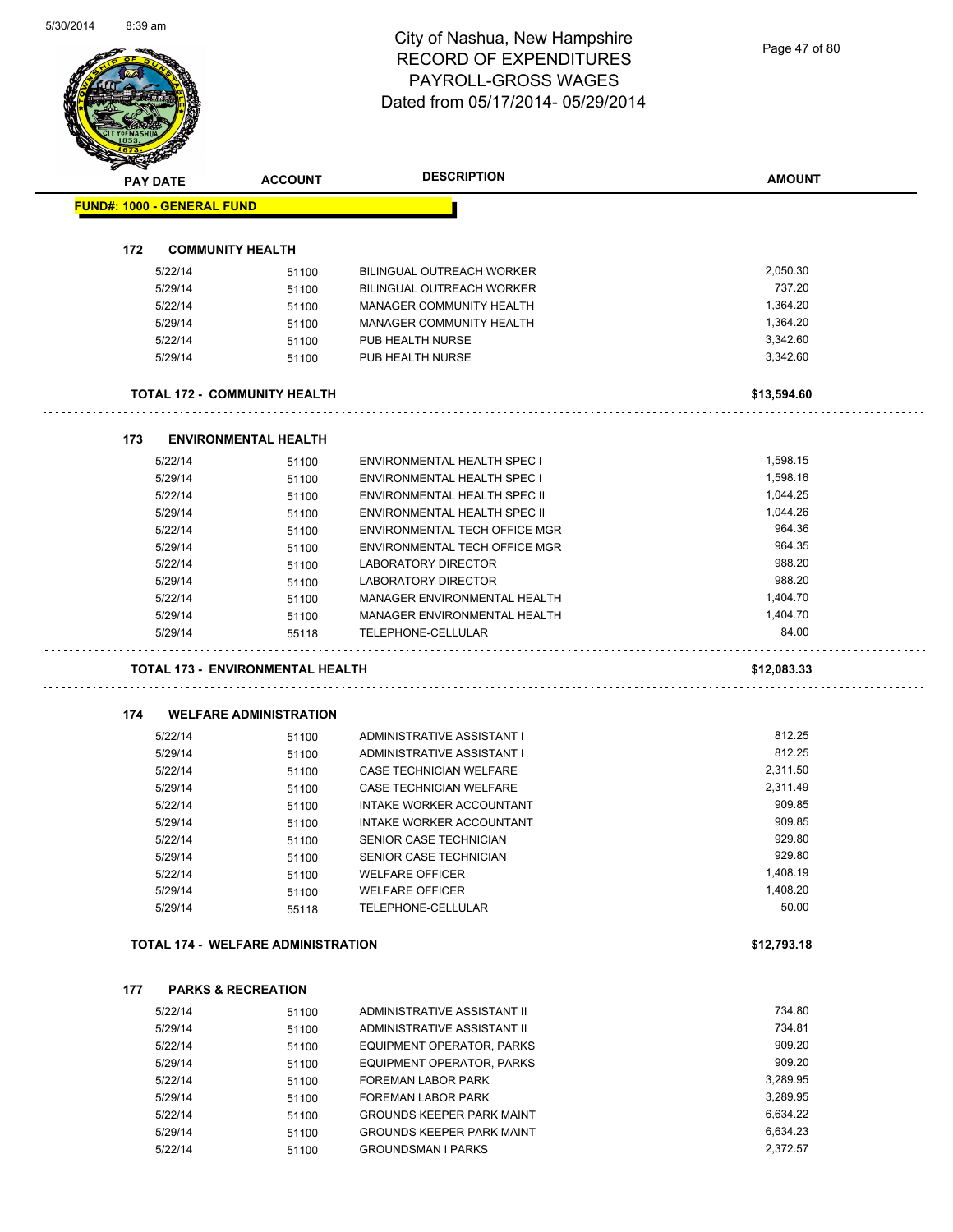Page 47 of 80

|            | <b>PAY DATE</b>                   | <b>ACCOUNT</b>                            | <b>DESCRIPTION</b>                                                   | <b>AMOUNT</b>        |
|------------|-----------------------------------|-------------------------------------------|----------------------------------------------------------------------|----------------------|
|            | <b>FUND#: 1000 - GENERAL FUND</b> |                                           |                                                                      |                      |
|            |                                   |                                           |                                                                      |                      |
| 172        |                                   | <b>COMMUNITY HEALTH</b>                   |                                                                      | 2,050.30             |
|            | 5/22/14<br>5/29/14                | 51100<br>51100                            | <b>BILINGUAL OUTREACH WORKER</b><br>BILINGUAL OUTREACH WORKER        | 737.20               |
|            | 5/22/14                           | 51100                                     | <b>MANAGER COMMUNITY HEALTH</b>                                      | 1,364.20             |
|            | 5/29/14                           | 51100                                     | MANAGER COMMUNITY HEALTH                                             | 1,364.20             |
|            | 5/22/14                           | 51100                                     | PUB HEALTH NURSE                                                     | 3,342.60             |
|            | 5/29/14                           | 51100                                     | PUB HEALTH NURSE                                                     | 3,342.60             |
|            |                                   | TOTAL 172 - COMMUNITY HEALTH              |                                                                      | \$13,594.60          |
|            |                                   |                                           |                                                                      |                      |
| 173        |                                   | <b>ENVIRONMENTAL HEALTH</b>               |                                                                      |                      |
|            | 5/22/14                           | 51100                                     | ENVIRONMENTAL HEALTH SPEC I                                          | 1,598.15             |
|            | 5/29/14                           | 51100                                     | <b>ENVIRONMENTAL HEALTH SPEC I</b>                                   | 1,598.16             |
|            | 5/22/14                           | 51100                                     | ENVIRONMENTAL HEALTH SPEC II                                         | 1,044.25             |
|            | 5/29/14                           | 51100                                     | ENVIRONMENTAL HEALTH SPEC II                                         | 1,044.26             |
|            | 5/22/14                           | 51100                                     | ENVIRONMENTAL TECH OFFICE MGR                                        | 964.36               |
|            | 5/29/14                           | 51100                                     | ENVIRONMENTAL TECH OFFICE MGR                                        | 964.35               |
|            | 5/22/14                           | 51100                                     | <b>LABORATORY DIRECTOR</b>                                           | 988.20               |
|            | 5/29/14                           | 51100                                     | LABORATORY DIRECTOR                                                  | 988.20               |
|            | 5/22/14                           | 51100                                     | MANAGER ENVIRONMENTAL HEALTH                                         | 1,404.70             |
|            | 5/29/14                           | 51100                                     | MANAGER ENVIRONMENTAL HEALTH                                         | 1,404.70             |
|            | 5/29/14                           | 55118                                     | TELEPHONE-CELLULAR                                                   | 84.00                |
|            |                                   |                                           |                                                                      |                      |
|            |                                   | <b>TOTAL 173 - ENVIRONMENTAL HEALTH</b>   |                                                                      | \$12,083.33          |
|            |                                   |                                           |                                                                      |                      |
|            |                                   | <b>WELFARE ADMINISTRATION</b>             |                                                                      |                      |
|            | 5/22/14                           | 51100                                     | ADMINISTRATIVE ASSISTANT I                                           | 812.25               |
|            | 5/29/14                           | 51100                                     | ADMINISTRATIVE ASSISTANT I                                           | 812.25               |
|            | 5/22/14                           | 51100                                     | CASE TECHNICIAN WELFARE                                              | 2.311.50             |
|            | 5/29/14                           | 51100                                     | CASE TECHNICIAN WELFARE                                              | 2,311.49             |
|            | 5/22/14                           | 51100                                     | INTAKE WORKER ACCOUNTANT                                             | 909.85               |
|            | 5/29/14                           | 51100                                     | INTAKE WORKER ACCOUNTANT                                             | 909.85               |
|            | 5/22/14                           | 51100                                     | SENIOR CASE TECHNICIAN                                               | 929.80               |
|            | 5/29/14                           | 51100                                     | SENIOR CASE TECHNICIAN                                               | 929.80               |
|            | 5/22/14                           | 51100                                     | <b>WELFARE OFFICER</b>                                               | 1,408.19             |
|            | 5/29/14<br>5/29/14                | 51100<br>55118                            | <b>WELFARE OFFICER</b><br>TELEPHONE-CELLULAR                         | 1,408.20<br>50.00    |
|            |                                   | <b>TOTAL 174 - WELFARE ADMINISTRATION</b> |                                                                      | \$12,793.18          |
|            |                                   |                                           |                                                                      |                      |
|            | 5/22/14                           | <b>PARKS &amp; RECREATION</b>             | ADMINISTRATIVE ASSISTANT II                                          | 734.80               |
|            | 5/29/14                           | 51100                                     | ADMINISTRATIVE ASSISTANT II                                          | 734.81               |
|            |                                   | 51100                                     |                                                                      | 909.20               |
|            | 5/22/14                           | 51100                                     | EQUIPMENT OPERATOR, PARKS                                            |                      |
| 174<br>177 | 5/29/14                           | 51100                                     | EQUIPMENT OPERATOR, PARKS                                            | 909.20               |
|            | 5/22/14                           | 51100                                     | FOREMAN LABOR PARK                                                   | 3,289.95             |
|            | 5/29/14                           | 51100                                     | FOREMAN LABOR PARK                                                   | 3,289.95             |
|            | 5/22/14<br>5/29/14                | 51100<br>51100                            | <b>GROUNDS KEEPER PARK MAINT</b><br><b>GROUNDS KEEPER PARK MAINT</b> | 6,634.22<br>6,634.23 |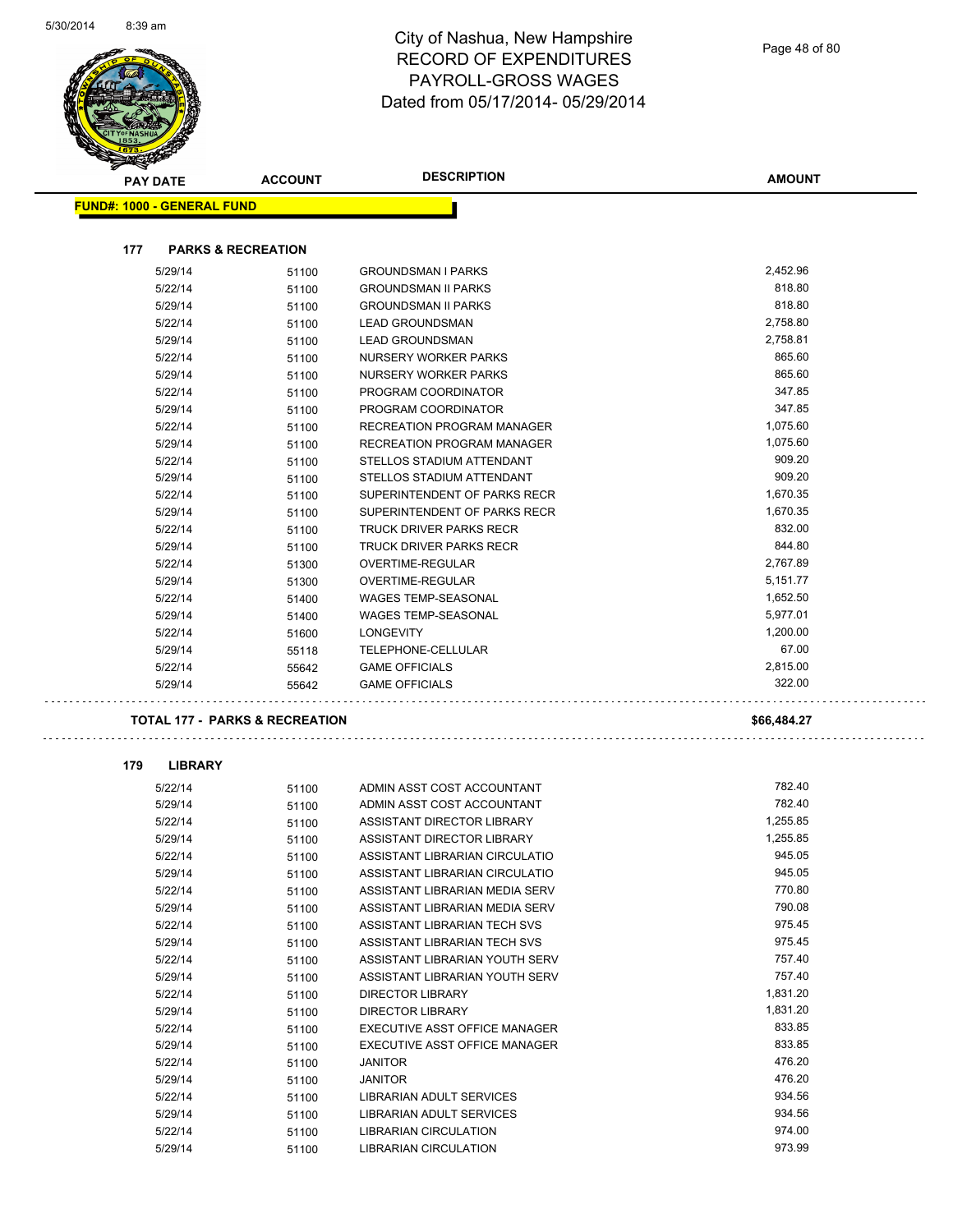

| <b>PAY DATE</b> |                                           | <b>ACCOUNT</b> | <b>DESCRIPTION</b>                                | <b>AMOUNT</b> |
|-----------------|-------------------------------------------|----------------|---------------------------------------------------|---------------|
|                 | <b>FUND#: 1000 - GENERAL FUND</b>         |                |                                                   |               |
| 177             | <b>PARKS &amp; RECREATION</b>             |                |                                                   |               |
|                 |                                           |                |                                                   | 2,452.96      |
|                 | 5/29/14                                   | 51100          | <b>GROUNDSMAN I PARKS</b>                         | 818.80        |
|                 | 5/22/14                                   | 51100          | <b>GROUNDSMAN II PARKS</b>                        | 818.80        |
|                 | 5/29/14                                   | 51100          | <b>GROUNDSMAN II PARKS</b>                        | 2,758.80      |
|                 | 5/22/14                                   | 51100          | <b>LEAD GROUNDSMAN</b>                            | 2,758.81      |
|                 | 5/29/14<br>5/22/14                        | 51100          | <b>LEAD GROUNDSMAN</b>                            | 865.60        |
|                 |                                           | 51100          | NURSERY WORKER PARKS<br>NURSERY WORKER PARKS      | 865.60        |
|                 | 5/29/14                                   | 51100          |                                                   | 347.85        |
|                 | 5/22/14                                   | 51100          | PROGRAM COORDINATOR                               | 347.85        |
|                 | 5/29/14<br>5/22/14                        | 51100          | PROGRAM COORDINATOR<br>RECREATION PROGRAM MANAGER | 1,075.60      |
|                 | 5/29/14                                   | 51100          | RECREATION PROGRAM MANAGER                        | 1,075.60      |
|                 | 5/22/14                                   | 51100          | STELLOS STADIUM ATTENDANT                         | 909.20        |
|                 | 5/29/14                                   | 51100          | STELLOS STADIUM ATTENDANT                         | 909.20        |
|                 | 5/22/14                                   | 51100          | SUPERINTENDENT OF PARKS RECR                      | 1,670.35      |
|                 | 5/29/14                                   | 51100          | SUPERINTENDENT OF PARKS RECR                      | 1,670.35      |
|                 |                                           | 51100          |                                                   | 832.00        |
|                 | 5/22/14<br>5/29/14                        | 51100          | <b>TRUCK DRIVER PARKS RECR</b>                    | 844.80        |
|                 |                                           | 51100          | TRUCK DRIVER PARKS RECR                           | 2,767.89      |
|                 | 5/22/14<br>5/29/14                        | 51300          | OVERTIME-REGULAR<br><b>OVERTIME-REGULAR</b>       | 5,151.77      |
|                 | 5/22/14                                   | 51300          | <b>WAGES TEMP-SEASONAL</b>                        | 1,652.50      |
|                 | 5/29/14                                   | 51400          | <b>WAGES TEMP-SEASONAL</b>                        | 5,977.01      |
|                 | 5/22/14                                   | 51400          | <b>LONGEVITY</b>                                  | 1,200.00      |
|                 |                                           | 51600          |                                                   | 67.00         |
|                 | 5/29/14                                   | 55118          | TELEPHONE-CELLULAR                                | 2,815.00      |
|                 | 5/22/14<br>5/29/14                        | 55642          | <b>GAME OFFICIALS</b><br><b>GAME OFFICIALS</b>    | 322.00        |
|                 |                                           | 55642          |                                                   |               |
|                 | <b>TOTAL 177 - PARKS &amp; RECREATION</b> |                |                                                   | \$66,484.27   |
| 179             | <b>LIBRARY</b>                            |                |                                                   |               |
|                 | 5/22/14                                   | 51100          | ADMIN ASST COST ACCOUNTANT                        | 782.40        |
|                 | 5/29/14                                   | 51100          | ADMIN ASST COST ACCOUNTANT                        | 782.40        |
|                 | 5/22/14                                   | 51100          | ASSISTANT DIRECTOR LIBRARY                        | 1,255.85      |
|                 | 5/29/14                                   | 51100          | ASSISTANT DIRECTOR LIBRARY                        | 1,255.85      |
|                 | 5/22/14                                   | 51100          | ASSISTANT LIBRARIAN CIRCULATIO                    | 945.05        |
|                 | 5/29/14                                   | 51100          | ASSISTANT LIBRARIAN CIRCULATIO                    | 945.05        |
|                 | 5/22/14                                   | 51100          | ASSISTANT LIBRARIAN MEDIA SERV                    | 770.80        |
|                 | 5/29/14                                   | 51100          | ASSISTANT LIBRARIAN MEDIA SERV                    | 790.08        |
|                 | 5/22/14                                   | 51100          | ASSISTANT LIBRARIAN TECH SVS                      | 975.45        |
|                 | 5/29/14                                   | 51100          | ASSISTANT LIBRARIAN TECH SVS                      | 975.45        |
|                 | 5/22/14                                   | 51100          | ASSISTANT LIBRARIAN YOUTH SERV                    | 757.40        |
|                 | 5/29/14                                   | 51100          | ASSISTANT LIBRARIAN YOUTH SERV                    | 757.40        |
|                 | 5/22/14                                   | 51100          | <b>DIRECTOR LIBRARY</b>                           | 1,831.20      |
|                 | 5/29/14                                   | 51100          | DIRECTOR LIBRARY                                  | 1,831.20      |
|                 | 5/22/14                                   | 51100          | EXECUTIVE ASST OFFICE MANAGER                     | 833.85        |
|                 | 5/29/14                                   | 51100          | EXECUTIVE ASST OFFICE MANAGER                     | 833.85        |
|                 | 5/22/14                                   | 51100          | <b>JANITOR</b>                                    | 476.20        |
|                 | 5/29/14                                   | 51100          | <b>JANITOR</b>                                    | 476.20        |
|                 |                                           |                |                                                   |               |

5/22/14 51100 LIBRARIAN ADULT SERVICES 934.56 5/29/14 51100 LIBRARIAN ADULT SERVICES<br>5/22/14 51100 LIBRARIAN CIRCULATION 51200 974.00 5/22/14 51100 LIBRARIAN CIRCULATION 974.00

5/29/14 51100 LIBRARIAN CIRCULATION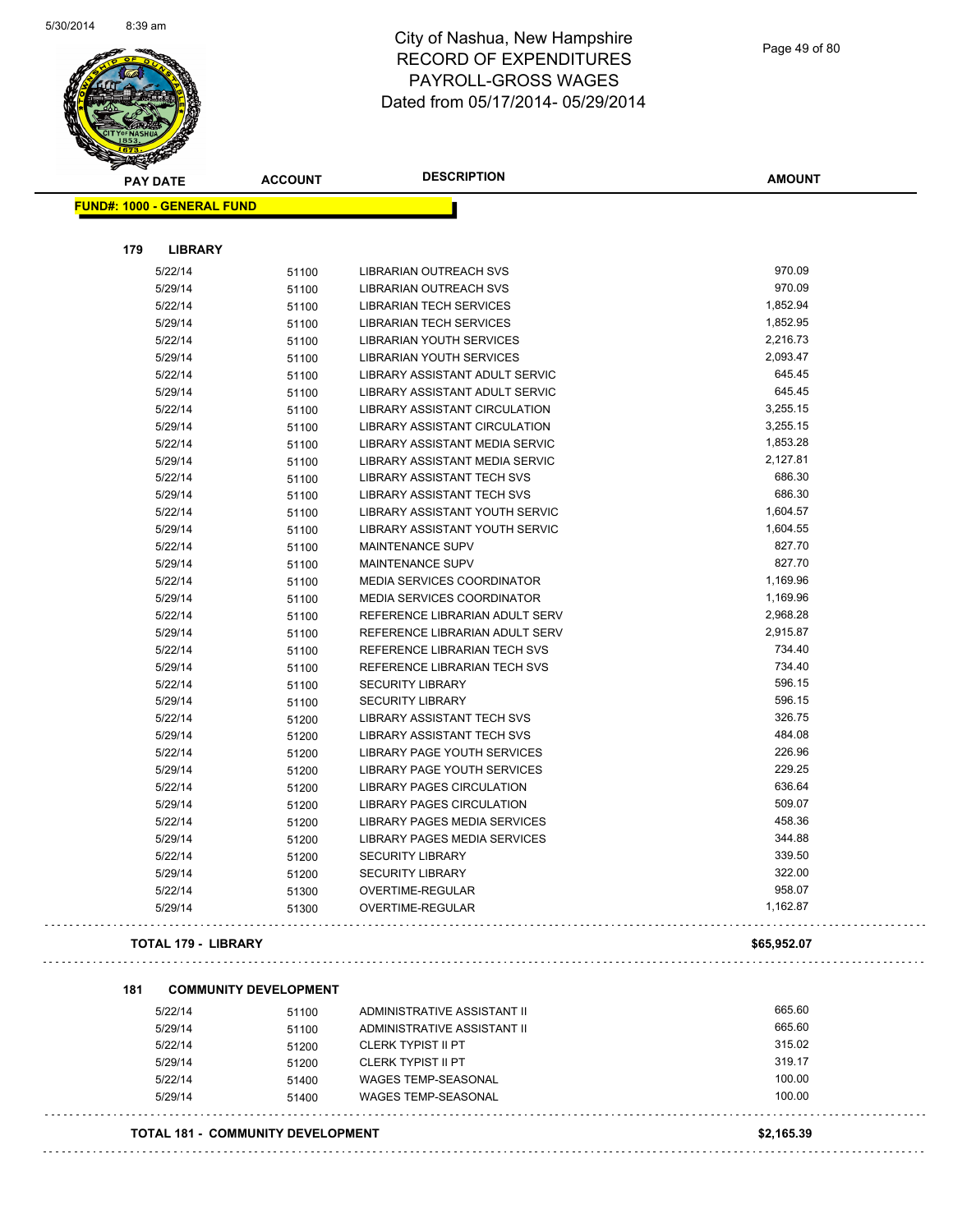

#### City of Nashua, New Hampshire RECORD OF EXPENDITURES PAYROLL-GROSS WAGES Dated from 05/17/2014- 05/29/2014

| 51100<br>51100<br>51100<br>51100<br>51100<br>51100<br>51100<br>51100<br>51100<br>51100<br>51100<br>51100 | LIBRARIAN OUTREACH SVS<br>LIBRARIAN OUTREACH SVS<br>LIBRARIAN TECH SERVICES<br>LIBRARIAN TECH SERVICES<br>LIBRARIAN YOUTH SERVICES<br>LIBRARIAN YOUTH SERVICES<br>LIBRARY ASSISTANT ADULT SERVIC<br>LIBRARY ASSISTANT ADULT SERVIC<br>LIBRARY ASSISTANT CIRCULATION<br>LIBRARY ASSISTANT CIRCULATION | 970.09<br>970.09<br>1,852.94<br>1,852.95<br>2,216.73<br>2,093.47<br>645.45<br>645.45<br>3,255.15<br>3,255.15                                                                                                                                                                                                                                                                                                                                                                                                                                                                   |
|----------------------------------------------------------------------------------------------------------|------------------------------------------------------------------------------------------------------------------------------------------------------------------------------------------------------------------------------------------------------------------------------------------------------|--------------------------------------------------------------------------------------------------------------------------------------------------------------------------------------------------------------------------------------------------------------------------------------------------------------------------------------------------------------------------------------------------------------------------------------------------------------------------------------------------------------------------------------------------------------------------------|
|                                                                                                          |                                                                                                                                                                                                                                                                                                      |                                                                                                                                                                                                                                                                                                                                                                                                                                                                                                                                                                                |
|                                                                                                          |                                                                                                                                                                                                                                                                                                      |                                                                                                                                                                                                                                                                                                                                                                                                                                                                                                                                                                                |
|                                                                                                          |                                                                                                                                                                                                                                                                                                      |                                                                                                                                                                                                                                                                                                                                                                                                                                                                                                                                                                                |
|                                                                                                          |                                                                                                                                                                                                                                                                                                      |                                                                                                                                                                                                                                                                                                                                                                                                                                                                                                                                                                                |
|                                                                                                          |                                                                                                                                                                                                                                                                                                      |                                                                                                                                                                                                                                                                                                                                                                                                                                                                                                                                                                                |
|                                                                                                          |                                                                                                                                                                                                                                                                                                      |                                                                                                                                                                                                                                                                                                                                                                                                                                                                                                                                                                                |
|                                                                                                          |                                                                                                                                                                                                                                                                                                      |                                                                                                                                                                                                                                                                                                                                                                                                                                                                                                                                                                                |
|                                                                                                          |                                                                                                                                                                                                                                                                                                      |                                                                                                                                                                                                                                                                                                                                                                                                                                                                                                                                                                                |
|                                                                                                          |                                                                                                                                                                                                                                                                                                      |                                                                                                                                                                                                                                                                                                                                                                                                                                                                                                                                                                                |
|                                                                                                          |                                                                                                                                                                                                                                                                                                      |                                                                                                                                                                                                                                                                                                                                                                                                                                                                                                                                                                                |
|                                                                                                          |                                                                                                                                                                                                                                                                                                      |                                                                                                                                                                                                                                                                                                                                                                                                                                                                                                                                                                                |
|                                                                                                          |                                                                                                                                                                                                                                                                                                      |                                                                                                                                                                                                                                                                                                                                                                                                                                                                                                                                                                                |
|                                                                                                          |                                                                                                                                                                                                                                                                                                      |                                                                                                                                                                                                                                                                                                                                                                                                                                                                                                                                                                                |
|                                                                                                          | LIBRARY ASSISTANT MEDIA SERVIC                                                                                                                                                                                                                                                                       | 1,853.28                                                                                                                                                                                                                                                                                                                                                                                                                                                                                                                                                                       |
|                                                                                                          | LIBRARY ASSISTANT MEDIA SERVIC                                                                                                                                                                                                                                                                       | 2,127.81                                                                                                                                                                                                                                                                                                                                                                                                                                                                                                                                                                       |
| 51100                                                                                                    | <b>LIBRARY ASSISTANT TECH SVS</b>                                                                                                                                                                                                                                                                    | 686.30                                                                                                                                                                                                                                                                                                                                                                                                                                                                                                                                                                         |
| 51100                                                                                                    | LIBRARY ASSISTANT TECH SVS                                                                                                                                                                                                                                                                           | 686.30                                                                                                                                                                                                                                                                                                                                                                                                                                                                                                                                                                         |
|                                                                                                          |                                                                                                                                                                                                                                                                                                      | 1,604.57                                                                                                                                                                                                                                                                                                                                                                                                                                                                                                                                                                       |
|                                                                                                          |                                                                                                                                                                                                                                                                                                      | 1,604.55                                                                                                                                                                                                                                                                                                                                                                                                                                                                                                                                                                       |
|                                                                                                          |                                                                                                                                                                                                                                                                                                      | 827.70                                                                                                                                                                                                                                                                                                                                                                                                                                                                                                                                                                         |
|                                                                                                          |                                                                                                                                                                                                                                                                                                      | 827.70                                                                                                                                                                                                                                                                                                                                                                                                                                                                                                                                                                         |
|                                                                                                          |                                                                                                                                                                                                                                                                                                      | 1,169.96                                                                                                                                                                                                                                                                                                                                                                                                                                                                                                                                                                       |
|                                                                                                          |                                                                                                                                                                                                                                                                                                      | 1,169.96                                                                                                                                                                                                                                                                                                                                                                                                                                                                                                                                                                       |
|                                                                                                          |                                                                                                                                                                                                                                                                                                      | 2,968.28                                                                                                                                                                                                                                                                                                                                                                                                                                                                                                                                                                       |
|                                                                                                          |                                                                                                                                                                                                                                                                                                      | 2,915.87                                                                                                                                                                                                                                                                                                                                                                                                                                                                                                                                                                       |
|                                                                                                          |                                                                                                                                                                                                                                                                                                      | 734.40                                                                                                                                                                                                                                                                                                                                                                                                                                                                                                                                                                         |
|                                                                                                          |                                                                                                                                                                                                                                                                                                      |                                                                                                                                                                                                                                                                                                                                                                                                                                                                                                                                                                                |
|                                                                                                          |                                                                                                                                                                                                                                                                                                      | 734.40                                                                                                                                                                                                                                                                                                                                                                                                                                                                                                                                                                         |
|                                                                                                          |                                                                                                                                                                                                                                                                                                      | 596.15                                                                                                                                                                                                                                                                                                                                                                                                                                                                                                                                                                         |
|                                                                                                          |                                                                                                                                                                                                                                                                                                      | 596.15                                                                                                                                                                                                                                                                                                                                                                                                                                                                                                                                                                         |
|                                                                                                          |                                                                                                                                                                                                                                                                                                      | 326.75                                                                                                                                                                                                                                                                                                                                                                                                                                                                                                                                                                         |
|                                                                                                          |                                                                                                                                                                                                                                                                                                      | 484.08                                                                                                                                                                                                                                                                                                                                                                                                                                                                                                                                                                         |
|                                                                                                          |                                                                                                                                                                                                                                                                                                      | 226.96                                                                                                                                                                                                                                                                                                                                                                                                                                                                                                                                                                         |
|                                                                                                          |                                                                                                                                                                                                                                                                                                      | 229.25                                                                                                                                                                                                                                                                                                                                                                                                                                                                                                                                                                         |
|                                                                                                          |                                                                                                                                                                                                                                                                                                      | 636.64                                                                                                                                                                                                                                                                                                                                                                                                                                                                                                                                                                         |
|                                                                                                          |                                                                                                                                                                                                                                                                                                      | 509.07                                                                                                                                                                                                                                                                                                                                                                                                                                                                                                                                                                         |
| 51200                                                                                                    | LIBRARY PAGES MEDIA SERVICES                                                                                                                                                                                                                                                                         | 458.36                                                                                                                                                                                                                                                                                                                                                                                                                                                                                                                                                                         |
| 51200                                                                                                    | LIBRARY PAGES MEDIA SERVICES                                                                                                                                                                                                                                                                         | 344.88                                                                                                                                                                                                                                                                                                                                                                                                                                                                                                                                                                         |
| 51200                                                                                                    | <b>SECURITY LIBRARY</b>                                                                                                                                                                                                                                                                              | 339.50                                                                                                                                                                                                                                                                                                                                                                                                                                                                                                                                                                         |
| 51200                                                                                                    | <b>SECURITY LIBRARY</b>                                                                                                                                                                                                                                                                              | 322.00                                                                                                                                                                                                                                                                                                                                                                                                                                                                                                                                                                         |
| 51300                                                                                                    | OVERTIME-REGULAR                                                                                                                                                                                                                                                                                     | 958.07                                                                                                                                                                                                                                                                                                                                                                                                                                                                                                                                                                         |
| 51300                                                                                                    | OVERTIME-REGULAR                                                                                                                                                                                                                                                                                     | 1,162.87                                                                                                                                                                                                                                                                                                                                                                                                                                                                                                                                                                       |
|                                                                                                          |                                                                                                                                                                                                                                                                                                      | \$65,952.07                                                                                                                                                                                                                                                                                                                                                                                                                                                                                                                                                                    |
|                                                                                                          | 51100<br>51100<br>51100<br>51100<br>51100<br>51100<br>51100<br>51100<br>51100<br>51100<br>51100<br>51100<br>51200<br>51200<br>51200<br>51200<br>51200<br>51200                                                                                                                                       | LIBRARY ASSISTANT YOUTH SERVIC<br>LIBRARY ASSISTANT YOUTH SERVIC<br>MAINTENANCE SUPV<br><b>MAINTENANCE SUPV</b><br>MEDIA SERVICES COORDINATOR<br><b>MEDIA SERVICES COORDINATOR</b><br>REFERENCE LIBRARIAN ADULT SERV<br>REFERENCE LIBRARIAN ADULT SERV<br>REFERENCE LIBRARIAN TECH SVS<br>REFERENCE LIBRARIAN TECH SVS<br><b>SECURITY LIBRARY</b><br><b>SECURITY LIBRARY</b><br><b>LIBRARY ASSISTANT TECH SVS</b><br>LIBRARY ASSISTANT TECH SVS<br>LIBRARY PAGE YOUTH SERVICES<br>LIBRARY PAGE YOUTH SERVICES<br><b>LIBRARY PAGES CIRCULATION</b><br>LIBRARY PAGES CIRCULATION |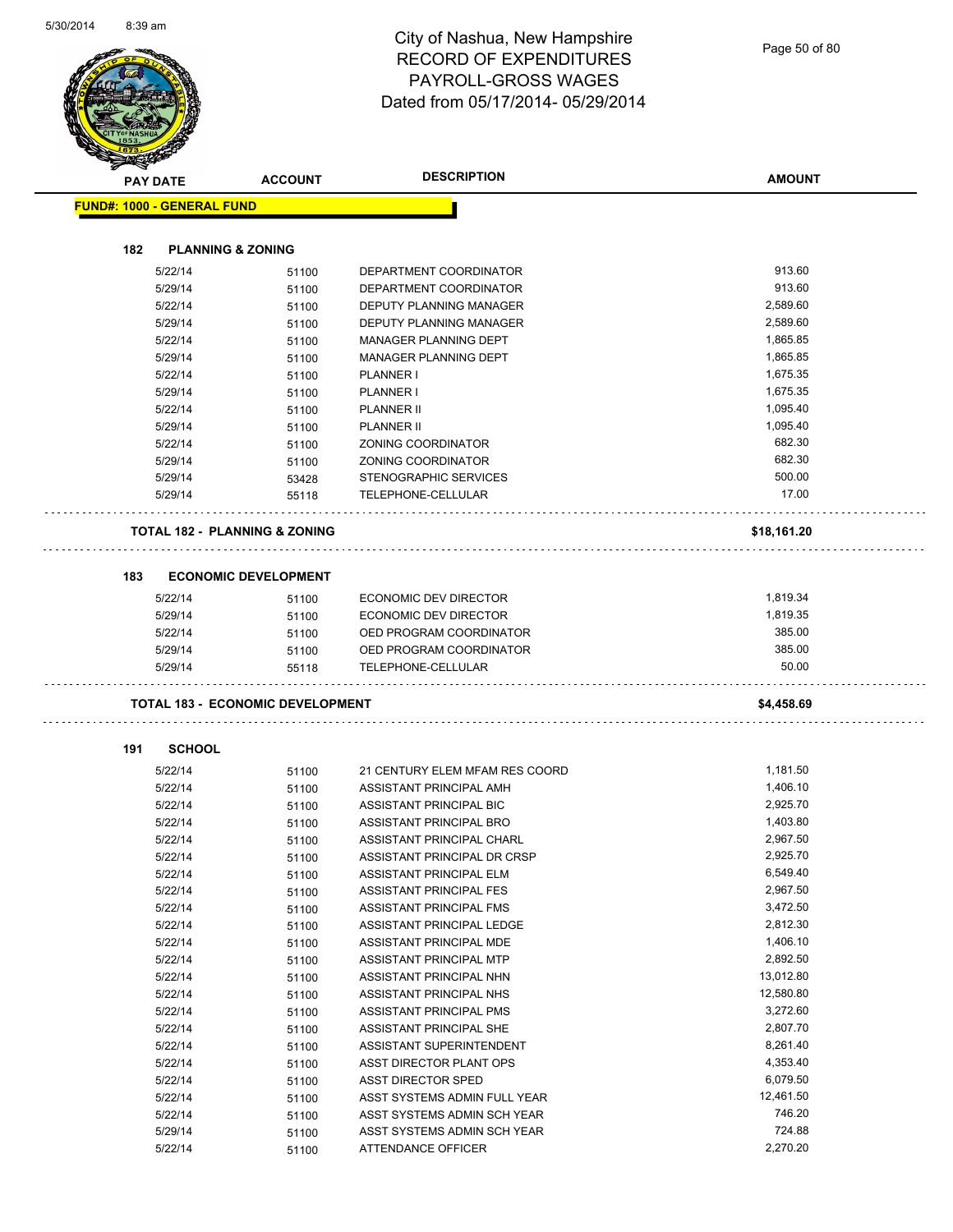| <b>PAY DATE</b>                   | <b>ACCOUNT</b>                           | <b>DESCRIPTION</b>                                         | <b>AMOUNT</b>        |
|-----------------------------------|------------------------------------------|------------------------------------------------------------|----------------------|
| <b>FUND#: 1000 - GENERAL FUND</b> |                                          |                                                            |                      |
| 182                               | <b>PLANNING &amp; ZONING</b>             |                                                            |                      |
| 5/22/14                           | 51100                                    | DEPARTMENT COORDINATOR                                     | 913.60               |
| 5/29/14                           | 51100                                    | DEPARTMENT COORDINATOR                                     | 913.60               |
| 5/22/14                           | 51100                                    | DEPUTY PLANNING MANAGER                                    | 2.589.60             |
| 5/29/14                           | 51100                                    | <b>DEPUTY PLANNING MANAGER</b>                             | 2,589.60             |
| 5/22/14                           | 51100                                    | <b>MANAGER PLANNING DEPT</b>                               | 1.865.85             |
| 5/29/14                           | 51100                                    | MANAGER PLANNING DEPT                                      | 1,865.85             |
| 5/22/14                           | 51100                                    | <b>PLANNER I</b>                                           | 1,675.35             |
| 5/29/14                           | 51100                                    | <b>PLANNER I</b>                                           | 1,675.35             |
| 5/22/14                           | 51100                                    | <b>PLANNER II</b>                                          | 1,095.40             |
| 5/29/14                           | 51100                                    | <b>PLANNER II</b>                                          | 1,095.40             |
| 5/22/14                           | 51100                                    | ZONING COORDINATOR                                         | 682.30               |
| 5/29/14                           | 51100                                    | <b>ZONING COORDINATOR</b>                                  | 682.30               |
| 5/29/14                           | 53428                                    | STENOGRAPHIC SERVICES                                      | 500.00               |
| 5/29/14                           | 55118                                    | TELEPHONE-CELLULAR                                         | 17.00                |
|                                   | <b>TOTAL 182 - PLANNING &amp; ZONING</b> |                                                            | \$18,161.20          |
|                                   |                                          |                                                            |                      |
| 183                               | <b>ECONOMIC DEVELOPMENT</b>              |                                                            |                      |
| 5/22/14                           | 51100                                    | ECONOMIC DEV DIRECTOR                                      | 1,819.34             |
| 5/29/14                           | 51100                                    | ECONOMIC DEV DIRECTOR                                      | 1,819.35             |
| 5/22/14                           | 51100                                    | OED PROGRAM COORDINATOR                                    | 385.00               |
| 5/29/14                           | 51100                                    | OED PROGRAM COORDINATOR                                    | 385.00               |
| 5/29/14                           | 55118                                    | TELEPHONE-CELLULAR                                         | 50.00                |
|                                   | <b>TOTAL 183 - ECONOMIC DEVELOPMENT</b>  |                                                            | \$4,458.69           |
| 191<br><b>SCHOOL</b>              |                                          |                                                            |                      |
|                                   |                                          |                                                            |                      |
| 5/22/14<br>5/22/14                | 51100<br>51100                           | 21 CENTURY ELEM MFAM RES COORD<br>ASSISTANT PRINCIPAL AMH  | 1,181.50<br>1,406.10 |
| 5/22/14                           | 51100                                    | ASSISTANT PRINCIPAL BIC                                    | 2.925.70             |
| 5/22/14                           | 51100                                    | ASSISTANT PRINCIPAL BRO                                    | 1,403.80             |
| 5/22/14                           | 51100                                    | ASSISTANT PRINCIPAL CHARL                                  | 2,967.50             |
| 5/22/14                           | 51100                                    | ASSISTANT PRINCIPAL DR CRSP                                | 2,925.70             |
| 5/22/14                           | 51100                                    | ASSISTANT PRINCIPAL ELM                                    | 6,549.40             |
| 5/22/14                           | 51100                                    | ASSISTANT PRINCIPAL FES                                    | 2,967.50             |
| 5/22/14                           | 51100                                    | ASSISTANT PRINCIPAL FMS                                    | 3,472.50             |
| 5/22/14                           | 51100                                    | ASSISTANT PRINCIPAL LEDGE                                  | 2,812.30             |
| 5/22/14                           | 51100                                    | ASSISTANT PRINCIPAL MDE                                    | 1,406.10             |
|                                   | 51100                                    | ASSISTANT PRINCIPAL MTP                                    | 2,892.50             |
| 5/22/14                           | 51100                                    | ASSISTANT PRINCIPAL NHN                                    | 13,012.80            |
| 5/22/14                           |                                          |                                                            |                      |
| 5/22/14                           | 51100                                    | ASSISTANT PRINCIPAL NHS                                    | 12,580.80            |
| 5/22/14                           | 51100                                    | <b>ASSISTANT PRINCIPAL PMS</b>                             | 3,272.60             |
| 5/22/14                           | 51100                                    | ASSISTANT PRINCIPAL SHE                                    | 2,807.70             |
| 5/22/14                           | 51100                                    | ASSISTANT SUPERINTENDENT                                   | 8,261.40             |
| 5/22/14                           | 51100                                    | ASST DIRECTOR PLANT OPS                                    | 4,353.40             |
| 5/22/14                           | 51100                                    | <b>ASST DIRECTOR SPED</b>                                  | 6,079.50             |
| 5/22/14                           | 51100                                    | ASST SYSTEMS ADMIN FULL YEAR                               | 12,461.50            |
| 5/22/14<br>5/29/14                | 51100                                    | ASST SYSTEMS ADMIN SCH YEAR<br>ASST SYSTEMS ADMIN SCH YEAR | 746.20<br>724.88     |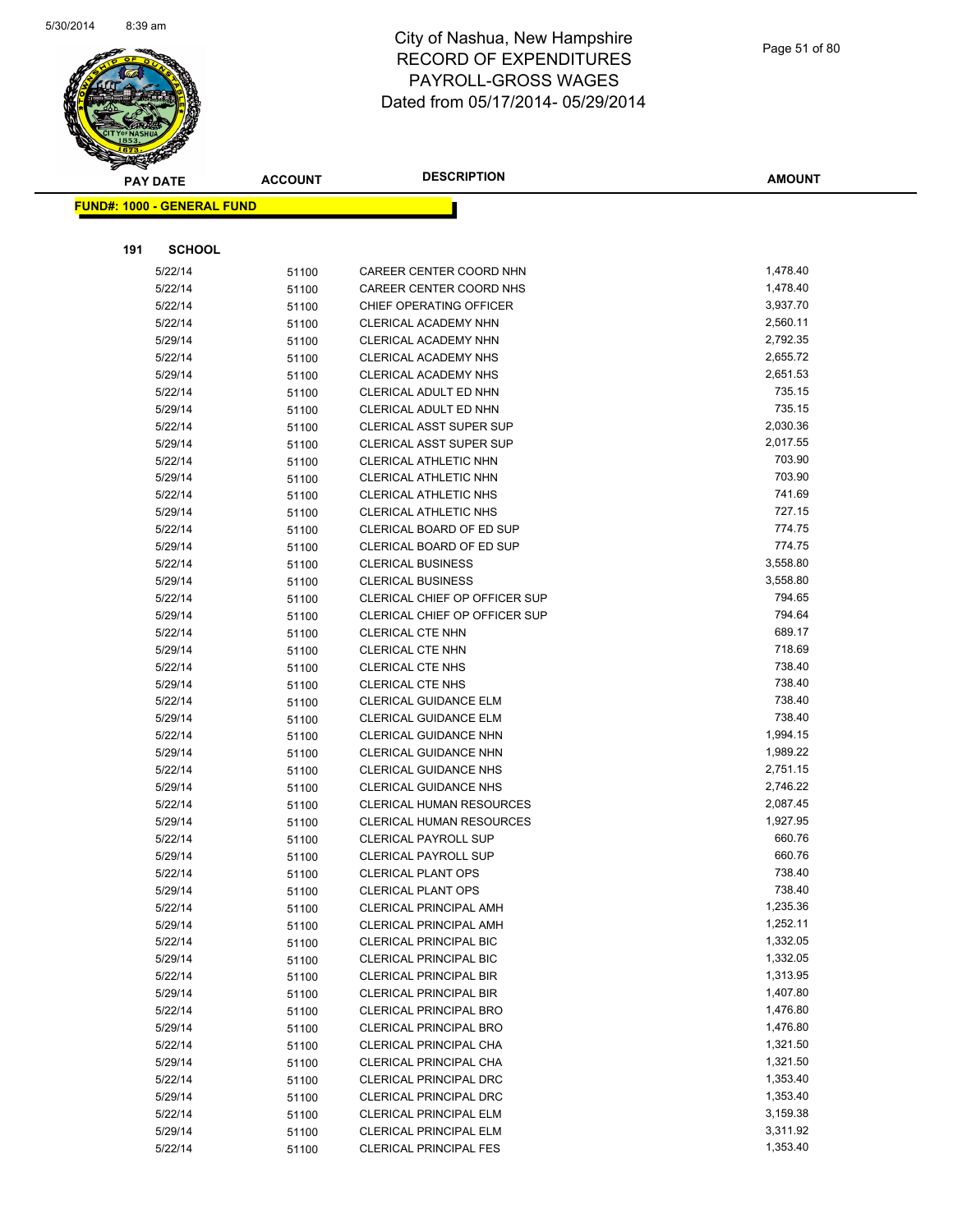

| <b>PAY DATE</b>                   | <b>ACCOUNT</b> | <b>DESCRIPTION</b>                             | <b>AMOUNT</b>    |
|-----------------------------------|----------------|------------------------------------------------|------------------|
| <b>FUND#: 1000 - GENERAL FUND</b> |                |                                                |                  |
|                                   |                |                                                |                  |
|                                   |                |                                                |                  |
| 191<br><b>SCHOOL</b>              |                |                                                |                  |
| 5/22/14                           | 51100          | CAREER CENTER COORD NHN                        | 1,478.40         |
| 5/22/14                           | 51100          | CAREER CENTER COORD NHS                        | 1,478.40         |
| 5/22/14                           | 51100          | CHIEF OPERATING OFFICER                        | 3,937.70         |
| 5/22/14                           | 51100          | <b>CLERICAL ACADEMY NHN</b>                    | 2,560.11         |
| 5/29/14                           | 51100          | <b>CLERICAL ACADEMY NHN</b>                    | 2,792.35         |
| 5/22/14                           | 51100          | CLERICAL ACADEMY NHS                           | 2,655.72         |
| 5/29/14                           | 51100          | <b>CLERICAL ACADEMY NHS</b>                    | 2,651.53         |
| 5/22/14                           | 51100          | CLERICAL ADULT ED NHN                          | 735.15           |
| 5/29/14                           | 51100          | CLERICAL ADULT ED NHN                          | 735.15           |
| 5/22/14                           | 51100          | <b>CLERICAL ASST SUPER SUP</b>                 | 2,030.36         |
| 5/29/14                           | 51100          | CLERICAL ASST SUPER SUP                        | 2,017.55         |
| 5/22/14                           | 51100          | CLERICAL ATHLETIC NHN                          | 703.90           |
| 5/29/14                           | 51100          | CLERICAL ATHLETIC NHN                          | 703.90           |
| 5/22/14                           | 51100          | CLERICAL ATHLETIC NHS                          | 741.69           |
| 5/29/14                           | 51100          | <b>CLERICAL ATHLETIC NHS</b>                   | 727.15           |
| 5/22/14                           | 51100          | CLERICAL BOARD OF ED SUP                       | 774.75           |
| 5/29/14                           | 51100          | CLERICAL BOARD OF ED SUP                       | 774.75           |
| 5/22/14                           | 51100          | <b>CLERICAL BUSINESS</b>                       | 3,558.80         |
| 5/29/14                           | 51100          | <b>CLERICAL BUSINESS</b>                       | 3,558.80         |
| 5/22/14                           | 51100          | CLERICAL CHIEF OP OFFICER SUP                  | 794.65           |
| 5/29/14                           | 51100          | <b>CLERICAL CHIEF OP OFFICER SUP</b>           | 794.64           |
| 5/22/14                           | 51100          | <b>CLERICAL CTE NHN</b>                        | 689.17<br>718.69 |
| 5/29/14                           | 51100          | CLERICAL CTE NHN                               | 738.40           |
| 5/22/14                           | 51100          | <b>CLERICAL CTE NHS</b>                        | 738.40           |
| 5/29/14                           | 51100          | <b>CLERICAL CTE NHS</b>                        | 738.40           |
| 5/22/14<br>5/29/14                | 51100          | CLERICAL GUIDANCE ELM<br>CLERICAL GUIDANCE ELM | 738.40           |
| 5/22/14                           | 51100          | CLERICAL GUIDANCE NHN                          | 1,994.15         |
| 5/29/14                           | 51100<br>51100 | CLERICAL GUIDANCE NHN                          | 1,989.22         |
| 5/22/14                           | 51100          | <b>CLERICAL GUIDANCE NHS</b>                   | 2,751.15         |
| 5/29/14                           | 51100          | <b>CLERICAL GUIDANCE NHS</b>                   | 2,746.22         |
| 5/22/14                           | 51100          | <b>CLERICAL HUMAN RESOURCES</b>                | 2,087.45         |
| 5/29/14                           | 51100          | <b>CLERICAL HUMAN RESOURCES</b>                | 1,927.95         |
| 5/22/14                           | 51100          | <b>CLERICAL PAYROLL SUP</b>                    | 660.76           |
| 5/29/14                           | 51100          | <b>CLERICAL PAYROLL SUP</b>                    | 660.76           |
| 5/22/14                           | 51100          | <b>CLERICAL PLANT OPS</b>                      | 738.40           |
| 5/29/14                           | 51100          | <b>CLERICAL PLANT OPS</b>                      | 738.40           |
| 5/22/14                           | 51100          | <b>CLERICAL PRINCIPAL AMH</b>                  | 1,235.36         |
| 5/29/14                           | 51100          | CLERICAL PRINCIPAL AMH                         | 1,252.11         |
| 5/22/14                           | 51100          | <b>CLERICAL PRINCIPAL BIC</b>                  | 1,332.05         |
| 5/29/14                           | 51100          | <b>CLERICAL PRINCIPAL BIC</b>                  | 1,332.05         |
| 5/22/14                           | 51100          | <b>CLERICAL PRINCIPAL BIR</b>                  | 1,313.95         |
| 5/29/14                           | 51100          | CLERICAL PRINCIPAL BIR                         | 1,407.80         |
| 5/22/14                           | 51100          | <b>CLERICAL PRINCIPAL BRO</b>                  | 1,476.80         |
| 5/29/14                           | 51100          | <b>CLERICAL PRINCIPAL BRO</b>                  | 1,476.80         |
| 5/22/14                           | 51100          | CLERICAL PRINCIPAL CHA                         | 1,321.50         |
| 5/29/14                           | 51100          | CLERICAL PRINCIPAL CHA                         | 1,321.50         |
| 5/22/14                           | 51100          | <b>CLERICAL PRINCIPAL DRC</b>                  | 1,353.40         |
| 5/29/14                           | 51100          | <b>CLERICAL PRINCIPAL DRC</b>                  | 1,353.40         |
| 5/22/14                           | 51100          | CLERICAL PRINCIPAL ELM                         | 3,159.38         |
| 5/29/14                           | 51100          | CLERICAL PRINCIPAL ELM                         | 3,311.92         |
| 5/22/14                           | 51100          | <b>CLERICAL PRINCIPAL FES</b>                  | 1,353.40         |
|                                   |                |                                                |                  |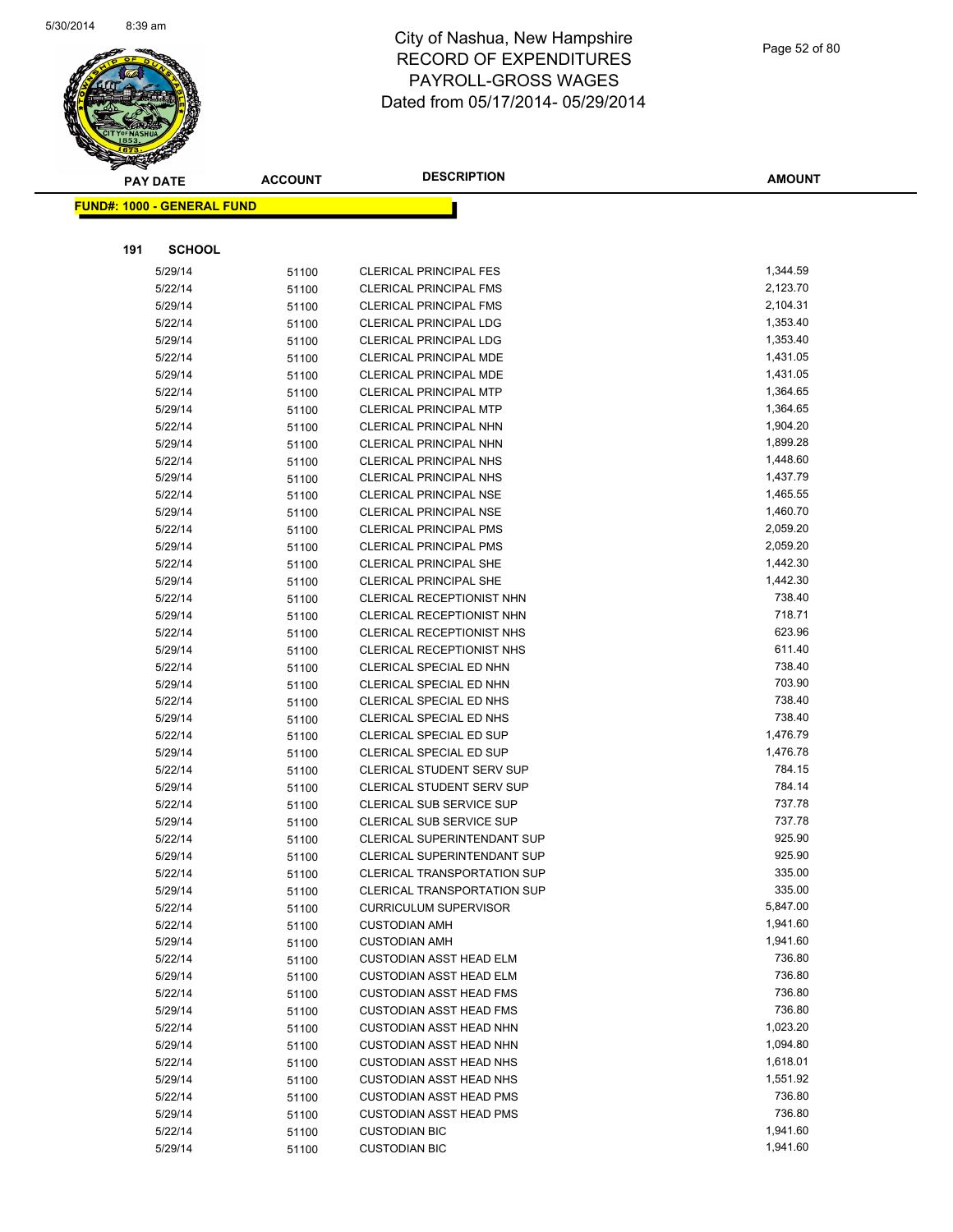

|     | <b>PAY DATE</b>                    | <b>ACCOUNT</b> | <b>DESCRIPTION</b>                                          | <b>AMOUNT</b>        |
|-----|------------------------------------|----------------|-------------------------------------------------------------|----------------------|
|     | <u> FUND#: 1000 - GENERAL FUND</u> |                |                                                             |                      |
|     |                                    |                |                                                             |                      |
|     |                                    |                |                                                             |                      |
| 191 | <b>SCHOOL</b>                      |                |                                                             |                      |
|     | 5/29/14                            | 51100          | <b>CLERICAL PRINCIPAL FES</b>                               | 1,344.59             |
|     | 5/22/14                            | 51100          | <b>CLERICAL PRINCIPAL FMS</b>                               | 2,123.70             |
|     | 5/29/14                            | 51100          | <b>CLERICAL PRINCIPAL FMS</b>                               | 2,104.31             |
|     | 5/22/14                            | 51100          | <b>CLERICAL PRINCIPAL LDG</b>                               | 1,353.40             |
|     | 5/29/14                            | 51100          | <b>CLERICAL PRINCIPAL LDG</b>                               | 1,353.40             |
|     | 5/22/14                            | 51100          | CLERICAL PRINCIPAL MDE                                      | 1,431.05             |
|     | 5/29/14                            | 51100          | <b>CLERICAL PRINCIPAL MDE</b>                               | 1,431.05             |
|     | 5/22/14                            | 51100          | <b>CLERICAL PRINCIPAL MTP</b>                               | 1,364.65             |
|     | 5/29/14                            | 51100          | <b>CLERICAL PRINCIPAL MTP</b>                               | 1,364.65             |
|     | 5/22/14                            | 51100          | CLERICAL PRINCIPAL NHN                                      | 1,904.20             |
|     | 5/29/14                            | 51100          | CLERICAL PRINCIPAL NHN                                      | 1,899.28             |
|     | 5/22/14                            | 51100          | <b>CLERICAL PRINCIPAL NHS</b>                               | 1,448.60             |
|     | 5/29/14                            | 51100          | CLERICAL PRINCIPAL NHS                                      | 1,437.79             |
|     | 5/22/14                            | 51100          | <b>CLERICAL PRINCIPAL NSE</b>                               | 1,465.55             |
|     | 5/29/14                            | 51100          | <b>CLERICAL PRINCIPAL NSE</b>                               | 1,460.70             |
|     | 5/22/14                            | 51100          | <b>CLERICAL PRINCIPAL PMS</b>                               | 2,059.20             |
|     | 5/29/14                            | 51100          | <b>CLERICAL PRINCIPAL PMS</b>                               | 2,059.20             |
|     | 5/22/14                            | 51100          | <b>CLERICAL PRINCIPAL SHE</b>                               | 1,442.30             |
|     | 5/29/14                            | 51100          | <b>CLERICAL PRINCIPAL SHE</b>                               | 1,442.30             |
|     | 5/22/14                            | 51100          | CLERICAL RECEPTIONIST NHN                                   | 738.40               |
|     | 5/29/14                            | 51100          | CLERICAL RECEPTIONIST NHN                                   | 718.71               |
|     | 5/22/14                            | 51100          | CLERICAL RECEPTIONIST NHS                                   | 623.96               |
|     | 5/29/14                            | 51100          | CLERICAL RECEPTIONIST NHS                                   | 611.40               |
|     | 5/22/14                            | 51100          | CLERICAL SPECIAL ED NHN                                     | 738.40               |
|     | 5/29/14                            | 51100          | CLERICAL SPECIAL ED NHN                                     | 703.90               |
|     | 5/22/14                            | 51100          | CLERICAL SPECIAL ED NHS                                     | 738.40<br>738.40     |
|     | 5/29/14                            | 51100          | CLERICAL SPECIAL ED NHS                                     |                      |
|     | 5/22/14                            | 51100          | CLERICAL SPECIAL ED SUP                                     | 1,476.79<br>1,476.78 |
|     | 5/29/14<br>5/22/14                 | 51100          | CLERICAL SPECIAL ED SUP<br><b>CLERICAL STUDENT SERV SUP</b> | 784.15               |
|     | 5/29/14                            | 51100          | <b>CLERICAL STUDENT SERV SUP</b>                            | 784.14               |
|     | 5/22/14                            | 51100          | <b>CLERICAL SUB SERVICE SUP</b>                             | 737.78               |
|     | 5/29/14                            | 51100          | <b>CLERICAL SUB SERVICE SUP</b>                             | 737.78               |
|     | 5/22/14                            | 51100          | CLERICAL SUPERINTENDANT SUP                                 | 925.90               |
|     | 5/29/14                            | 51100<br>51100 | <b>CLERICAL SUPERINTENDANT SUP</b>                          | 925.90               |
|     | 5/22/14                            |                | CLERICAL TRANSPORTATION SUP                                 | 335.00               |
|     | 5/29/14                            | 51100<br>51100 | <b>CLERICAL TRANSPORTATION SUP</b>                          | 335.00               |
|     | 5/22/14                            | 51100          | <b>CURRICULUM SUPERVISOR</b>                                | 5,847.00             |
|     | 5/22/14                            | 51100          | <b>CUSTODIAN AMH</b>                                        | 1,941.60             |
|     | 5/29/14                            | 51100          | <b>CUSTODIAN AMH</b>                                        | 1,941.60             |
|     | 5/22/14                            | 51100          | <b>CUSTODIAN ASST HEAD ELM</b>                              | 736.80               |
|     | 5/29/14                            | 51100          | <b>CUSTODIAN ASST HEAD ELM</b>                              | 736.80               |
|     | 5/22/14                            | 51100          | <b>CUSTODIAN ASST HEAD FMS</b>                              | 736.80               |
|     | 5/29/14                            | 51100          | <b>CUSTODIAN ASST HEAD FMS</b>                              | 736.80               |
|     | 5/22/14                            | 51100          | <b>CUSTODIAN ASST HEAD NHN</b>                              | 1,023.20             |
|     | 5/29/14                            | 51100          | <b>CUSTODIAN ASST HEAD NHN</b>                              | 1,094.80             |
|     | 5/22/14                            | 51100          | <b>CUSTODIAN ASST HEAD NHS</b>                              | 1,618.01             |
|     | 5/29/14                            | 51100          | <b>CUSTODIAN ASST HEAD NHS</b>                              | 1,551.92             |
|     | 5/22/14                            | 51100          | <b>CUSTODIAN ASST HEAD PMS</b>                              | 736.80               |
|     | 5/29/14                            | 51100          | <b>CUSTODIAN ASST HEAD PMS</b>                              | 736.80               |
|     | 5/22/14                            | 51100          | <b>CUSTODIAN BIC</b>                                        | 1,941.60             |
|     | 5/29/14                            | 51100          | <b>CUSTODIAN BIC</b>                                        | 1,941.60             |
|     |                                    |                |                                                             |                      |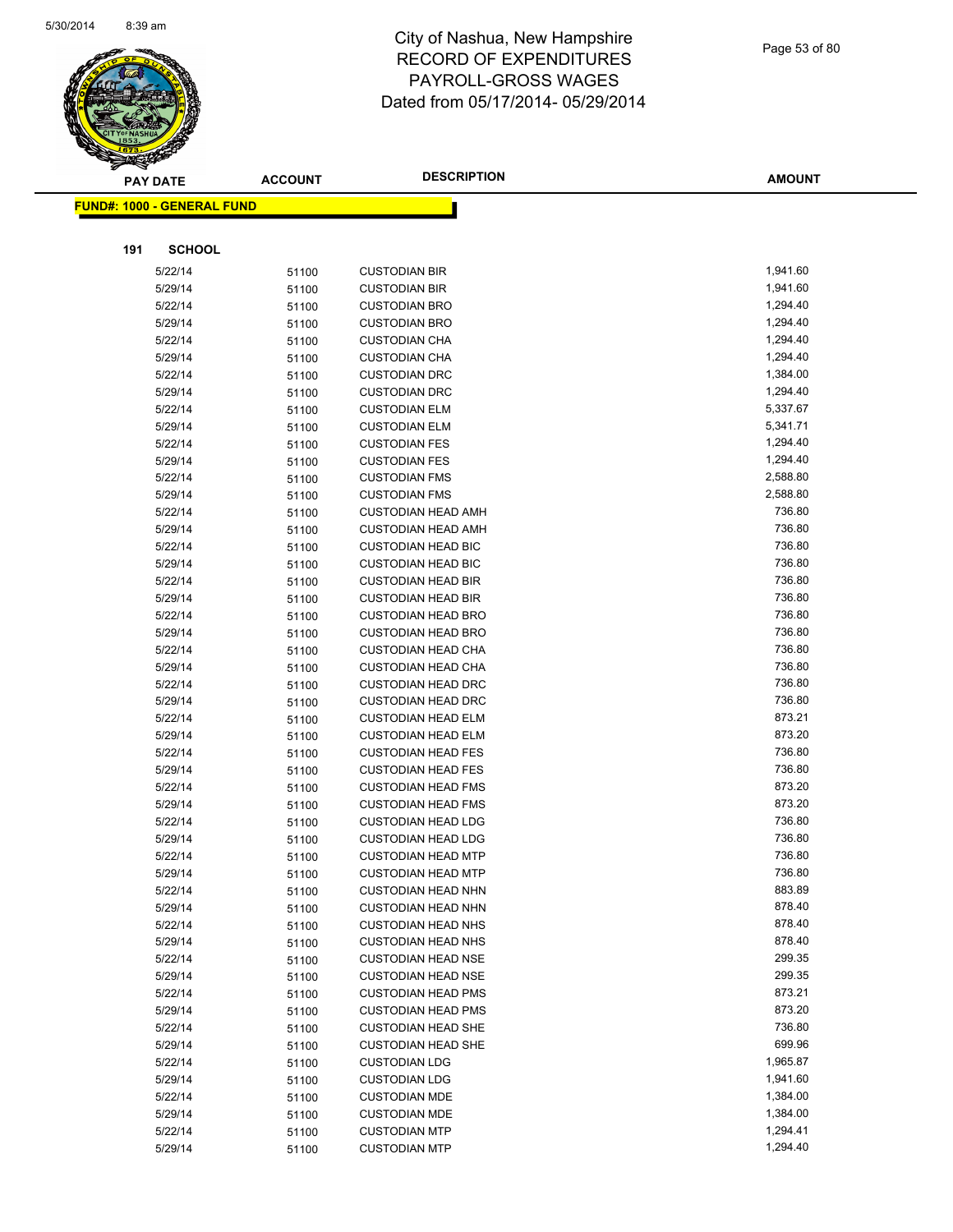

| <b>PAY DATE</b>                   | <b>ACCOUNT</b> | <b>DESCRIPTION</b>                                     | <b>AMOUNT</b>    |
|-----------------------------------|----------------|--------------------------------------------------------|------------------|
| <b>FUND#: 1000 - GENERAL FUND</b> |                |                                                        |                  |
|                                   |                |                                                        |                  |
|                                   |                |                                                        |                  |
| 191<br><b>SCHOOL</b>              |                |                                                        |                  |
| 5/22/14                           | 51100          | <b>CUSTODIAN BIR</b>                                   | 1,941.60         |
| 5/29/14                           | 51100          | <b>CUSTODIAN BIR</b>                                   | 1,941.60         |
| 5/22/14                           | 51100          | <b>CUSTODIAN BRO</b>                                   | 1,294.40         |
| 5/29/14                           | 51100          | <b>CUSTODIAN BRO</b>                                   | 1,294.40         |
| 5/22/14                           | 51100          | <b>CUSTODIAN CHA</b>                                   | 1,294.40         |
| 5/29/14                           | 51100          | <b>CUSTODIAN CHA</b>                                   | 1,294.40         |
| 5/22/14                           | 51100          | <b>CUSTODIAN DRC</b>                                   | 1,384.00         |
| 5/29/14                           | 51100          | <b>CUSTODIAN DRC</b>                                   | 1,294.40         |
| 5/22/14                           | 51100          | <b>CUSTODIAN ELM</b>                                   | 5,337.67         |
| 5/29/14                           | 51100          | <b>CUSTODIAN ELM</b>                                   | 5,341.71         |
| 5/22/14                           | 51100          | <b>CUSTODIAN FES</b>                                   | 1,294.40         |
| 5/29/14                           | 51100          | <b>CUSTODIAN FES</b>                                   | 1,294.40         |
| 5/22/14                           | 51100          | <b>CUSTODIAN FMS</b>                                   | 2,588.80         |
| 5/29/14                           | 51100          | <b>CUSTODIAN FMS</b>                                   | 2,588.80         |
| 5/22/14                           | 51100          | <b>CUSTODIAN HEAD AMH</b>                              | 736.80           |
| 5/29/14                           | 51100          | <b>CUSTODIAN HEAD AMH</b>                              | 736.80           |
| 5/22/14                           | 51100          | <b>CUSTODIAN HEAD BIC</b>                              | 736.80           |
| 5/29/14                           | 51100          | <b>CUSTODIAN HEAD BIC</b>                              | 736.80           |
| 5/22/14                           | 51100          | <b>CUSTODIAN HEAD BIR</b>                              | 736.80           |
| 5/29/14                           | 51100          | <b>CUSTODIAN HEAD BIR</b>                              | 736.80           |
| 5/22/14                           | 51100          | <b>CUSTODIAN HEAD BRO</b>                              | 736.80           |
| 5/29/14                           | 51100          | <b>CUSTODIAN HEAD BRO</b>                              | 736.80           |
| 5/22/14                           | 51100          | <b>CUSTODIAN HEAD CHA</b>                              | 736.80           |
| 5/29/14                           | 51100          | <b>CUSTODIAN HEAD CHA</b>                              | 736.80           |
| 5/22/14                           | 51100          | <b>CUSTODIAN HEAD DRC</b>                              | 736.80           |
| 5/29/14                           | 51100          | <b>CUSTODIAN HEAD DRC</b>                              | 736.80           |
| 5/22/14                           | 51100          | <b>CUSTODIAN HEAD ELM</b>                              | 873.21           |
| 5/29/14                           | 51100          | <b>CUSTODIAN HEAD ELM</b>                              | 873.20           |
| 5/22/14                           | 51100          | <b>CUSTODIAN HEAD FES</b>                              | 736.80           |
| 5/29/14                           | 51100          | <b>CUSTODIAN HEAD FES</b>                              | 736.80           |
| 5/22/14                           | 51100          | <b>CUSTODIAN HEAD FMS</b>                              | 873.20           |
| 5/29/14                           | 51100          | <b>CUSTODIAN HEAD FMS</b>                              | 873.20           |
| 5/22/14                           | 51100          | <b>CUSTODIAN HEAD LDG</b>                              | 736.80           |
| 5/29/14                           | 51100          | <b>CUSTODIAN HEAD LDG</b>                              | 736.80           |
| 5/22/14                           | 51100          | <b>CUSTODIAN HEAD MTP</b>                              | 736.80           |
| 5/29/14                           | 51100          | <b>CUSTODIAN HEAD MTP</b>                              | 736.80           |
| 5/22/14                           | 51100          | <b>CUSTODIAN HEAD NHN</b>                              | 883.89<br>878.40 |
| 5/29/14                           | 51100          | <b>CUSTODIAN HEAD NHN</b>                              | 878.40           |
| 5/22/14                           | 51100          | <b>CUSTODIAN HEAD NHS</b>                              | 878.40           |
| 5/29/14                           | 51100          | <b>CUSTODIAN HEAD NHS</b>                              | 299.35           |
| 5/22/14                           | 51100          | <b>CUSTODIAN HEAD NSE</b>                              | 299.35           |
| 5/29/14<br>5/22/14                | 51100          | <b>CUSTODIAN HEAD NSE</b><br><b>CUSTODIAN HEAD PMS</b> | 873.21           |
| 5/29/14                           | 51100          | <b>CUSTODIAN HEAD PMS</b>                              | 873.20           |
| 5/22/14                           | 51100          | <b>CUSTODIAN HEAD SHE</b>                              | 736.80           |
| 5/29/14                           | 51100          | <b>CUSTODIAN HEAD SHE</b>                              | 699.96           |
| 5/22/14                           | 51100<br>51100 | <b>CUSTODIAN LDG</b>                                   | 1,965.87         |
| 5/29/14                           |                | <b>CUSTODIAN LDG</b>                                   | 1,941.60         |
| 5/22/14                           | 51100<br>51100 | <b>CUSTODIAN MDE</b>                                   | 1,384.00         |
| 5/29/14                           |                | <b>CUSTODIAN MDE</b>                                   | 1,384.00         |
| 5/22/14                           | 51100<br>51100 | <b>CUSTODIAN MTP</b>                                   | 1,294.41         |
| 5/29/14                           | 51100          | <b>CUSTODIAN MTP</b>                                   | 1,294.40         |
|                                   |                |                                                        |                  |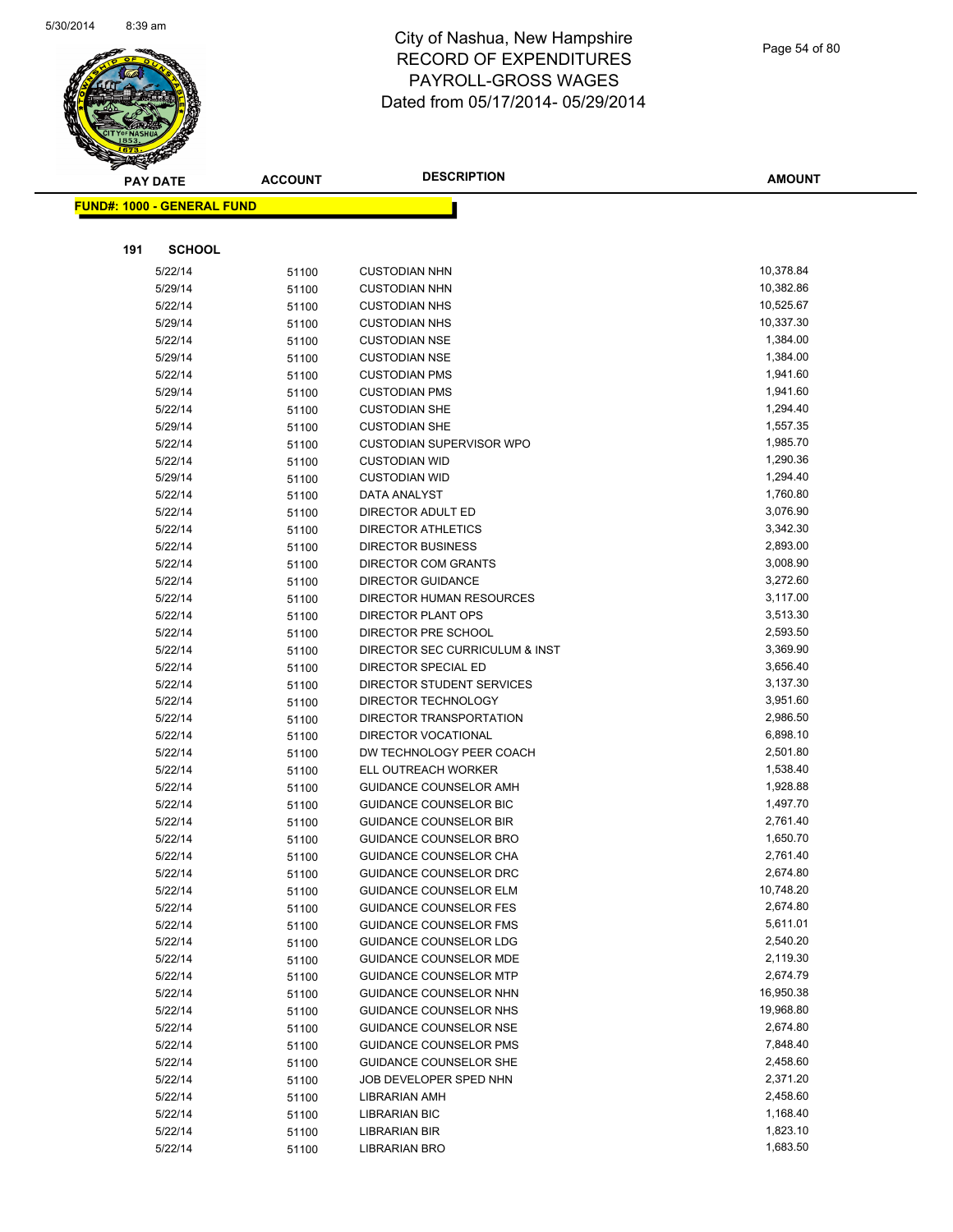

|     | <b>PAY DATE</b>                   | <b>ACCOUNT</b> | <b>DESCRIPTION</b>              | <b>AMOUNT</b> |
|-----|-----------------------------------|----------------|---------------------------------|---------------|
|     | <b>FUND#: 1000 - GENERAL FUND</b> |                |                                 |               |
|     |                                   |                |                                 |               |
|     |                                   |                |                                 |               |
| 191 | <b>SCHOOL</b>                     |                |                                 |               |
|     | 5/22/14                           | 51100          | <b>CUSTODIAN NHN</b>            | 10,378.84     |
|     | 5/29/14                           | 51100          | <b>CUSTODIAN NHN</b>            | 10,382.86     |
|     | 5/22/14                           | 51100          | <b>CUSTODIAN NHS</b>            | 10,525.67     |
|     | 5/29/14                           | 51100          | <b>CUSTODIAN NHS</b>            | 10,337.30     |
|     | 5/22/14                           | 51100          | <b>CUSTODIAN NSE</b>            | 1,384.00      |
|     | 5/29/14                           | 51100          | <b>CUSTODIAN NSE</b>            | 1,384.00      |
|     | 5/22/14                           | 51100          | <b>CUSTODIAN PMS</b>            | 1,941.60      |
|     | 5/29/14                           | 51100          | <b>CUSTODIAN PMS</b>            | 1,941.60      |
|     | 5/22/14                           | 51100          | <b>CUSTODIAN SHE</b>            | 1,294.40      |
|     | 5/29/14                           | 51100          | <b>CUSTODIAN SHE</b>            | 1,557.35      |
|     | 5/22/14                           | 51100          | <b>CUSTODIAN SUPERVISOR WPO</b> | 1,985.70      |
|     | 5/22/14                           | 51100          | <b>CUSTODIAN WID</b>            | 1,290.36      |
|     | 5/29/14                           | 51100          | <b>CUSTODIAN WID</b>            | 1,294.40      |
|     | 5/22/14                           | 51100          | DATA ANALYST                    | 1,760.80      |
|     | 5/22/14                           | 51100          | DIRECTOR ADULT ED               | 3,076.90      |
|     | 5/22/14                           | 51100          | <b>DIRECTOR ATHLETICS</b>       | 3,342.30      |
|     | 5/22/14                           | 51100          | <b>DIRECTOR BUSINESS</b>        | 2,893.00      |
|     | 5/22/14                           | 51100          | <b>DIRECTOR COM GRANTS</b>      | 3,008.90      |
|     | 5/22/14                           | 51100          | DIRECTOR GUIDANCE               | 3,272.60      |
|     | 5/22/14                           | 51100          | DIRECTOR HUMAN RESOURCES        | 3,117.00      |
|     | 5/22/14                           | 51100          | DIRECTOR PLANT OPS              | 3,513.30      |
|     | 5/22/14                           | 51100          | DIRECTOR PRE SCHOOL             | 2,593.50      |
|     | 5/22/14                           | 51100          | DIRECTOR SEC CURRICULUM & INST  | 3,369.90      |
|     | 5/22/14                           | 51100          | DIRECTOR SPECIAL ED             | 3,656.40      |
|     | 5/22/14                           | 51100          | DIRECTOR STUDENT SERVICES       | 3,137.30      |
|     | 5/22/14                           | 51100          | DIRECTOR TECHNOLOGY             | 3,951.60      |
|     | 5/22/14                           | 51100          | DIRECTOR TRANSPORTATION         | 2,986.50      |
|     | 5/22/14                           | 51100          | DIRECTOR VOCATIONAL             | 6,898.10      |
|     | 5/22/14                           | 51100          | DW TECHNOLOGY PEER COACH        | 2,501.80      |
|     | 5/22/14                           | 51100          | ELL OUTREACH WORKER             | 1,538.40      |
|     | 5/22/14                           | 51100          | GUIDANCE COUNSELOR AMH          | 1,928.88      |
|     | 5/22/14                           | 51100          | <b>GUIDANCE COUNSELOR BIC</b>   | 1,497.70      |
|     | 5/22/14                           | 51100          | <b>GUIDANCE COUNSELOR BIR</b>   | 2,761.40      |
|     | 5/22/14                           | 51100          | GUIDANCE COUNSELOR BRO          | 1,650.70      |
|     | 5/22/14                           | 51100          | <b>GUIDANCE COUNSELOR CHA</b>   | 2,761.40      |
|     | 5/22/14                           | 51100          | GUIDANCE COUNSELOR DRC          | 2,674.80      |
|     | 5/22/14                           | 51100          | <b>GUIDANCE COUNSELOR ELM</b>   | 10,748.20     |
|     | 5/22/14                           | 51100          | <b>GUIDANCE COUNSELOR FES</b>   | 2,674.80      |
|     | 5/22/14                           | 51100          | <b>GUIDANCE COUNSELOR FMS</b>   | 5,611.01      |
|     | 5/22/14                           | 51100          | <b>GUIDANCE COUNSELOR LDG</b>   | 2,540.20      |
|     | 5/22/14                           | 51100          | <b>GUIDANCE COUNSELOR MDE</b>   | 2,119.30      |
|     | 5/22/14                           | 51100          | <b>GUIDANCE COUNSELOR MTP</b>   | 2,674.79      |
|     | 5/22/14                           | 51100          | GUIDANCE COUNSELOR NHN          | 16,950.38     |
|     | 5/22/14                           | 51100          | <b>GUIDANCE COUNSELOR NHS</b>   | 19,968.80     |
|     | 5/22/14                           | 51100          | GUIDANCE COUNSELOR NSE          | 2,674.80      |
|     | 5/22/14                           | 51100          | <b>GUIDANCE COUNSELOR PMS</b>   | 7,848.40      |
|     | 5/22/14                           | 51100          | <b>GUIDANCE COUNSELOR SHE</b>   | 2,458.60      |
|     | 5/22/14                           | 51100          | JOB DEVELOPER SPED NHN          | 2,371.20      |
|     | 5/22/14                           | 51100          | LIBRARIAN AMH                   | 2,458.60      |
|     | 5/22/14                           | 51100          | <b>LIBRARIAN BIC</b>            | 1,168.40      |
|     | 5/22/14                           | 51100          | LIBRARIAN BIR                   | 1,823.10      |
|     | 5/22/14                           | 51100          | <b>LIBRARIAN BRO</b>            | 1,683.50      |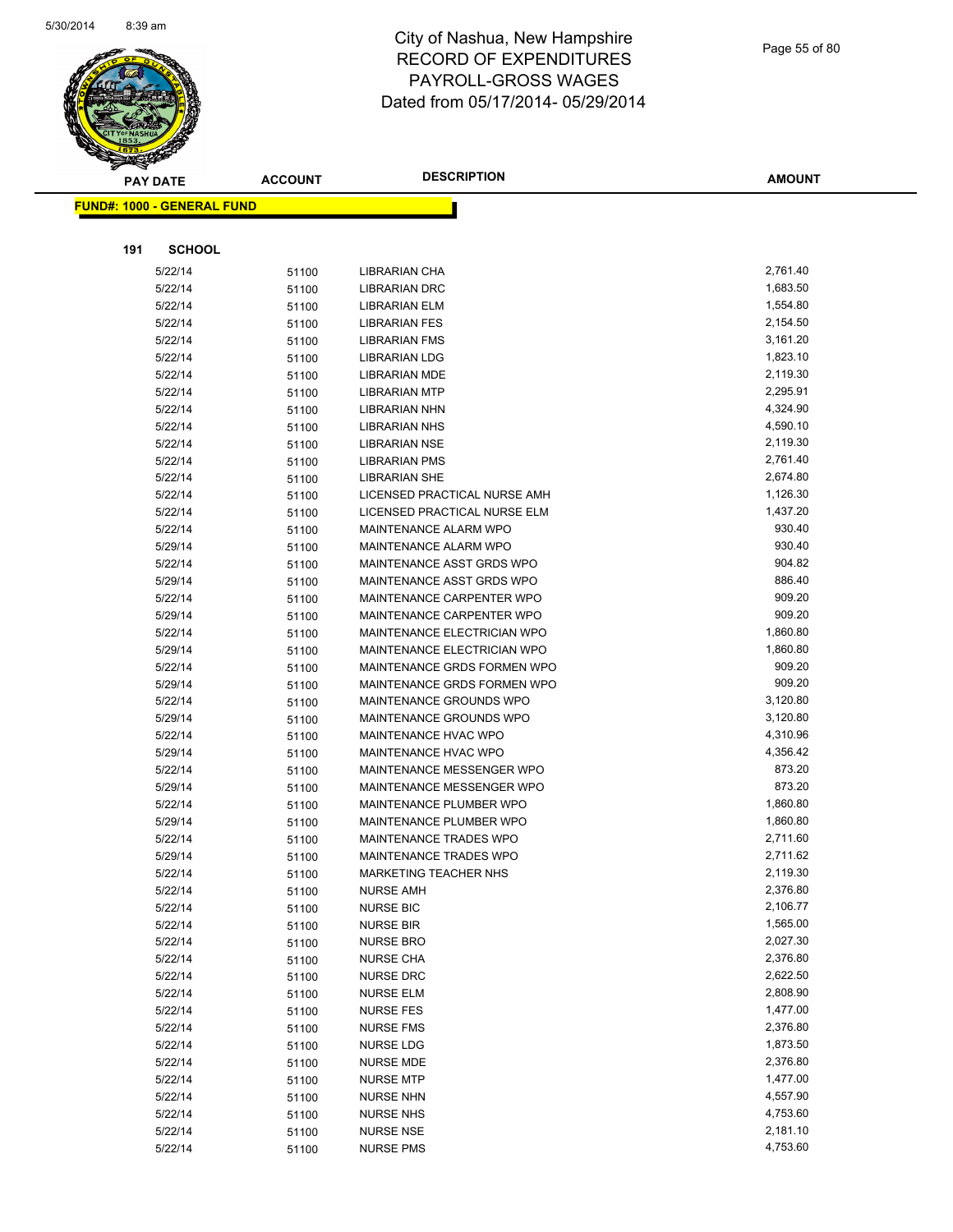

| <b>PAY DATE</b>                   | <b>ACCOUNT</b> | <b>DESCRIPTION</b>                                | <b>AMOUNT</b>        |
|-----------------------------------|----------------|---------------------------------------------------|----------------------|
| <b>FUND#: 1000 - GENERAL FUND</b> |                |                                                   |                      |
|                                   |                |                                                   |                      |
|                                   |                |                                                   |                      |
| 191<br><b>SCHOOL</b>              |                |                                                   |                      |
| 5/22/14                           | 51100          | LIBRARIAN CHA                                     | 2,761.40             |
| 5/22/14                           | 51100          | <b>LIBRARIAN DRC</b>                              | 1,683.50             |
| 5/22/14                           | 51100          | <b>LIBRARIAN ELM</b>                              | 1,554.80             |
| 5/22/14                           | 51100          | <b>LIBRARIAN FES</b>                              | 2,154.50             |
| 5/22/14                           | 51100          | <b>LIBRARIAN FMS</b>                              | 3,161.20             |
| 5/22/14                           | 51100          | <b>LIBRARIAN LDG</b>                              | 1,823.10             |
| 5/22/14                           | 51100          | <b>LIBRARIAN MDE</b>                              | 2,119.30             |
| 5/22/14                           | 51100          | <b>LIBRARIAN MTP</b>                              | 2,295.91             |
| 5/22/14                           | 51100          | <b>LIBRARIAN NHN</b>                              | 4,324.90             |
| 5/22/14                           | 51100          | <b>LIBRARIAN NHS</b>                              | 4,590.10             |
| 5/22/14                           | 51100          | <b>LIBRARIAN NSE</b>                              | 2,119.30             |
| 5/22/14                           | 51100          | <b>LIBRARIAN PMS</b>                              | 2,761.40             |
| 5/22/14                           | 51100          | <b>LIBRARIAN SHE</b>                              | 2,674.80             |
| 5/22/14                           | 51100          | LICENSED PRACTICAL NURSE AMH                      | 1,126.30             |
| 5/22/14                           | 51100          | LICENSED PRACTICAL NURSE ELM                      | 1,437.20             |
| 5/22/14                           | 51100          | <b>MAINTENANCE ALARM WPO</b>                      | 930.40               |
| 5/29/14                           | 51100          | MAINTENANCE ALARM WPO                             | 930.40               |
| 5/22/14                           | 51100          | MAINTENANCE ASST GRDS WPO                         | 904.82               |
| 5/29/14                           | 51100          | MAINTENANCE ASST GRDS WPO                         | 886.40               |
| 5/22/14                           | 51100          | MAINTENANCE CARPENTER WPO                         | 909.20               |
| 5/29/14                           | 51100          | MAINTENANCE CARPENTER WPO                         | 909.20               |
| 5/22/14                           | 51100          | MAINTENANCE ELECTRICIAN WPO                       | 1,860.80             |
| 5/29/14                           | 51100          | <b>MAINTENANCE ELECTRICIAN WPO</b>                | 1,860.80             |
| 5/22/14                           | 51100          | MAINTENANCE GRDS FORMEN WPO                       | 909.20               |
| 5/29/14                           | 51100          | MAINTENANCE GRDS FORMEN WPO                       | 909.20               |
| 5/22/14                           | 51100          | MAINTENANCE GROUNDS WPO                           | 3,120.80             |
| 5/29/14                           | 51100          | MAINTENANCE GROUNDS WPO                           | 3,120.80             |
| 5/22/14                           | 51100          | <b>MAINTENANCE HVAC WPO</b>                       | 4,310.96<br>4,356.42 |
| 5/29/14<br>5/22/14                | 51100          | MAINTENANCE HVAC WPO<br>MAINTENANCE MESSENGER WPO | 873.20               |
| 5/29/14                           | 51100<br>51100 | MAINTENANCE MESSENGER WPO                         | 873.20               |
| 5/22/14                           |                | MAINTENANCE PLUMBER WPO                           | 1,860.80             |
| 5/29/14                           | 51100<br>51100 | MAINTENANCE PLUMBER WPO                           | 1,860.80             |
| 5/22/14                           | 51100          | MAINTENANCE TRADES WPO                            | 2,711.60             |
| 5/29/14                           | 51100          | <b>MAINTENANCE TRADES WPO</b>                     | 2,711.62             |
| 5/22/14                           | 51100          | MARKETING TEACHER NHS                             | 2,119.30             |
| 5/22/14                           | 51100          | <b>NURSE AMH</b>                                  | 2,376.80             |
| 5/22/14                           | 51100          | <b>NURSE BIC</b>                                  | 2,106.77             |
| 5/22/14                           | 51100          | NURSE BIR                                         | 1,565.00             |
| 5/22/14                           | 51100          | <b>NURSE BRO</b>                                  | 2,027.30             |
| 5/22/14                           | 51100          | <b>NURSE CHA</b>                                  | 2,376.80             |
| 5/22/14                           | 51100          | <b>NURSE DRC</b>                                  | 2,622.50             |
| 5/22/14                           | 51100          | <b>NURSE ELM</b>                                  | 2,808.90             |
| 5/22/14                           | 51100          | <b>NURSE FES</b>                                  | 1,477.00             |
| 5/22/14                           | 51100          | <b>NURSE FMS</b>                                  | 2,376.80             |
| 5/22/14                           | 51100          | <b>NURSE LDG</b>                                  | 1,873.50             |
| 5/22/14                           | 51100          | <b>NURSE MDE</b>                                  | 2,376.80             |
| 5/22/14                           | 51100          | <b>NURSE MTP</b>                                  | 1,477.00             |
| 5/22/14                           | 51100          | <b>NURSE NHN</b>                                  | 4,557.90             |
| 5/22/14                           | 51100          | <b>NURSE NHS</b>                                  | 4,753.60             |
| 5/22/14                           | 51100          | <b>NURSE NSE</b>                                  | 2,181.10             |
| 5/22/14                           | 51100          | <b>NURSE PMS</b>                                  | 4,753.60             |
|                                   |                |                                                   |                      |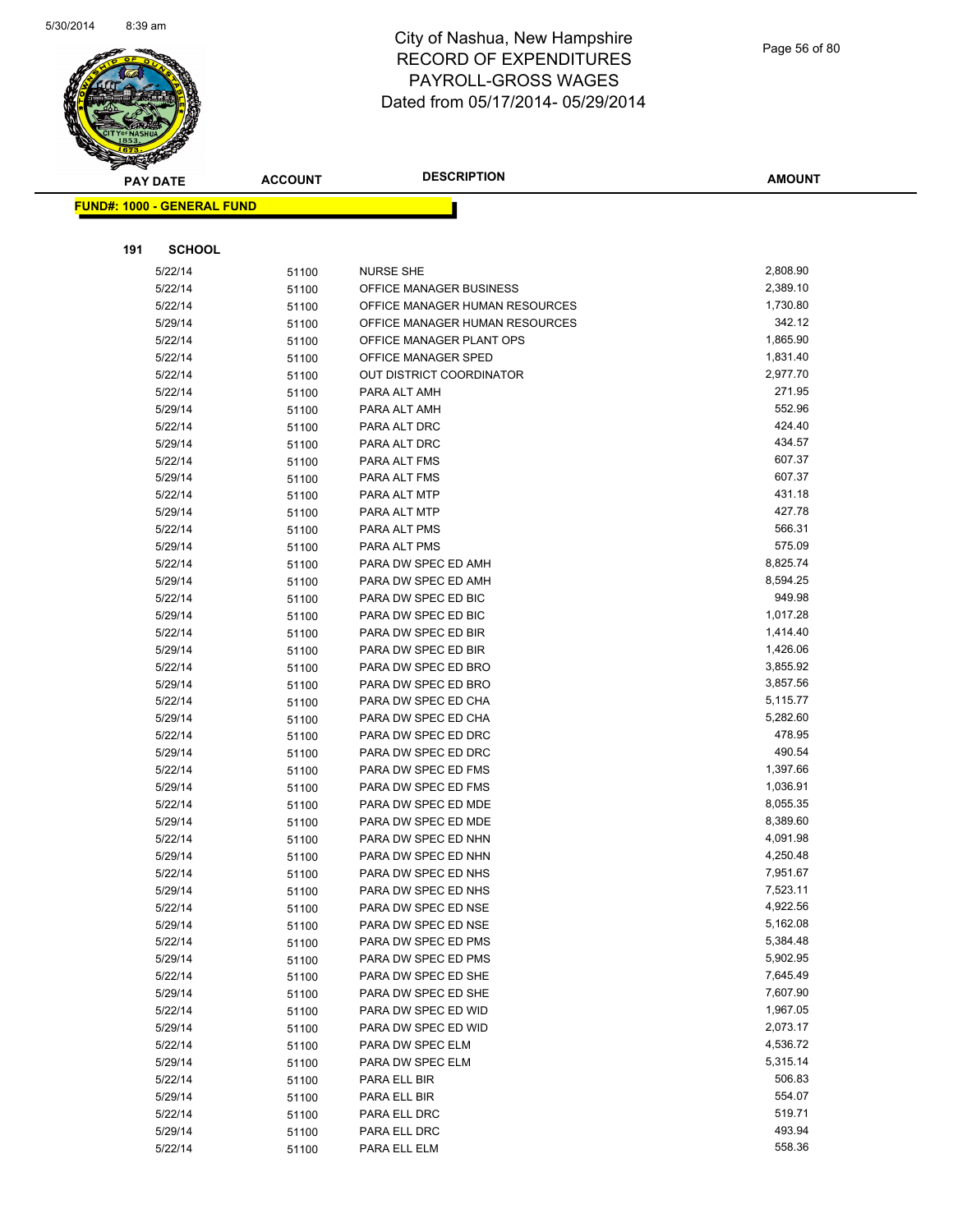

| <b>PAY DATE</b>                   | <b>ACCOUNT</b> | <b>DESCRIPTION</b>                         | <b>AMOUNT</b>        |
|-----------------------------------|----------------|--------------------------------------------|----------------------|
| <b>FUND#: 1000 - GENERAL FUND</b> |                |                                            |                      |
|                                   |                |                                            |                      |
|                                   |                |                                            |                      |
| <b>SCHOOL</b><br>191              |                |                                            |                      |
| 5/22/14                           | 51100          | <b>NURSE SHE</b>                           | 2,808.90             |
| 5/22/14                           | 51100          | OFFICE MANAGER BUSINESS                    | 2,389.10             |
| 5/22/14                           | 51100          | OFFICE MANAGER HUMAN RESOURCES             | 1,730.80             |
| 5/29/14                           | 51100          | OFFICE MANAGER HUMAN RESOURCES             | 342.12               |
| 5/22/14                           | 51100          | OFFICE MANAGER PLANT OPS                   | 1,865.90             |
| 5/22/14                           | 51100          | OFFICE MANAGER SPED                        | 1,831.40             |
| 5/22/14                           | 51100          | <b>OUT DISTRICT COORDINATOR</b>            | 2,977.70             |
| 5/22/14                           | 51100          | PARA ALT AMH                               | 271.95               |
| 5/29/14                           | 51100          | PARA ALT AMH                               | 552.96               |
| 5/22/14                           | 51100          | PARA ALT DRC                               | 424.40               |
| 5/29/14                           | 51100          | PARA ALT DRC                               | 434.57               |
| 5/22/14                           | 51100          | PARA ALT FMS                               | 607.37               |
| 5/29/14                           | 51100          | PARA ALT FMS                               | 607.37               |
| 5/22/14                           | 51100          | PARA ALT MTP                               | 431.18               |
| 5/29/14                           | 51100          | PARA ALT MTP                               | 427.78               |
| 5/22/14                           | 51100          | PARA ALT PMS                               | 566.31               |
| 5/29/14                           | 51100          | PARA ALT PMS                               | 575.09               |
| 5/22/14                           | 51100          | PARA DW SPEC ED AMH                        | 8,825.74             |
| 5/29/14                           | 51100          | PARA DW SPEC ED AMH                        | 8,594.25<br>949.98   |
| 5/22/14                           | 51100          | PARA DW SPEC ED BIC                        |                      |
| 5/29/14                           | 51100          | PARA DW SPEC ED BIC                        | 1,017.28             |
| 5/22/14                           | 51100          | PARA DW SPEC ED BIR                        | 1,414.40<br>1,426.06 |
| 5/29/14                           | 51100          | PARA DW SPEC ED BIR                        | 3,855.92             |
| 5/22/14                           | 51100          | PARA DW SPEC ED BRO                        | 3,857.56             |
| 5/29/14<br>5/22/14                | 51100          | PARA DW SPEC ED BRO<br>PARA DW SPEC ED CHA | 5,115.77             |
| 5/29/14                           | 51100          | PARA DW SPEC ED CHA                        | 5,282.60             |
| 5/22/14                           | 51100          | PARA DW SPEC ED DRC                        | 478.95               |
| 5/29/14                           | 51100<br>51100 | PARA DW SPEC ED DRC                        | 490.54               |
| 5/22/14                           | 51100          | PARA DW SPEC ED FMS                        | 1,397.66             |
| 5/29/14                           | 51100          | PARA DW SPEC ED FMS                        | 1,036.91             |
| 5/22/14                           | 51100          | PARA DW SPEC ED MDE                        | 8,055.35             |
| 5/29/14                           | 51100          | PARA DW SPEC ED MDE                        | 8,389.60             |
| 5/22/14                           | 51100          | PARA DW SPEC ED NHN                        | 4,091.98             |
| 5/29/14                           | 51100          | PARA DW SPEC ED NHN                        | 4,250.48             |
| 5/22/14                           | 51100          | PARA DW SPEC ED NHS                        | 7,951.67             |
| 5/29/14                           | 51100          | PARA DW SPEC ED NHS                        | 7,523.11             |
| 5/22/14                           | 51100          | PARA DW SPEC ED NSE                        | 4,922.56             |
| 5/29/14                           | 51100          | PARA DW SPEC ED NSE                        | 5,162.08             |
| 5/22/14                           | 51100          | PARA DW SPEC ED PMS                        | 5,384.48             |
| 5/29/14                           | 51100          | PARA DW SPEC ED PMS                        | 5,902.95             |
| 5/22/14                           | 51100          | PARA DW SPEC ED SHE                        | 7,645.49             |
| 5/29/14                           | 51100          | PARA DW SPEC ED SHE                        | 7,607.90             |
| 5/22/14                           | 51100          | PARA DW SPEC ED WID                        | 1,967.05             |
| 5/29/14                           | 51100          | PARA DW SPEC ED WID                        | 2,073.17             |
| 5/22/14                           | 51100          | PARA DW SPEC ELM                           | 4,536.72             |
| 5/29/14                           | 51100          | PARA DW SPEC ELM                           | 5,315.14             |
| 5/22/14                           | 51100          | PARA ELL BIR                               | 506.83               |
| 5/29/14                           | 51100          | PARA ELL BIR                               | 554.07               |
| 5/22/14                           | 51100          | PARA ELL DRC                               | 519.71               |
| 5/29/14                           | 51100          | PARA ELL DRC                               | 493.94               |
| 5/22/14                           | 51100          | PARA ELL ELM                               | 558.36               |
|                                   |                |                                            |                      |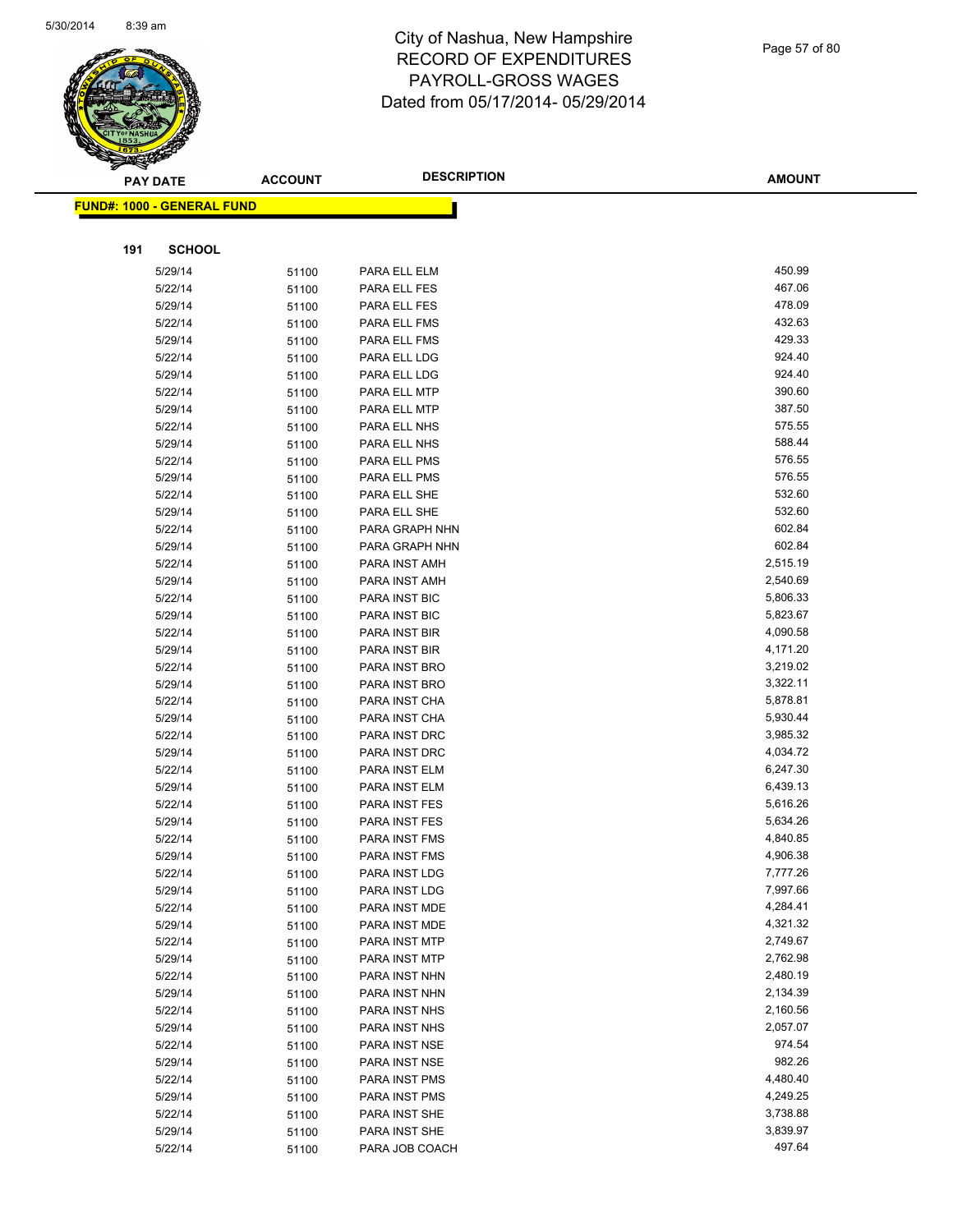

|     | <b>PAY DATE</b>                   | <b>ACCOUNT</b> | <b>DESCRIPTION</b>             | <b>AMOUNT</b>        |
|-----|-----------------------------------|----------------|--------------------------------|----------------------|
|     | <b>FUND#: 1000 - GENERAL FUND</b> |                |                                |                      |
|     |                                   |                |                                |                      |
|     |                                   |                |                                |                      |
| 191 | <b>SCHOOL</b>                     |                |                                |                      |
|     | 5/29/14                           | 51100          | PARA ELL ELM                   | 450.99               |
|     | 5/22/14                           | 51100          | PARA ELL FES                   | 467.06               |
|     | 5/29/14                           | 51100          | PARA ELL FES                   | 478.09               |
|     | 5/22/14                           | 51100          | PARA ELL FMS                   | 432.63               |
|     | 5/29/14                           | 51100          | PARA ELL FMS                   | 429.33               |
|     | 5/22/14                           | 51100          | PARA ELL LDG                   | 924.40               |
|     | 5/29/14                           | 51100          | PARA ELL LDG                   | 924.40               |
|     | 5/22/14                           | 51100          | PARA ELL MTP                   | 390.60               |
|     | 5/29/14                           | 51100          | PARA ELL MTP                   | 387.50               |
|     | 5/22/14                           | 51100          | PARA ELL NHS                   | 575.55               |
|     | 5/29/14                           | 51100          | PARA ELL NHS                   | 588.44               |
|     | 5/22/14                           | 51100          | PARA ELL PMS                   | 576.55               |
|     | 5/29/14                           | 51100          | PARA ELL PMS                   | 576.55               |
|     | 5/22/14                           | 51100          | PARA ELL SHE                   | 532.60               |
|     | 5/29/14                           | 51100          | PARA ELL SHE                   | 532.60               |
|     | 5/22/14                           | 51100          | PARA GRAPH NHN                 | 602.84               |
|     | 5/29/14                           | 51100          | PARA GRAPH NHN                 | 602.84               |
|     | 5/22/14                           | 51100          | PARA INST AMH                  | 2,515.19             |
|     | 5/29/14                           | 51100          | PARA INST AMH                  | 2,540.69             |
|     | 5/22/14                           | 51100          | PARA INST BIC                  | 5,806.33             |
|     | 5/29/14                           | 51100          | PARA INST BIC                  | 5,823.67             |
|     | 5/22/14                           | 51100          | PARA INST BIR                  | 4,090.58             |
|     | 5/29/14                           | 51100          | PARA INST BIR                  | 4,171.20             |
|     | 5/22/14                           | 51100          | PARA INST BRO                  | 3,219.02             |
|     | 5/29/14                           | 51100          | PARA INST BRO                  | 3,322.11             |
|     | 5/22/14                           | 51100          | PARA INST CHA                  | 5,878.81<br>5,930.44 |
|     | 5/29/14<br>5/22/14                | 51100          | PARA INST CHA                  | 3,985.32             |
|     | 5/29/14                           | 51100          | PARA INST DRC<br>PARA INST DRC | 4,034.72             |
|     | 5/22/14                           | 51100          | PARA INST ELM                  | 6,247.30             |
|     | 5/29/14                           | 51100          | PARA INST ELM                  | 6,439.13             |
|     | 5/22/14                           | 51100          | PARA INST FES                  | 5,616.26             |
|     | 5/29/14                           | 51100          | PARA INST FES                  | 5,634.26             |
|     | 5/22/14                           | 51100          | PARA INST FMS                  | 4,840.85             |
|     | 5/29/14                           | 51100<br>51100 | PARA INST FMS                  | 4,906.38             |
|     | 5/22/14                           | 51100          | PARA INST LDG                  | 7,777.26             |
|     | 5/29/14                           | 51100          | PARA INST LDG                  | 7,997.66             |
|     | 5/22/14                           | 51100          | PARA INST MDE                  | 4,284.41             |
|     | 5/29/14                           | 51100          | PARA INST MDE                  | 4,321.32             |
|     | 5/22/14                           | 51100          | PARA INST MTP                  | 2,749.67             |
|     | 5/29/14                           | 51100          | PARA INST MTP                  | 2,762.98             |
|     | 5/22/14                           | 51100          | PARA INST NHN                  | 2,480.19             |
|     | 5/29/14                           | 51100          | PARA INST NHN                  | 2,134.39             |
|     | 5/22/14                           | 51100          | PARA INST NHS                  | 2,160.56             |
|     | 5/29/14                           | 51100          | PARA INST NHS                  | 2,057.07             |
|     | 5/22/14                           | 51100          | PARA INST NSE                  | 974.54               |
|     | 5/29/14                           | 51100          | PARA INST NSE                  | 982.26               |
|     | 5/22/14                           | 51100          | PARA INST PMS                  | 4,480.40             |
|     | 5/29/14                           | 51100          | PARA INST PMS                  | 4,249.25             |
|     | 5/22/14                           | 51100          | PARA INST SHE                  | 3,738.88             |
|     | 5/29/14                           | 51100          | PARA INST SHE                  | 3,839.97             |
|     | 5/22/14                           | 51100          | PARA JOB COACH                 | 497.64               |
|     |                                   |                |                                |                      |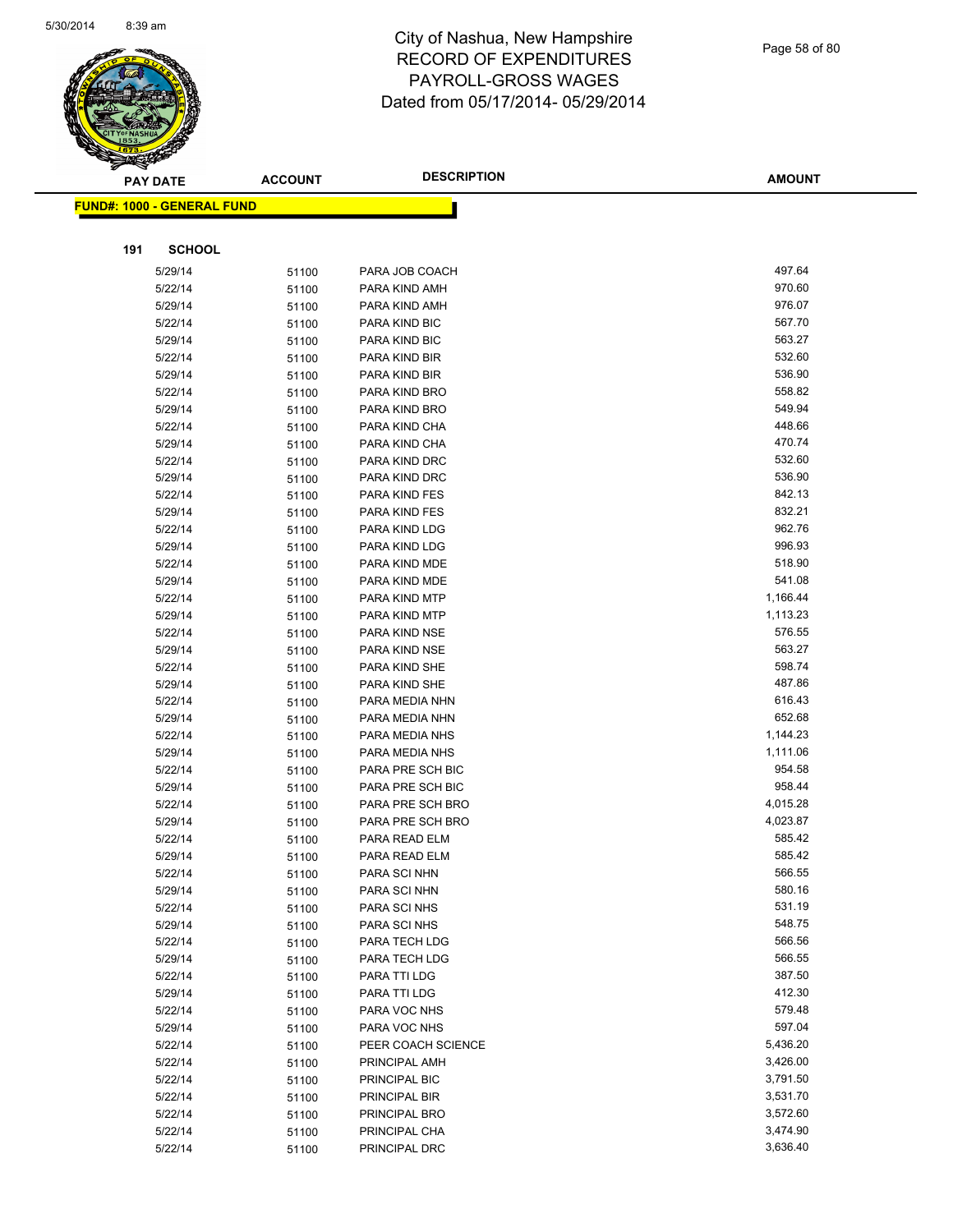

|     | <b>PAY DATE</b>                   | <b>ACCOUNT</b> | <b>DESCRIPTION</b>              | <b>AMOUNT</b>    |
|-----|-----------------------------------|----------------|---------------------------------|------------------|
|     | <b>FUND#: 1000 - GENERAL FUND</b> |                |                                 |                  |
|     |                                   |                |                                 |                  |
|     |                                   |                |                                 |                  |
| 191 | <b>SCHOOL</b>                     |                |                                 |                  |
|     | 5/29/14                           | 51100          | PARA JOB COACH                  | 497.64           |
|     | 5/22/14                           | 51100          | PARA KIND AMH                   | 970.60           |
|     | 5/29/14                           | 51100          | PARA KIND AMH                   | 976.07           |
|     | 5/22/14                           | 51100          | PARA KIND BIC                   | 567.70           |
|     | 5/29/14                           | 51100          | PARA KIND BIC                   | 563.27           |
|     | 5/22/14                           | 51100          | PARA KIND BIR                   | 532.60           |
|     | 5/29/14                           | 51100          | PARA KIND BIR                   | 536.90           |
|     | 5/22/14                           | 51100          | PARA KIND BRO                   | 558.82           |
|     | 5/29/14                           | 51100          | PARA KIND BRO                   | 549.94           |
|     | 5/22/14                           | 51100          | PARA KIND CHA                   | 448.66           |
|     | 5/29/14                           | 51100          | PARA KIND CHA                   | 470.74           |
|     | 5/22/14                           | 51100          | PARA KIND DRC                   | 532.60           |
|     | 5/29/14                           | 51100          | PARA KIND DRC                   | 536.90           |
|     | 5/22/14                           | 51100          | PARA KIND FES                   | 842.13           |
|     | 5/29/14                           | 51100          | PARA KIND FES                   | 832.21           |
|     | 5/22/14                           | 51100          | PARA KIND LDG                   | 962.76           |
|     | 5/29/14                           | 51100          | PARA KIND LDG                   | 996.93           |
|     | 5/22/14                           | 51100          | PARA KIND MDE                   | 518.90           |
|     | 5/29/14                           | 51100          | PARA KIND MDE                   | 541.08           |
|     | 5/22/14                           | 51100          | PARA KIND MTP                   | 1,166.44         |
|     | 5/29/14                           | 51100          | PARA KIND MTP                   | 1,113.23         |
|     | 5/22/14                           | 51100          | PARA KIND NSE                   | 576.55<br>563.27 |
|     | 5/29/14                           | 51100          | PARA KIND NSE                   | 598.74           |
|     | 5/22/14                           | 51100          | PARA KIND SHE                   | 487.86           |
|     | 5/29/14<br>5/22/14                | 51100          | PARA KIND SHE<br>PARA MEDIA NHN | 616.43           |
|     | 5/29/14                           | 51100          | PARA MEDIA NHN                  | 652.68           |
|     | 5/22/14                           | 51100          | PARA MEDIA NHS                  | 1,144.23         |
|     | 5/29/14                           | 51100<br>51100 | PARA MEDIA NHS                  | 1,111.06         |
|     | 5/22/14                           | 51100          | PARA PRE SCH BIC                | 954.58           |
|     | 5/29/14                           | 51100          | PARA PRE SCH BIC                | 958.44           |
|     | 5/22/14                           | 51100          | PARA PRE SCH BRO                | 4,015.28         |
|     | 5/29/14                           | 51100          | PARA PRE SCH BRO                | 4,023.87         |
|     | 5/22/14                           | 51100          | PARA READ ELM                   | 585.42           |
|     | 5/29/14                           | 51100          | PARA READ ELM                   | 585.42           |
|     | 5/22/14                           | 51100          | PARA SCI NHN                    | 566.55           |
|     | 5/29/14                           | 51100          | PARA SCI NHN                    | 580.16           |
|     | 5/22/14                           | 51100          | PARA SCI NHS                    | 531.19           |
|     | 5/29/14                           | 51100          | PARA SCI NHS                    | 548.75           |
|     | 5/22/14                           | 51100          | PARA TECH LDG                   | 566.56           |
|     | 5/29/14                           | 51100          | PARA TECH LDG                   | 566.55           |
|     | 5/22/14                           | 51100          | PARA TTI LDG                    | 387.50           |
|     | 5/29/14                           | 51100          | PARA TTI LDG                    | 412.30           |
|     | 5/22/14                           | 51100          | PARA VOC NHS                    | 579.48           |
|     | 5/29/14                           | 51100          | PARA VOC NHS                    | 597.04           |
|     | 5/22/14                           | 51100          | PEER COACH SCIENCE              | 5,436.20         |
|     | 5/22/14                           | 51100          | PRINCIPAL AMH                   | 3,426.00         |
|     | 5/22/14                           | 51100          | PRINCIPAL BIC                   | 3,791.50         |
|     | 5/22/14                           | 51100          | PRINCIPAL BIR                   | 3,531.70         |
|     | 5/22/14                           | 51100          | PRINCIPAL BRO                   | 3,572.60         |
|     | 5/22/14                           | 51100          | PRINCIPAL CHA                   | 3,474.90         |
|     | 5/22/14                           | 51100          | PRINCIPAL DRC                   | 3,636.40         |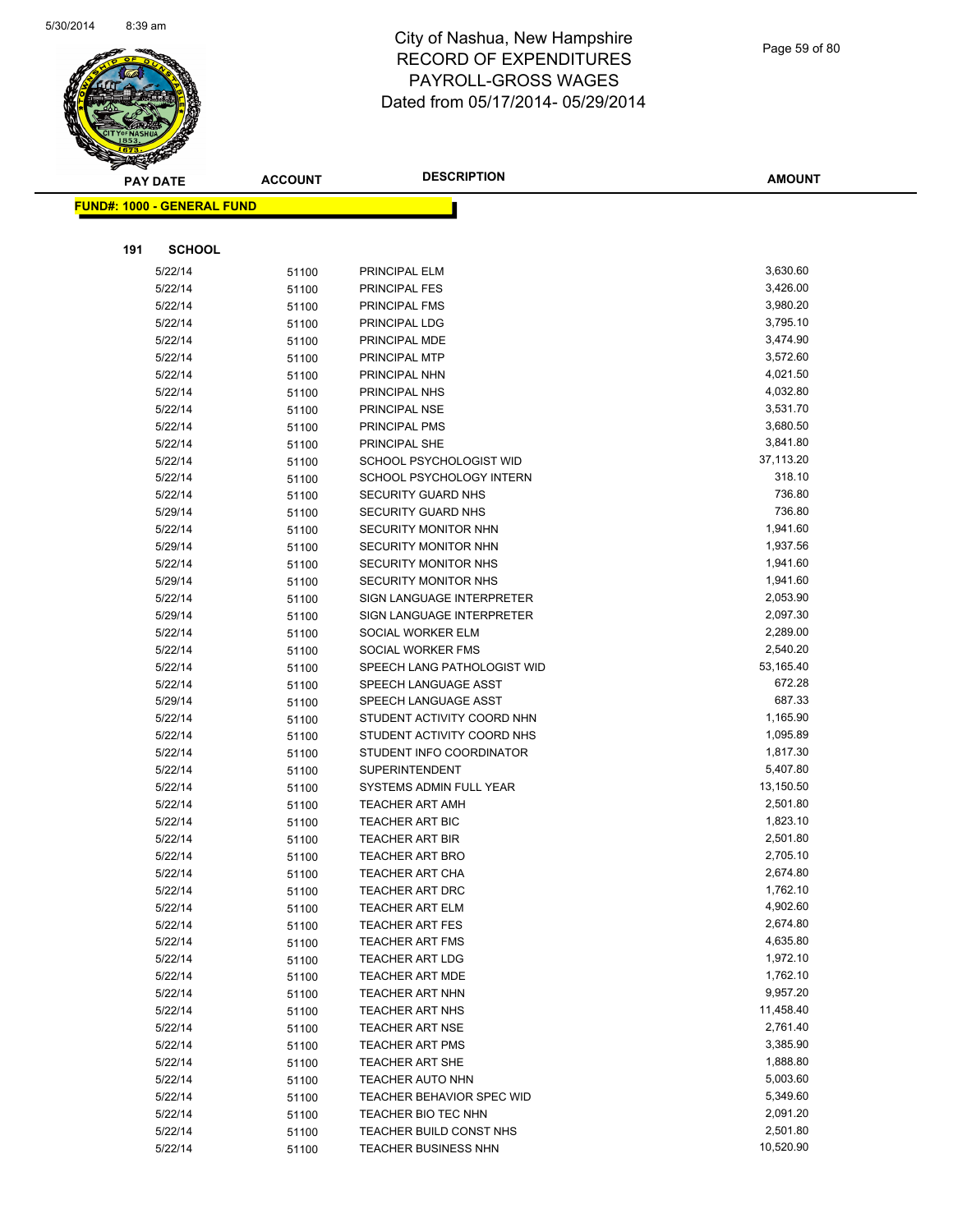

|     | <b>PAY DATE</b>                   | <b>ACCOUNT</b> | <b>DESCRIPTION</b>             | <b>AMOUNT</b>        |
|-----|-----------------------------------|----------------|--------------------------------|----------------------|
|     | <b>FUND#: 1000 - GENERAL FUND</b> |                |                                |                      |
|     |                                   |                |                                |                      |
| 191 | <b>SCHOOL</b>                     |                |                                |                      |
|     |                                   |                |                                |                      |
|     | 5/22/14                           | 51100          | PRINCIPAL ELM                  | 3,630.60             |
|     | 5/22/14                           | 51100          | <b>PRINCIPAL FES</b>           | 3,426.00             |
|     | 5/22/14                           | 51100          | PRINCIPAL FMS                  | 3,980.20             |
|     | 5/22/14                           | 51100          | PRINCIPAL LDG                  | 3,795.10<br>3,474.90 |
|     | 5/22/14                           | 51100          | PRINCIPAL MDE                  | 3,572.60             |
|     | 5/22/14<br>5/22/14                | 51100          | PRINCIPAL MTP<br>PRINCIPAL NHN | 4,021.50             |
|     | 5/22/14                           | 51100          | PRINCIPAL NHS                  | 4,032.80             |
|     | 5/22/14                           | 51100<br>51100 | PRINCIPAL NSE                  | 3,531.70             |
|     | 5/22/14                           | 51100          | PRINCIPAL PMS                  | 3,680.50             |
|     | 5/22/14                           | 51100          | PRINCIPAL SHE                  | 3,841.80             |
|     | 5/22/14                           | 51100          | SCHOOL PSYCHOLOGIST WID        | 37,113.20            |
|     | 5/22/14                           | 51100          | SCHOOL PSYCHOLOGY INTERN       | 318.10               |
|     | 5/22/14                           | 51100          | SECURITY GUARD NHS             | 736.80               |
|     | 5/29/14                           | 51100          | SECURITY GUARD NHS             | 736.80               |
|     | 5/22/14                           | 51100          | SECURITY MONITOR NHN           | 1,941.60             |
|     | 5/29/14                           | 51100          | SECURITY MONITOR NHN           | 1,937.56             |
|     | 5/22/14                           | 51100          | <b>SECURITY MONITOR NHS</b>    | 1,941.60             |
|     | 5/29/14                           | 51100          | <b>SECURITY MONITOR NHS</b>    | 1,941.60             |
|     | 5/22/14                           | 51100          | SIGN LANGUAGE INTERPRETER      | 2,053.90             |
|     | 5/29/14                           | 51100          | SIGN LANGUAGE INTERPRETER      | 2,097.30             |
|     | 5/22/14                           | 51100          | SOCIAL WORKER ELM              | 2,289.00             |
|     | 5/22/14                           | 51100          | SOCIAL WORKER FMS              | 2,540.20             |
|     | 5/22/14                           | 51100          | SPEECH LANG PATHOLOGIST WID    | 53,165.40            |
|     | 5/22/14                           | 51100          | SPEECH LANGUAGE ASST           | 672.28               |
|     | 5/29/14                           | 51100          | SPEECH LANGUAGE ASST           | 687.33               |
|     | 5/22/14                           | 51100          | STUDENT ACTIVITY COORD NHN     | 1,165.90             |
|     | 5/22/14                           | 51100          | STUDENT ACTIVITY COORD NHS     | 1,095.89             |
|     | 5/22/14                           | 51100          | STUDENT INFO COORDINATOR       | 1,817.30             |
|     | 5/22/14                           | 51100          | <b>SUPERINTENDENT</b>          | 5,407.80             |
|     | 5/22/14                           | 51100          | SYSTEMS ADMIN FULL YEAR        | 13,150.50            |
|     | 5/22/14                           | 51100          | <b>TEACHER ART AMH</b>         | 2,501.80             |
|     | 5/22/14                           | 51100          | <b>TEACHER ART BIC</b>         | 1,823.10             |
|     | 5/22/14                           | 51100          | <b>TEACHER ART BIR</b>         | 2,501.80             |
|     | 5/22/14                           | 51100          | <b>TEACHER ART BRO</b>         | 2,705.10             |
|     | 5/22/14                           | 51100          | <b>TEACHER ART CHA</b>         | 2,674.80             |
|     | 5/22/14                           | 51100          | <b>TEACHER ART DRC</b>         | 1,762.10             |
|     | 5/22/14                           | 51100          | <b>TEACHER ART ELM</b>         | 4,902.60             |
|     | 5/22/14                           | 51100          | <b>TEACHER ART FES</b>         | 2,674.80             |
|     | 5/22/14                           | 51100          | <b>TEACHER ART FMS</b>         | 4,635.80             |
|     | 5/22/14                           | 51100          | <b>TEACHER ART LDG</b>         | 1,972.10             |
|     | 5/22/14                           | 51100          | <b>TEACHER ART MDE</b>         | 1,762.10             |
|     | 5/22/14                           | 51100          | <b>TEACHER ART NHN</b>         | 9,957.20             |
|     | 5/22/14                           | 51100          | <b>TEACHER ART NHS</b>         | 11,458.40            |
|     | 5/22/14                           | 51100          | <b>TEACHER ART NSE</b>         | 2,761.40             |
|     | 5/22/14                           | 51100          | <b>TEACHER ART PMS</b>         | 3,385.90             |
|     | 5/22/14                           | 51100          | <b>TEACHER ART SHE</b>         | 1,888.80             |
|     | 5/22/14                           | 51100          | <b>TEACHER AUTO NHN</b>        | 5,003.60             |
|     | 5/22/14                           | 51100          | TEACHER BEHAVIOR SPEC WID      | 5,349.60             |
|     | 5/22/14                           | 51100          | TEACHER BIO TEC NHN            | 2,091.20             |
|     | 5/22/14                           | 51100          | TEACHER BUILD CONST NHS        | 2,501.80             |
|     | 5/22/14                           | 51100          | TEACHER BUSINESS NHN           | 10,520.90            |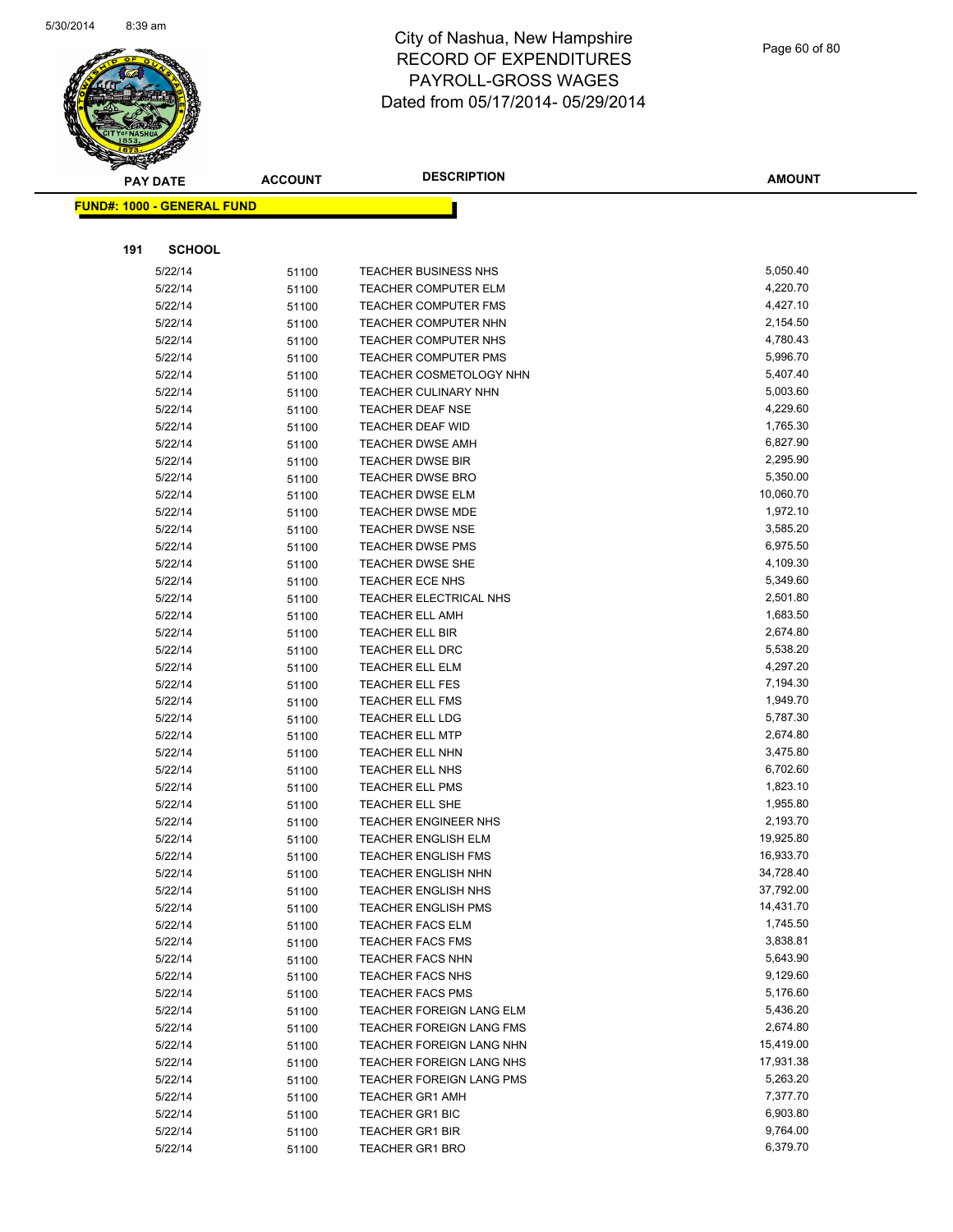

|     | <b>PAY DATE</b>                    | <b>ACCOUNT</b> | <b>DESCRIPTION</b>              | <b>AMOUNT</b> |
|-----|------------------------------------|----------------|---------------------------------|---------------|
|     | <u> FUND#: 1000 - GENERAL FUND</u> |                |                                 |               |
|     |                                    |                |                                 |               |
|     |                                    |                |                                 |               |
| 191 | <b>SCHOOL</b>                      |                |                                 |               |
|     | 5/22/14                            | 51100          | TEACHER BUSINESS NHS            | 5,050.40      |
|     | 5/22/14                            | 51100          | <b>TEACHER COMPUTER ELM</b>     | 4,220.70      |
|     | 5/22/14                            | 51100          | <b>TEACHER COMPUTER FMS</b>     | 4,427.10      |
|     | 5/22/14                            | 51100          | <b>TEACHER COMPUTER NHN</b>     | 2,154.50      |
|     | 5/22/14                            | 51100          | TEACHER COMPUTER NHS            | 4,780.43      |
|     | 5/22/14                            | 51100          | <b>TEACHER COMPUTER PMS</b>     | 5,996.70      |
|     | 5/22/14                            | 51100          | <b>TEACHER COSMETOLOGY NHN</b>  | 5,407.40      |
|     | 5/22/14                            | 51100          | <b>TEACHER CULINARY NHN</b>     | 5,003.60      |
|     | 5/22/14                            | 51100          | <b>TEACHER DEAF NSE</b>         | 4,229.60      |
|     | 5/22/14                            | 51100          | TEACHER DEAF WID                | 1,765.30      |
|     | 5/22/14                            | 51100          | <b>TEACHER DWSE AMH</b>         | 6,827.90      |
|     | 5/22/14                            | 51100          | <b>TEACHER DWSE BIR</b>         | 2,295.90      |
|     | 5/22/14                            | 51100          | <b>TEACHER DWSE BRO</b>         | 5,350.00      |
|     | 5/22/14                            | 51100          | <b>TEACHER DWSE ELM</b>         | 10,060.70     |
|     | 5/22/14                            | 51100          | <b>TEACHER DWSE MDE</b>         | 1,972.10      |
|     | 5/22/14                            | 51100          | <b>TEACHER DWSE NSE</b>         | 3,585.20      |
|     | 5/22/14                            | 51100          | <b>TEACHER DWSE PMS</b>         | 6,975.50      |
|     | 5/22/14                            | 51100          | <b>TEACHER DWSE SHE</b>         | 4,109.30      |
|     | 5/22/14                            | 51100          | TEACHER ECE NHS                 | 5,349.60      |
|     | 5/22/14                            | 51100          | TEACHER ELECTRICAL NHS          | 2,501.80      |
|     | 5/22/14                            | 51100          | <b>TEACHER ELL AMH</b>          | 1,683.50      |
|     | 5/22/14                            | 51100          | TEACHER ELL BIR                 | 2,674.80      |
|     | 5/22/14                            | 51100          | <b>TEACHER ELL DRC</b>          | 5,538.20      |
|     | 5/22/14                            | 51100          | <b>TEACHER ELL ELM</b>          | 4,297.20      |
|     | 5/22/14                            | 51100          | TEACHER ELL FES                 | 7,194.30      |
|     | 5/22/14                            | 51100          | <b>TEACHER ELL FMS</b>          | 1,949.70      |
|     | 5/22/14                            | 51100          | <b>TEACHER ELL LDG</b>          | 5,787.30      |
|     | 5/22/14                            | 51100          | <b>TEACHER ELL MTP</b>          | 2,674.80      |
|     | 5/22/14                            | 51100          | <b>TEACHER ELL NHN</b>          | 3,475.80      |
|     | 5/22/14                            | 51100          | <b>TEACHER ELL NHS</b>          | 6,702.60      |
|     | 5/22/14                            | 51100          | TEACHER ELL PMS                 | 1,823.10      |
|     | 5/22/14                            | 51100          | <b>TEACHER ELL SHE</b>          | 1,955.80      |
|     | 5/22/14                            | 51100          | TEACHER ENGINEER NHS            | 2,193.70      |
|     | 5/22/14                            | 51100          | <b>TEACHER ENGLISH ELM</b>      | 19,925.80     |
|     | 5/22/14                            | 51100          | TEACHER ENGLISH FMS             | 16,933.70     |
|     | 5/22/14                            | 51100          | TEACHER ENGLISH NHN             | 34,728.40     |
|     | 5/22/14                            | 51100          | <b>TEACHER ENGLISH NHS</b>      | 37,792.00     |
|     | 5/22/14                            | 51100          | <b>TEACHER ENGLISH PMS</b>      | 14,431.70     |
|     | 5/22/14                            | 51100          | <b>TEACHER FACS ELM</b>         | 1,745.50      |
|     | 5/22/14                            | 51100          | <b>TEACHER FACS FMS</b>         | 3,838.81      |
|     | 5/22/14                            | 51100          | <b>TEACHER FACS NHN</b>         | 5,643.90      |
|     | 5/22/14                            | 51100          | <b>TEACHER FACS NHS</b>         | 9,129.60      |
|     | 5/22/14                            | 51100          | <b>TEACHER FACS PMS</b>         | 5,176.60      |
|     | 5/22/14                            | 51100          | TEACHER FOREIGN LANG ELM        | 5,436.20      |
|     | 5/22/14                            | 51100          | <b>TEACHER FOREIGN LANG FMS</b> | 2,674.80      |
|     | 5/22/14                            | 51100          | <b>TEACHER FOREIGN LANG NHN</b> | 15,419.00     |
|     | 5/22/14                            | 51100          | TEACHER FOREIGN LANG NHS        | 17,931.38     |
|     | 5/22/14                            | 51100          | <b>TEACHER FOREIGN LANG PMS</b> | 5,263.20      |
|     | 5/22/14                            | 51100          | <b>TEACHER GR1 AMH</b>          | 7,377.70      |
|     | 5/22/14                            | 51100          | <b>TEACHER GR1 BIC</b>          | 6,903.80      |
|     | 5/22/14                            | 51100          | <b>TEACHER GR1 BIR</b>          | 9,764.00      |
|     | 5/22/14                            | 51100          | <b>TEACHER GR1 BRO</b>          | 6,379.70      |
|     |                                    |                |                                 |               |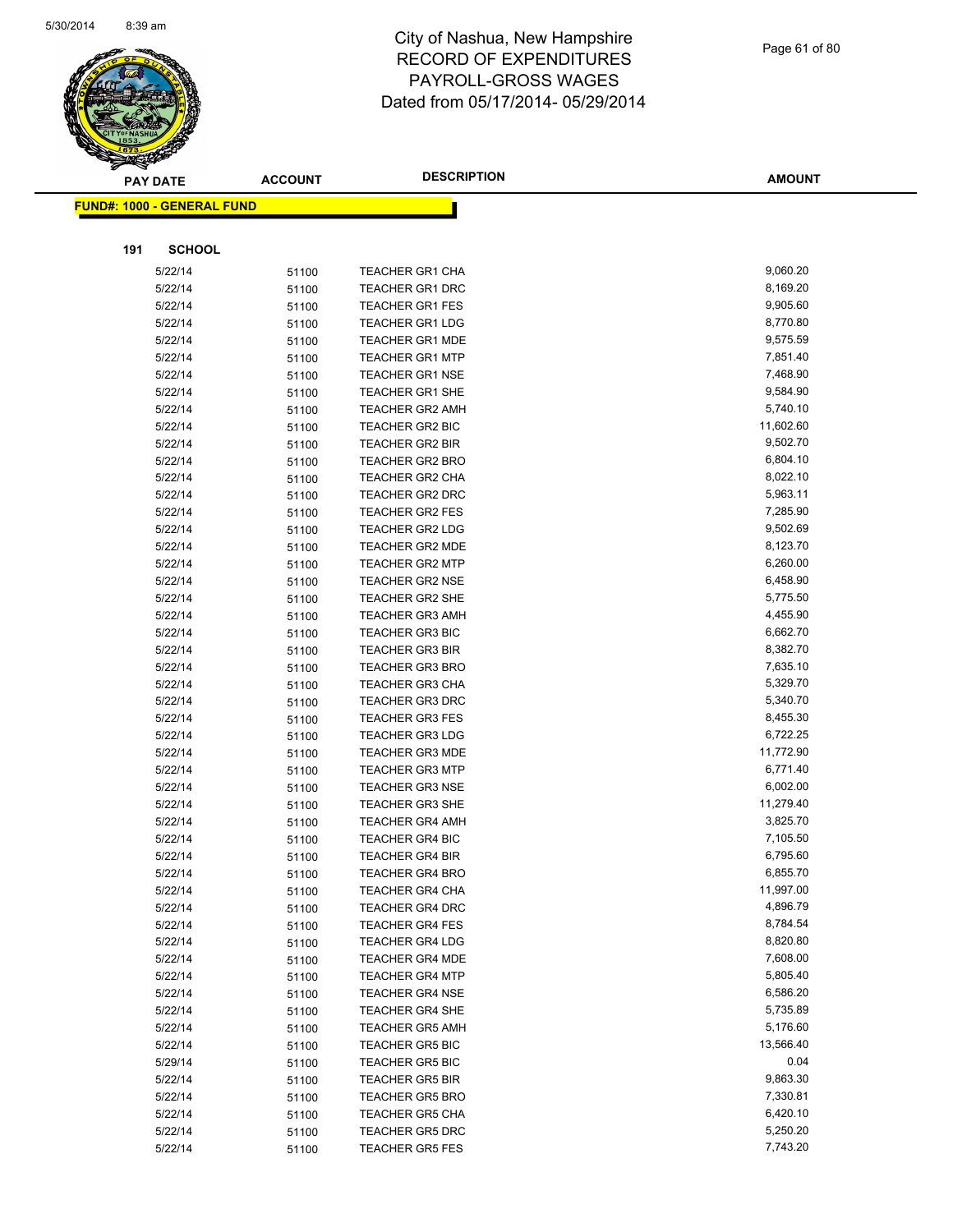

| <b>PAY DATE</b>                   | <b>ACCOUNT</b> | <b>DESCRIPTION</b>     | <b>AMOUNT</b> |
|-----------------------------------|----------------|------------------------|---------------|
| <b>FUND#: 1000 - GENERAL FUND</b> |                |                        |               |
|                                   |                |                        |               |
|                                   |                |                        |               |
| 191<br><b>SCHOOL</b>              |                |                        |               |
| 5/22/14                           | 51100          | <b>TEACHER GR1 CHA</b> | 9,060.20      |
| 5/22/14                           | 51100          | <b>TEACHER GR1 DRC</b> | 8,169.20      |
| 5/22/14                           | 51100          | <b>TEACHER GR1 FES</b> | 9,905.60      |
| 5/22/14                           | 51100          | <b>TEACHER GR1 LDG</b> | 8,770.80      |
| 5/22/14                           | 51100          | <b>TEACHER GR1 MDE</b> | 9,575.59      |
| 5/22/14                           | 51100          | <b>TEACHER GR1 MTP</b> | 7,851.40      |
| 5/22/14                           | 51100          | <b>TEACHER GR1 NSE</b> | 7,468.90      |
| 5/22/14                           | 51100          | <b>TEACHER GR1 SHE</b> | 9,584.90      |
| 5/22/14                           | 51100          | <b>TEACHER GR2 AMH</b> | 5,740.10      |
| 5/22/14                           | 51100          | <b>TEACHER GR2 BIC</b> | 11,602.60     |
| 5/22/14                           | 51100          | <b>TEACHER GR2 BIR</b> | 9,502.70      |
| 5/22/14                           | 51100          | <b>TEACHER GR2 BRO</b> | 6,804.10      |
| 5/22/14                           | 51100          | <b>TEACHER GR2 CHA</b> | 8,022.10      |
| 5/22/14                           | 51100          | TEACHER GR2 DRC        | 5,963.11      |
| 5/22/14                           | 51100          | <b>TEACHER GR2 FES</b> | 7,285.90      |
| 5/22/14                           | 51100          | <b>TEACHER GR2 LDG</b> | 9,502.69      |
| 5/22/14                           | 51100          | <b>TEACHER GR2 MDE</b> | 8,123.70      |
| 5/22/14                           | 51100          | <b>TEACHER GR2 MTP</b> | 6,260.00      |
| 5/22/14                           | 51100          | <b>TEACHER GR2 NSE</b> | 6,458.90      |
| 5/22/14                           | 51100          | <b>TEACHER GR2 SHE</b> | 5,775.50      |
| 5/22/14                           | 51100          | <b>TEACHER GR3 AMH</b> | 4,455.90      |
| 5/22/14                           | 51100          | <b>TEACHER GR3 BIC</b> | 6,662.70      |
| 5/22/14                           | 51100          | <b>TEACHER GR3 BIR</b> | 8,382.70      |
| 5/22/14                           | 51100          | <b>TEACHER GR3 BRO</b> | 7,635.10      |
| 5/22/14                           | 51100          | <b>TEACHER GR3 CHA</b> | 5,329.70      |
| 5/22/14                           | 51100          | <b>TEACHER GR3 DRC</b> | 5,340.70      |
| 5/22/14                           | 51100          | <b>TEACHER GR3 FES</b> | 8,455.30      |
| 5/22/14                           | 51100          | <b>TEACHER GR3 LDG</b> | 6,722.25      |
| 5/22/14                           | 51100          | <b>TEACHER GR3 MDE</b> | 11,772.90     |
| 5/22/14                           | 51100          | <b>TEACHER GR3 MTP</b> | 6,771.40      |
| 5/22/14                           | 51100          | <b>TEACHER GR3 NSE</b> | 6,002.00      |
| 5/22/14                           | 51100          | <b>TEACHER GR3 SHE</b> | 11,279.40     |
| 5/22/14                           | 51100          | <b>TEACHER GR4 AMH</b> | 3,825.70      |
| 5/22/14                           | 51100          | <b>TEACHER GR4 BIC</b> | 7,105.50      |
| 5/22/14                           | 51100          | <b>TEACHER GR4 BIR</b> | 6,795.60      |
| 5/22/14                           | 51100          | <b>TEACHER GR4 BRO</b> | 6,855.70      |
| 5/22/14                           | 51100          | <b>TEACHER GR4 CHA</b> | 11,997.00     |
| 5/22/14                           | 51100          | <b>TEACHER GR4 DRC</b> | 4,896.79      |
| 5/22/14                           | 51100          | <b>TEACHER GR4 FES</b> | 8,784.54      |
| 5/22/14                           | 51100          | <b>TEACHER GR4 LDG</b> | 8,820.80      |
| 5/22/14                           | 51100          | <b>TEACHER GR4 MDE</b> | 7,608.00      |
| 5/22/14                           | 51100          | <b>TEACHER GR4 MTP</b> | 5,805.40      |
| 5/22/14                           | 51100          | <b>TEACHER GR4 NSE</b> | 6,586.20      |
| 5/22/14                           | 51100          | <b>TEACHER GR4 SHE</b> | 5,735.89      |
| 5/22/14                           | 51100          | <b>TEACHER GR5 AMH</b> | 5,176.60      |
| 5/22/14                           | 51100          | <b>TEACHER GR5 BIC</b> | 13,566.40     |
| 5/29/14                           | 51100          | <b>TEACHER GR5 BIC</b> | 0.04          |
| 5/22/14                           | 51100          | <b>TEACHER GR5 BIR</b> | 9,863.30      |
| 5/22/14                           | 51100          | <b>TEACHER GR5 BRO</b> | 7,330.81      |
| 5/22/14                           | 51100          | <b>TEACHER GR5 CHA</b> | 6,420.10      |
| 5/22/14                           | 51100          | <b>TEACHER GR5 DRC</b> | 5,250.20      |
| 5/22/14                           | 51100          | <b>TEACHER GR5 FES</b> | 7,743.20      |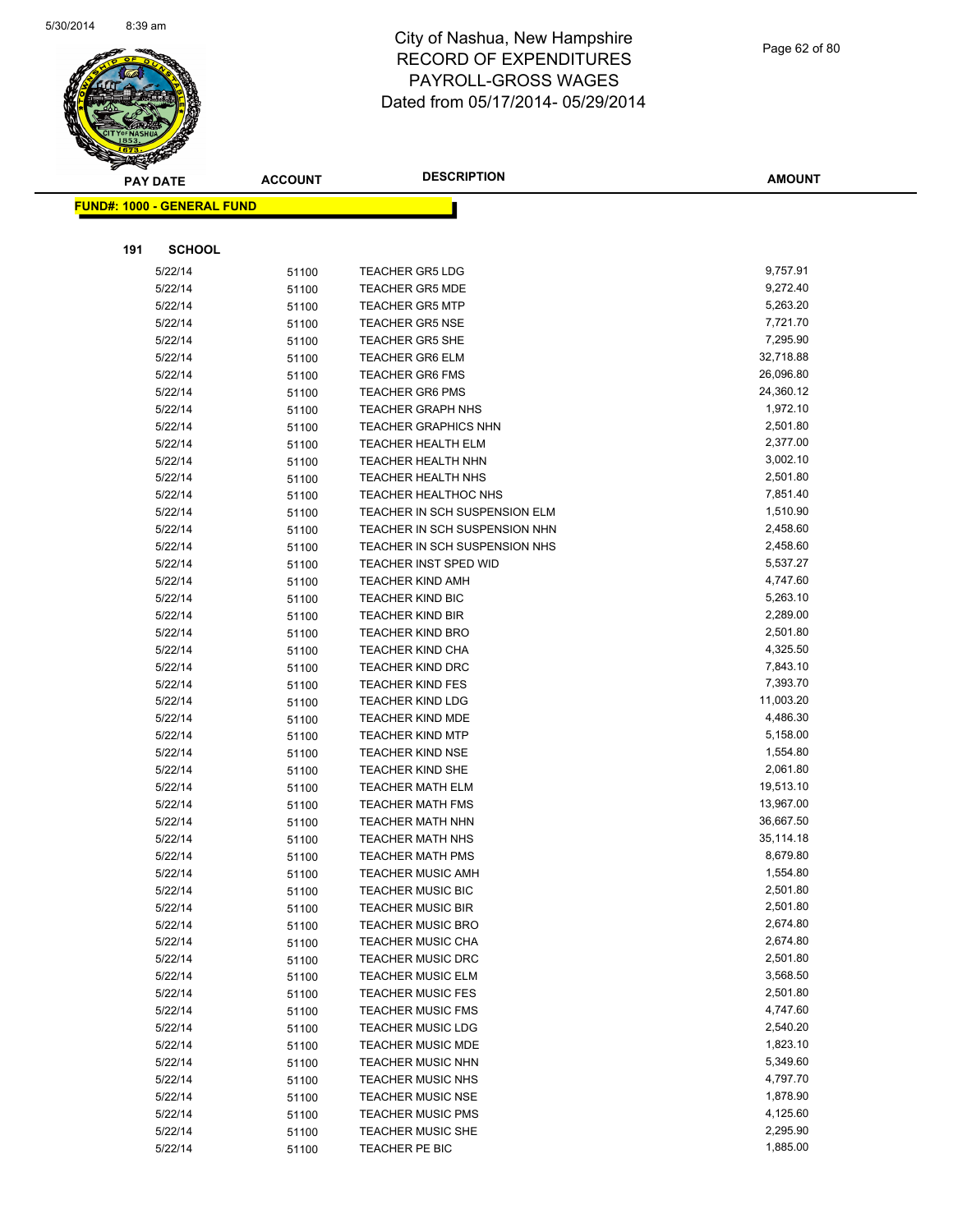

Page 62 of 80

| <b>PAY DATE</b>                   | <b>ACCOUNT</b> | <b>DESCRIPTION</b>            | <b>AMOUNT</b> |
|-----------------------------------|----------------|-------------------------------|---------------|
| <b>FUND#: 1000 - GENERAL FUND</b> |                |                               |               |
|                                   |                |                               |               |
|                                   |                |                               |               |
| <b>SCHOOL</b><br>191              |                |                               |               |
| 5/22/14                           | 51100          | <b>TEACHER GR5 LDG</b>        | 9,757.91      |
| 5/22/14                           | 51100          | <b>TEACHER GR5 MDE</b>        | 9,272.40      |
| 5/22/14                           | 51100          | <b>TEACHER GR5 MTP</b>        | 5,263.20      |
| 5/22/14                           | 51100          | <b>TEACHER GR5 NSE</b>        | 7,721.70      |
| 5/22/14                           | 51100          | <b>TEACHER GR5 SHE</b>        | 7,295.90      |
| 5/22/14                           | 51100          | <b>TEACHER GR6 ELM</b>        | 32,718.88     |
| 5/22/14                           | 51100          | <b>TEACHER GR6 FMS</b>        | 26,096.80     |
| 5/22/14                           | 51100          | <b>TEACHER GR6 PMS</b>        | 24,360.12     |
| 5/22/14                           | 51100          | <b>TEACHER GRAPH NHS</b>      | 1,972.10      |
| 5/22/14                           | 51100          | <b>TEACHER GRAPHICS NHN</b>   | 2,501.80      |
| 5/22/14                           | 51100          | <b>TEACHER HEALTH ELM</b>     | 2,377.00      |
| 5/22/14                           | 51100          | <b>TEACHER HEALTH NHN</b>     | 3,002.10      |
| 5/22/14                           | 51100          | <b>TEACHER HEALTH NHS</b>     | 2,501.80      |
| 5/22/14                           | 51100          | <b>TEACHER HEALTHOC NHS</b>   | 7,851.40      |
| 5/22/14                           | 51100          | TEACHER IN SCH SUSPENSION ELM | 1,510.90      |
| 5/22/14                           | 51100          | TEACHER IN SCH SUSPENSION NHN | 2,458.60      |
| 5/22/14                           | 51100          | TEACHER IN SCH SUSPENSION NHS | 2,458.60      |
| 5/22/14                           | 51100          | <b>TEACHER INST SPED WID</b>  | 5,537.27      |
| 5/22/14                           | 51100          | <b>TEACHER KIND AMH</b>       | 4,747.60      |
| 5/22/14                           | 51100          | <b>TEACHER KIND BIC</b>       | 5,263.10      |
| 5/22/14                           | 51100          | <b>TEACHER KIND BIR</b>       | 2,289.00      |
| 5/22/14                           | 51100          | <b>TEACHER KIND BRO</b>       | 2,501.80      |
| 5/22/14                           | 51100          | <b>TEACHER KIND CHA</b>       | 4,325.50      |
| 5/22/14                           | 51100          | <b>TEACHER KIND DRC</b>       | 7,843.10      |
| 5/22/14                           | 51100          | <b>TEACHER KIND FES</b>       | 7,393.70      |
| 5/22/14                           | 51100          | <b>TEACHER KIND LDG</b>       | 11,003.20     |
| 5/22/14                           | 51100          | TEACHER KIND MDE              | 4,486.30      |
| 5/22/14                           | 51100          | <b>TEACHER KIND MTP</b>       | 5,158.00      |
| 5/22/14                           | 51100          | <b>TEACHER KIND NSE</b>       | 1,554.80      |
| 5/22/14                           | 51100          | <b>TEACHER KIND SHE</b>       | 2,061.80      |
| 5/22/14                           | 51100          | <b>TEACHER MATH ELM</b>       | 19,513.10     |
| 5/22/14                           | 51100          | <b>TEACHER MATH FMS</b>       | 13,967.00     |
| 5/22/14                           | 51100          | <b>TEACHER MATH NHN</b>       | 36,667.50     |
| 5/22/14                           | 51100          | <b>TEACHER MATH NHS</b>       | 35,114.18     |
| 5/22/14                           | 51100          | <b>TEACHER MATH PMS</b>       | 8,679.80      |
| 5/22/14                           | 51100          | TEACHER MUSIC AMH             | 1,554.80      |
| 5/22/14                           | 51100          | <b>TEACHER MUSIC BIC</b>      | 2,501.80      |
| 5/22/14                           | 51100          | <b>TEACHER MUSIC BIR</b>      | 2,501.80      |
| 5/22/14                           | 51100          | <b>TEACHER MUSIC BRO</b>      | 2,674.80      |
| 5/22/14                           | 51100          | <b>TEACHER MUSIC CHA</b>      | 2,674.80      |
| 5/22/14                           | 51100          | <b>TEACHER MUSIC DRC</b>      | 2,501.80      |
| 5/22/14                           | 51100          | <b>TEACHER MUSIC ELM</b>      | 3,568.50      |
| 5/22/14                           | 51100          | <b>TEACHER MUSIC FES</b>      | 2,501.80      |
| 5/22/14                           | 51100          | <b>TEACHER MUSIC FMS</b>      | 4,747.60      |
| 5/22/14                           | 51100          | <b>TEACHER MUSIC LDG</b>      | 2,540.20      |
| 5/22/14                           | 51100          | <b>TEACHER MUSIC MDE</b>      | 1,823.10      |
| 5/22/14                           | 51100          | <b>TEACHER MUSIC NHN</b>      | 5,349.60      |
| 5/22/14                           | 51100          | <b>TEACHER MUSIC NHS</b>      | 4,797.70      |
| 5/22/14                           | 51100          | <b>TEACHER MUSIC NSE</b>      | 1,878.90      |
| 5/22/14                           | 51100          | <b>TEACHER MUSIC PMS</b>      | 4,125.60      |
| 5/22/14                           | 51100          | <b>TEACHER MUSIC SHE</b>      | 2,295.90      |
| 5/22/14                           | 51100          | TEACHER PE BIC                | 1,885.00      |
|                                   |                |                               |               |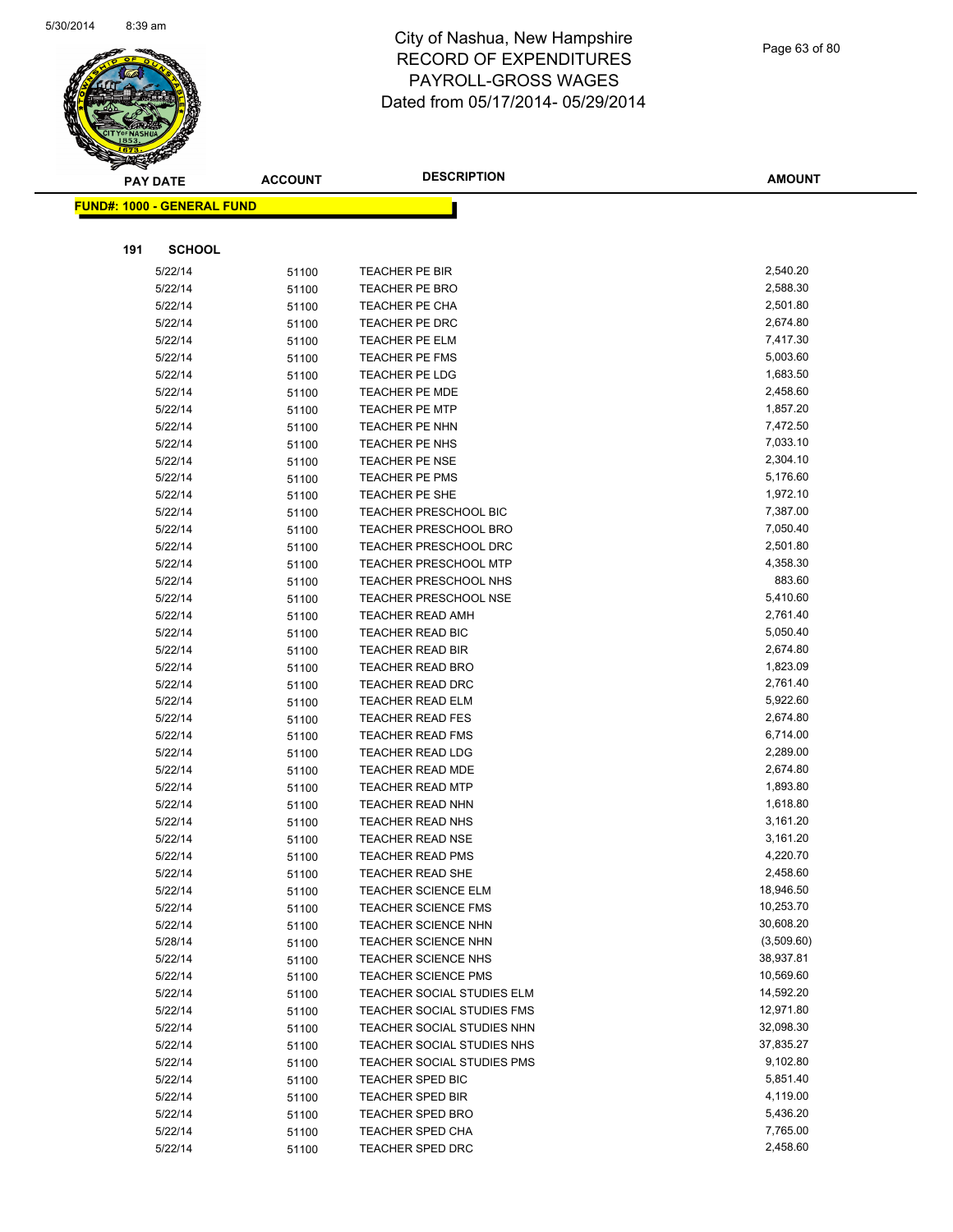

Page 63 of 80

| <b>PAY DATE</b>                   | <b>ACCOUNT</b> | <b>DESCRIPTION</b>                | <b>AMOUNT</b> |
|-----------------------------------|----------------|-----------------------------------|---------------|
| <b>FUND#: 1000 - GENERAL FUND</b> |                |                                   |               |
|                                   |                |                                   |               |
|                                   |                |                                   |               |
| 191<br><b>SCHOOL</b>              |                |                                   |               |
| 5/22/14                           | 51100          | <b>TEACHER PE BIR</b>             | 2,540.20      |
| 5/22/14                           | 51100          | <b>TEACHER PE BRO</b>             | 2,588.30      |
| 5/22/14                           | 51100          | <b>TEACHER PE CHA</b>             | 2,501.80      |
| 5/22/14                           | 51100          | TEACHER PE DRC                    | 2,674.80      |
| 5/22/14                           | 51100          | <b>TEACHER PE ELM</b>             | 7,417.30      |
| 5/22/14                           | 51100          | <b>TEACHER PE FMS</b>             | 5,003.60      |
| 5/22/14                           | 51100          | <b>TEACHER PE LDG</b>             | 1,683.50      |
| 5/22/14                           | 51100          | <b>TEACHER PE MDE</b>             | 2,458.60      |
| 5/22/14                           | 51100          | <b>TEACHER PE MTP</b>             | 1,857.20      |
| 5/22/14                           | 51100          | TEACHER PE NHN                    | 7,472.50      |
| 5/22/14                           | 51100          | TEACHER PE NHS                    | 7,033.10      |
| 5/22/14                           | 51100          | <b>TEACHER PE NSE</b>             | 2,304.10      |
| 5/22/14                           | 51100          | <b>TEACHER PE PMS</b>             | 5,176.60      |
| 5/22/14                           | 51100          | TEACHER PE SHE                    | 1,972.10      |
| 5/22/14                           | 51100          | TEACHER PRESCHOOL BIC             | 7,387.00      |
| 5/22/14                           | 51100          | TEACHER PRESCHOOL BRO             | 7,050.40      |
| 5/22/14                           | 51100          | <b>TEACHER PRESCHOOL DRC</b>      | 2,501.80      |
| 5/22/14                           | 51100          | <b>TEACHER PRESCHOOL MTP</b>      | 4,358.30      |
| 5/22/14                           | 51100          | TEACHER PRESCHOOL NHS             | 883.60        |
| 5/22/14                           | 51100          | <b>TEACHER PRESCHOOL NSE</b>      | 5,410.60      |
| 5/22/14                           | 51100          | <b>TEACHER READ AMH</b>           | 2,761.40      |
| 5/22/14                           | 51100          | TEACHER READ BIC                  | 5,050.40      |
| 5/22/14                           | 51100          | <b>TEACHER READ BIR</b>           | 2,674.80      |
| 5/22/14                           | 51100          | TEACHER READ BRO                  | 1,823.09      |
| 5/22/14                           | 51100          | <b>TEACHER READ DRC</b>           | 2,761.40      |
| 5/22/14                           | 51100          | <b>TEACHER READ ELM</b>           | 5,922.60      |
| 5/22/14                           | 51100          | <b>TEACHER READ FES</b>           | 2,674.80      |
| 5/22/14                           | 51100          | <b>TEACHER READ FMS</b>           | 6,714.00      |
| 5/22/14                           | 51100          | <b>TEACHER READ LDG</b>           | 2,289.00      |
| 5/22/14                           | 51100          | <b>TEACHER READ MDE</b>           | 2,674.80      |
| 5/22/14                           | 51100          | <b>TEACHER READ MTP</b>           | 1,893.80      |
| 5/22/14                           | 51100          | <b>TEACHER READ NHN</b>           | 1,618.80      |
| 5/22/14                           | 51100          | <b>TEACHER READ NHS</b>           | 3,161.20      |
| 5/22/14                           | 51100          | <b>TEACHER READ NSE</b>           | 3,161.20      |
| 5/22/14                           | 51100          | <b>TEACHER READ PMS</b>           | 4,220.70      |
| 5/22/14                           | 51100          | TEACHER READ SHE                  | 2,458.60      |
| 5/22/14                           | 51100          | <b>TEACHER SCIENCE ELM</b>        | 18,946.50     |
| 5/22/14                           | 51100          | <b>TEACHER SCIENCE FMS</b>        | 10,253.70     |
| 5/22/14                           | 51100          | <b>TEACHER SCIENCE NHN</b>        | 30,608.20     |
| 5/28/14                           | 51100          | <b>TEACHER SCIENCE NHN</b>        | (3,509.60)    |
| 5/22/14                           | 51100          | <b>TEACHER SCIENCE NHS</b>        | 38,937.81     |
| 5/22/14                           | 51100          | <b>TEACHER SCIENCE PMS</b>        | 10,569.60     |
| 5/22/14                           | 51100          | TEACHER SOCIAL STUDIES ELM        | 14,592.20     |
| 5/22/14                           | 51100          | <b>TEACHER SOCIAL STUDIES FMS</b> | 12,971.80     |
| 5/22/14                           | 51100          | TEACHER SOCIAL STUDIES NHN        | 32,098.30     |
| 5/22/14                           | 51100          | TEACHER SOCIAL STUDIES NHS        | 37,835.27     |
| 5/22/14                           | 51100          | TEACHER SOCIAL STUDIES PMS        | 9,102.80      |
| 5/22/14                           | 51100          | TEACHER SPED BIC                  | 5,851.40      |
| 5/22/14                           | 51100          | <b>TEACHER SPED BIR</b>           | 4,119.00      |
| 5/22/14                           | 51100          | <b>TEACHER SPED BRO</b>           | 5,436.20      |
| 5/22/14                           | 51100          | <b>TEACHER SPED CHA</b>           | 7,765.00      |
| 5/22/14                           | 51100          | TEACHER SPED DRC                  | 2,458.60      |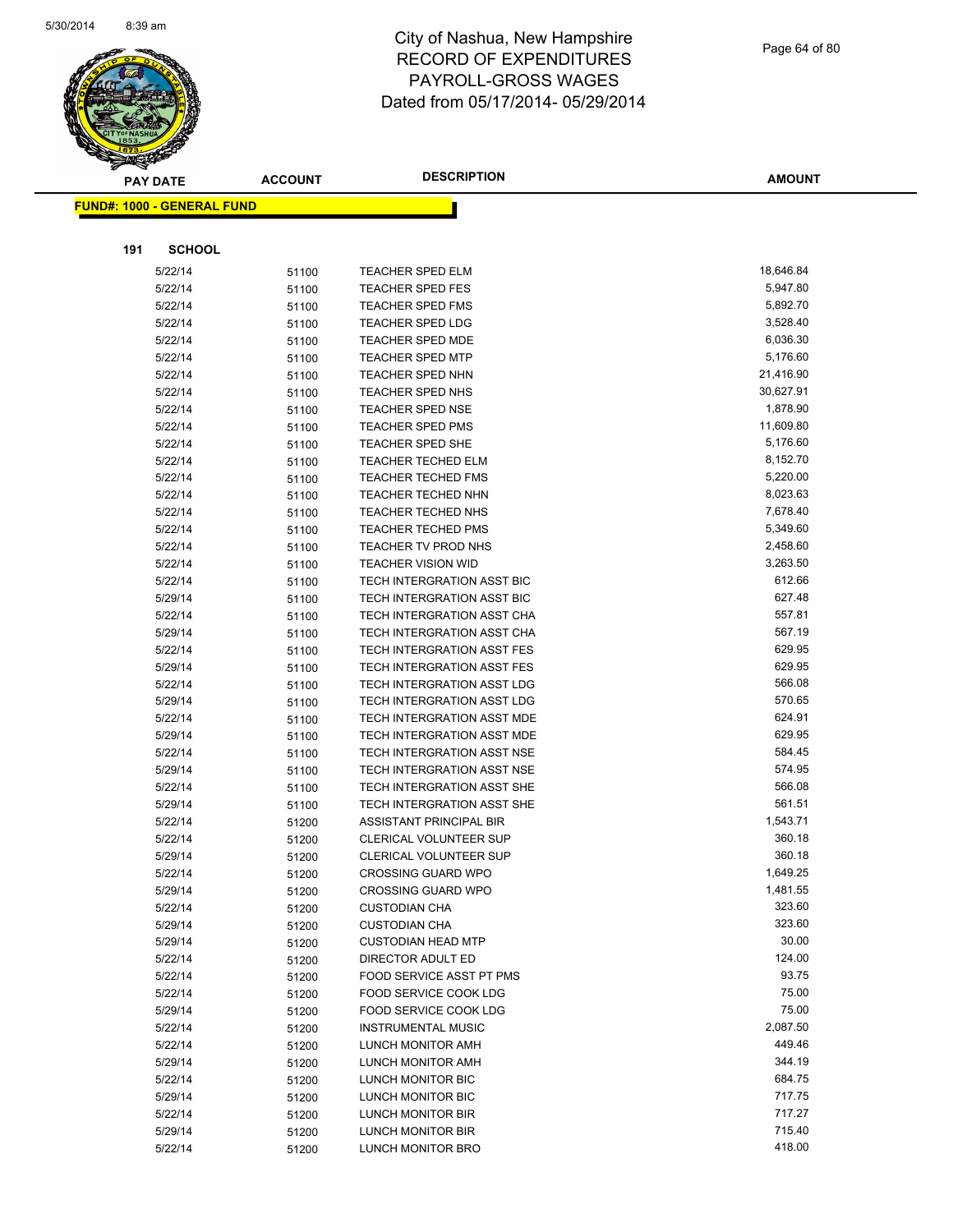

Page 64 of 80

| <b>PAY DATE</b>                   | <b>ACCOUNT</b> | <b>DESCRIPTION</b>                                       | <b>AMOUNT</b>    |
|-----------------------------------|----------------|----------------------------------------------------------|------------------|
| <b>FUND#: 1000 - GENERAL FUND</b> |                |                                                          |                  |
|                                   |                |                                                          |                  |
|                                   |                |                                                          |                  |
| 191<br><b>SCHOOL</b>              |                |                                                          |                  |
| 5/22/14                           | 51100          | TEACHER SPED ELM                                         | 18,646.84        |
| 5/22/14                           | 51100          | <b>TEACHER SPED FES</b>                                  | 5,947.80         |
| 5/22/14                           | 51100          | <b>TEACHER SPED FMS</b>                                  | 5,892.70         |
| 5/22/14                           | 51100          | <b>TEACHER SPED LDG</b>                                  | 3,528.40         |
| 5/22/14                           | 51100          | <b>TEACHER SPED MDE</b>                                  | 6,036.30         |
| 5/22/14                           | 51100          | <b>TEACHER SPED MTP</b>                                  | 5,176.60         |
| 5/22/14                           | 51100          | TEACHER SPED NHN                                         | 21,416.90        |
| 5/22/14                           | 51100          | TEACHER SPED NHS                                         | 30,627.91        |
| 5/22/14                           | 51100          | <b>TEACHER SPED NSE</b>                                  | 1,878.90         |
| 5/22/14                           | 51100          | <b>TEACHER SPED PMS</b>                                  | 11,609.80        |
| 5/22/14                           | 51100          | <b>TEACHER SPED SHE</b>                                  | 5,176.60         |
| 5/22/14                           | 51100          | <b>TEACHER TECHED ELM</b>                                | 8,152.70         |
| 5/22/14                           | 51100          | <b>TEACHER TECHED FMS</b>                                | 5,220.00         |
| 5/22/14                           | 51100          | <b>TEACHER TECHED NHN</b>                                | 8,023.63         |
| 5/22/14                           | 51100          | <b>TEACHER TECHED NHS</b>                                | 7,678.40         |
| 5/22/14                           | 51100          | <b>TEACHER TECHED PMS</b>                                | 5,349.60         |
| 5/22/14                           | 51100          | <b>TEACHER TV PROD NHS</b>                               | 2,458.60         |
| 5/22/14                           | 51100          | <b>TEACHER VISION WID</b>                                | 3,263.50         |
| 5/22/14                           | 51100          | TECH INTERGRATION ASST BIC                               | 612.66           |
| 5/29/14                           | 51100          | TECH INTERGRATION ASST BIC                               | 627.48           |
| 5/22/14                           | 51100          | TECH INTERGRATION ASST CHA                               | 557.81           |
| 5/29/14                           | 51100          | TECH INTERGRATION ASST CHA                               | 567.19           |
| 5/22/14                           | 51100          | TECH INTERGRATION ASST FES                               | 629.95           |
| 5/29/14                           | 51100          | TECH INTERGRATION ASST FES                               | 629.95           |
| 5/22/14                           | 51100          | TECH INTERGRATION ASST LDG                               | 566.08           |
| 5/29/14                           | 51100          | TECH INTERGRATION ASST LDG                               | 570.65<br>624.91 |
| 5/22/14<br>5/29/14                | 51100          | TECH INTERGRATION ASST MDE<br>TECH INTERGRATION ASST MDE | 629.95           |
|                                   | 51100          | TECH INTERGRATION ASST NSE                               | 584.45           |
| 5/22/14<br>5/29/14                | 51100          | TECH INTERGRATION ASST NSE                               | 574.95           |
| 5/22/14                           | 51100<br>51100 | TECH INTERGRATION ASST SHE                               | 566.08           |
| 5/29/14                           | 51100          | TECH INTERGRATION ASST SHE                               | 561.51           |
| 5/22/14                           | 51200          | ASSISTANT PRINCIPAL BIR                                  | 1,543.71         |
| 5/22/14                           | 51200          | CLERICAL VOLUNTEER SUP                                   | 360.18           |
| 5/29/14                           | 51200          | <b>CLERICAL VOLUNTEER SUP</b>                            | 360.18           |
| 5/22/14                           | 51200          | CROSSING GUARD WPO                                       | 1,649.25         |
| 5/29/14                           | 51200          | <b>CROSSING GUARD WPO</b>                                | 1,481.55         |
| 5/22/14                           | 51200          | <b>CUSTODIAN CHA</b>                                     | 323.60           |
| 5/29/14                           | 51200          | <b>CUSTODIAN CHA</b>                                     | 323.60           |
| 5/29/14                           | 51200          | <b>CUSTODIAN HEAD MTP</b>                                | 30.00            |
| 5/22/14                           | 51200          | DIRECTOR ADULT ED                                        | 124.00           |
| 5/22/14                           | 51200          | <b>FOOD SERVICE ASST PT PMS</b>                          | 93.75            |
| 5/22/14                           | 51200          | <b>FOOD SERVICE COOK LDG</b>                             | 75.00            |
| 5/29/14                           | 51200          | <b>FOOD SERVICE COOK LDG</b>                             | 75.00            |
| 5/22/14                           | 51200          | <b>INSTRUMENTAL MUSIC</b>                                | 2,087.50         |
| 5/22/14                           | 51200          | LUNCH MONITOR AMH                                        | 449.46           |
| 5/29/14                           | 51200          | <b>LUNCH MONITOR AMH</b>                                 | 344.19           |
| 5/22/14                           | 51200          | LUNCH MONITOR BIC                                        | 684.75           |
| 5/29/14                           | 51200          | LUNCH MONITOR BIC                                        | 717.75           |
| 5/22/14                           | 51200          | LUNCH MONITOR BIR                                        | 717.27           |
| 5/29/14                           | 51200          | LUNCH MONITOR BIR                                        | 715.40           |
| 5/22/14                           | 51200          | <b>LUNCH MONITOR BRO</b>                                 | 418.00           |
|                                   |                |                                                          |                  |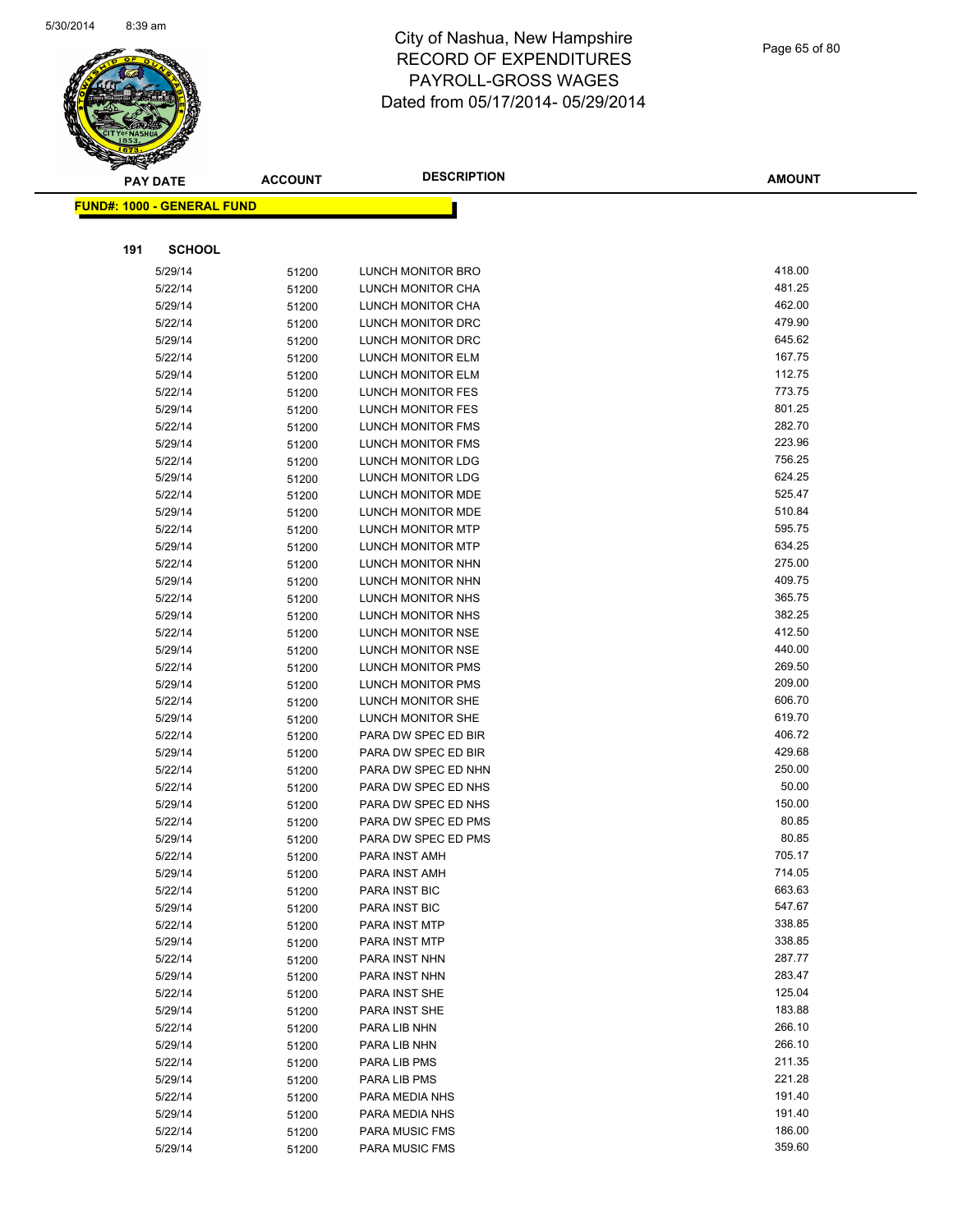

| <b>PAY DATE</b>                   | <b>ACCOUNT</b> | <b>DESCRIPTION</b>                         | <b>AMOUNT</b>   |
|-----------------------------------|----------------|--------------------------------------------|-----------------|
| <b>FUND#: 1000 - GENERAL FUND</b> |                |                                            |                 |
|                                   |                |                                            |                 |
|                                   |                |                                            |                 |
| 191<br><b>SCHOOL</b>              |                |                                            |                 |
| 5/29/14                           | 51200          | <b>LUNCH MONITOR BRO</b>                   | 418.00          |
| 5/22/14                           | 51200          | LUNCH MONITOR CHA                          | 481.25          |
| 5/29/14                           | 51200          | LUNCH MONITOR CHA                          | 462.00          |
| 5/22/14                           | 51200          | LUNCH MONITOR DRC                          | 479.90          |
| 5/29/14                           | 51200          | LUNCH MONITOR DRC                          | 645.62          |
| 5/22/14                           | 51200          | LUNCH MONITOR ELM                          | 167.75          |
| 5/29/14                           | 51200          | <b>LUNCH MONITOR ELM</b>                   | 112.75          |
| 5/22/14                           | 51200          | LUNCH MONITOR FES                          | 773.75          |
| 5/29/14                           | 51200          | LUNCH MONITOR FES                          | 801.25          |
| 5/22/14                           | 51200          | LUNCH MONITOR FMS                          | 282.70          |
| 5/29/14                           | 51200          | LUNCH MONITOR FMS                          | 223.96          |
| 5/22/14                           | 51200          | <b>LUNCH MONITOR LDG</b>                   | 756.25          |
| 5/29/14                           | 51200          | LUNCH MONITOR LDG                          | 624.25          |
| 5/22/14                           | 51200          | LUNCH MONITOR MDE                          | 525.47          |
| 5/29/14                           | 51200          | LUNCH MONITOR MDE                          | 510.84          |
| 5/22/14                           | 51200          | <b>LUNCH MONITOR MTP</b>                   | 595.75          |
| 5/29/14                           | 51200          | <b>LUNCH MONITOR MTP</b>                   | 634.25          |
| 5/22/14                           | 51200          | LUNCH MONITOR NHN                          | 275.00          |
| 5/29/14                           | 51200          | LUNCH MONITOR NHN                          | 409.75          |
| 5/22/14                           | 51200          | LUNCH MONITOR NHS                          | 365.75          |
| 5/29/14                           | 51200          | LUNCH MONITOR NHS                          | 382.25          |
| 5/22/14                           | 51200          | <b>LUNCH MONITOR NSE</b>                   | 412.50          |
| 5/29/14                           | 51200          | LUNCH MONITOR NSE                          | 440.00          |
| 5/22/14                           | 51200          | LUNCH MONITOR PMS                          | 269.50          |
| 5/29/14                           | 51200          | LUNCH MONITOR PMS                          | 209.00          |
| 5/22/14                           | 51200          | LUNCH MONITOR SHE                          | 606.70          |
| 5/29/14                           | 51200          | LUNCH MONITOR SHE                          | 619.70          |
| 5/22/14                           | 51200          | PARA DW SPEC ED BIR                        | 406.72          |
| 5/29/14                           | 51200          | PARA DW SPEC ED BIR                        | 429.68          |
| 5/22/14                           | 51200          | PARA DW SPEC ED NHN                        | 250.00<br>50.00 |
| 5/22/14                           | 51200          | PARA DW SPEC ED NHS<br>PARA DW SPEC ED NHS | 150.00          |
| 5/29/14                           | 51200          |                                            | 80.85           |
| 5/22/14                           | 51200          | PARA DW SPEC ED PMS<br>PARA DW SPEC ED PMS | 80.85           |
| 5/29/14<br>5/22/14                | 51200          | PARA INST AMH                              | 705.17          |
|                                   | 51200          | PARA INST AMH                              | 714.05          |
| 5/29/14                           | 51200          |                                            | 663.63          |
| 5/22/14<br>5/29/14                | 51200          | PARA INST BIC<br>PARA INST BIC             | 547.67          |
| 5/22/14                           | 51200          | PARA INST MTP                              | 338.85          |
| 5/29/14                           | 51200          | PARA INST MTP                              | 338.85          |
| 5/22/14                           | 51200<br>51200 | PARA INST NHN                              | 287.77          |
| 5/29/14                           | 51200          | PARA INST NHN                              | 283.47          |
| 5/22/14                           | 51200          | PARA INST SHE                              | 125.04          |
| 5/29/14                           | 51200          | PARA INST SHE                              | 183.88          |
| 5/22/14                           | 51200          | PARA LIB NHN                               | 266.10          |
| 5/29/14                           | 51200          | PARA LIB NHN                               | 266.10          |
| 5/22/14                           | 51200          | PARA LIB PMS                               | 211.35          |
| 5/29/14                           | 51200          | PARA LIB PMS                               | 221.28          |
| 5/22/14                           | 51200          | PARA MEDIA NHS                             | 191.40          |
| 5/29/14                           | 51200          | PARA MEDIA NHS                             | 191.40          |
| 5/22/14                           | 51200          | PARA MUSIC FMS                             | 186.00          |
| 5/29/14                           | 51200          | PARA MUSIC FMS                             | 359.60          |
|                                   |                |                                            |                 |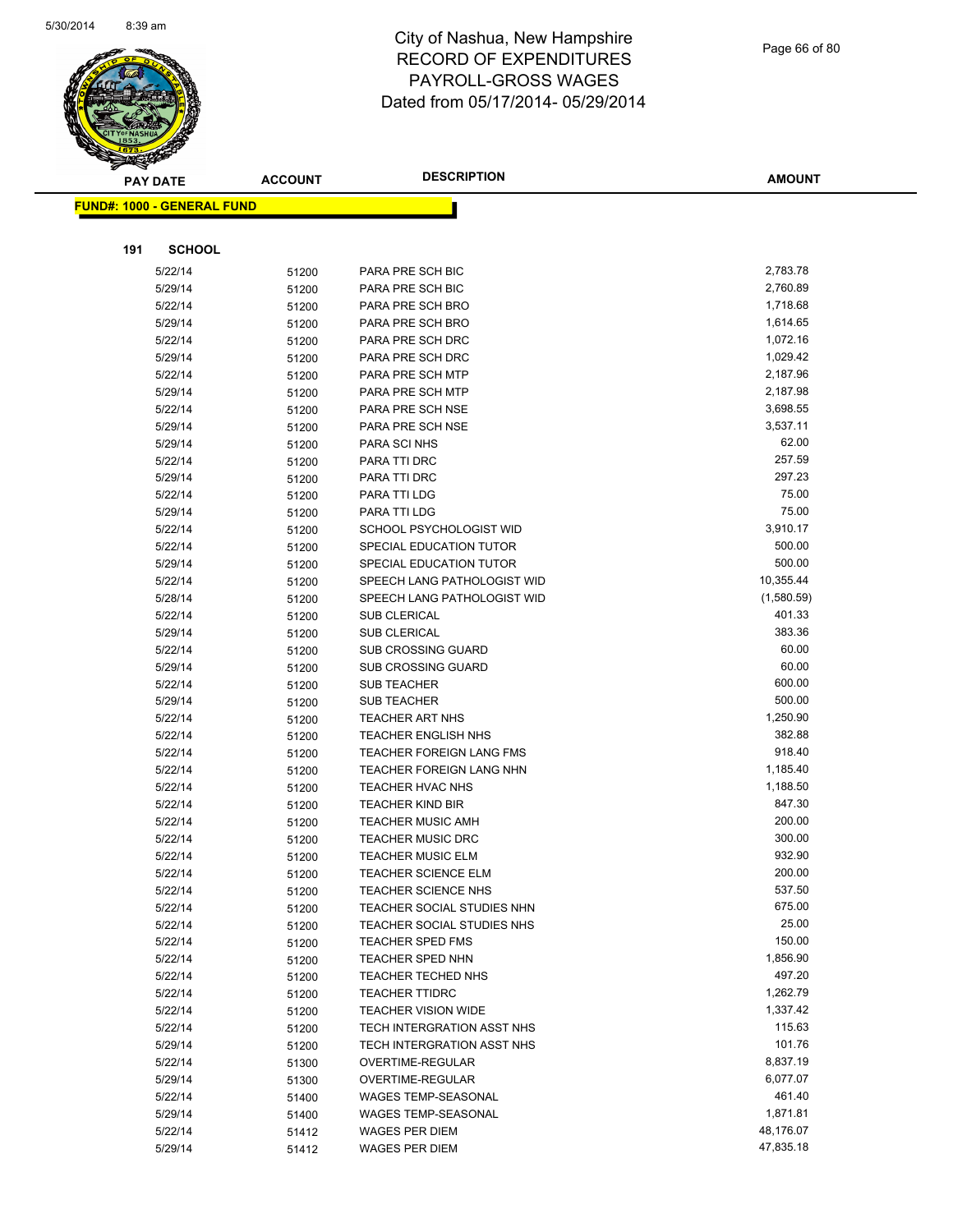

|     | <b>PAY DATE</b>                   | <b>ACCOUNT</b> | <b>DESCRIPTION</b>                                       | <b>AMOUNT</b>        |
|-----|-----------------------------------|----------------|----------------------------------------------------------|----------------------|
|     | <b>FUND#: 1000 - GENERAL FUND</b> |                |                                                          |                      |
|     |                                   |                |                                                          |                      |
| 191 | <b>SCHOOL</b>                     |                |                                                          |                      |
|     |                                   |                |                                                          |                      |
|     | 5/22/14                           | 51200          | PARA PRE SCH BIC                                         | 2,783.78             |
|     | 5/29/14                           | 51200          | PARA PRE SCH BIC                                         | 2,760.89             |
|     | 5/22/14                           | 51200          | PARA PRE SCH BRO                                         | 1,718.68             |
|     | 5/29/14                           | 51200          | PARA PRE SCH BRO                                         | 1,614.65             |
|     | 5/22/14                           | 51200          | PARA PRE SCH DRC                                         | 1,072.16             |
|     | 5/29/14                           | 51200          | PARA PRE SCH DRC                                         | 1,029.42             |
|     | 5/22/14                           | 51200          | PARA PRE SCH MTP                                         | 2,187.96             |
|     | 5/29/14                           | 51200          | PARA PRE SCH MTP                                         | 2,187.98             |
|     | 5/22/14                           | 51200          | PARA PRE SCH NSE<br>PARA PRE SCH NSE                     | 3,698.55<br>3,537.11 |
|     | 5/29/14<br>5/29/14                | 51200          | PARA SCI NHS                                             | 62.00                |
|     | 5/22/14                           | 51200          | PARA TTI DRC                                             | 257.59               |
|     | 5/29/14                           | 51200          | PARA TTI DRC                                             | 297.23               |
|     | 5/22/14                           | 51200          | PARA TTI LDG                                             | 75.00                |
|     | 5/29/14                           | 51200          | PARA TTI LDG                                             | 75.00                |
|     | 5/22/14                           | 51200<br>51200 | SCHOOL PSYCHOLOGIST WID                                  | 3,910.17             |
|     | 5/22/14                           | 51200          | SPECIAL EDUCATION TUTOR                                  | 500.00               |
|     | 5/29/14                           | 51200          | SPECIAL EDUCATION TUTOR                                  | 500.00               |
|     | 5/22/14                           | 51200          | SPEECH LANG PATHOLOGIST WID                              | 10,355.44            |
|     | 5/28/14                           | 51200          | SPEECH LANG PATHOLOGIST WID                              | (1,580.59)           |
|     | 5/22/14                           | 51200          | <b>SUB CLERICAL</b>                                      | 401.33               |
|     | 5/29/14                           | 51200          | <b>SUB CLERICAL</b>                                      | 383.36               |
|     | 5/22/14                           | 51200          | <b>SUB CROSSING GUARD</b>                                | 60.00                |
|     | 5/29/14                           | 51200          | <b>SUB CROSSING GUARD</b>                                | 60.00                |
|     | 5/22/14                           | 51200          | <b>SUB TEACHER</b>                                       | 600.00               |
|     | 5/29/14                           | 51200          | <b>SUB TEACHER</b>                                       | 500.00               |
|     | 5/22/14                           | 51200          | <b>TEACHER ART NHS</b>                                   | 1,250.90             |
|     | 5/22/14                           | 51200          | <b>TEACHER ENGLISH NHS</b>                               | 382.88               |
|     | 5/22/14                           | 51200          | <b>TEACHER FOREIGN LANG FMS</b>                          | 918.40               |
|     | 5/22/14                           | 51200          | <b>TEACHER FOREIGN LANG NHN</b>                          | 1,185.40             |
|     | 5/22/14                           | 51200          | <b>TEACHER HVAC NHS</b>                                  | 1,188.50             |
|     | 5/22/14                           | 51200          | <b>TEACHER KIND BIR</b>                                  | 847.30               |
|     | 5/22/14                           | 51200          | <b>TEACHER MUSIC AMH</b>                                 | 200.00               |
|     | 5/22/14                           | 51200          | <b>TEACHER MUSIC DRC</b>                                 | 300.00               |
|     | 5/22/14                           | 51200          | <b>TEACHER MUSIC ELM</b>                                 | 932.90               |
|     | 5/22/14                           | 51200          | <b>TEACHER SCIENCE ELM</b>                               | 200.00               |
|     | 5/22/14                           | 51200          | <b>TEACHER SCIENCE NHS</b>                               | 537.50               |
|     | 5/22/14                           | 51200          | TEACHER SOCIAL STUDIES NHN                               | 675.00               |
|     | 5/22/14                           | 51200          | TEACHER SOCIAL STUDIES NHS                               | 25.00                |
|     | 5/22/14                           | 51200          | <b>TEACHER SPED FMS</b>                                  | 150.00               |
|     | 5/22/14                           | 51200          | <b>TEACHER SPED NHN</b>                                  | 1,856.90             |
|     | 5/22/14                           | 51200          | <b>TEACHER TECHED NHS</b>                                | 497.20               |
|     | 5/22/14                           | 51200          | <b>TEACHER TTIDRC</b>                                    | 1,262.79             |
|     | 5/22/14                           | 51200          | <b>TEACHER VISION WIDE</b><br>TECH INTERGRATION ASST NHS | 1,337.42<br>115.63   |
|     | 5/22/14                           | 51200          |                                                          | 101.76               |
|     | 5/29/14<br>5/22/14                | 51200<br>51300 | TECH INTERGRATION ASST NHS<br>OVERTIME-REGULAR           | 8,837.19             |
|     | 5/29/14                           | 51300          | OVERTIME-REGULAR                                         | 6,077.07             |
|     | 5/22/14                           | 51400          | WAGES TEMP-SEASONAL                                      | 461.40               |
|     | 5/29/14                           | 51400          | <b>WAGES TEMP-SEASONAL</b>                               | 1,871.81             |
|     | 5/22/14                           | 51412          | <b>WAGES PER DIEM</b>                                    | 48,176.07            |
|     | 5/29/14                           | 51412          | <b>WAGES PER DIEM</b>                                    | 47,835.18            |
|     |                                   |                |                                                          |                      |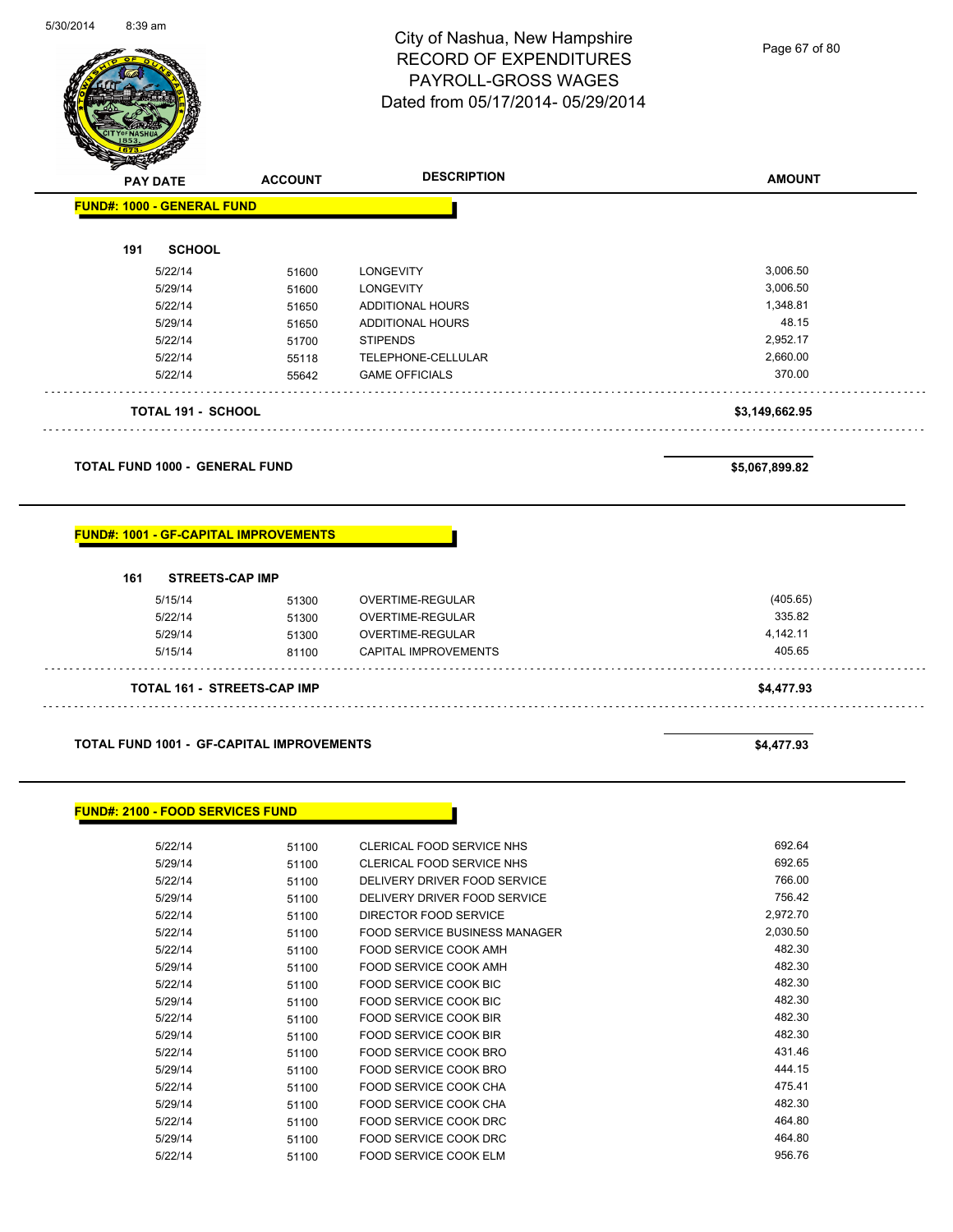

Page 67 of 80

| <b>PAY DATE</b>                              | <b>ACCOUNT</b> | <b>DESCRIPTION</b>      | <b>AMOUNT</b>  |
|----------------------------------------------|----------------|-------------------------|----------------|
| <b>FUND#: 1000 - GENERAL FUND</b>            |                |                         |                |
| <b>SCHOOL</b><br>191                         |                |                         |                |
| 5/22/14                                      | 51600          | <b>LONGEVITY</b>        | 3,006.50       |
| 5/29/14                                      | 51600          | <b>LONGEVITY</b>        | 3,006.50       |
| 5/22/14                                      | 51650          | <b>ADDITIONAL HOURS</b> | 1,348.81       |
| 5/29/14                                      | 51650          | <b>ADDITIONAL HOURS</b> | 48.15          |
| 5/22/14                                      | 51700          | <b>STIPENDS</b>         | 2,952.17       |
| 5/22/14                                      | 55118          | TELEPHONE-CELLULAR      | 2,660.00       |
| 5/22/14                                      | 55642          | <b>GAME OFFICIALS</b>   | 370.00         |
|                                              |                |                         |                |
| <b>TOTAL 191 - SCHOOL</b>                    |                |                         | \$3,149,662.95 |
| <b>TOTAL FUND 1000 - GENERAL FUND</b>        |                |                         | \$5,067,899.82 |
| <b>FUND#: 1001 - GF-CAPITAL IMPROVEMENTS</b> |                |                         |                |
| 161<br><b>STREETS-CAP IMP</b>                |                |                         |                |
| 5/15/14                                      | 51300          | <b>OVERTIME-REGULAR</b> | (405.65)       |
| 5/22/14                                      | 51300          | OVERTIME-REGULAR        | 335.82         |
| 5/29/14                                      | 51300          | OVERTIME-REGULAR        | 4,142.11       |

**TOTAL 161 - STREETS-CAP IMP \$4,477.93**

**TOTAL FUND 1001 - GF-CAPITAL IMPROVEMENTS \$4,477.93** 

**FUND#: 2100 - FOOD SERVICES FUND**

| 5/22/14 | 51100 | CLERICAL FOOD SERVICE NHS     | 692.64   |
|---------|-------|-------------------------------|----------|
| 5/29/14 | 51100 | CLERICAL FOOD SERVICE NHS     | 692.65   |
| 5/22/14 | 51100 | DELIVERY DRIVER FOOD SERVICE  | 766.00   |
| 5/29/14 | 51100 | DELIVERY DRIVER FOOD SERVICE  | 756.42   |
| 5/22/14 | 51100 | DIRECTOR FOOD SERVICE         | 2,972.70 |
| 5/22/14 | 51100 | FOOD SERVICE BUSINESS MANAGER | 2,030.50 |
| 5/22/14 | 51100 | FOOD SERVICE COOK AMH         | 482.30   |
| 5/29/14 | 51100 | <b>FOOD SERVICE COOK AMH</b>  | 482.30   |
| 5/22/14 | 51100 | <b>FOOD SERVICE COOK BIC</b>  | 482.30   |
| 5/29/14 | 51100 | <b>FOOD SERVICE COOK BIC</b>  | 482.30   |
| 5/22/14 | 51100 | <b>FOOD SERVICE COOK BIR</b>  | 482.30   |
| 5/29/14 | 51100 | FOOD SERVICE COOK BIR         | 482.30   |
| 5/22/14 | 51100 | <b>FOOD SERVICE COOK BRO</b>  | 431.46   |
| 5/29/14 | 51100 | <b>FOOD SERVICE COOK BRO</b>  | 444.15   |
| 5/22/14 | 51100 | <b>FOOD SERVICE COOK CHA</b>  | 475.41   |
| 5/29/14 | 51100 | <b>FOOD SERVICE COOK CHA</b>  | 482.30   |
| 5/22/14 | 51100 | <b>FOOD SERVICE COOK DRC</b>  | 464.80   |
| 5/29/14 | 51100 | <b>FOOD SERVICE COOK DRC</b>  | 464.80   |
| 5/22/14 | 51100 | <b>FOOD SERVICE COOK ELM</b>  | 956.76   |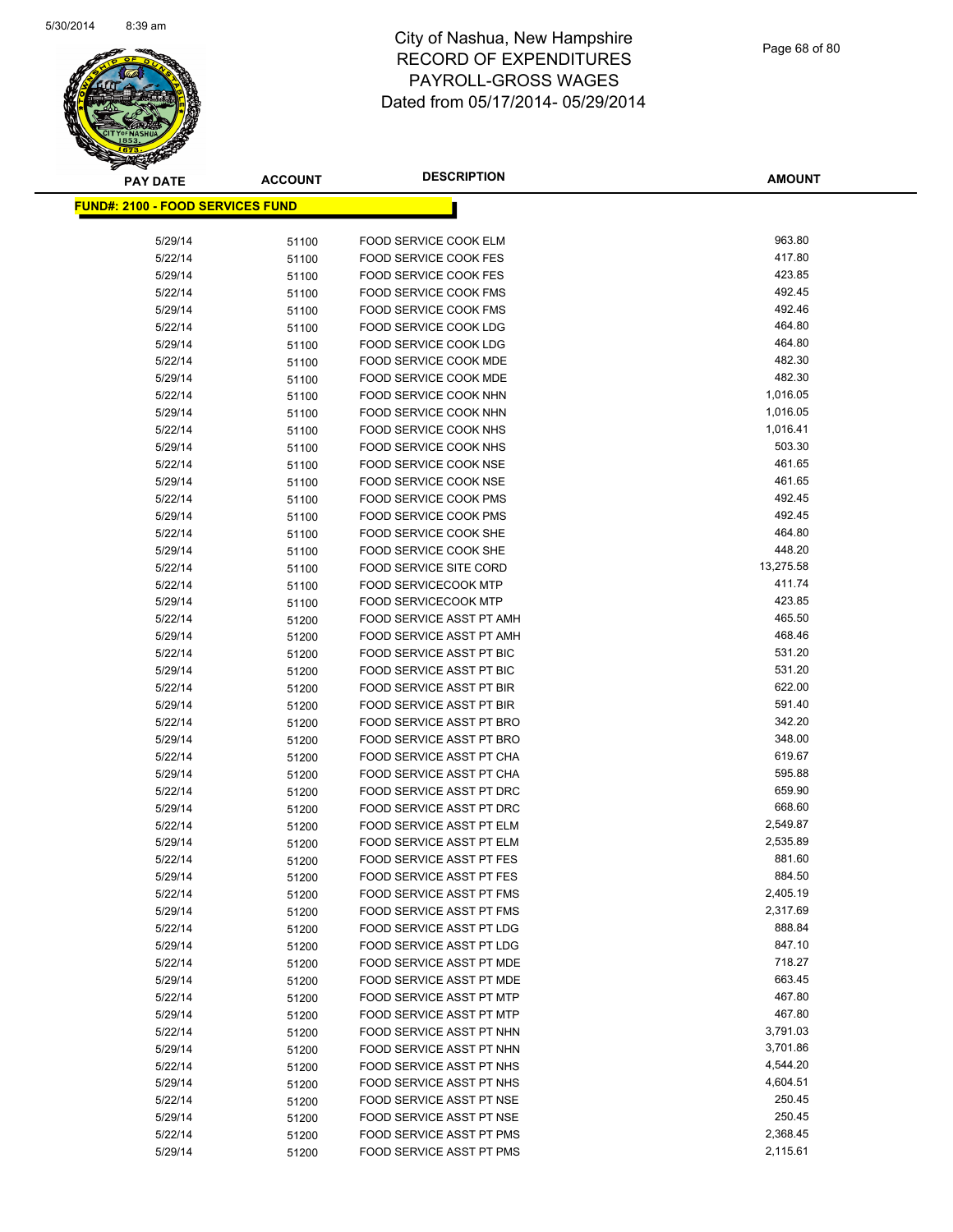

| <b>PAY DATE</b>                          | <b>ACCOUNT</b> | <b>DESCRIPTION</b>                                   | <b>AMOUNT</b>    |
|------------------------------------------|----------------|------------------------------------------------------|------------------|
| <u> FUND#: 2100 - FOOD SERVICES FUND</u> |                |                                                      |                  |
|                                          |                |                                                      |                  |
| 5/29/14                                  | 51100          | FOOD SERVICE COOK ELM                                | 963.80           |
| 5/22/14                                  | 51100          | <b>FOOD SERVICE COOK FES</b>                         | 417.80           |
| 5/29/14                                  | 51100          | <b>FOOD SERVICE COOK FES</b>                         | 423.85           |
| 5/22/14                                  | 51100          | <b>FOOD SERVICE COOK FMS</b>                         | 492.45           |
| 5/29/14                                  | 51100          | <b>FOOD SERVICE COOK FMS</b>                         | 492.46           |
| 5/22/14                                  | 51100          | FOOD SERVICE COOK LDG                                | 464.80           |
| 5/29/14                                  | 51100          | FOOD SERVICE COOK LDG                                | 464.80           |
| 5/22/14                                  | 51100          | <b>FOOD SERVICE COOK MDE</b>                         | 482.30           |
| 5/29/14                                  | 51100          | FOOD SERVICE COOK MDE                                | 482.30           |
| 5/22/14                                  | 51100          | <b>FOOD SERVICE COOK NHN</b>                         | 1,016.05         |
| 5/29/14                                  | 51100          | FOOD SERVICE COOK NHN                                | 1,016.05         |
| 5/22/14                                  | 51100          | FOOD SERVICE COOK NHS                                | 1,016.41         |
| 5/29/14                                  | 51100          | FOOD SERVICE COOK NHS                                | 503.30           |
| 5/22/14                                  | 51100          | FOOD SERVICE COOK NSE                                | 461.65           |
| 5/29/14                                  | 51100          | FOOD SERVICE COOK NSE                                | 461.65           |
| 5/22/14                                  | 51100          | <b>FOOD SERVICE COOK PMS</b>                         | 492.45           |
| 5/29/14                                  | 51100          | <b>FOOD SERVICE COOK PMS</b>                         | 492.45           |
| 5/22/14                                  | 51100          | FOOD SERVICE COOK SHE                                | 464.80           |
| 5/29/14                                  | 51100          | FOOD SERVICE COOK SHE                                | 448.20           |
| 5/22/14                                  | 51100          | FOOD SERVICE SITE CORD                               | 13,275.58        |
| 5/22/14                                  | 51100          | <b>FOOD SERVICECOOK MTP</b>                          | 411.74           |
| 5/29/14                                  | 51100          | <b>FOOD SERVICECOOK MTP</b>                          | 423.85           |
| 5/22/14                                  | 51200          | FOOD SERVICE ASST PT AMH                             | 465.50           |
| 5/29/14                                  | 51200          | FOOD SERVICE ASST PT AMH                             | 468.46           |
| 5/22/14                                  | 51200          | FOOD SERVICE ASST PT BIC                             | 531.20           |
| 5/29/14                                  | 51200          | FOOD SERVICE ASST PT BIC                             | 531.20           |
| 5/22/14                                  | 51200          | FOOD SERVICE ASST PT BIR                             | 622.00           |
| 5/29/14                                  | 51200          | FOOD SERVICE ASST PT BIR                             | 591.40           |
| 5/22/14                                  | 51200          | FOOD SERVICE ASST PT BRO                             | 342.20<br>348.00 |
| 5/29/14<br>5/22/14                       | 51200          | FOOD SERVICE ASST PT BRO<br>FOOD SERVICE ASST PT CHA | 619.67           |
| 5/29/14                                  | 51200<br>51200 | FOOD SERVICE ASST PT CHA                             | 595.88           |
| 5/22/14                                  | 51200          | FOOD SERVICE ASST PT DRC                             | 659.90           |
| 5/29/14                                  | 51200          | FOOD SERVICE ASST PT DRC                             | 668.60           |
| 5/22/14                                  | 51200          | FOOD SERVICE ASST PT ELM                             | 2,549.87         |
| 5/29/14                                  | 51200          | FOOD SERVICE ASST PT ELM                             | 2,535.89         |
| 5/22/14                                  | 51200          | <b>FOOD SERVICE ASST PT FES</b>                      | 881.60           |
| 5/29/14                                  | 51200          | FOOD SERVICE ASST PT FES                             | 884.50           |
| 5/22/14                                  | 51200          | FOOD SERVICE ASST PT FMS                             | 2,405.19         |
| 5/29/14                                  | 51200          | FOOD SERVICE ASST PT FMS                             | 2,317.69         |
| 5/22/14                                  | 51200          | FOOD SERVICE ASST PT LDG                             | 888.84           |
| 5/29/14                                  | 51200          | FOOD SERVICE ASST PT LDG                             | 847.10           |
| 5/22/14                                  | 51200          | FOOD SERVICE ASST PT MDE                             | 718.27           |
| 5/29/14                                  | 51200          | FOOD SERVICE ASST PT MDE                             | 663.45           |
| 5/22/14                                  | 51200          | FOOD SERVICE ASST PT MTP                             | 467.80           |
| 5/29/14                                  | 51200          | FOOD SERVICE ASST PT MTP                             | 467.80           |
| 5/22/14                                  | 51200          | FOOD SERVICE ASST PT NHN                             | 3,791.03         |
| 5/29/14                                  | 51200          | FOOD SERVICE ASST PT NHN                             | 3,701.86         |
| 5/22/14                                  | 51200          | FOOD SERVICE ASST PT NHS                             | 4,544.20         |
| 5/29/14                                  | 51200          | FOOD SERVICE ASST PT NHS                             | 4,604.51         |
| 5/22/14                                  | 51200          | FOOD SERVICE ASST PT NSE                             | 250.45           |
| 5/29/14                                  | 51200          | FOOD SERVICE ASST PT NSE                             | 250.45           |
| 5/22/14                                  | 51200          | FOOD SERVICE ASST PT PMS                             | 2,368.45         |
| 5/29/14                                  | 51200          | FOOD SERVICE ASST PT PMS                             | 2,115.61         |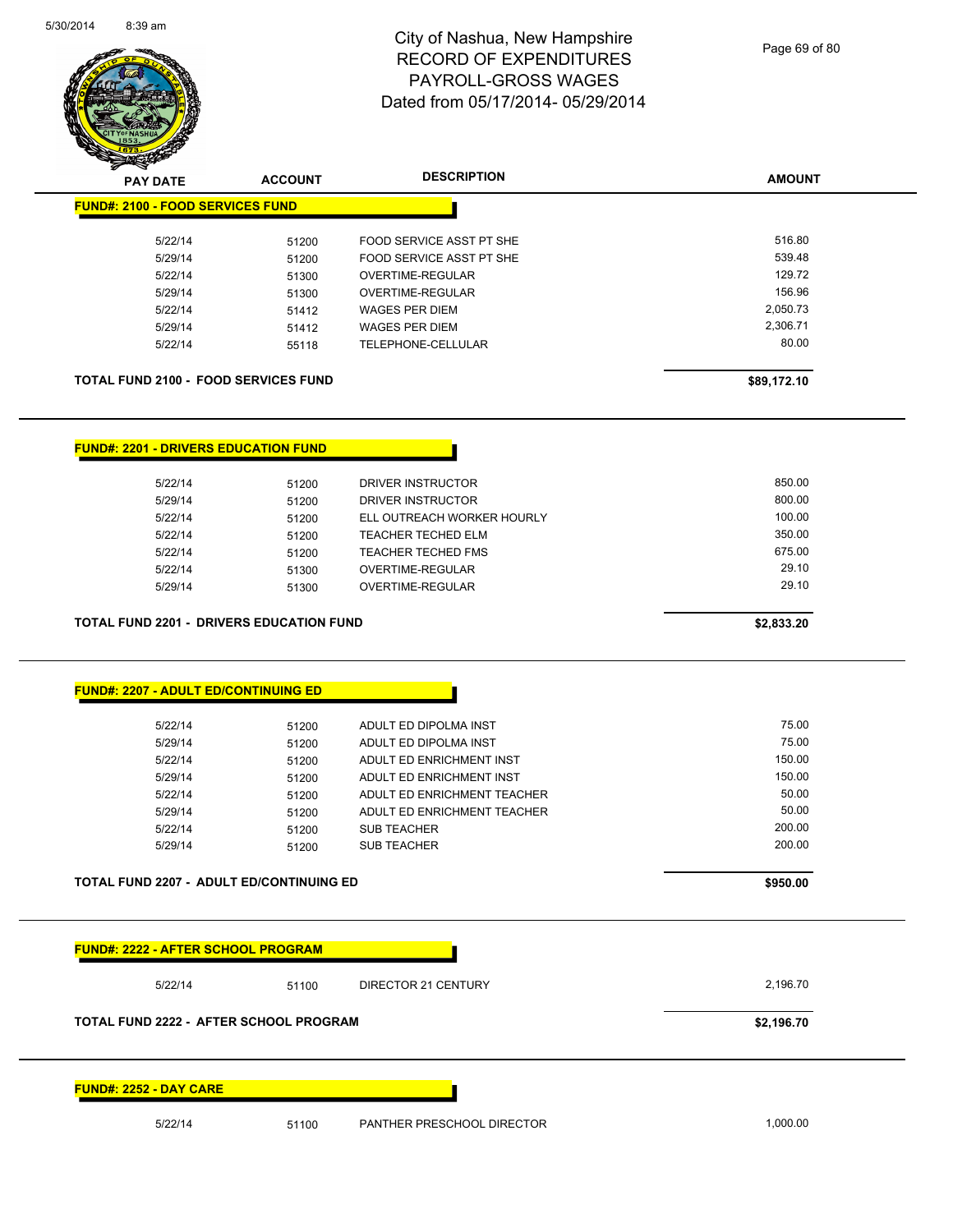

| <b>FUND#: 2100 - FOOD SERVICES FUND</b><br>5/22/14<br>5/29/14                                             |                |                                                     |                      |
|-----------------------------------------------------------------------------------------------------------|----------------|-----------------------------------------------------|----------------------|
|                                                                                                           |                |                                                     |                      |
|                                                                                                           |                |                                                     | 516.80               |
|                                                                                                           | 51200          | FOOD SERVICE ASST PT SHE                            | 539.48               |
| 5/22/14                                                                                                   | 51200          | FOOD SERVICE ASST PT SHE<br><b>OVERTIME-REGULAR</b> | 129.72               |
|                                                                                                           | 51300          |                                                     | 156.96               |
| 5/29/14                                                                                                   | 51300          | OVERTIME-REGULAR                                    |                      |
| 5/22/14                                                                                                   | 51412          | <b>WAGES PER DIEM</b>                               | 2,050.73<br>2,306.71 |
| 5/29/14                                                                                                   | 51412          | <b>WAGES PER DIEM</b>                               | 80.00                |
| 5/22/14                                                                                                   | 55118          | TELEPHONE-CELLULAR                                  |                      |
| <b>TOTAL FUND 2100 - FOOD SERVICES FUND</b>                                                               |                |                                                     | \$89,172.10          |
| <b>FUND#: 2201 - DRIVERS EDUCATION FUND</b>                                                               |                |                                                     |                      |
| 5/22/14                                                                                                   |                | DRIVER INSTRUCTOR                                   | 850.00               |
| 5/29/14                                                                                                   | 51200          | DRIVER INSTRUCTOR                                   | 800.00               |
| 5/22/14                                                                                                   | 51200<br>51200 | ELL OUTREACH WORKER HOURLY                          | 100.00               |
| 5/22/14                                                                                                   |                | <b>TEACHER TECHED ELM</b>                           | 350.00               |
| 5/22/14                                                                                                   | 51200<br>51200 | <b>TEACHER TECHED FMS</b>                           | 675.00               |
|                                                                                                           |                | OVERTIME-REGULAR                                    | 29.10                |
|                                                                                                           |                |                                                     |                      |
| 5/22/14<br>5/29/14                                                                                        | 51300<br>51300 | OVERTIME-REGULAR                                    | 29.10<br>\$2,833.20  |
|                                                                                                           |                |                                                     |                      |
|                                                                                                           |                |                                                     |                      |
| <b>TOTAL FUND 2201 - DRIVERS EDUCATION FUND</b><br><b>FUND#: 2207 - ADULT ED/CONTINUING ED</b><br>5/22/14 | 51200          | ADULT ED DIPOLMA INST                               | 75.00                |
| 5/29/14                                                                                                   | 51200          | ADULT ED DIPOLMA INST                               | 75.00                |
| 5/22/14                                                                                                   | 51200          | ADULT ED ENRICHMENT INST                            | 150.00               |
| 5/29/14                                                                                                   | 51200          | ADULT ED ENRICHMENT INST                            | 150.00               |
| 5/22/14                                                                                                   | 51200          | ADULT ED ENRICHMENT TEACHER                         | 50.00                |
| 5/29/14                                                                                                   | 51200          | ADULT ED ENRICHMENT TEACHER                         | 50.00                |
| 5/22/14                                                                                                   | 51200          | <b>SUB TEACHER</b>                                  | 200.00               |
| 5/29/14                                                                                                   | 51200          | <b>SUB TEACHER</b>                                  | 200.00               |

**FUND#: 2252 - DAY CARE**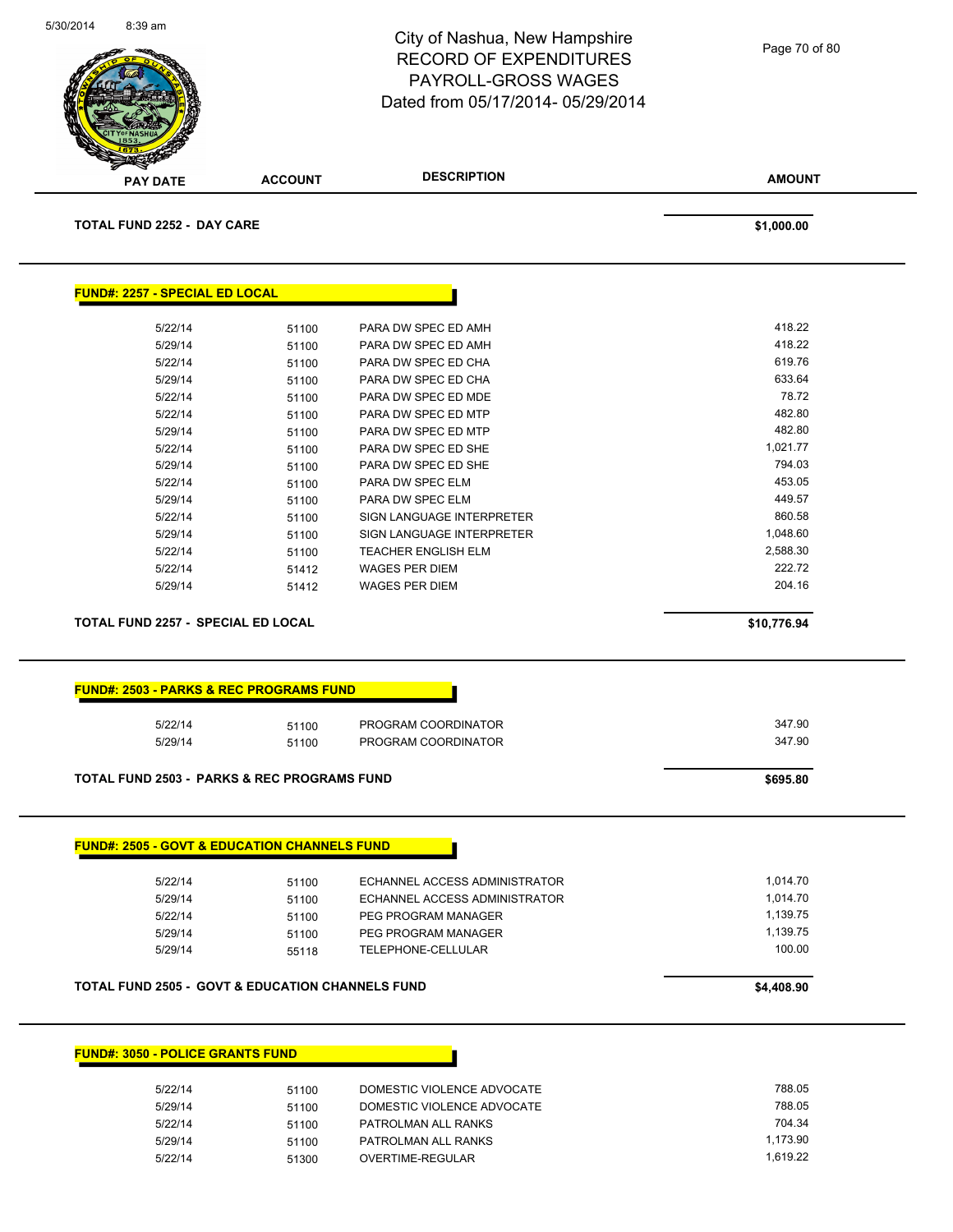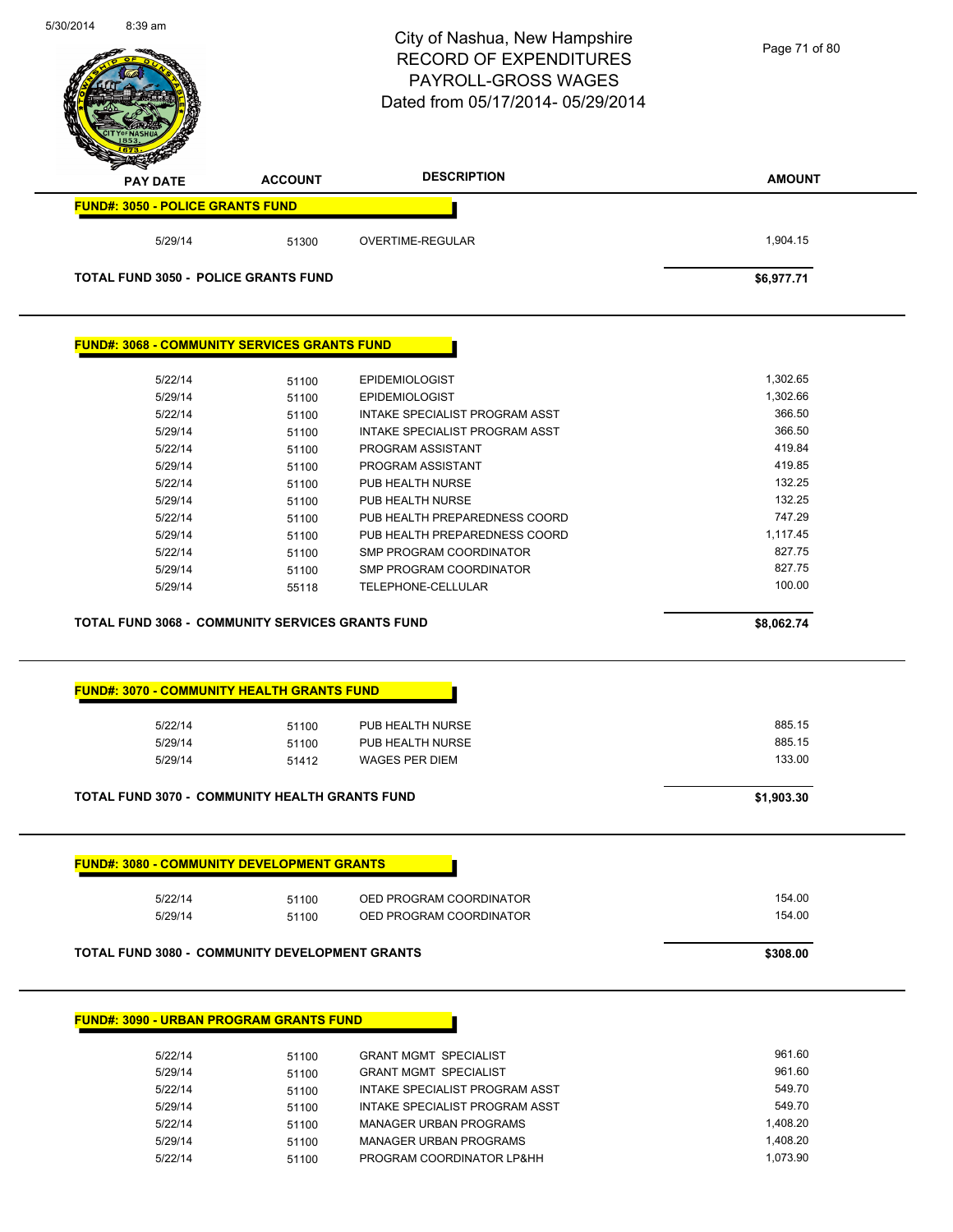| 5/30/2014 | 8:39 am                                 |                                                         | City of Nashua, New Hampshire<br><b>RECORD OF EXPENDITURES</b><br><b>PAYROLL-GROSS WAGES</b><br>Dated from 05/17/2014-05/29/2014 | Page 71 of 80      |
|-----------|-----------------------------------------|---------------------------------------------------------|----------------------------------------------------------------------------------------------------------------------------------|--------------------|
|           | <b>PAY DATE</b>                         | <b>ACCOUNT</b>                                          | <b>DESCRIPTION</b>                                                                                                               | <b>AMOUNT</b>      |
|           | <b>FUND#: 3050 - POLICE GRANTS FUND</b> |                                                         |                                                                                                                                  |                    |
|           | 5/29/14                                 | 51300                                                   | OVERTIME-REGULAR                                                                                                                 | 1,904.15           |
|           |                                         | <b>TOTAL FUND 3050 - POLICE GRANTS FUND</b>             |                                                                                                                                  | \$6,977.71         |
|           |                                         | <b>FUND#: 3068 - COMMUNITY SERVICES GRANTS FUND</b>     |                                                                                                                                  |                    |
|           | 5/22/14                                 | 51100                                                   | <b>EPIDEMIOLOGIST</b>                                                                                                            | 1,302.65           |
|           | 5/29/14                                 | 51100                                                   | <b>EPIDEMIOLOGIST</b>                                                                                                            | 1,302.66           |
|           | 5/22/14                                 | 51100                                                   | INTAKE SPECIALIST PROGRAM ASST                                                                                                   | 366.50             |
|           | 5/29/14                                 | 51100                                                   | INTAKE SPECIALIST PROGRAM ASST                                                                                                   | 366.50             |
|           | 5/22/14                                 | 51100                                                   | PROGRAM ASSISTANT                                                                                                                | 419.84             |
|           | 5/29/14                                 | 51100                                                   | PROGRAM ASSISTANT                                                                                                                | 419.85             |
|           | 5/22/14                                 | 51100                                                   | PUB HEALTH NURSE                                                                                                                 | 132.25             |
|           | 5/29/14                                 | 51100                                                   | PUB HEALTH NURSE                                                                                                                 | 132.25             |
|           | 5/22/14                                 | 51100                                                   | PUB HEALTH PREPAREDNESS COORD                                                                                                    | 747.29             |
|           | 5/29/14                                 | 51100                                                   | PUB HEALTH PREPAREDNESS COORD                                                                                                    | 1,117.45           |
|           | 5/22/14                                 | 51100                                                   | SMP PROGRAM COORDINATOR                                                                                                          | 827.75             |
|           | 5/29/14<br>5/29/14                      | 51100<br>55118                                          | SMP PROGRAM COORDINATOR<br>TELEPHONE-CELLULAR                                                                                    | 827.75<br>100.00   |
|           |                                         | <b>TOTAL FUND 3068 - COMMUNITY SERVICES GRANTS FUND</b> |                                                                                                                                  | \$8,062.74         |
|           |                                         | <b>FUND#: 3070 - COMMUNITY HEALTH GRANTS FUND</b>       |                                                                                                                                  |                    |
|           | 5/22/14                                 | 51100                                                   | PUB HEALTH NURSE                                                                                                                 | 885.15             |
|           | 5/29/14                                 | 51100                                                   | PUB HEALTH NURSE                                                                                                                 | 885.15             |
|           | 5/29/14                                 | 51412                                                   | <b>WAGES PER DIEM</b>                                                                                                            | 133.00             |
|           |                                         | <b>TOTAL FUND 3070 - COMMUNITY HEALTH GRANTS FUND</b>   |                                                                                                                                  | \$1,903.30         |
|           |                                         | <b>FUND#: 3080 - COMMUNITY DEVELOPMENT GRANTS</b>       |                                                                                                                                  |                    |
|           |                                         |                                                         |                                                                                                                                  |                    |
|           | 5/22/14                                 | 51100                                                   | OED PROGRAM COORDINATOR                                                                                                          | 154.00             |
|           | 5/29/14                                 | 51100                                                   | OED PROGRAM COORDINATOR                                                                                                          | 154.00             |
|           |                                         | <b>TOTAL FUND 3080 - COMMUNITY DEVELOPMENT GRANTS</b>   |                                                                                                                                  | \$308.00           |
|           |                                         | <b>FUND#: 3090 - URBAN PROGRAM GRANTS FUND</b>          |                                                                                                                                  |                    |
|           |                                         |                                                         |                                                                                                                                  |                    |
|           | 5/22/14                                 | 51100                                                   | <b>GRANT MGMT SPECIALIST</b>                                                                                                     | 961.60             |
|           | 5/29/14                                 | 51100                                                   | <b>GRANT MGMT SPECIALIST</b>                                                                                                     | 961.60             |
|           | 5/22/14                                 | 51100                                                   | INTAKE SPECIALIST PROGRAM ASST                                                                                                   | 549.70             |
|           | 5/29/14<br>5/22/14                      | 51100                                                   | INTAKE SPECIALIST PROGRAM ASST<br><b>MANAGER URBAN PROGRAMS</b>                                                                  | 549.70<br>1,408.20 |
|           | 5/29/14                                 | 51100<br>51100                                          | <b>MANAGER URBAN PROGRAMS</b>                                                                                                    | 1,408.20           |
|           | 5/22/14                                 | 51100                                                   | PROGRAM COORDINATOR LP&HH                                                                                                        | 1,073.90           |
|           |                                         |                                                         |                                                                                                                                  |                    |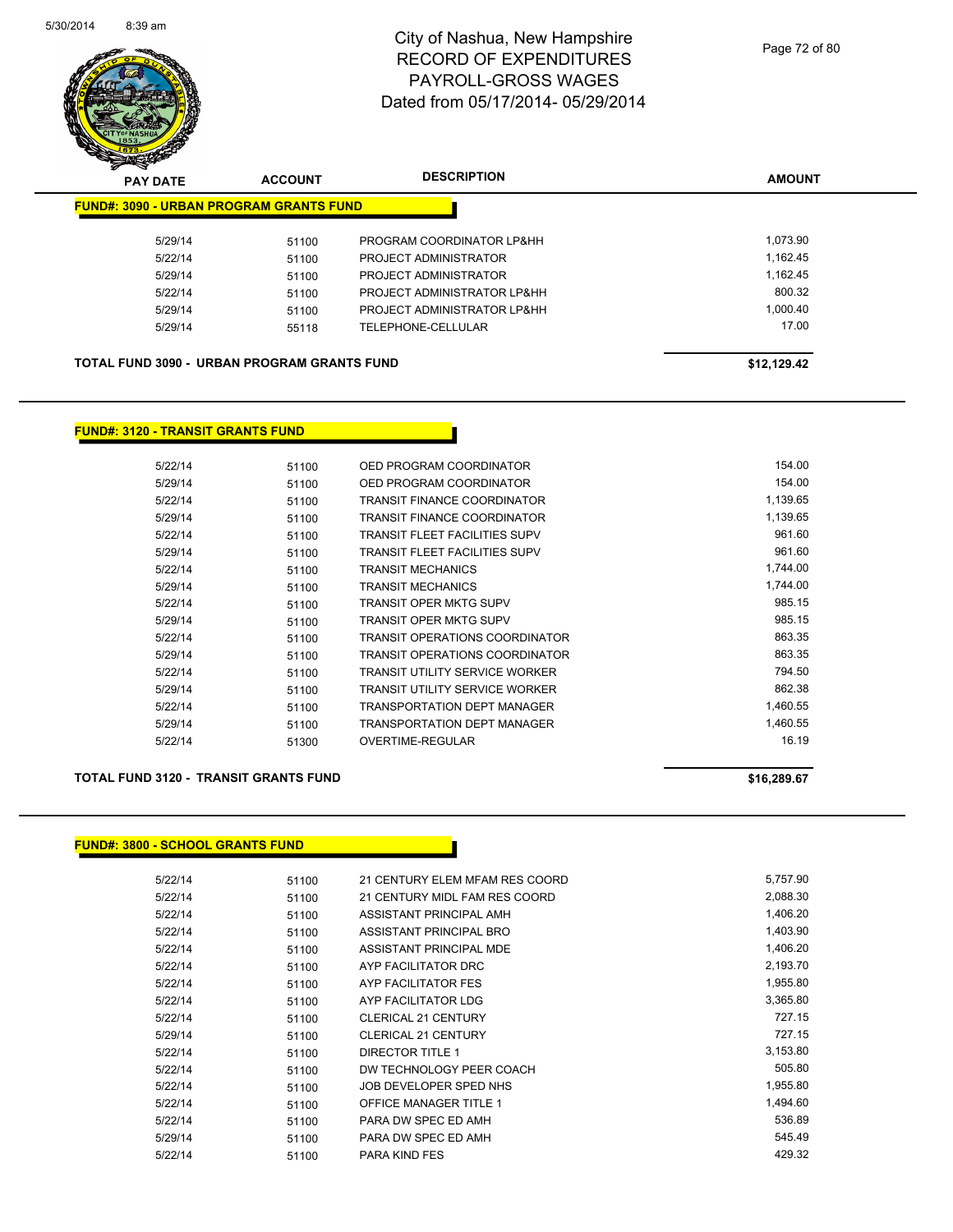

| $\boldsymbol{z}$<br>⊸<br><b>PAY DATE</b>           | <b>ACCOUNT</b> | <b>DESCRIPTION</b>          | <b>AMOUNT</b> |
|----------------------------------------------------|----------------|-----------------------------|---------------|
| <b>FUND#: 3090 - URBAN PROGRAM GRANTS FUND</b>     |                |                             |               |
| 5/29/14                                            | 51100          | PROGRAM COORDINATOR LP&HH   | 1.073.90      |
| 5/22/14                                            | 51100          | PROJECT ADMINISTRATOR       | 1,162.45      |
| 5/29/14                                            | 51100          | PROJECT ADMINISTRATOR       | 1,162.45      |
| 5/22/14                                            | 51100          | PROJECT ADMINISTRATOR LP&HH | 800.32        |
| 5/29/14                                            | 51100          | PROJECT ADMINISTRATOR LP&HH | 1.000.40      |
| 5/29/14                                            | 55118          | TELEPHONE-CELLULAR          | 17.00         |
| <b>TOTAL FUND 3090 - URBAN PROGRAM GRANTS FUND</b> |                |                             | \$12.129.42   |

#### **FUND#: 3120 - TRANSIT GRANTS FUND**

| 5/22/14 | 51100 | OED PROGRAM COORDINATOR               | 154.00   |
|---------|-------|---------------------------------------|----------|
| 5/29/14 | 51100 | OED PROGRAM COORDINATOR               | 154.00   |
| 5/22/14 | 51100 | <b>TRANSIT FINANCE COORDINATOR</b>    | 1,139.65 |
| 5/29/14 | 51100 | <b>TRANSIT FINANCE COORDINATOR</b>    | 1,139.65 |
| 5/22/14 | 51100 | <b>TRANSIT FLEET FACILITIES SUPV</b>  | 961.60   |
| 5/29/14 | 51100 | <b>TRANSIT FLEET FACILITIES SUPV</b>  | 961.60   |
| 5/22/14 | 51100 | <b>TRANSIT MECHANICS</b>              | 1,744.00 |
| 5/29/14 | 51100 | <b>TRANSIT MECHANICS</b>              | 1.744.00 |
| 5/22/14 | 51100 | <b>TRANSIT OPER MKTG SUPV</b>         | 985.15   |
| 5/29/14 | 51100 | <b>TRANSIT OPER MKTG SUPV</b>         | 985.15   |
| 5/22/14 | 51100 | <b>TRANSIT OPERATIONS COORDINATOR</b> | 863.35   |
| 5/29/14 | 51100 | <b>TRANSIT OPERATIONS COORDINATOR</b> | 863.35   |
| 5/22/14 | 51100 | <b>TRANSIT UTILITY SERVICE WORKER</b> | 794.50   |
| 5/29/14 | 51100 | <b>TRANSIT UTILITY SERVICE WORKER</b> | 862.38   |
| 5/22/14 | 51100 | <b>TRANSPORTATION DEPT MANAGER</b>    | 1,460.55 |
| 5/29/14 | 51100 | TRANSPORTATION DEPT MANAGER           | 1,460.55 |
| 5/22/14 | 51300 | OVERTIME-REGULAR                      | 16.19    |

#### **TOTAL FUND 3120 - TRANSIT GRANTS FUND \$16,289.67**

#### **FUND#: 3800 - SCHOOL GRANTS FUND**

| 5/22/14 | 51100 | 21 CENTURY ELEM MFAM RES COORD | 5,757.90 |
|---------|-------|--------------------------------|----------|
| 5/22/14 | 51100 | 21 CENTURY MIDL FAM RES COORD  | 2,088.30 |
| 5/22/14 | 51100 | ASSISTANT PRINCIPAL AMH        | 1,406.20 |
| 5/22/14 | 51100 | ASSISTANT PRINCIPAL BRO        | 1,403.90 |
| 5/22/14 | 51100 | ASSISTANT PRINCIPAL MDE        | 1,406.20 |
| 5/22/14 | 51100 | AYP FACILITATOR DRC            | 2,193.70 |
| 5/22/14 | 51100 | AYP FACILITATOR FES            | 1,955.80 |
| 5/22/14 | 51100 | AYP FACILITATOR LDG            | 3.365.80 |
| 5/22/14 | 51100 | <b>CLERICAL 21 CENTURY</b>     | 727.15   |
| 5/29/14 | 51100 | <b>CLERICAL 21 CENTURY</b>     | 727.15   |
| 5/22/14 | 51100 | DIRECTOR TITLE 1               | 3,153.80 |
| 5/22/14 | 51100 | DW TECHNOLOGY PEER COACH       | 505.80   |
| 5/22/14 | 51100 | JOB DEVELOPER SPED NHS         | 1,955.80 |
| 5/22/14 | 51100 | <b>OFFICE MANAGER TITLE 1</b>  | 1,494.60 |
| 5/22/14 | 51100 | PARA DW SPEC ED AMH            | 536.89   |
| 5/29/14 | 51100 | PARA DW SPEC ED AMH            | 545.49   |
| 5/22/14 | 51100 | <b>PARA KIND FES</b>           | 429.32   |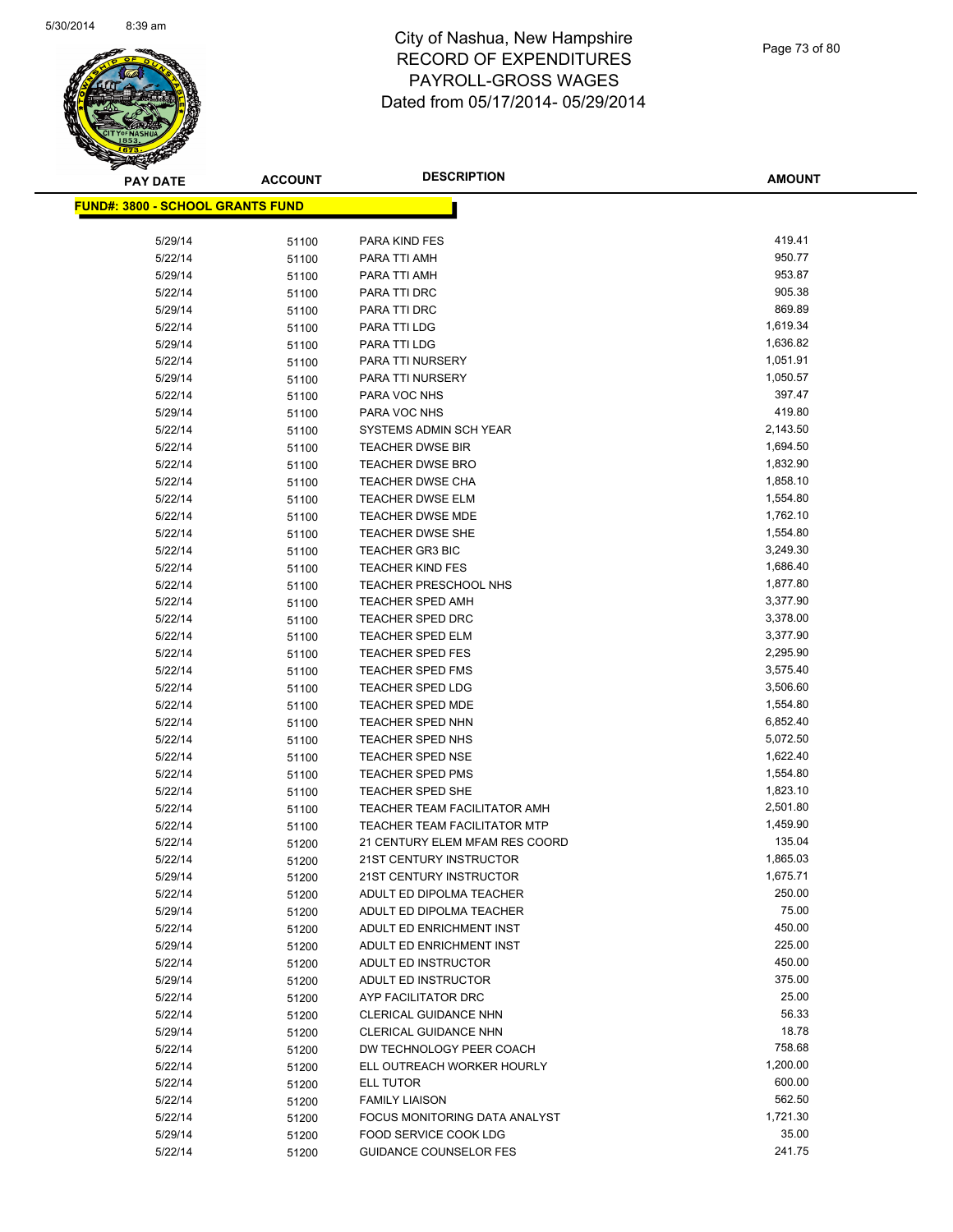

Page 73 of 80

| <b>PAY DATE</b>                          | <b>ACCOUNT</b> | <b>DESCRIPTION</b>                                   | <b>AMOUNT</b>   |
|------------------------------------------|----------------|------------------------------------------------------|-----------------|
| <u> FUND#: 3800 - SCHOOL GRANTS FUND</u> |                |                                                      |                 |
|                                          |                |                                                      |                 |
| 5/29/14                                  | 51100          | PARA KIND FES                                        | 419.41          |
| 5/22/14                                  | 51100          | PARA TTI AMH                                         | 950.77          |
| 5/29/14                                  | 51100          | PARA TTI AMH                                         | 953.87          |
| 5/22/14                                  | 51100          | PARA TTI DRC                                         | 905.38          |
| 5/29/14                                  | 51100          | PARA TTI DRC                                         | 869.89          |
| 5/22/14                                  | 51100          | PARA TTI LDG                                         | 1,619.34        |
| 5/29/14                                  | 51100          | PARA TTI LDG                                         | 1,636.82        |
| 5/22/14                                  | 51100          | PARA TTI NURSERY                                     | 1,051.91        |
| 5/29/14                                  | 51100          | PARA TTI NURSERY                                     | 1,050.57        |
| 5/22/14                                  | 51100          | PARA VOC NHS                                         | 397.47          |
| 5/29/14                                  | 51100          | PARA VOC NHS                                         | 419.80          |
| 5/22/14                                  | 51100          | SYSTEMS ADMIN SCH YEAR                               | 2,143.50        |
| 5/22/14                                  | 51100          | <b>TEACHER DWSE BIR</b>                              | 1,694.50        |
| 5/22/14                                  | 51100          | <b>TEACHER DWSE BRO</b>                              | 1,832.90        |
| 5/22/14                                  | 51100          | <b>TEACHER DWSE CHA</b>                              | 1,858.10        |
| 5/22/14                                  | 51100          | <b>TEACHER DWSE ELM</b>                              | 1,554.80        |
| 5/22/14                                  | 51100          | <b>TEACHER DWSE MDE</b>                              | 1,762.10        |
| 5/22/14                                  | 51100          | <b>TEACHER DWSE SHE</b>                              | 1,554.80        |
| 5/22/14                                  | 51100          | <b>TEACHER GR3 BIC</b>                               | 3,249.30        |
| 5/22/14                                  | 51100          | <b>TEACHER KIND FES</b>                              | 1,686.40        |
| 5/22/14                                  | 51100          | <b>TEACHER PRESCHOOL NHS</b>                         | 1,877.80        |
| 5/22/14                                  | 51100          | TEACHER SPED AMH                                     | 3,377.90        |
| 5/22/14                                  | 51100          | <b>TEACHER SPED DRC</b>                              | 3,378.00        |
| 5/22/14                                  | 51100          | <b>TEACHER SPED ELM</b>                              | 3,377.90        |
| 5/22/14                                  | 51100          | <b>TEACHER SPED FES</b>                              | 2,295.90        |
| 5/22/14                                  | 51100          | <b>TEACHER SPED FMS</b>                              | 3,575.40        |
| 5/22/14                                  | 51100          | <b>TEACHER SPED LDG</b>                              | 3,506.60        |
| 5/22/14                                  | 51100          | <b>TEACHER SPED MDE</b>                              | 1,554.80        |
| 5/22/14                                  | 51100          | <b>TEACHER SPED NHN</b>                              | 6,852.40        |
| 5/22/14                                  | 51100          | <b>TEACHER SPED NHS</b>                              | 5,072.50        |
| 5/22/14                                  | 51100          | <b>TEACHER SPED NSE</b>                              | 1,622.40        |
| 5/22/14                                  | 51100          | <b>TEACHER SPED PMS</b>                              | 1,554.80        |
| 5/22/14                                  | 51100          | <b>TEACHER SPED SHE</b>                              | 1,823.10        |
| 5/22/14                                  | 51100          | TEACHER TEAM FACILITATOR AMH                         | 2,501.80        |
| 5/22/14                                  | 51100          | TEACHER TEAM FACILITATOR MTP                         | 1,459.90        |
| 5/22/14                                  | 51200          | 21 CENTURY ELEM MFAM RES COORD                       | 135.04          |
| 5/22/14                                  | 51200          | 21ST CENTURY INSTRUCTOR                              | 1,865.03        |
| 5/29/14                                  | 51200          | 21ST CENTURY INSTRUCTOR                              | 1,675.71        |
| 5/22/14                                  | 51200          | ADULT ED DIPOLMA TEACHER                             | 250.00<br>75.00 |
| 5/29/14                                  | 51200          | ADULT ED DIPOLMA TEACHER                             | 450.00          |
| 5/22/14                                  | 51200          | ADULT ED ENRICHMENT INST<br>ADULT ED ENRICHMENT INST | 225.00          |
| 5/29/14                                  | 51200          |                                                      | 450.00          |
| 5/22/14                                  | 51200          | ADULT ED INSTRUCTOR                                  | 375.00          |
| 5/29/14<br>5/22/14                       | 51200          | ADULT ED INSTRUCTOR<br>AYP FACILITATOR DRC           | 25.00           |
| 5/22/14                                  | 51200          | <b>CLERICAL GUIDANCE NHN</b>                         | 56.33           |
| 5/29/14                                  | 51200<br>51200 | <b>CLERICAL GUIDANCE NHN</b>                         | 18.78           |
| 5/22/14                                  | 51200          | DW TECHNOLOGY PEER COACH                             | 758.68          |
| 5/22/14                                  | 51200          | ELL OUTREACH WORKER HOURLY                           | 1,200.00        |
| 5/22/14                                  | 51200          | ELL TUTOR                                            | 600.00          |
| 5/22/14                                  | 51200          | <b>FAMILY LIAISON</b>                                | 562.50          |
| 5/22/14                                  | 51200          | FOCUS MONITORING DATA ANALYST                        | 1,721.30        |
| 5/29/14                                  | 51200          | FOOD SERVICE COOK LDG                                | 35.00           |
| 5/22/14                                  | 51200          | <b>GUIDANCE COUNSELOR FES</b>                        | 241.75          |
|                                          |                |                                                      |                 |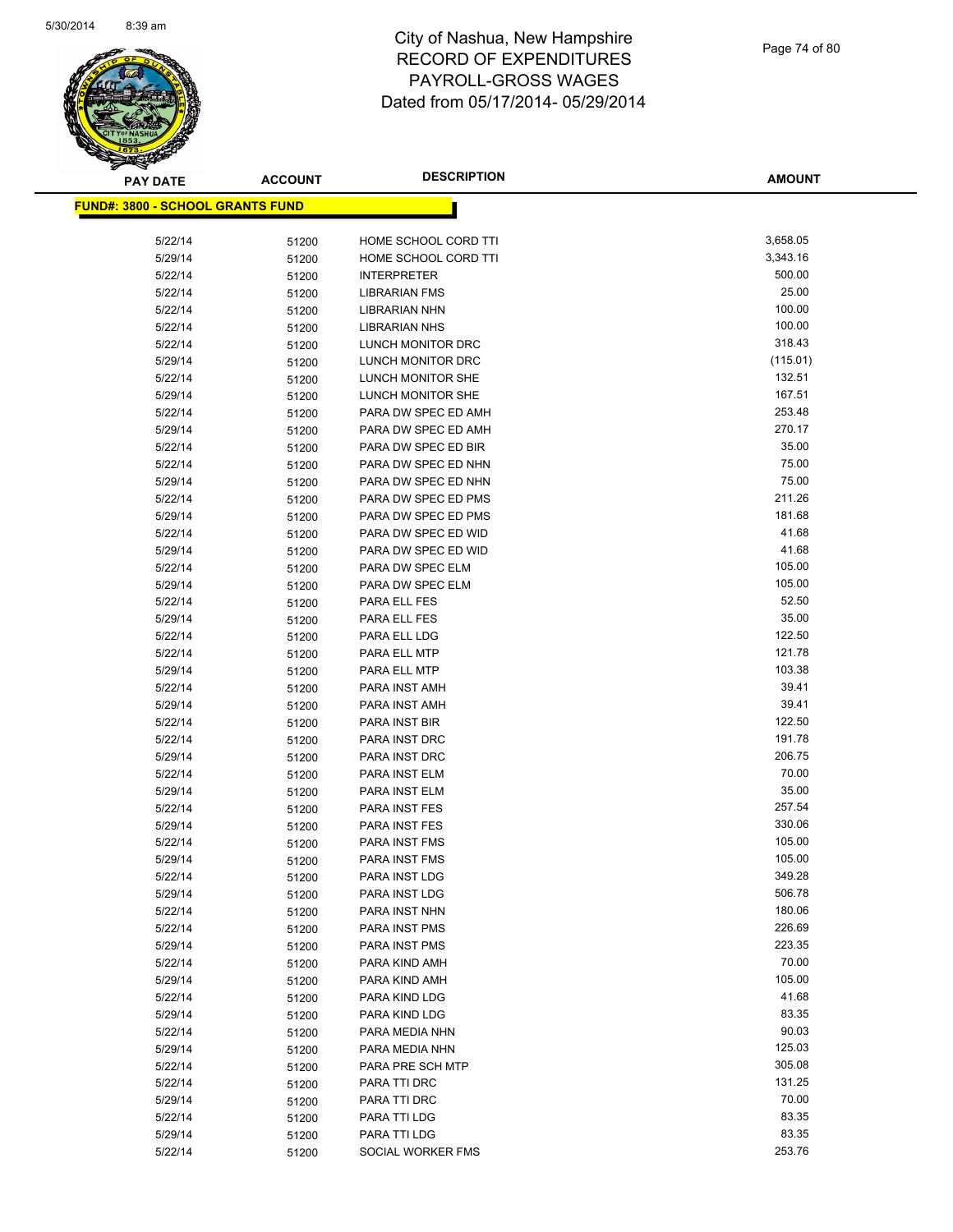

Page 74 of 80

| <b>PAY DATE</b>                          | <b>ACCOUNT</b> | <b>DESCRIPTION</b>               | <b>AMOUNT</b>    |
|------------------------------------------|----------------|----------------------------------|------------------|
| <u> FUND#: 3800 - SCHOOL GRANTS FUND</u> |                |                                  |                  |
|                                          |                |                                  |                  |
| 5/22/14                                  | 51200          | HOME SCHOOL CORD TTI             | 3,658.05         |
| 5/29/14                                  | 51200          | HOME SCHOOL CORD TTI             | 3,343.16         |
| 5/22/14                                  | 51200          | <b>INTERPRETER</b>               | 500.00           |
| 5/22/14                                  | 51200          | <b>LIBRARIAN FMS</b>             | 25.00            |
| 5/22/14                                  | 51200          | LIBRARIAN NHN                    | 100.00           |
| 5/22/14                                  | 51200          | <b>LIBRARIAN NHS</b>             | 100.00           |
| 5/22/14                                  | 51200          | LUNCH MONITOR DRC                | 318.43           |
| 5/29/14                                  | 51200          | LUNCH MONITOR DRC                | (115.01)         |
| 5/22/14                                  | 51200          | LUNCH MONITOR SHE                | 132.51           |
| 5/29/14                                  | 51200          | LUNCH MONITOR SHE                | 167.51           |
| 5/22/14                                  | 51200          | PARA DW SPEC ED AMH              | 253.48           |
| 5/29/14                                  | 51200          | PARA DW SPEC ED AMH              | 270.17           |
| 5/22/14                                  | 51200          | PARA DW SPEC ED BIR              | 35.00            |
| 5/22/14                                  | 51200          | PARA DW SPEC ED NHN              | 75.00            |
| 5/29/14                                  | 51200          | PARA DW SPEC ED NHN              | 75.00            |
| 5/22/14                                  | 51200          | PARA DW SPEC ED PMS              | 211.26           |
| 5/29/14                                  | 51200          | PARA DW SPEC ED PMS              | 181.68           |
| 5/22/14                                  | 51200          | PARA DW SPEC ED WID              | 41.68            |
| 5/29/14                                  | 51200          | PARA DW SPEC ED WID              | 41.68            |
| 5/22/14                                  | 51200          | PARA DW SPEC ELM                 | 105.00<br>105.00 |
| 5/29/14<br>5/22/14                       | 51200          | PARA DW SPEC ELM<br>PARA ELL FES | 52.50            |
| 5/29/14                                  | 51200<br>51200 | PARA ELL FES                     | 35.00            |
| 5/22/14                                  | 51200          | PARA ELL LDG                     | 122.50           |
| 5/22/14                                  | 51200          | PARA ELL MTP                     | 121.78           |
| 5/29/14                                  | 51200          | PARA ELL MTP                     | 103.38           |
| 5/22/14                                  | 51200          | PARA INST AMH                    | 39.41            |
| 5/29/14                                  | 51200          | PARA INST AMH                    | 39.41            |
| 5/22/14                                  | 51200          | PARA INST BIR                    | 122.50           |
| 5/22/14                                  | 51200          | PARA INST DRC                    | 191.78           |
| 5/29/14                                  | 51200          | PARA INST DRC                    | 206.75           |
| 5/22/14                                  | 51200          | PARA INST ELM                    | 70.00            |
| 5/29/14                                  | 51200          | PARA INST ELM                    | 35.00            |
| 5/22/14                                  | 51200          | PARA INST FES                    | 257.54           |
| 5/29/14                                  | 51200          | PARA INST FES                    | 330.06           |
| 5/22/14                                  | 51200          | PARA INST FMS                    | 105.00           |
| 5/29/14                                  | 51200          | <b>PARA INST FMS</b>             | 105.00           |
| 5/22/14                                  | 51200          | PARA INST LDG                    | 349.28           |
| 5/29/14                                  | 51200          | PARA INST LDG                    | 506.78           |
| 5/22/14                                  | 51200          | PARA INST NHN                    | 180.06           |
| 5/22/14                                  | 51200          | PARA INST PMS                    | 226.69           |
| 5/29/14                                  | 51200          | PARA INST PMS                    | 223.35           |
| 5/22/14                                  | 51200          | PARA KIND AMH                    | 70.00<br>105.00  |
| 5/29/14                                  | 51200          | PARA KIND AMH<br>PARA KIND LDG   | 41.68            |
| 5/22/14<br>5/29/14                       | 51200          | PARA KIND LDG                    | 83.35            |
| 5/22/14                                  | 51200<br>51200 | PARA MEDIA NHN                   | 90.03            |
| 5/29/14                                  | 51200          | PARA MEDIA NHN                   | 125.03           |
| 5/22/14                                  | 51200          | PARA PRE SCH MTP                 | 305.08           |
| 5/22/14                                  | 51200          | PARA TTI DRC                     | 131.25           |
| 5/29/14                                  | 51200          | PARA TTI DRC                     | 70.00            |
| 5/22/14                                  | 51200          | PARA TTI LDG                     | 83.35            |
| 5/29/14                                  | 51200          | PARA TTI LDG                     | 83.35            |
| 5/22/14                                  | 51200          | SOCIAL WORKER FMS                | 253.76           |
|                                          |                |                                  |                  |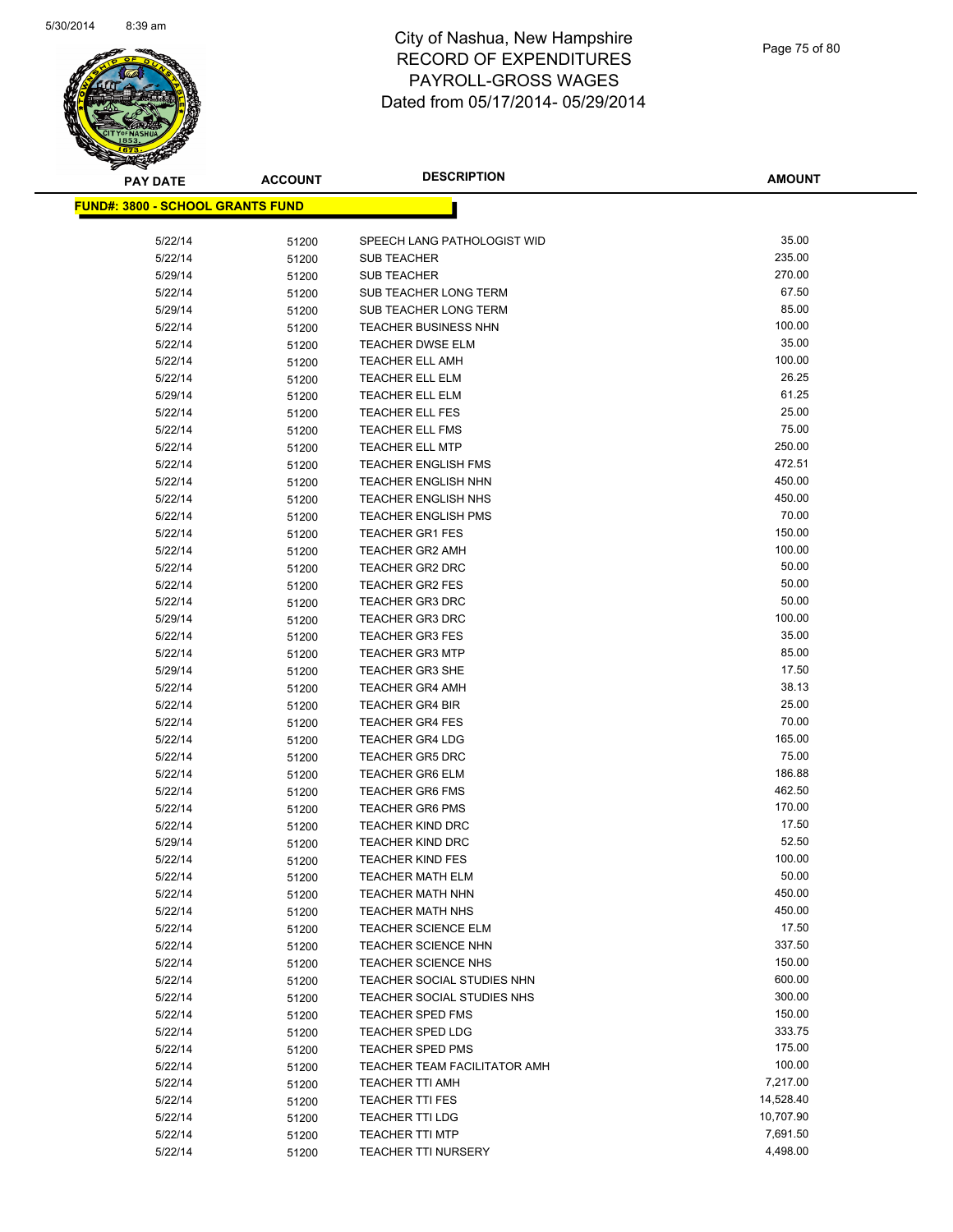

| <b>PAY DATE</b>                          | <b>ACCOUNT</b> | <b>DESCRIPTION</b>                                 | <b>AMOUNT</b>    |
|------------------------------------------|----------------|----------------------------------------------------|------------------|
| <u> FUND#: 3800 - SCHOOL GRANTS FUND</u> |                |                                                    |                  |
|                                          |                |                                                    |                  |
| 5/22/14                                  | 51200          | SPEECH LANG PATHOLOGIST WID                        | 35.00            |
| 5/22/14                                  | 51200          | <b>SUB TEACHER</b>                                 | 235.00           |
| 5/29/14                                  | 51200          | <b>SUB TEACHER</b>                                 | 270.00           |
| 5/22/14                                  | 51200          | SUB TEACHER LONG TERM                              | 67.50            |
| 5/29/14                                  | 51200          | SUB TEACHER LONG TERM                              | 85.00            |
| 5/22/14                                  | 51200          | <b>TEACHER BUSINESS NHN</b>                        | 100.00           |
| 5/22/14                                  | 51200          | TEACHER DWSE ELM                                   | 35.00            |
| 5/22/14                                  | 51200          | <b>TEACHER ELL AMH</b>                             | 100.00           |
| 5/22/14                                  | 51200          | <b>TEACHER ELL ELM</b>                             | 26.25            |
| 5/29/14                                  | 51200          | <b>TEACHER ELL ELM</b>                             | 61.25            |
| 5/22/14                                  | 51200          | <b>TEACHER ELL FES</b>                             | 25.00            |
| 5/22/14                                  | 51200          | <b>TEACHER ELL FMS</b>                             | 75.00            |
| 5/22/14                                  | 51200          | <b>TEACHER ELL MTP</b>                             | 250.00           |
| 5/22/14                                  | 51200          | <b>TEACHER ENGLISH FMS</b>                         | 472.51           |
| 5/22/14                                  | 51200          | <b>TEACHER ENGLISH NHN</b>                         | 450.00           |
| 5/22/14                                  | 51200          | <b>TEACHER ENGLISH NHS</b>                         | 450.00           |
| 5/22/14                                  | 51200          | <b>TEACHER ENGLISH PMS</b>                         | 70.00            |
| 5/22/14                                  | 51200          | <b>TEACHER GR1 FES</b>                             | 150.00           |
| 5/22/14                                  | 51200          | <b>TEACHER GR2 AMH</b>                             | 100.00           |
| 5/22/14                                  | 51200          | <b>TEACHER GR2 DRC</b>                             | 50.00            |
| 5/22/14                                  | 51200          | <b>TEACHER GR2 FES</b>                             | 50.00            |
| 5/22/14                                  | 51200          | <b>TEACHER GR3 DRC</b>                             | 50.00            |
| 5/29/14                                  | 51200          | <b>TEACHER GR3 DRC</b>                             | 100.00           |
| 5/22/14                                  | 51200          | <b>TEACHER GR3 FES</b>                             | 35.00            |
| 5/22/14                                  | 51200          | <b>TEACHER GR3 MTP</b>                             | 85.00            |
| 5/29/14                                  | 51200          | <b>TEACHER GR3 SHE</b>                             | 17.50            |
| 5/22/14                                  | 51200          | <b>TEACHER GR4 AMH</b>                             | 38.13            |
| 5/22/14                                  | 51200          | <b>TEACHER GR4 BIR</b>                             | 25.00            |
| 5/22/14                                  | 51200          | <b>TEACHER GR4 FES</b>                             | 70.00            |
| 5/22/14                                  | 51200          | <b>TEACHER GR4 LDG</b>                             | 165.00           |
| 5/22/14                                  | 51200          | <b>TEACHER GR5 DRC</b>                             | 75.00            |
| 5/22/14                                  | 51200          | <b>TEACHER GR6 ELM</b>                             | 186.88<br>462.50 |
| 5/22/14                                  | 51200          | <b>TEACHER GR6 FMS</b>                             | 170.00           |
| 5/22/14                                  | 51200          | <b>TEACHER GR6 PMS</b>                             | 17.50            |
| 5/22/14<br>5/29/14                       | 51200          | <b>TEACHER KIND DRC</b><br><b>TEACHER KIND DRC</b> | 52.50            |
| 5/22/14                                  | 51200<br>51200 | <b>TEACHER KIND FES</b>                            | 100.00           |
| 5/22/14                                  |                | <b>TEACHER MATH ELM</b>                            | 50.00            |
| 5/22/14                                  | 51200          | <b>TEACHER MATH NHN</b>                            | 450.00           |
| 5/22/14                                  | 51200<br>51200 | <b>TEACHER MATH NHS</b>                            | 450.00           |
| 5/22/14                                  | 51200          | <b>TEACHER SCIENCE ELM</b>                         | 17.50            |
| 5/22/14                                  | 51200          | <b>TEACHER SCIENCE NHN</b>                         | 337.50           |
| 5/22/14                                  | 51200          | <b>TEACHER SCIENCE NHS</b>                         | 150.00           |
| 5/22/14                                  | 51200          | TEACHER SOCIAL STUDIES NHN                         | 600.00           |
| 5/22/14                                  | 51200          | TEACHER SOCIAL STUDIES NHS                         | 300.00           |
| 5/22/14                                  | 51200          | <b>TEACHER SPED FMS</b>                            | 150.00           |
| 5/22/14                                  | 51200          | <b>TEACHER SPED LDG</b>                            | 333.75           |
| 5/22/14                                  | 51200          | <b>TEACHER SPED PMS</b>                            | 175.00           |
| 5/22/14                                  | 51200          | TEACHER TEAM FACILITATOR AMH                       | 100.00           |
| 5/22/14                                  | 51200          | <b>TEACHER TTI AMH</b>                             | 7,217.00         |
| 5/22/14                                  | 51200          | <b>TEACHER TTI FES</b>                             | 14,528.40        |
| 5/22/14                                  | 51200          | <b>TEACHER TTI LDG</b>                             | 10,707.90        |
| 5/22/14                                  | 51200          | <b>TEACHER TTI MTP</b>                             | 7,691.50         |
| 5/22/14                                  | 51200          | <b>TEACHER TTI NURSERY</b>                         | 4,498.00         |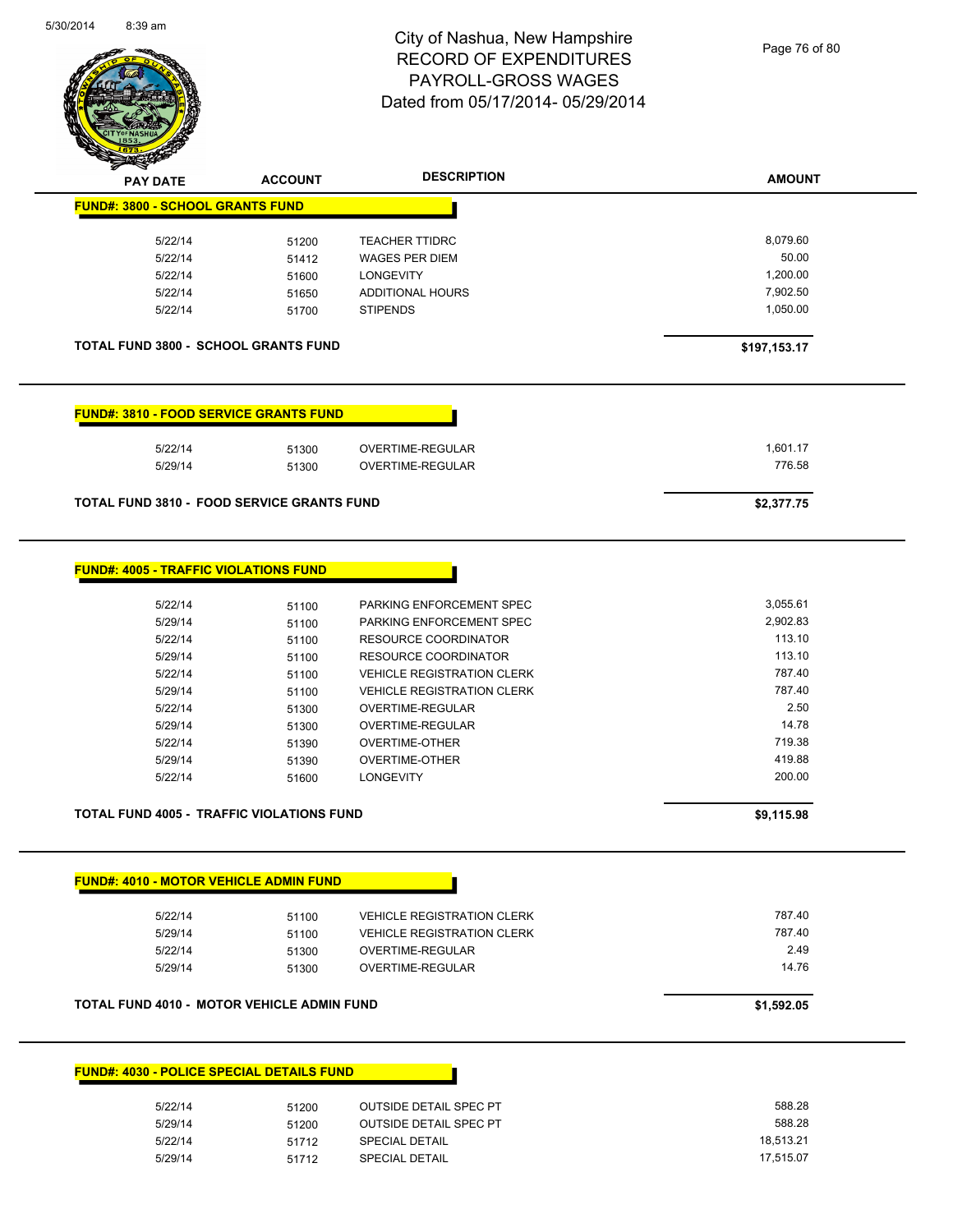

Page 76 of 80

| <b>FUND#: 3800 - SCHOOL GRANTS FUND</b><br>8,079.60<br>5/22/14<br><b>TEACHER TTIDRC</b><br>51200<br>50.00<br>5/22/14<br><b>WAGES PER DIEM</b><br>51412<br>1,200.00<br>5/22/14<br><b>LONGEVITY</b><br>51600<br>7,902.50<br>ADDITIONAL HOURS<br>5/22/14<br>51650<br>5/22/14<br><b>STIPENDS</b><br>1,050.00<br>51700<br><b>TOTAL FUND 3800 - SCHOOL GRANTS FUND</b><br>\$197,153.17<br><b>FUND#: 3810 - FOOD SERVICE GRANTS FUND</b><br>1,601.17<br>5/22/14<br>51300<br>OVERTIME-REGULAR<br>776.58<br>5/29/14<br>OVERTIME-REGULAR<br>51300<br><b>TOTAL FUND 3810 - FOOD SERVICE GRANTS FUND</b><br>\$2,377.75<br><b>FUND#: 4005 - TRAFFIC VIOLATIONS FUND</b><br>3,055.61<br>5/22/14<br>PARKING ENFORCEMENT SPEC<br>51100<br>5/29/14<br>PARKING ENFORCEMENT SPEC<br>2,902.83<br>51100<br>113.10<br>5/22/14<br><b>RESOURCE COORDINATOR</b><br>51100<br>113.10<br><b>RESOURCE COORDINATOR</b><br>5/29/14<br>51100<br>787.40<br>5/22/14<br><b>VEHICLE REGISTRATION CLERK</b><br>51100<br>787.40<br>5/29/14<br><b>VEHICLE REGISTRATION CLERK</b><br>51100<br>2.50<br>5/22/14<br>OVERTIME-REGULAR<br>51300<br>14.78<br>5/29/14<br>OVERTIME-REGULAR<br>51300<br>719.38<br>5/22/14<br><b>OVERTIME-OTHER</b><br>51390<br>419.88<br>5/29/14<br><b>OVERTIME-OTHER</b><br>51390<br>200.00<br>5/22/14<br><b>LONGEVITY</b><br>51600<br>TOTAL FUND 4005 - TRAFFIC VIOLATIONS FUND<br>\$9,115.98<br><b>FUND#: 4010 - MOTOR VEHICLE ADMIN FUND</b><br>787.40<br>5/22/14<br><b>VEHICLE REGISTRATION CLERK</b><br>51100<br>787.40<br>5/29/14<br><b>VEHICLE REGISTRATION CLERK</b><br>51100<br>2.49<br>5/22/14<br>OVERTIME-REGULAR<br>51300<br>14.76<br>5/29/14<br>OVERTIME-REGULAR<br>51300<br><b>TOTAL FUND 4010 - MOTOR VEHICLE ADMIN FUND</b><br>\$1,592.05<br><b>FUND#: 4030 - POLICE SPECIAL DETAILS FUND</b><br>588.28<br>5/22/14<br><b>OUTSIDE DETAIL SPEC PT</b><br>51200<br>588.28<br>5/29/14<br><b>OUTSIDE DETAIL SPEC PT</b><br>51200<br>18,513.21<br>5/22/14<br><b>SPECIAL DETAIL</b><br>51712 | <b>PAY DATE</b> | <b>ACCOUNT</b> | <b>DESCRIPTION</b> | <b>AMOUNT</b> |
|---------------------------------------------------------------------------------------------------------------------------------------------------------------------------------------------------------------------------------------------------------------------------------------------------------------------------------------------------------------------------------------------------------------------------------------------------------------------------------------------------------------------------------------------------------------------------------------------------------------------------------------------------------------------------------------------------------------------------------------------------------------------------------------------------------------------------------------------------------------------------------------------------------------------------------------------------------------------------------------------------------------------------------------------------------------------------------------------------------------------------------------------------------------------------------------------------------------------------------------------------------------------------------------------------------------------------------------------------------------------------------------------------------------------------------------------------------------------------------------------------------------------------------------------------------------------------------------------------------------------------------------------------------------------------------------------------------------------------------------------------------------------------------------------------------------------------------------------------------------------------------------------------------------------------------------------------------------------------------------|-----------------|----------------|--------------------|---------------|
|                                                                                                                                                                                                                                                                                                                                                                                                                                                                                                                                                                                                                                                                                                                                                                                                                                                                                                                                                                                                                                                                                                                                                                                                                                                                                                                                                                                                                                                                                                                                                                                                                                                                                                                                                                                                                                                                                                                                                                                       |                 |                |                    |               |
|                                                                                                                                                                                                                                                                                                                                                                                                                                                                                                                                                                                                                                                                                                                                                                                                                                                                                                                                                                                                                                                                                                                                                                                                                                                                                                                                                                                                                                                                                                                                                                                                                                                                                                                                                                                                                                                                                                                                                                                       |                 |                |                    |               |
|                                                                                                                                                                                                                                                                                                                                                                                                                                                                                                                                                                                                                                                                                                                                                                                                                                                                                                                                                                                                                                                                                                                                                                                                                                                                                                                                                                                                                                                                                                                                                                                                                                                                                                                                                                                                                                                                                                                                                                                       |                 |                |                    |               |
|                                                                                                                                                                                                                                                                                                                                                                                                                                                                                                                                                                                                                                                                                                                                                                                                                                                                                                                                                                                                                                                                                                                                                                                                                                                                                                                                                                                                                                                                                                                                                                                                                                                                                                                                                                                                                                                                                                                                                                                       |                 |                |                    |               |
|                                                                                                                                                                                                                                                                                                                                                                                                                                                                                                                                                                                                                                                                                                                                                                                                                                                                                                                                                                                                                                                                                                                                                                                                                                                                                                                                                                                                                                                                                                                                                                                                                                                                                                                                                                                                                                                                                                                                                                                       |                 |                |                    |               |
|                                                                                                                                                                                                                                                                                                                                                                                                                                                                                                                                                                                                                                                                                                                                                                                                                                                                                                                                                                                                                                                                                                                                                                                                                                                                                                                                                                                                                                                                                                                                                                                                                                                                                                                                                                                                                                                                                                                                                                                       |                 |                |                    |               |
|                                                                                                                                                                                                                                                                                                                                                                                                                                                                                                                                                                                                                                                                                                                                                                                                                                                                                                                                                                                                                                                                                                                                                                                                                                                                                                                                                                                                                                                                                                                                                                                                                                                                                                                                                                                                                                                                                                                                                                                       |                 |                |                    |               |
|                                                                                                                                                                                                                                                                                                                                                                                                                                                                                                                                                                                                                                                                                                                                                                                                                                                                                                                                                                                                                                                                                                                                                                                                                                                                                                                                                                                                                                                                                                                                                                                                                                                                                                                                                                                                                                                                                                                                                                                       |                 |                |                    |               |
|                                                                                                                                                                                                                                                                                                                                                                                                                                                                                                                                                                                                                                                                                                                                                                                                                                                                                                                                                                                                                                                                                                                                                                                                                                                                                                                                                                                                                                                                                                                                                                                                                                                                                                                                                                                                                                                                                                                                                                                       |                 |                |                    |               |
|                                                                                                                                                                                                                                                                                                                                                                                                                                                                                                                                                                                                                                                                                                                                                                                                                                                                                                                                                                                                                                                                                                                                                                                                                                                                                                                                                                                                                                                                                                                                                                                                                                                                                                                                                                                                                                                                                                                                                                                       |                 |                |                    |               |
|                                                                                                                                                                                                                                                                                                                                                                                                                                                                                                                                                                                                                                                                                                                                                                                                                                                                                                                                                                                                                                                                                                                                                                                                                                                                                                                                                                                                                                                                                                                                                                                                                                                                                                                                                                                                                                                                                                                                                                                       |                 |                |                    |               |
|                                                                                                                                                                                                                                                                                                                                                                                                                                                                                                                                                                                                                                                                                                                                                                                                                                                                                                                                                                                                                                                                                                                                                                                                                                                                                                                                                                                                                                                                                                                                                                                                                                                                                                                                                                                                                                                                                                                                                                                       |                 |                |                    |               |
|                                                                                                                                                                                                                                                                                                                                                                                                                                                                                                                                                                                                                                                                                                                                                                                                                                                                                                                                                                                                                                                                                                                                                                                                                                                                                                                                                                                                                                                                                                                                                                                                                                                                                                                                                                                                                                                                                                                                                                                       |                 |                |                    |               |
|                                                                                                                                                                                                                                                                                                                                                                                                                                                                                                                                                                                                                                                                                                                                                                                                                                                                                                                                                                                                                                                                                                                                                                                                                                                                                                                                                                                                                                                                                                                                                                                                                                                                                                                                                                                                                                                                                                                                                                                       |                 |                |                    |               |
|                                                                                                                                                                                                                                                                                                                                                                                                                                                                                                                                                                                                                                                                                                                                                                                                                                                                                                                                                                                                                                                                                                                                                                                                                                                                                                                                                                                                                                                                                                                                                                                                                                                                                                                                                                                                                                                                                                                                                                                       |                 |                |                    |               |
|                                                                                                                                                                                                                                                                                                                                                                                                                                                                                                                                                                                                                                                                                                                                                                                                                                                                                                                                                                                                                                                                                                                                                                                                                                                                                                                                                                                                                                                                                                                                                                                                                                                                                                                                                                                                                                                                                                                                                                                       |                 |                |                    |               |
|                                                                                                                                                                                                                                                                                                                                                                                                                                                                                                                                                                                                                                                                                                                                                                                                                                                                                                                                                                                                                                                                                                                                                                                                                                                                                                                                                                                                                                                                                                                                                                                                                                                                                                                                                                                                                                                                                                                                                                                       |                 |                |                    |               |
|                                                                                                                                                                                                                                                                                                                                                                                                                                                                                                                                                                                                                                                                                                                                                                                                                                                                                                                                                                                                                                                                                                                                                                                                                                                                                                                                                                                                                                                                                                                                                                                                                                                                                                                                                                                                                                                                                                                                                                                       |                 |                |                    |               |
|                                                                                                                                                                                                                                                                                                                                                                                                                                                                                                                                                                                                                                                                                                                                                                                                                                                                                                                                                                                                                                                                                                                                                                                                                                                                                                                                                                                                                                                                                                                                                                                                                                                                                                                                                                                                                                                                                                                                                                                       |                 |                |                    |               |
|                                                                                                                                                                                                                                                                                                                                                                                                                                                                                                                                                                                                                                                                                                                                                                                                                                                                                                                                                                                                                                                                                                                                                                                                                                                                                                                                                                                                                                                                                                                                                                                                                                                                                                                                                                                                                                                                                                                                                                                       |                 |                |                    |               |
|                                                                                                                                                                                                                                                                                                                                                                                                                                                                                                                                                                                                                                                                                                                                                                                                                                                                                                                                                                                                                                                                                                                                                                                                                                                                                                                                                                                                                                                                                                                                                                                                                                                                                                                                                                                                                                                                                                                                                                                       |                 |                |                    |               |
|                                                                                                                                                                                                                                                                                                                                                                                                                                                                                                                                                                                                                                                                                                                                                                                                                                                                                                                                                                                                                                                                                                                                                                                                                                                                                                                                                                                                                                                                                                                                                                                                                                                                                                                                                                                                                                                                                                                                                                                       |                 |                |                    |               |
|                                                                                                                                                                                                                                                                                                                                                                                                                                                                                                                                                                                                                                                                                                                                                                                                                                                                                                                                                                                                                                                                                                                                                                                                                                                                                                                                                                                                                                                                                                                                                                                                                                                                                                                                                                                                                                                                                                                                                                                       |                 |                |                    |               |
|                                                                                                                                                                                                                                                                                                                                                                                                                                                                                                                                                                                                                                                                                                                                                                                                                                                                                                                                                                                                                                                                                                                                                                                                                                                                                                                                                                                                                                                                                                                                                                                                                                                                                                                                                                                                                                                                                                                                                                                       |                 |                |                    |               |
|                                                                                                                                                                                                                                                                                                                                                                                                                                                                                                                                                                                                                                                                                                                                                                                                                                                                                                                                                                                                                                                                                                                                                                                                                                                                                                                                                                                                                                                                                                                                                                                                                                                                                                                                                                                                                                                                                                                                                                                       |                 |                |                    |               |
|                                                                                                                                                                                                                                                                                                                                                                                                                                                                                                                                                                                                                                                                                                                                                                                                                                                                                                                                                                                                                                                                                                                                                                                                                                                                                                                                                                                                                                                                                                                                                                                                                                                                                                                                                                                                                                                                                                                                                                                       |                 |                |                    |               |
|                                                                                                                                                                                                                                                                                                                                                                                                                                                                                                                                                                                                                                                                                                                                                                                                                                                                                                                                                                                                                                                                                                                                                                                                                                                                                                                                                                                                                                                                                                                                                                                                                                                                                                                                                                                                                                                                                                                                                                                       |                 |                |                    |               |
|                                                                                                                                                                                                                                                                                                                                                                                                                                                                                                                                                                                                                                                                                                                                                                                                                                                                                                                                                                                                                                                                                                                                                                                                                                                                                                                                                                                                                                                                                                                                                                                                                                                                                                                                                                                                                                                                                                                                                                                       |                 |                |                    |               |
|                                                                                                                                                                                                                                                                                                                                                                                                                                                                                                                                                                                                                                                                                                                                                                                                                                                                                                                                                                                                                                                                                                                                                                                                                                                                                                                                                                                                                                                                                                                                                                                                                                                                                                                                                                                                                                                                                                                                                                                       |                 |                |                    |               |
|                                                                                                                                                                                                                                                                                                                                                                                                                                                                                                                                                                                                                                                                                                                                                                                                                                                                                                                                                                                                                                                                                                                                                                                                                                                                                                                                                                                                                                                                                                                                                                                                                                                                                                                                                                                                                                                                                                                                                                                       |                 |                |                    |               |
|                                                                                                                                                                                                                                                                                                                                                                                                                                                                                                                                                                                                                                                                                                                                                                                                                                                                                                                                                                                                                                                                                                                                                                                                                                                                                                                                                                                                                                                                                                                                                                                                                                                                                                                                                                                                                                                                                                                                                                                       |                 |                |                    |               |
|                                                                                                                                                                                                                                                                                                                                                                                                                                                                                                                                                                                                                                                                                                                                                                                                                                                                                                                                                                                                                                                                                                                                                                                                                                                                                                                                                                                                                                                                                                                                                                                                                                                                                                                                                                                                                                                                                                                                                                                       |                 |                |                    |               |
|                                                                                                                                                                                                                                                                                                                                                                                                                                                                                                                                                                                                                                                                                                                                                                                                                                                                                                                                                                                                                                                                                                                                                                                                                                                                                                                                                                                                                                                                                                                                                                                                                                                                                                                                                                                                                                                                                                                                                                                       |                 |                |                    |               |
|                                                                                                                                                                                                                                                                                                                                                                                                                                                                                                                                                                                                                                                                                                                                                                                                                                                                                                                                                                                                                                                                                                                                                                                                                                                                                                                                                                                                                                                                                                                                                                                                                                                                                                                                                                                                                                                                                                                                                                                       |                 |                |                    |               |
|                                                                                                                                                                                                                                                                                                                                                                                                                                                                                                                                                                                                                                                                                                                                                                                                                                                                                                                                                                                                                                                                                                                                                                                                                                                                                                                                                                                                                                                                                                                                                                                                                                                                                                                                                                                                                                                                                                                                                                                       |                 |                |                    |               |
|                                                                                                                                                                                                                                                                                                                                                                                                                                                                                                                                                                                                                                                                                                                                                                                                                                                                                                                                                                                                                                                                                                                                                                                                                                                                                                                                                                                                                                                                                                                                                                                                                                                                                                                                                                                                                                                                                                                                                                                       |                 |                |                    |               |
|                                                                                                                                                                                                                                                                                                                                                                                                                                                                                                                                                                                                                                                                                                                                                                                                                                                                                                                                                                                                                                                                                                                                                                                                                                                                                                                                                                                                                                                                                                                                                                                                                                                                                                                                                                                                                                                                                                                                                                                       |                 |                |                    |               |
|                                                                                                                                                                                                                                                                                                                                                                                                                                                                                                                                                                                                                                                                                                                                                                                                                                                                                                                                                                                                                                                                                                                                                                                                                                                                                                                                                                                                                                                                                                                                                                                                                                                                                                                                                                                                                                                                                                                                                                                       |                 |                |                    |               |
|                                                                                                                                                                                                                                                                                                                                                                                                                                                                                                                                                                                                                                                                                                                                                                                                                                                                                                                                                                                                                                                                                                                                                                                                                                                                                                                                                                                                                                                                                                                                                                                                                                                                                                                                                                                                                                                                                                                                                                                       |                 |                |                    |               |
| SPECIAL DETAIL<br>17,515.07<br>5/29/14<br>51712                                                                                                                                                                                                                                                                                                                                                                                                                                                                                                                                                                                                                                                                                                                                                                                                                                                                                                                                                                                                                                                                                                                                                                                                                                                                                                                                                                                                                                                                                                                                                                                                                                                                                                                                                                                                                                                                                                                                       |                 |                |                    |               |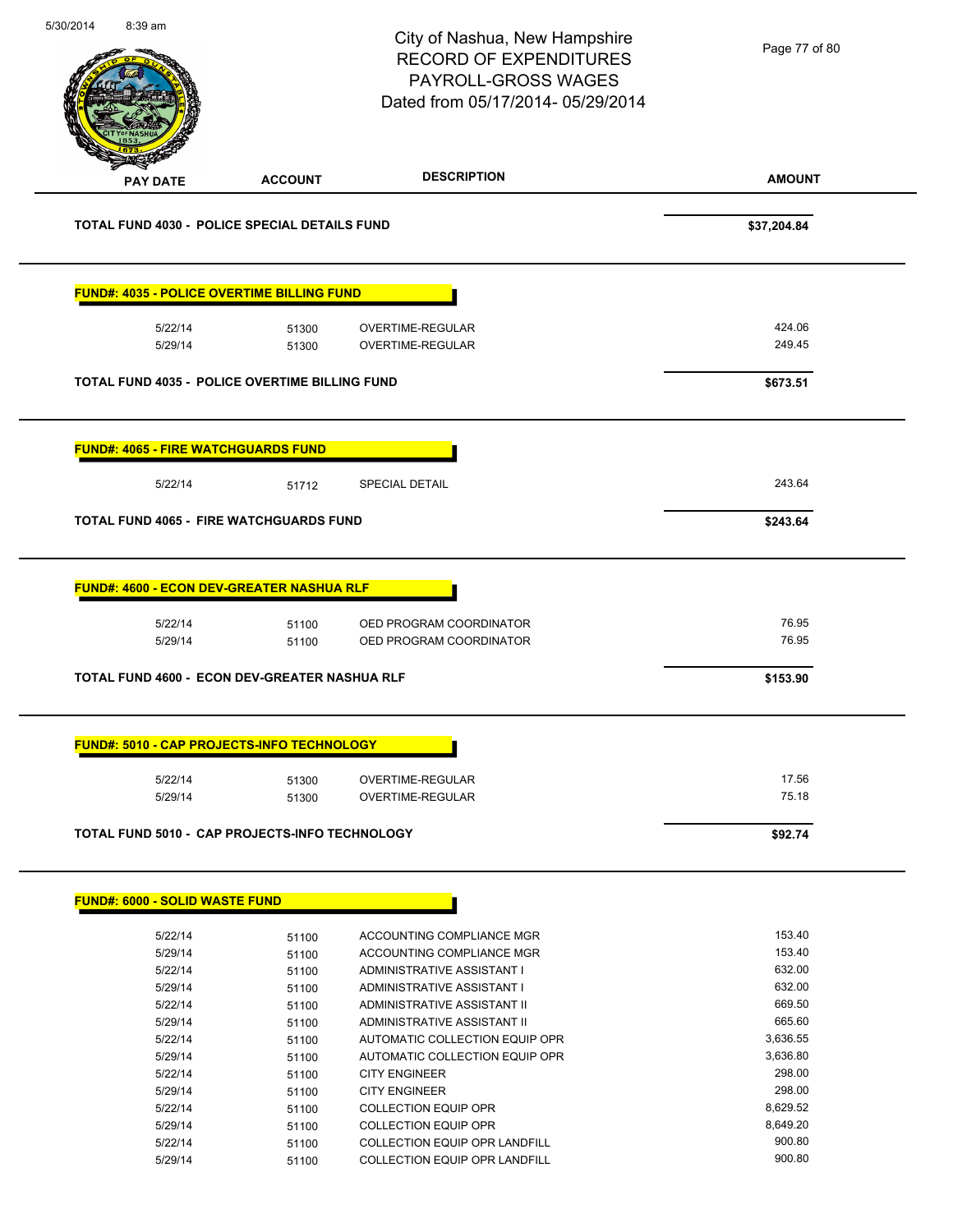| 5/30/2014 | 8:39 am                                    |                                                                        | City of Nashua, New Hampshire<br><b>RECORD OF EXPENDITURES</b><br>PAYROLL-GROSS WAGES<br>Dated from 05/17/2014-05/29/2014 | Page 77 of 80              |
|-----------|--------------------------------------------|------------------------------------------------------------------------|---------------------------------------------------------------------------------------------------------------------------|----------------------------|
|           | PAY DATE                                   | <b>ACCOUNT</b>                                                         | <b>DESCRIPTION</b>                                                                                                        | <b>AMOUNT</b>              |
|           |                                            | <b>TOTAL FUND 4030 - POLICE SPECIAL DETAILS FUND</b>                   |                                                                                                                           | \$37,204.84                |
|           |                                            | <b>FUND#: 4035 - POLICE OVERTIME BILLING FUND</b>                      |                                                                                                                           |                            |
|           | 5/22/14                                    | 51300                                                                  | OVERTIME-REGULAR                                                                                                          | 424.06<br>249.45           |
|           | 5/29/14                                    | 51300                                                                  | OVERTIME-REGULAR                                                                                                          |                            |
|           |                                            | <b>TOTAL FUND 4035 - POLICE OVERTIME BILLING FUND</b>                  |                                                                                                                           | \$673.51                   |
|           | <b>FUND#: 4065 - FIRE WATCHGUARDS FUND</b> |                                                                        |                                                                                                                           |                            |
|           | 5/22/14                                    | 51712                                                                  | SPECIAL DETAIL                                                                                                            | 243.64                     |
|           |                                            | <b>TOTAL FUND 4065 - FIRE WATCHGUARDS FUND</b>                         |                                                                                                                           | \$243.64                   |
|           | 5/22/14<br>5/29/14                         | 51100<br>51100<br><b>TOTAL FUND 4600 - ECON DEV-GREATER NASHUA RLF</b> | OED PROGRAM COORDINATOR<br>OED PROGRAM COORDINATOR                                                                        | 76.95<br>76.95<br>\$153.90 |
|           |                                            | <b>FUND#: 5010 - CAP PROJECTS-INFO TECHNOLOGY</b>                      |                                                                                                                           |                            |
|           | 5/22/14                                    | 51300                                                                  | OVERTIME-REGULAR                                                                                                          | 17.56                      |
|           | 5/29/14                                    | 51300                                                                  | OVERTIME-REGULAR                                                                                                          | 75.18                      |
|           |                                            | <b>TOTAL FUND 5010 - CAP PROJECTS-INFO TECHNOLOGY</b>                  |                                                                                                                           | \$92.74                    |
|           | <b>FUND#: 6000 - SOLID WASTE FUND</b>      |                                                                        |                                                                                                                           |                            |
|           | 5/22/14                                    | 51100                                                                  | ACCOUNTING COMPLIANCE MGR                                                                                                 | 153.40                     |
|           | 5/29/14                                    | 51100                                                                  | ACCOUNTING COMPLIANCE MGR                                                                                                 | 153.40                     |
|           | 5/22/14                                    | 51100                                                                  | ADMINISTRATIVE ASSISTANT I                                                                                                | 632.00                     |
|           | 5/29/14                                    | 51100                                                                  | ADMINISTRATIVE ASSISTANT I                                                                                                | 632.00                     |
|           | 5/22/14                                    | 51100                                                                  | ADMINISTRATIVE ASSISTANT II                                                                                               | 669.50                     |
|           | 5/29/14                                    | 51100                                                                  | ADMINISTRATIVE ASSISTANT II                                                                                               | 665.60                     |
|           | 5/22/14                                    | 51100                                                                  | AUTOMATIC COLLECTION EQUIP OPR                                                                                            | 3,636.55                   |
|           | 5/29/14                                    | 51100                                                                  | AUTOMATIC COLLECTION EQUIP OPR                                                                                            | 3,636.80<br>298.00         |
|           | 5/22/14<br>5/29/14                         | 51100                                                                  | <b>CITY ENGINEER</b><br><b>CITY ENGINEER</b>                                                                              | 298.00                     |
|           | 5/22/14                                    | 51100<br>51100                                                         | <b>COLLECTION EQUIP OPR</b>                                                                                               | 8,629.52                   |
|           | 5/29/14                                    | 51100                                                                  | <b>COLLECTION EQUIP OPR</b>                                                                                               | 8,649.20                   |
|           | 5/22/14                                    | 51100                                                                  | <b>COLLECTION EQUIP OPR LANDFILL</b>                                                                                      | 900.80                     |
|           | 5/29/14                                    | 51100                                                                  | <b>COLLECTION EQUIP OPR LANDFILL</b>                                                                                      | 900.80                     |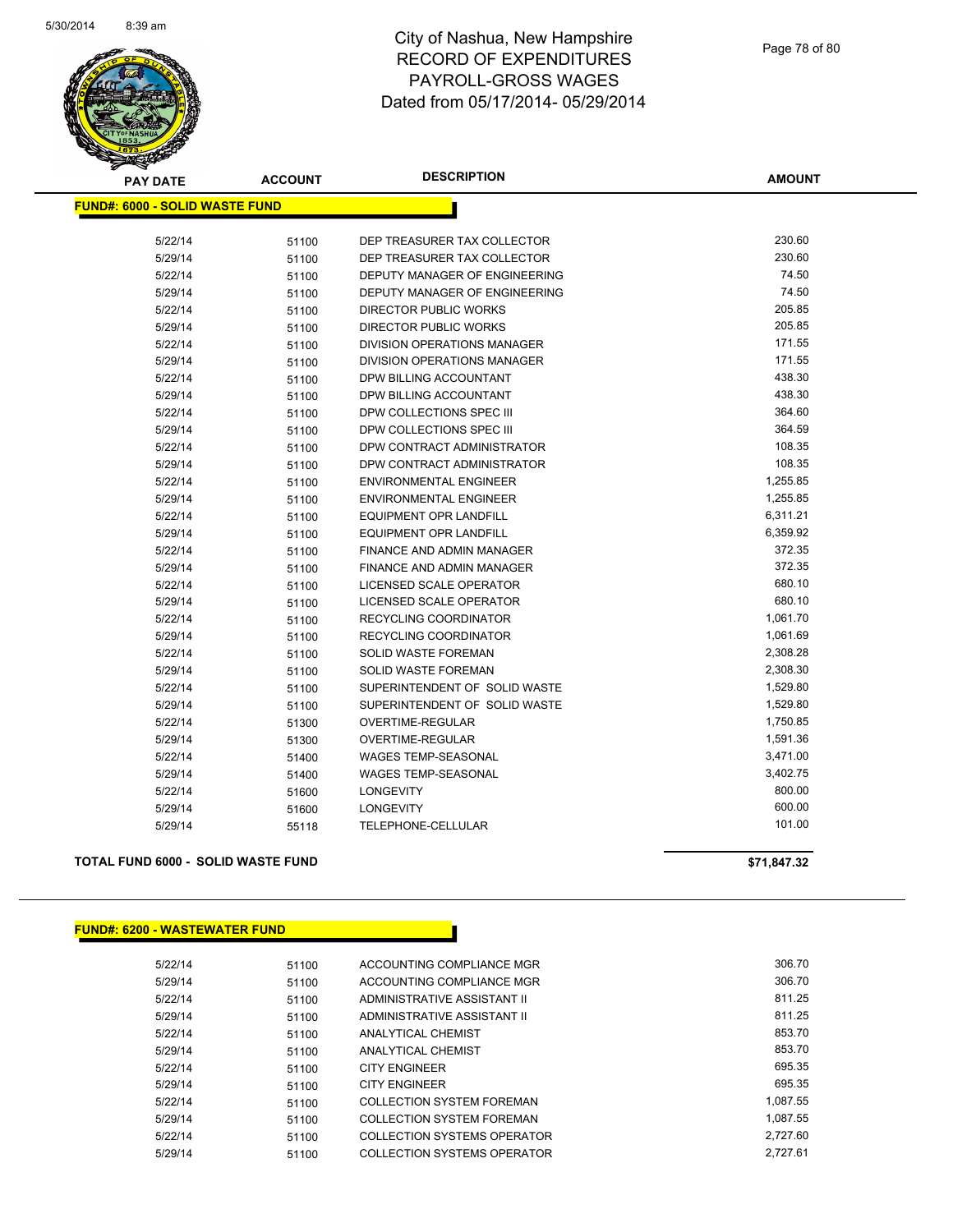

| <b>PAY DATE</b>                       | <b>ACCOUNT</b> | <b>DESCRIPTION</b>            | <b>AMOUNT</b> |
|---------------------------------------|----------------|-------------------------------|---------------|
| <b>FUND#: 6000 - SOLID WASTE FUND</b> |                |                               |               |
|                                       |                |                               |               |
| 5/22/14                               | 51100          | DEP TREASURER TAX COLLECTOR   | 230.60        |
| 5/29/14                               | 51100          | DEP TREASURER TAX COLLECTOR   | 230.60        |
| 5/22/14                               | 51100          | DEPUTY MANAGER OF ENGINEERING | 74.50         |
| 5/29/14                               | 51100          | DEPUTY MANAGER OF ENGINEERING | 74.50         |
| 5/22/14                               | 51100          | <b>DIRECTOR PUBLIC WORKS</b>  | 205.85        |
| 5/29/14                               | 51100          | DIRECTOR PUBLIC WORKS         | 205.85        |
| 5/22/14                               | 51100          | DIVISION OPERATIONS MANAGER   | 171.55        |
| 5/29/14                               | 51100          | DIVISION OPERATIONS MANAGER   | 171.55        |
| 5/22/14                               | 51100          | DPW BILLING ACCOUNTANT        | 438.30        |
| 5/29/14                               | 51100          | DPW BILLING ACCOUNTANT        | 438.30        |
| 5/22/14                               | 51100          | DPW COLLECTIONS SPEC III      | 364.60        |
| 5/29/14                               | 51100          | DPW COLLECTIONS SPEC III      | 364.59        |
| 5/22/14                               | 51100          | DPW CONTRACT ADMINISTRATOR    | 108.35        |
| 5/29/14                               | 51100          | DPW CONTRACT ADMINISTRATOR    | 108.35        |
| 5/22/14                               | 51100          | <b>ENVIRONMENTAL ENGINEER</b> | 1,255.85      |
| 5/29/14                               | 51100          | <b>ENVIRONMENTAL ENGINEER</b> | 1,255.85      |
| 5/22/14                               | 51100          | <b>EQUIPMENT OPR LANDFILL</b> | 6,311.21      |
| 5/29/14                               | 51100          | <b>EQUIPMENT OPR LANDFILL</b> | 6,359.92      |
| 5/22/14                               | 51100          | FINANCE AND ADMIN MANAGER     | 372.35        |
| 5/29/14                               | 51100          | FINANCE AND ADMIN MANAGER     | 372.35        |
| 5/22/14                               | 51100          | LICENSED SCALE OPERATOR       | 680.10        |
| 5/29/14                               | 51100          | LICENSED SCALE OPERATOR       | 680.10        |
| 5/22/14                               | 51100          | <b>RECYCLING COORDINATOR</b>  | 1,061.70      |
| 5/29/14                               | 51100          | RECYCLING COORDINATOR         | 1,061.69      |
| 5/22/14                               | 51100          | SOLID WASTE FOREMAN           | 2,308.28      |
| 5/29/14                               | 51100          | SOLID WASTE FOREMAN           | 2,308.30      |
| 5/22/14                               | 51100          | SUPERINTENDENT OF SOLID WASTE | 1,529.80      |
| 5/29/14                               | 51100          | SUPERINTENDENT OF SOLID WASTE | 1,529.80      |
| 5/22/14                               | 51300          | OVERTIME-REGULAR              | 1,750.85      |
| 5/29/14                               | 51300          | OVERTIME-REGULAR              | 1,591.36      |
| 5/22/14                               | 51400          | <b>WAGES TEMP-SEASONAL</b>    | 3,471.00      |
| 5/29/14                               | 51400          | <b>WAGES TEMP-SEASONAL</b>    | 3,402.75      |
| 5/22/14                               | 51600          | <b>LONGEVITY</b>              | 800.00        |
| 5/29/14                               | 51600          | <b>LONGEVITY</b>              | 600.00        |
| 5/29/14                               | 55118          | TELEPHONE-CELLULAR            | 101.00        |
|                                       |                |                               |               |

**TOTAL FUND 6000 - SOLID WASTE FUND \$71,847.32** 

### **FUND#: 6200 - WASTEWATER FUND**

| 5/22/14 | 51100 | ACCOUNTING COMPLIANCE MGR        | 306.70   |
|---------|-------|----------------------------------|----------|
| 5/29/14 | 51100 | ACCOUNTING COMPLIANCE MGR        | 306.70   |
| 5/22/14 | 51100 | ADMINISTRATIVE ASSISTANT II      | 811.25   |
| 5/29/14 | 51100 | ADMINISTRATIVE ASSISTANT II      | 811.25   |
| 5/22/14 | 51100 | ANALYTICAL CHEMIST               | 853.70   |
| 5/29/14 | 51100 | ANALYTICAL CHEMIST               | 853.70   |
| 5/22/14 | 51100 | <b>CITY ENGINEER</b>             | 695.35   |
| 5/29/14 | 51100 | <b>CITY ENGINEER</b>             | 695.35   |
| 5/22/14 | 51100 | <b>COLLECTION SYSTEM FOREMAN</b> | 1.087.55 |
| 5/29/14 | 51100 | <b>COLLECTION SYSTEM FOREMAN</b> | 1.087.55 |
| 5/22/14 | 51100 | COLLECTION SYSTEMS OPERATOR      | 2.727.60 |
| 5/29/14 | 51100 | COLLECTION SYSTEMS OPERATOR      | 2.727.61 |
|         |       |                                  |          |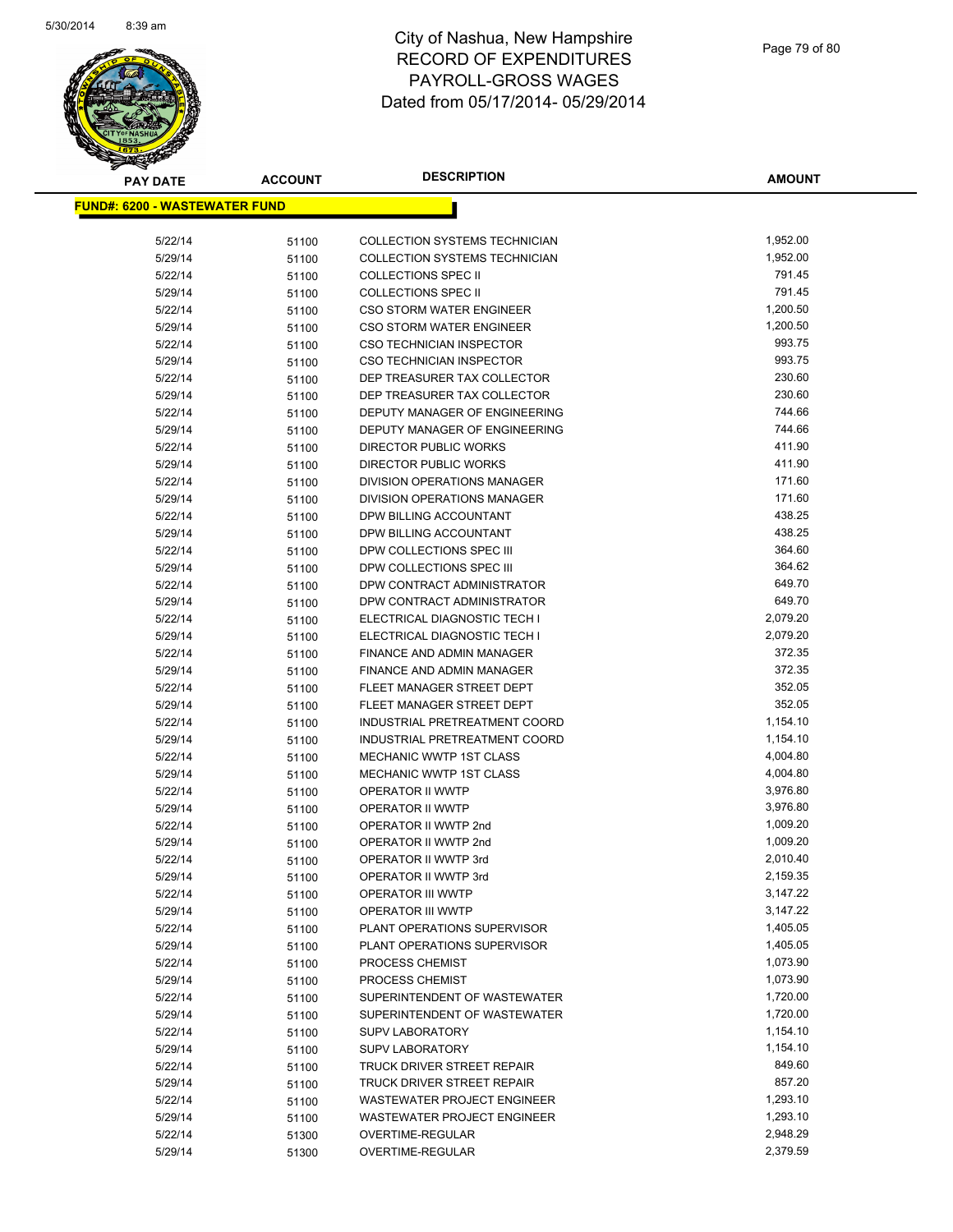

| <b>PAY DATE</b>                       | <b>ACCOUNT</b> | <b>DESCRIPTION</b>                 | AMOUNT   |
|---------------------------------------|----------------|------------------------------------|----------|
| <u> FUND#: 6200 - WASTEWATER FUND</u> |                |                                    |          |
|                                       |                |                                    |          |
| 5/22/14                               | 51100          | COLLECTION SYSTEMS TECHNICIAN      | 1,952.00 |
| 5/29/14                               | 51100          | COLLECTION SYSTEMS TECHNICIAN      | 1,952.00 |
| 5/22/14                               | 51100          | <b>COLLECTIONS SPEC II</b>         | 791.45   |
| 5/29/14                               | 51100          | <b>COLLECTIONS SPEC II</b>         | 791.45   |
| 5/22/14                               | 51100          | <b>CSO STORM WATER ENGINEER</b>    | 1,200.50 |
| 5/29/14                               | 51100          | CSO STORM WATER ENGINEER           | 1,200.50 |
| 5/22/14                               | 51100          | <b>CSO TECHNICIAN INSPECTOR</b>    | 993.75   |
| 5/29/14                               | 51100          | CSO TECHNICIAN INSPECTOR           | 993.75   |
| 5/22/14                               | 51100          | DEP TREASURER TAX COLLECTOR        | 230.60   |
| 5/29/14                               | 51100          | DEP TREASURER TAX COLLECTOR        | 230.60   |
| 5/22/14                               | 51100          | DEPUTY MANAGER OF ENGINEERING      | 744.66   |
| 5/29/14                               | 51100          | DEPUTY MANAGER OF ENGINEERING      | 744.66   |
| 5/22/14                               | 51100          | DIRECTOR PUBLIC WORKS              | 411.90   |
| 5/29/14                               | 51100          | DIRECTOR PUBLIC WORKS              | 411.90   |
| 5/22/14                               | 51100          | DIVISION OPERATIONS MANAGER        | 171.60   |
| 5/29/14                               | 51100          | DIVISION OPERATIONS MANAGER        | 171.60   |
| 5/22/14                               | 51100          | DPW BILLING ACCOUNTANT             | 438.25   |
| 5/29/14                               | 51100          | DPW BILLING ACCOUNTANT             | 438.25   |
| 5/22/14                               | 51100          | DPW COLLECTIONS SPEC III           | 364.60   |
| 5/29/14                               | 51100          | DPW COLLECTIONS SPEC III           | 364.62   |
| 5/22/14                               | 51100          | DPW CONTRACT ADMINISTRATOR         | 649.70   |
| 5/29/14                               | 51100          | DPW CONTRACT ADMINISTRATOR         | 649.70   |
| 5/22/14                               | 51100          | ELECTRICAL DIAGNOSTIC TECH I       | 2,079.20 |
| 5/29/14                               | 51100          | ELECTRICAL DIAGNOSTIC TECH I       | 2,079.20 |
| 5/22/14                               | 51100          | FINANCE AND ADMIN MANAGER          | 372.35   |
| 5/29/14                               | 51100          | FINANCE AND ADMIN MANAGER          | 372.35   |
| 5/22/14                               | 51100          | FLEET MANAGER STREET DEPT          | 352.05   |
| 5/29/14                               | 51100          | FLEET MANAGER STREET DEPT          | 352.05   |
| 5/22/14                               | 51100          | INDUSTRIAL PRETREATMENT COORD      | 1,154.10 |
| 5/29/14                               | 51100          | INDUSTRIAL PRETREATMENT COORD      | 1,154.10 |
| 5/22/14                               | 51100          | <b>MECHANIC WWTP 1ST CLASS</b>     | 4,004.80 |
| 5/29/14                               | 51100          | <b>MECHANIC WWTP 1ST CLASS</b>     | 4,004.80 |
| 5/22/14                               | 51100          | OPERATOR II WWTP                   | 3,976.80 |
| 5/29/14                               | 51100          | <b>OPERATOR II WWTP</b>            | 3,976.80 |
| 5/22/14                               | 51100          | OPERATOR II WWTP 2nd               | 1,009.20 |
| 5/29/14                               | 51100          | OPERATOR II WWTP 2nd               | 1,009.20 |
| 5/22/14                               | 51100          | OPERATOR II WWTP 3rd               | 2,010.40 |
| 5/29/14                               | 51100          | OPERATOR II WWTP 3rd               | 2,159.35 |
| 5/22/14                               | 51100          | <b>OPERATOR III WWTP</b>           | 3,147.22 |
| 5/29/14                               | 51100          | OPERATOR III WWTP                  | 3,147.22 |
| 5/22/14                               | 51100          | PLANT OPERATIONS SUPERVISOR        | 1,405.05 |
| 5/29/14                               | 51100          | PLANT OPERATIONS SUPERVISOR        | 1,405.05 |
| 5/22/14                               | 51100          | PROCESS CHEMIST                    | 1,073.90 |
| 5/29/14                               | 51100          | PROCESS CHEMIST                    | 1,073.90 |
| 5/22/14                               | 51100          | SUPERINTENDENT OF WASTEWATER       | 1,720.00 |
| 5/29/14                               | 51100          | SUPERINTENDENT OF WASTEWATER       | 1,720.00 |
| 5/22/14                               | 51100          | <b>SUPV LABORATORY</b>             | 1,154.10 |
| 5/29/14                               | 51100          | <b>SUPV LABORATORY</b>             | 1,154.10 |
| 5/22/14                               | 51100          | TRUCK DRIVER STREET REPAIR         | 849.60   |
| 5/29/14                               | 51100          | TRUCK DRIVER STREET REPAIR         | 857.20   |
| 5/22/14                               | 51100          | <b>WASTEWATER PROJECT ENGINEER</b> | 1,293.10 |
| 5/29/14                               | 51100          | WASTEWATER PROJECT ENGINEER        | 1,293.10 |
| 5/22/14                               | 51300          | OVERTIME-REGULAR                   | 2,948.29 |
| 5/29/14                               | 51300          | OVERTIME-REGULAR                   | 2,379.59 |